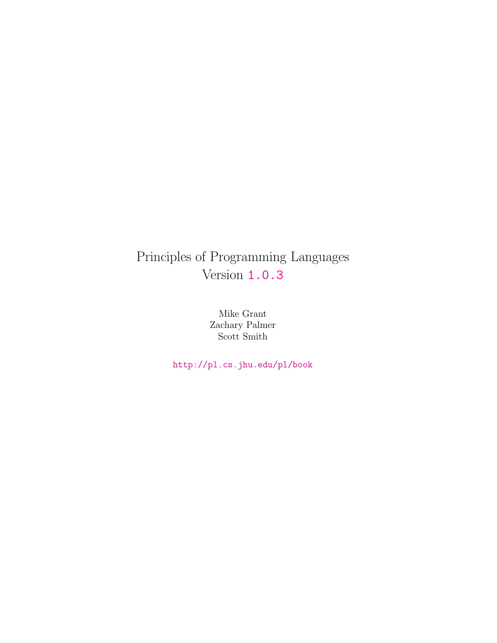# Principles of Programming Languages Version <1.0.3>

Mike Grant Zachary Palmer Scott Smith

<http://pl.cs.jhu.edu/pl/book>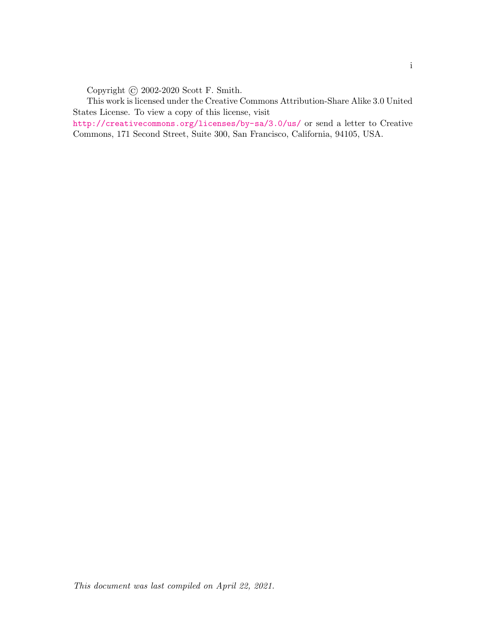Copyright © 2002-2020 Scott F. Smith.

This work is licensed under the Creative Commons Attribution-Share Alike 3.0 United States License. To view a copy of this license, visit

<http://creativecommons.org/licenses/by-sa/3.0/us/> or send a letter to Creative Commons, 171 Second Street, Suite 300, San Francisco, California, 94105, USA.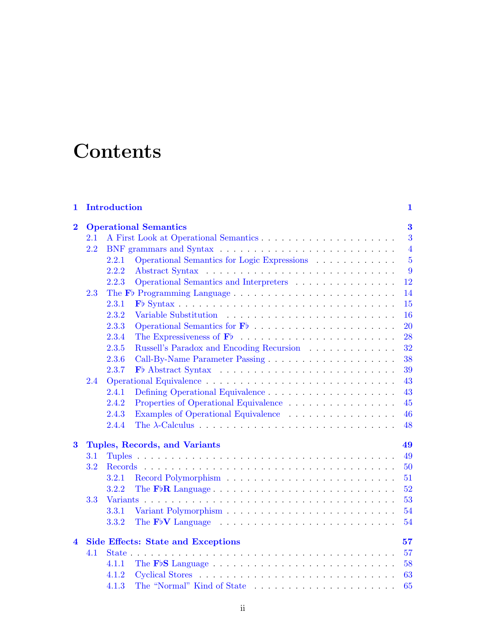# **Contents**

| 1                       | <b>Introduction</b>                             |       |                                                                                             |                |  |  |
|-------------------------|-------------------------------------------------|-------|---------------------------------------------------------------------------------------------|----------------|--|--|
| $\overline{\mathbf{2}}$ |                                                 |       | <b>Operational Semantics</b>                                                                | $\bf{3}$       |  |  |
|                         | 2.1                                             |       |                                                                                             | 3              |  |  |
|                         | 2.2                                             |       |                                                                                             | $\overline{4}$ |  |  |
|                         |                                                 | 2.2.1 | Operational Semantics for Logic Expressions                                                 | $\overline{5}$ |  |  |
|                         |                                                 | 2.2.2 |                                                                                             | 9              |  |  |
|                         |                                                 | 2.2.3 | Operational Semantics and Interpreters                                                      | 12             |  |  |
|                         | 2.3                                             |       |                                                                                             | 14             |  |  |
|                         |                                                 | 2.3.1 |                                                                                             | 15             |  |  |
|                         |                                                 | 2.3.2 |                                                                                             | 16             |  |  |
|                         |                                                 | 2.3.3 |                                                                                             | 20             |  |  |
|                         |                                                 | 2.3.4 |                                                                                             | 28             |  |  |
|                         |                                                 | 2.3.5 | Russell's Paradox and Encoding Recursion                                                    | 32             |  |  |
|                         |                                                 | 2.3.6 |                                                                                             | 38             |  |  |
|                         |                                                 | 2.3.7 |                                                                                             | 39             |  |  |
| 2.4                     |                                                 |       |                                                                                             |                |  |  |
|                         |                                                 | 2.4.1 | Defining Operational Equivalence                                                            | 43             |  |  |
|                         |                                                 | 2.4.2 | Properties of Operational Equivalence                                                       | 45             |  |  |
|                         |                                                 | 2.4.3 | Examples of Operational Equivalence                                                         | 46             |  |  |
|                         |                                                 | 2.4.4 |                                                                                             | 48             |  |  |
| $\bf{3}$                |                                                 |       | Tuples, Records, and Variants                                                               | 49             |  |  |
|                         | 3.1                                             |       |                                                                                             | 49             |  |  |
|                         | 3.2                                             |       |                                                                                             | 50             |  |  |
|                         |                                                 | 3.2.1 |                                                                                             | 51             |  |  |
|                         |                                                 | 3.2.2 | The $F\flat R$ Language $\ldots \ldots \ldots \ldots \ldots \ldots \ldots \ldots \ldots$    | 52             |  |  |
|                         | 3.3                                             |       |                                                                                             | 53             |  |  |
|                         |                                                 | 3.3.1 |                                                                                             | 54             |  |  |
|                         |                                                 | 3.3.2 | The $F\ntriangleright V$ Language $\ldots \ldots \ldots \ldots \ldots \ldots \ldots \ldots$ | 54             |  |  |
| $\blacktriangle$        | <b>Side Effects: State and Exceptions</b><br>57 |       |                                                                                             |                |  |  |
|                         | 4.1                                             |       |                                                                                             | 57             |  |  |
|                         |                                                 | 4.1.1 |                                                                                             | 58             |  |  |
|                         |                                                 | 4.1.2 |                                                                                             | 63             |  |  |
|                         |                                                 | 4.1.3 | The "Normal" Kind of State                                                                  | 65             |  |  |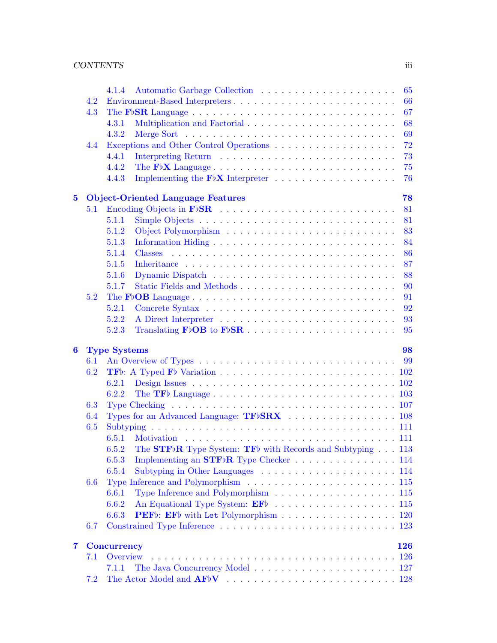|                  |         | 65<br>414                                                                                                           |
|------------------|---------|---------------------------------------------------------------------------------------------------------------------|
|                  | 4.2     | 66<br>Environment-Based Interpreters                                                                                |
|                  | 4.3     | 67<br>The F <sub>b</sub> SR Language $\ldots \ldots \ldots \ldots \ldots \ldots \ldots \ldots \ldots \ldots \ldots$ |
|                  |         | 68<br>4.3.1                                                                                                         |
|                  |         | 69<br>4.3.2                                                                                                         |
|                  | 4.4     | 72                                                                                                                  |
|                  |         | 73<br>4.4.1                                                                                                         |
|                  |         | 75<br>4.4.2                                                                                                         |
|                  |         | 76<br>4.4.3                                                                                                         |
| $\bf{5}$         |         | <b>Object-Oriented Language Features</b><br>78                                                                      |
|                  | 5.1     | 81                                                                                                                  |
|                  |         | 81<br>5.1.1                                                                                                         |
|                  |         | 83<br>5.1.2                                                                                                         |
|                  |         | 84<br>5.1.3                                                                                                         |
|                  |         | 86<br>5.1.4                                                                                                         |
|                  |         | 87<br>5.1.5                                                                                                         |
|                  |         | 88<br>5.1.6                                                                                                         |
|                  |         | 90<br>5.1.7                                                                                                         |
|                  | 5.2     | 91                                                                                                                  |
|                  |         | 92<br>5.2.1                                                                                                         |
|                  |         | 5.2.2<br>93                                                                                                         |
|                  |         | 5.2.3<br>95                                                                                                         |
| $\boldsymbol{6}$ |         | <b>Type Systems</b><br>98                                                                                           |
|                  | 6.1     | 99                                                                                                                  |
|                  | 6.2     |                                                                                                                     |
|                  |         | 6.2.1                                                                                                               |
|                  |         | 6.2.2                                                                                                               |
|                  | 6.3     |                                                                                                                     |
|                  | 6.4     | Types for an Advanced Language: TFbSRX 108                                                                          |
|                  | 6.5     |                                                                                                                     |
|                  |         | 6.5.1                                                                                                               |
|                  |         | The STF <sub>b</sub> R Type System: TF <sub>b</sub> with Records and Subtyping 113<br>6.5.2                         |
|                  |         | Implementing an $STF\flat R$ Type Checker 114<br>6.5.3                                                              |
|                  |         | 6.5.4                                                                                                               |
|                  | $6.6\,$ |                                                                                                                     |
|                  |         | Type Inference and Polymorphism 115<br>6.6.1                                                                        |
|                  |         | An Equational Type System: EFb 115<br>6.6.2                                                                         |
|                  |         | PEFb: EFb with Let Polymorphism 120<br>6.6.3                                                                        |
|                  | 6.7     |                                                                                                                     |
| 7                |         | <b>Concurrency</b><br>126                                                                                           |
|                  | 7.1     | Overview                                                                                                            |
|                  |         | 7.1.1                                                                                                               |
|                  | 7.2     |                                                                                                                     |
|                  |         |                                                                                                                     |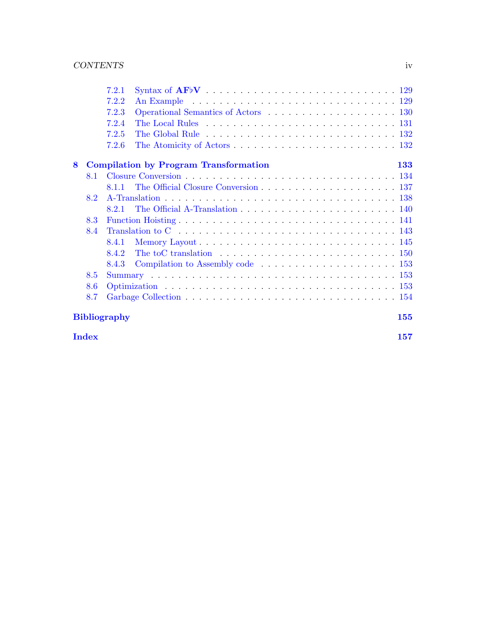|   |     | 7.2.1                                                                                                                                                                                                                                  |
|---|-----|----------------------------------------------------------------------------------------------------------------------------------------------------------------------------------------------------------------------------------------|
|   |     | 7.2.2<br>An Example (Aller Contract Library Contract Library Contract Library Contract Library Contract Library Contract Library Contract Library Contract Library Contract Library Contract Library Contract Library Contract Library |
|   |     | 7.2.3                                                                                                                                                                                                                                  |
|   |     | 7.2.4<br>The Local Rules $\ldots \ldots \ldots \ldots \ldots \ldots \ldots \ldots \ldots \ldots \ldots 131$                                                                                                                            |
|   |     | 7.2.5                                                                                                                                                                                                                                  |
|   |     | 7.2.6                                                                                                                                                                                                                                  |
| 8 |     | <b>Compilation by Program Transformation</b><br>133                                                                                                                                                                                    |
|   | 8.1 |                                                                                                                                                                                                                                        |
|   |     | 8.1.1                                                                                                                                                                                                                                  |
|   | 8.2 |                                                                                                                                                                                                                                        |
|   |     | 8.2.1                                                                                                                                                                                                                                  |
|   | 8.3 |                                                                                                                                                                                                                                        |
|   | 8.4 | Translation to $C_1, \ldots, C_n, \ldots, C_n, \ldots, C_n, \ldots, C_n$                                                                                                                                                               |
|   |     | 8.4.1                                                                                                                                                                                                                                  |
|   |     | 8.4.2                                                                                                                                                                                                                                  |
|   |     | 8.4.3                                                                                                                                                                                                                                  |
|   | 8.5 |                                                                                                                                                                                                                                        |
|   | 8.6 |                                                                                                                                                                                                                                        |
|   | 8.7 |                                                                                                                                                                                                                                        |
|   |     | <b>Bibliography</b><br>155                                                                                                                                                                                                             |

 $\int_0^\infty 157$  $\int_0^\infty 157$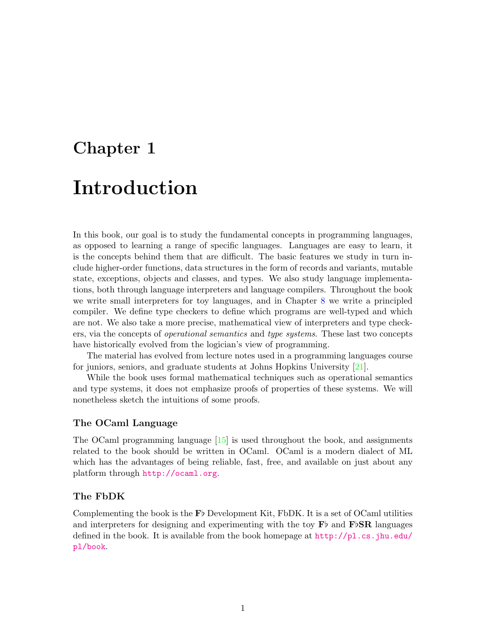# <span id="page-5-0"></span>Chapter 1 Introduction

In this book, our goal is to study the fundamental concepts in programming languages, as opposed to learning a range of specific languages. Languages are easy to learn, it is the concepts behind them that are difficult. The basic features we study in turn include higher-order functions, data structures in the form of records and variants, mutable state, exceptions, objects and classes, and types. We also study language implementations, both through language interpreters and language compilers. Throughout the book we write small interpreters for toy languages, and in Chapter [8](#page-137-0) we write a principled compiler. We define type checkers to define which programs are well-typed and which are not. We also take a more precise, mathematical view of interpreters and type checkers, via the concepts of operational semantics and type systems. These last two concepts have historically evolved from the logician's view of programming.

The material has evolved from lecture notes used in a programming languages course for juniors, seniors, and graduate students at Johns Hopkins University [\[21\]](#page-160-0).

While the book uses formal mathematical techniques such as operational semantics and type systems, it does not emphasize proofs of properties of these systems. We will nonetheless sketch the intuitions of some proofs.

# The OCaml Language

The OCaml programming language [\[15\]](#page-160-1) is used throughout the book, and assignments related to the book should be written in OCaml. OCaml is a modern dialect of ML which has the advantages of being reliable, fast, free, and available on just about any platform through <http://ocaml.org>.

# The FbDK

Complementing the book is the  $\mathbf{F}$  Development Kit, FbDK. It is a set of OCaml utilities and interpreters for designing and experimenting with the toy  $\mathbf{F}^{\flat}$  and  $\mathbf{F}^{\flat}$  anguages defined in the book. It is available from the book homepage at  $http://pl.cs.jhu.edu/$ [pl/book](http://pl.cs.jhu.edu/pl/book).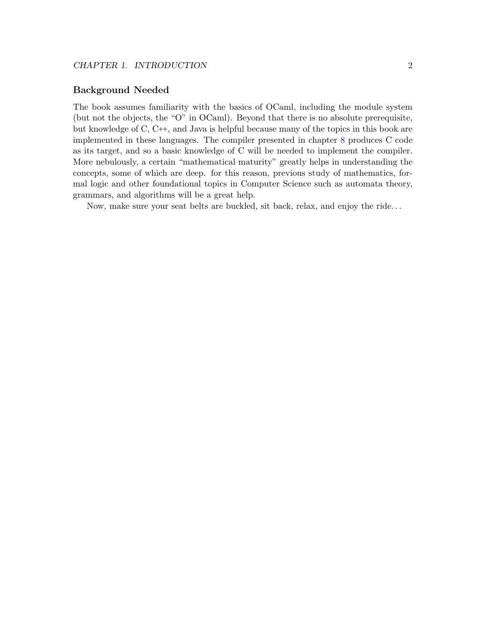# Background Needed

The book assumes familiarity with the basics of OCaml, including the module system (but not the objects, the "O" in OCaml). Beyond that there is no absolute prerequisite, but knowledge of C, C++, and Java is helpful because many of the topics in this book are implemented in these languages. The compiler presented in chapter [8](#page-137-0) produces C code as its target, and so a basic knowledge of C will be needed to implement the compiler. More nebulously, a certain "mathematical maturity" greatly helps in understanding the concepts, some of which are deep. for this reason, previous study of mathematics, formal logic and other foundational topics in Computer Science such as automata theory, grammars, and algorithms will be a great help.

Now, make sure your seat belts are buckled, sit back, relax, and enjoy the ride. . .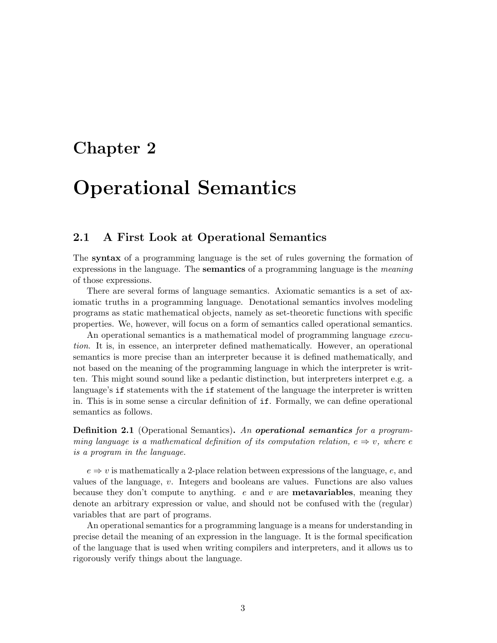# <span id="page-7-0"></span>Chapter 2

# Operational Semantics

# <span id="page-7-1"></span>2.1 A First Look at Operational Semantics

The syntax of a programming language is the set of rules governing the formation of expressions in the language. The **semantics** of a programming language is the *meaning* of those expressions.

There are several forms of language semantics. Axiomatic semantics is a set of axiomatic truths in a programming language. Denotational semantics involves modeling programs as static mathematical objects, namely as set-theoretic functions with specific properties. We, however, will focus on a form of semantics called operational semantics.

An operational semantics is a mathematical model of programming language execution. It is, in essence, an interpreter defined mathematically. However, an operational semantics is more precise than an interpreter because it is defined mathematically, and not based on the meaning of the programming language in which the interpreter is written. This might sound sound like a pedantic distinction, but interpreters interpret e.g. a language's if statements with the if statement of the language the interpreter is written in. This is in some sense a circular definition of if. Formally, we can define operational semantics as follows.

**Definition 2.1** (Operational Semantics). An **operational semantics** for a programming language is a mathematical definition of its computation relation,  $e \Rightarrow v$ , where e is a program in the language.

 $e \Rightarrow v$  is mathematically a 2-place relation between expressions of the language, e, and values of the language, v. Integers and booleans are values. Functions are also values because they don't compute to anything.  $e$  and  $v$  are **metavariables**, meaning they denote an arbitrary expression or value, and should not be confused with the (regular) variables that are part of programs.

An operational semantics for a programming language is a means for understanding in precise detail the meaning of an expression in the language. It is the formal specification of the language that is used when writing compilers and interpreters, and it allows us to rigorously verify things about the language.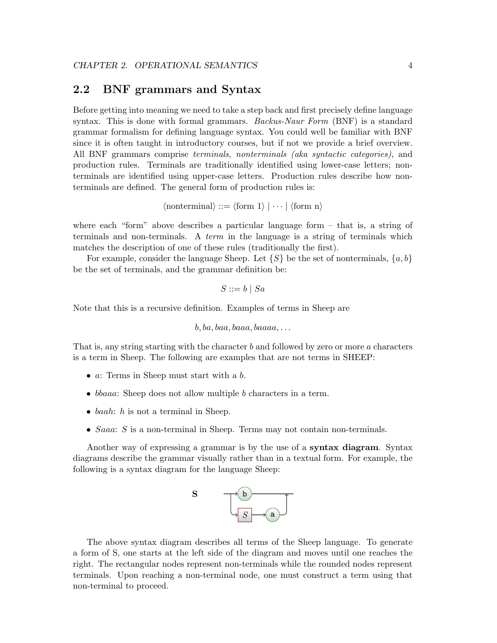# <span id="page-8-0"></span>2.2 BNF grammars and Syntax

Before getting into meaning we need to take a step back and first precisely define language syntax. This is done with formal grammars. Backus-Naur Form  $(BNF)$  is a standard grammar formalism for defining language syntax. You could well be familiar with BNF since it is often taught in introductory courses, but if not we provide a brief overview. All BNF grammars comprise terminals, nonterminals (aka syntactic categories), and production rules. Terminals are traditionally identified using lower-case letters; nonterminals are identified using upper-case letters. Production rules describe how nonterminals are defined. The general form of production rules is:

$$
\langle
$$
nonterminal $\rangle$  ::=  $\langle$ form 1 $\rangle$   $| \cdots | \langle$ form n $\rangle$ 

where each "form" above describes a particular language form  $-$  that is, a string of terminals and non-terminals. A *term* in the language is a string of terminals which matches the description of one of these rules (traditionally the first).

For example, consider the language Sheep. Let  $\{S\}$  be the set of nonterminals,  $\{a, b\}$ be the set of terminals, and the grammar definition be:

$$
S ::= b \mid Sa
$$

Note that this is a recursive definition. Examples of terms in Sheep are

$$
b, ba, baa, baaa, baaaa, \dots
$$

That is, any string starting with the character b and followed by zero or more a characters is a term in Sheep. The following are examples that are not terms in SHEEP:

- a: Terms in Sheep must start with a b.
- *bbaaa*: Sheep does not allow multiple b characters in a term.
- baah:  $h$  is not a terminal in Sheep.
- $Saaa: S$  is a non-terminal in Sheep. Terms may not contain non-terminals.

Another way of expressing a grammar is by the use of a syntax diagram. Syntax diagrams describe the grammar visually rather than in a textual form. For example, the following is a syntax diagram for the language Sheep:



The above syntax diagram describes all terms of the Sheep language. To generate a form of S, one starts at the left side of the diagram and moves until one reaches the right. The rectangular nodes represent non-terminals while the rounded nodes represent terminals. Upon reaching a non-terminal node, one must construct a term using that non-terminal to proceed.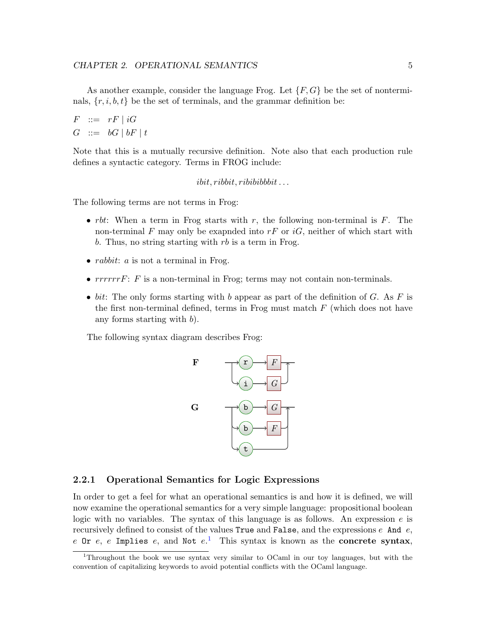As another example, consider the language Frog. Let  $\{F, G\}$  be the set of nonterminals,  $\{r, i, b, t\}$  be the set of terminals, and the grammar definition be:

$$
F ::= rF | iG
$$
  

$$
G ::= bG | bF | t
$$

Note that this is a mutually recursive definition. Note also that each production rule defines a syntactic category. Terms in FROG include:

 $i bit, ribbit, r i bibi bib.$ ...

The following terms are not terms in Frog:

- *rbt*: When a term in Frog starts with r, the following non-terminal is F. The non-terminal F may only be exapnded into  $rF$  or  $iG$ , neither of which start with b. Thus, no string starting with  $rb$  is a term in Frog.
- *rabbit: a* is not a terminal in Frog.
- $rrrrrrF$ : F is a non-terminal in Frog; terms may not contain non-terminals.
- bit: The only forms starting with b appear as part of the definition of G. As F is the first non-terminal defined, terms in Frog must match  $F$  (which does not have any forms starting with  $b$ ).

The following syntax diagram describes Frog:



## <span id="page-9-0"></span>2.2.1 Operational Semantics for Logic Expressions

In order to get a feel for what an operational semantics is and how it is defined, we will now examine the operational semantics for a very simple language: propositional boolean logic with no variables. The syntax of this language is as follows. An expression  $e$  is recursively defined to consist of the values  $True$  and  $False$ , and the expressions  $e$  And  $e$ , e Or e, e Implies e, and Not  $e^{1}$  $e^{1}$  $e^{1}$  This syntax is known as the concrete syntax,

<span id="page-9-1"></span><sup>1</sup>Throughout the book we use syntax very similar to OCaml in our toy languages, but with the convention of capitalizing keywords to avoid potential conflicts with the OCaml language.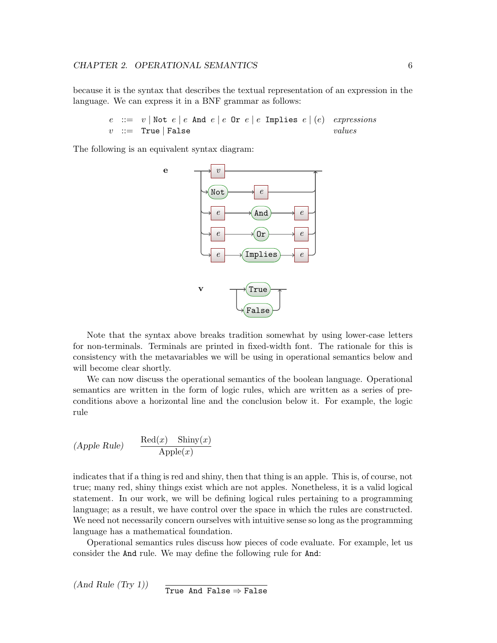because it is the syntax that describes the textual representation of an expression in the language. We can express it in a BNF grammar as follows:

> e ::=  $v \mid$ Not  $e \mid e$  And  $e \mid e$  Or  $e \mid e$  Implies  $e \mid (e)$  expressions  $v$  ::= True | False values

The following is an equivalent syntax diagram:



Note that the syntax above breaks tradition somewhat by using lower-case letters for non-terminals. Terminals are printed in fixed-width font. The rationale for this is consistency with the metavariables we will be using in operational semantics below and will become clear shortly.

We can now discuss the operational semantics of the boolean language. Operational semantics are written in the form of logic rules, which are written as a series of preconditions above a horizontal line and the conclusion below it. For example, the logic rule

$$
(Apple Rule) \qquad \frac{\text{Red}(x) \quad \text{Shiny}(x)}{\text{Apple}(x)}
$$

indicates that if a thing is red and shiny, then that thing is an apple. This is, of course, not true; many red, shiny things exist which are not apples. Nonetheless, it is a valid logical statement. In our work, we will be defining logical rules pertaining to a programming language; as a result, we have control over the space in which the rules are constructed. We need not necessarily concern ourselves with intuitive sense so long as the programming language has a mathematical foundation.

Operational semantics rules discuss how pieces of code evaluate. For example, let us consider the And rule. We may define the following rule for And:

 $(And Rule (Try 1))$ True And False  $\Rightarrow$  False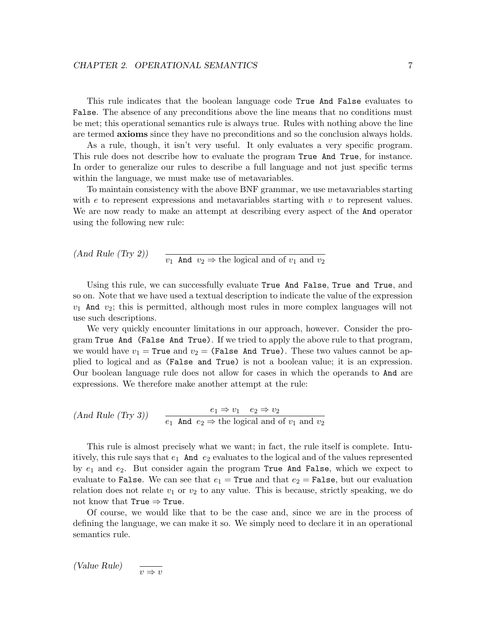This rule indicates that the boolean language code True And False evaluates to False. The absence of any preconditions above the line means that no conditions must be met; this operational semantics rule is always true. Rules with nothing above the line are termed axioms since they have no preconditions and so the conclusion always holds.

As a rule, though, it isn't very useful. It only evaluates a very specific program. This rule does not describe how to evaluate the program True And True, for instance. In order to generalize our rules to describe a full language and not just specific terms within the language, we must make use of metavariables.

To maintain consistency with the above BNF grammar, we use metavariables starting with  $e$  to represent expressions and metavariables starting with  $v$  to represent values. We are now ready to make an attempt at describing every aspect of the And operator using the following new rule:

(And Rule (Try 2))  $v_1$  And  $v_2 \Rightarrow$  the logical and of  $v_1$  and  $v_2$ 

Using this rule, we can successfully evaluate True And False, True and True, and so on. Note that we have used a textual description to indicate the value of the expression  $v_1$  And  $v_2$ ; this is permitted, although most rules in more complex languages will not use such descriptions.

We very quickly encounter limitations in our approach, however. Consider the program True And (False And True). If we tried to apply the above rule to that program, we would have  $v_1$  = True and  $v_2$  = (False And True). These two values cannot be applied to logical and as (False and True) is not a boolean value; it is an expression. Our boolean language rule does not allow for cases in which the operands to And are expressions. We therefore make another attempt at the rule:

$$
(And Rule (Try 3)) \qquad \frac{e_1 \Rightarrow v_1 \quad e_2 \Rightarrow v_2}{e_1 \text{ And } e_2 \Rightarrow \text{the logical and of } v_1 \text{ and } v_2}
$$

This rule is almost precisely what we want; in fact, the rule itself is complete. Intuitively, this rule says that  $e_1$  And  $e_2$  evaluates to the logical and of the values represented by  $e_1$  and  $e_2$ . But consider again the program True And False, which we expect to evaluate to False. We can see that  $e_1$  = True and that  $e_2$  = False, but our evaluation relation does not relate  $v_1$  or  $v_2$  to any value. This is because, strictly speaking, we do not know that  $True \Rightarrow True$ .

Of course, we would like that to be the case and, since we are in the process of defining the language, we can make it so. We simply need to declare it in an operational semantics rule.

(Value Rule)  $v \Rightarrow v$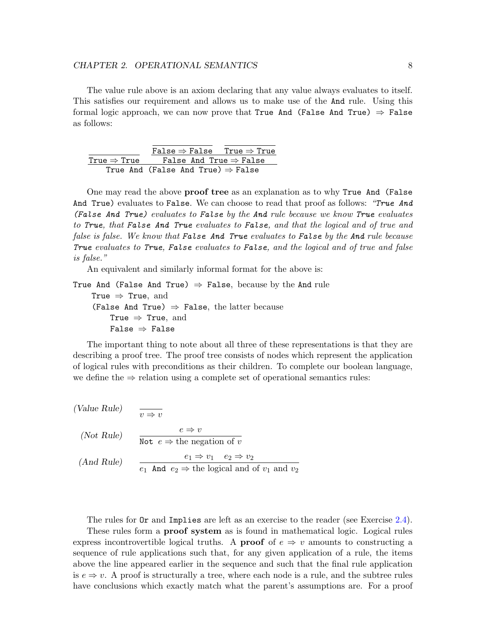#### CHAPTER 2. OPERATIONAL SEMANTICS 8

The value rule above is an axiom declaring that any value always evaluates to itself. This satisfies our requirement and allows us to make use of the And rule. Using this formal logic approach, we can now prove that True And (False And True)  $\Rightarrow$  False as follows:

|                         | False $\Rightarrow$ False True $\Rightarrow$ True |  |
|-------------------------|---------------------------------------------------|--|
| True $\Rightarrow$ True | False And True $\Rightarrow$ False                |  |
|                         | True And (False And True) $\Rightarrow$ False     |  |

One may read the above proof tree as an explanation as to why True And (False And True) evaluates to False. We can choose to read that proof as follows: "True And (False And True) evaluates to False by the And rule because we know True evaluates to True, that False And True evaluates to False, and that the logical and of true and false is false. We know that False And True evaluates to False by the And rule because True evaluates to True, False evaluates to False, and the logical and of true and false is false."

An equivalent and similarly informal format for the above is:

True And (False And True)  $\Rightarrow$  False, because by the And rule True  $\Rightarrow$  True, and (False And True)  $\Rightarrow$  False, the latter because True  $\Rightarrow$  True, and False  $\Rightarrow$  False

The important thing to note about all three of these representations is that they are describing a proof tree. The proof tree consists of nodes which represent the application of logical rules with preconditions as their children. To complete our boolean language, we define the  $\Rightarrow$  relation using a complete set of operational semantics rules:

| (Value Rule) | $v \Rightarrow v$                                                                                                 |
|--------------|-------------------------------------------------------------------------------------------------------------------|
| (Not Rule)   | $e \Rightarrow v$<br>Not $e \Rightarrow$ the negation of v                                                        |
| (And Rule)   | $e_1 \Rightarrow v_1 \quad e_2 \Rightarrow v_2$<br>$e_1$ And $e_2 \Rightarrow$ the logical and of $v_1$ and $v_2$ |

The rules for Or and Implies are left as an exercise to the reader (see Exercise [2.4\)](#page-52-1). These rules form a proof system as is found in mathematical logic. Logical rules express incontrovertible logical truths. A **proof** of  $e \Rightarrow v$  amounts to constructing a sequence of rule applications such that, for any given application of a rule, the items above the line appeared earlier in the sequence and such that the final rule application is  $e \Rightarrow v$ . A proof is structurally a tree, where each node is a rule, and the subtree rules have conclusions which exactly match what the parent's assumptions are. For a proof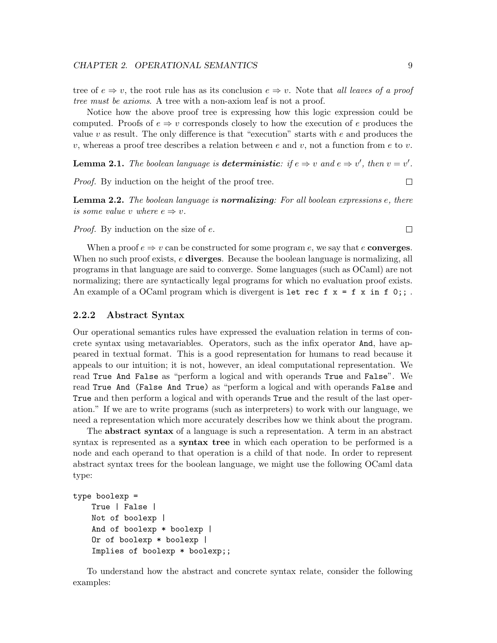tree of  $e \Rightarrow v$ , the root rule has as its conclusion  $e \Rightarrow v$ . Note that *all leaves of a proof* tree must be axioms. A tree with a non-axiom leaf is not a proof.

Notice how the above proof tree is expressing how this logic expression could be computed. Proofs of  $e \Rightarrow v$  corresponds closely to how the execution of e produces the value  $v$  as result. The only difference is that "execution" starts with  $e$  and produces the v, whereas a proof tree describes a relation between e and v, not a function from e to v.

**Lemma 2.1.** The boolean language is **deterministic**: if  $e \Rightarrow v$  and  $e \Rightarrow v'$ , then  $v = v'$ .

Proof. By induction on the height of the proof tree.

**Lemma 2.2.** The boolean language is **normalizing**: For all boolean expressions  $e$ , there is some value v where  $e \Rightarrow v$ .

Proof. By induction on the size of e.

When a proof  $e \Rightarrow v$  can be constructed for some program e, we say that e **converges**. When no such proof exists,  $e$  diverges. Because the boolean language is normalizing, all programs in that language are said to converge. Some languages (such as OCaml) are not normalizing; there are syntactically legal programs for which no evaluation proof exists. An example of a OCaml program which is divergent is let rec  $f \times f = f \times f$  in  $f \circ f$ ;

## <span id="page-13-0"></span>2.2.2 Abstract Syntax

Our operational semantics rules have expressed the evaluation relation in terms of concrete syntax using metavariables. Operators, such as the infix operator And, have appeared in textual format. This is a good representation for humans to read because it appeals to our intuition; it is not, however, an ideal computational representation. We read True And False as "perform a logical and with operands True and False". We read True And (False And True) as "perform a logical and with operands False and True and then perform a logical and with operands True and the result of the last operation." If we are to write programs (such as interpreters) to work with our language, we need a representation which more accurately describes how we think about the program.

The abstract syntax of a language is such a representation. A term in an abstract syntax is represented as a **syntax tree** in which each operation to be performed is a node and each operand to that operation is a child of that node. In order to represent abstract syntax trees for the boolean language, we might use the following OCaml data type:

```
type boolexp =
   True | False |
   Not of boolexp |
   And of boolexp * boolexp |
   Or of boolexp * boolexp |
    Implies of boolexp * boolexp;;
```
To understand how the abstract and concrete syntax relate, consider the following examples:

 $\Box$ 

 $\Box$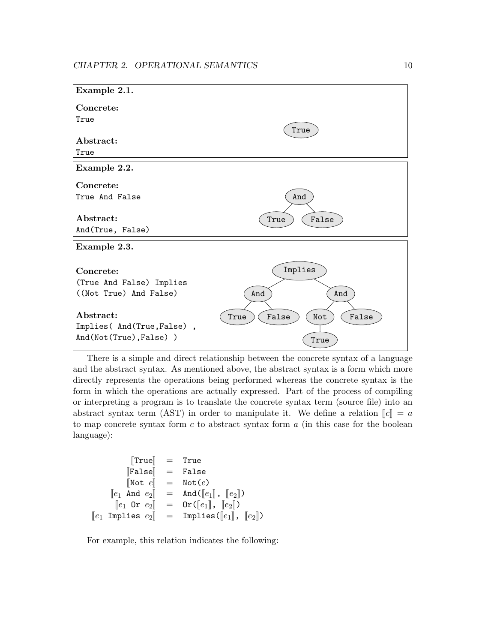

There is a simple and direct relationship between the concrete syntax of a language and the abstract syntax. As mentioned above, the abstract syntax is a form which more directly represents the operations being performed whereas the concrete syntax is the form in which the operations are actually expressed. Part of the process of compiling or interpreting a program is to translate the concrete syntax term (source file) into an abstract syntax term (AST) in order to manipulate it. We define a relation  $\llbracket c \rrbracket = a$ to map concrete syntax form  $c$  to abstract syntax form  $a$  (in this case for the boolean language):

```
\begin{array}{rcl} \text{[True]} & = & \text{True} \ \text{[False]} & = & \text{False} \end{array}\begin{array}{ccc} \llbracket \texttt{False} \rrbracket & = & \texttt{False} \ \llbracket \texttt{Not} \: e \rrbracket & = & \texttt{Not} \: (e) \end{array}\begin{array}{rcl} [\texttt{Not } e] &=& \texttt{Not}(e) \ \lbrack\lbrack e_1 \enspace \texttt{And } e_2 \rbrack \end{array} = \begin{array}{rcl} \texttt{Not}(e) \end{array}\begin{array}{rcl} [e_1 \; \; \texttt{And} \; \; e_2] & = & \texttt{And}(\llbracket e_1 \rrbracket, \; \llbracket e_2 \rrbracket) \[1mm] [e_1 \; \; \texttt{Or} \; \; e_2 \rrbracket & = & \texttt{Or}(\llbracket e_1 \rrbracket, \; \llbracket e_2 \rrbracket) \end{array}[e_1 \t{or} e_2] = \t{or} ([e_1], [e_2])<br>[e_1 \t{Implies} e_2] = \t{Implies} ([e_1],Implies(\llbracket e_1 \rrbracket, \llbracket e_2 \rrbracket)
```
For example, this relation indicates the following: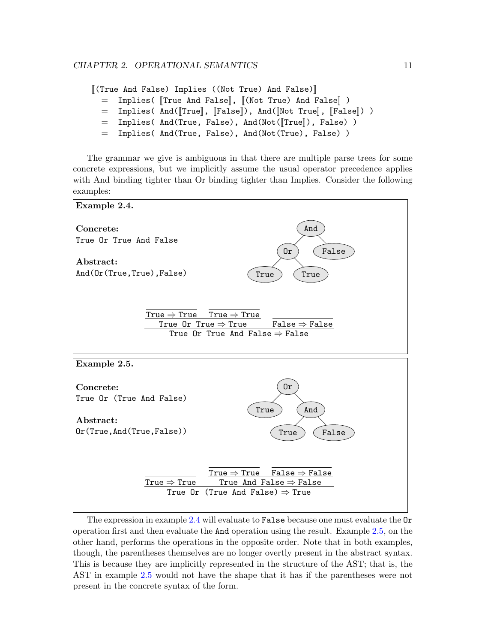```
[[(True And False) Implies ((Not True) And False)]<br>= Implies ([True And False], [ (Not True) And F
   = Implies( [True And False], [(Not True) And False] )<br>= Implies( And([True], [False]), And([Not True], [Fals
   = Implies( And([True], [False]), And([Not True], [False]) )<br>= Implies( And(True, False), And(Not([True]), False) )
   = Implies( And(True, False), And(Not([True]), False) )<br>= Implies( And(True, False), And(Not(True), False) )
          Implies( And(True, False), And(Not(True), False) )
```
The grammar we give is ambiguous in that there are multiple parse trees for some concrete expressions, but we implicitly assume the usual operator precedence applies with And binding tighter than Or binding tighter than Implies. Consider the following examples:

<span id="page-15-0"></span>

<span id="page-15-1"></span>The expression in example [2.4](#page-15-0) will evaluate to False because one must evaluate the Or operation first and then evaluate the And operation using the result. Example [2.5,](#page-15-1) on the other hand, performs the operations in the opposite order. Note that in both examples, though, the parentheses themselves are no longer overtly present in the abstract syntax. This is because they are implicitly represented in the structure of the AST; that is, the AST in example [2.5](#page-15-1) would not have the shape that it has if the parentheses were not present in the concrete syntax of the form.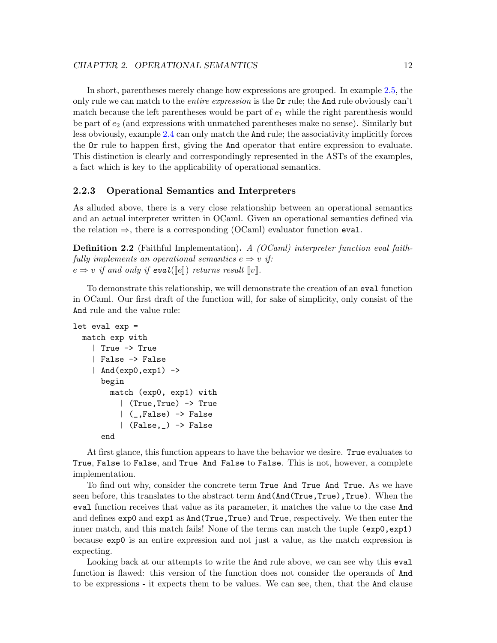In short, parentheses merely change how expressions are grouped. In example [2.5,](#page-15-1) the only rule we can match to the *entire expression* is the  $\text{Or rule}$ ; the And rule obviously can't match because the left parentheses would be part of  $e_1$  while the right parenthesis would be part of  $e_2$  (and expressions with unmatched parentheses make no sense). Similarly but less obviously, example [2.4](#page-15-0) can only match the And rule; the associativity implicitly forces the Or rule to happen first, giving the And operator that entire expression to evaluate. This distinction is clearly and correspondingly represented in the ASTs of the examples, a fact which is key to the applicability of operational semantics.

# <span id="page-16-0"></span>2.2.3 Operational Semantics and Interpreters

As alluded above, there is a very close relationship between an operational semantics and an actual interpreter written in OCaml. Given an operational semantics defined via the relation  $\Rightarrow$ , there is a corresponding (OCaml) evaluator function eval.

Definition 2.2 (Faithful Implementation). A (OCaml) interpreter function eval faithfully implements an operational semantics  $e \Rightarrow v$  if:  $e \Rightarrow v$  if and only if eval( $\llbracket e \rrbracket$ ) returns result  $\llbracket v \rrbracket$ .

To demonstrate this relationship, we will demonstrate the creation of an eval function in OCaml. Our first draft of the function will, for sake of simplicity, only consist of the And rule and the value rule:

```
let eval exp =
 match exp with
    | True -> True
    | False -> False
    | And(exp0,exp1) ->
      begin
        match (exp0, exp1) with
          | (True,True) -> True
          | (_,False) -> False
          | (False,_) -> False
      end
```
At first glance, this function appears to have the behavior we desire. True evaluates to True, False to False, and True And False to False. This is not, however, a complete implementation.

To find out why, consider the concrete term True And True And True. As we have seen before, this translates to the abstract term  $And(And(True, True), True)$ . When the eval function receives that value as its parameter, it matches the value to the case And and defines exp0 and exp1 as And(True,True) and True, respectively. We then enter the inner match, and this match fails! None of the terms can match the tuple (exp0,exp1) because exp0 is an entire expression and not just a value, as the match expression is expecting.

Looking back at our attempts to write the And rule above, we can see why this eval function is flawed: this version of the function does not consider the operands of And to be expressions - it expects them to be values. We can see, then, that the And clause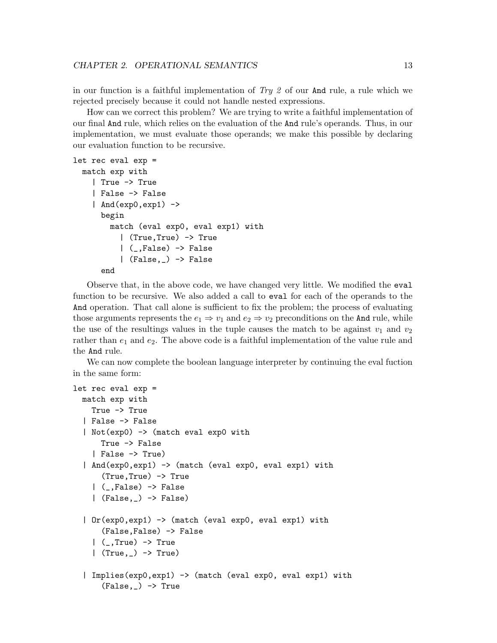in our function is a faithful implementation of  $Try 2$  of our And rule, a rule which we rejected precisely because it could not handle nested expressions.

How can we correct this problem? We are trying to write a faithful implementation of our final And rule, which relies on the evaluation of the And rule's operands. Thus, in our implementation, we must evaluate those operands; we make this possible by declaring our evaluation function to be recursive.

```
let rec eval exp =
 match exp with
    | True -> True
    | False -> False
    | And(exp0,exp1) \rightarrowbegin
        match (eval exp0, eval exp1) with
          | (True,True) -> True
          | (_,False) -> False
          | (False,_) -> False
      end
```

```
Observe that, in the above code, we have changed very little. We modified the eval
function to be recursive. We also added a call to eval for each of the operands to the
And operation. That call alone is sufficient to fix the problem; the process of evaluating
those arguments represents the e_1 \Rightarrow v_1 and e_2 \Rightarrow v_2 preconditions on the And rule, while
the use of the resultings values in the tuple causes the match to be against v_1 and v_2rather than e_1 and e_2. The above code is a faithful implementation of the value rule and
the And rule.
```
We can now complete the boolean language interpreter by continuing the eval fuction in the same form:

```
let rec eval exp =
 match exp with
    True -> True
  | False -> False
  | Not(exp0) -> (match eval exp0 with
      True -> False
    | False -> True)
  | And(exp0,exp1) -> (match (eval exp0, eval exp1) with
      (True,True) -> True
    | (_,False) -> False
    \vert (False, \rangle -> False)
  | Or(exp0,exp1) -> (match (eval exp0, eval exp1) with
      (False,False) -> False
    | (,True) -> True
    \vert (True, \vert) -> True)
  | Implies(exp0,exp1) -> (match (eval exp0, eval exp1) with
      (False, _{\_}) \rightarrow True
```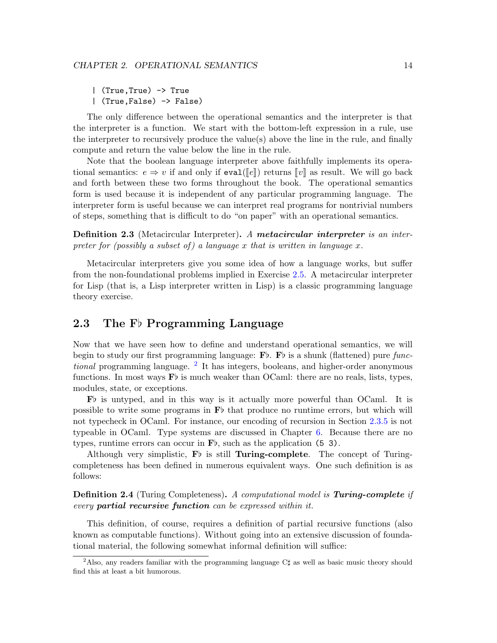| (True,True) -> True | (True,False) -> False)

The only difference between the operational semantics and the interpreter is that the interpreter is a function. We start with the bottom-left expression in a rule, use the interpreter to recursively produce the value(s) above the line in the rule, and finally compute and return the value below the line in the rule.

Note that the boolean language interpreter above faithfully implements its operational semantics:  $e \Rightarrow v$  if and only if evales for evaluation  $[v]$  as result. We will go back and forth between these two forms throughout the book. The operational semantics form is used because it is independent of any particular programming language. The interpreter form is useful because we can interpret real programs for nontrivial numbers of steps, something that is difficult to do "on paper" with an operational semantics.

**Definition 2.3** (Metacircular Interpreter). A metacircular interpreter is an interpreter for (possibly a subset of) a language x that is written in language x.

Metacircular interpreters give you some idea of how a language works, but suffer from the non-foundational problems implied in Exercise [2.5.](#page-52-2) A metacircular interpreter for Lisp (that is, a Lisp interpreter written in Lisp) is a classic programming language theory exercise.

# <span id="page-18-0"></span>2.3 The  $F\flat$  Programming Language

Now that we have seen how to define and understand operational semantics, we will begin to study our first programming language:  $\mathbf{F}$ b.  $\mathbf{F}$ b is a shunk (flattened) pure func*tional* programming language.<sup>[2](#page-18-1)</sup> It has integers, booleans, and higher-order anonymous functions. In most ways  $\mathbf{F}$  is much weaker than OCaml: there are no reals, lists, types, modules, state, or exceptions.

 $\mathbf{F}$  is untyped, and in this way is it actually more powerful than OCaml. It is possible to write some programs in  $\mathbf{F}$  that produce no runtime errors, but which will not typecheck in OCaml. For instance, our encoding of recursion in Section [2.3.5](#page-36-0) is not typeable in OCaml. Type systems are discussed in Chapter [6.](#page-102-0) Because there are no types, runtime errors can occur in  $\mathbf{F}$ , such as the application (5 3).

Although very simplistic,  $\mathbf{F}$  is still **Turing-complete**. The concept of Turingcompleteness has been defined in numerous equivalent ways. One such definition is as follows:

**Definition 2.4** (Turing Completeness). A computational model is **Turing-complete** if every partial recursive function can be expressed within it.

This definition, of course, requires a definition of partial recursive functions (also known as computable functions). Without going into an extensive discussion of foundational material, the following somewhat informal definition will suffice:

<span id="page-18-1"></span><sup>&</sup>lt;sup>2</sup>Also, any readers familiar with the programming language  $C\sharp$  as well as basic music theory should find this at least a bit humorous.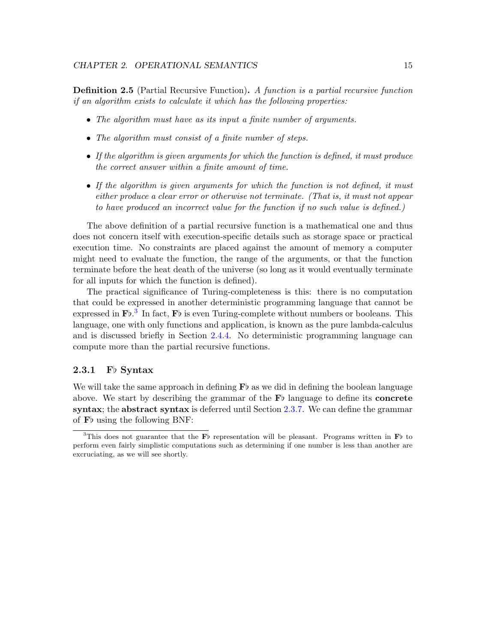**Definition 2.5** (Partial Recursive Function). A function is a partial recursive function if an algorithm exists to calculate it which has the following properties:

- The algorithm must have as its input a finite number of arguments.
- The algorithm must consist of a finite number of steps.
- If the algorithm is given arguments for which the function is defined, it must produce the correct answer within a finite amount of time.
- If the algorithm is given arguments for which the function is not defined, it must either produce a clear error or otherwise not terminate. (That is, it must not appear to have produced an incorrect value for the function if no such value is defined.)

The above definition of a partial recursive function is a mathematical one and thus does not concern itself with execution-specific details such as storage space or practical execution time. No constraints are placed against the amount of memory a computer might need to evaluate the function, the range of the arguments, or that the function terminate before the heat death of the universe (so long as it would eventually terminate for all inputs for which the function is defined).

The practical significance of Turing-completeness is this: there is no computation that could be expressed in another deterministic programming language that cannot be expressed in  $\mathbf{F}^{\dagger}$ .<sup>[3](#page-19-1)</sup> In fact,  $\mathbf{F}^{\dagger}$  is even Turing-complete without numbers or booleans. This language, one with only functions and application, is known as the pure lambda-calculus and is discussed briefly in Section [2.4.4.](#page-52-0) No deterministic programming language can compute more than the partial recursive functions.

# <span id="page-19-0"></span>2.3.1 Fb Syntax

We will take the same approach in defining  $\mathbf{F}$  as we did in defining the boolean language above. We start by describing the grammar of the  $\mathbf{F}$  language to define its concrete syntax; the abstract syntax is deferred until Section [2.3.7.](#page-43-0) We can define the grammar of  $\mathbf{F}$  using the following BNF:

<span id="page-19-1"></span><sup>&</sup>lt;sup>3</sup>This does not guarantee that the  $\mathbf{F}^{\flat}$  representation will be pleasant. Programs written in  $\mathbf{F}^{\flat}$  to perform even fairly simplistic computations such as determining if one number is less than another are excruciating, as we will see shortly.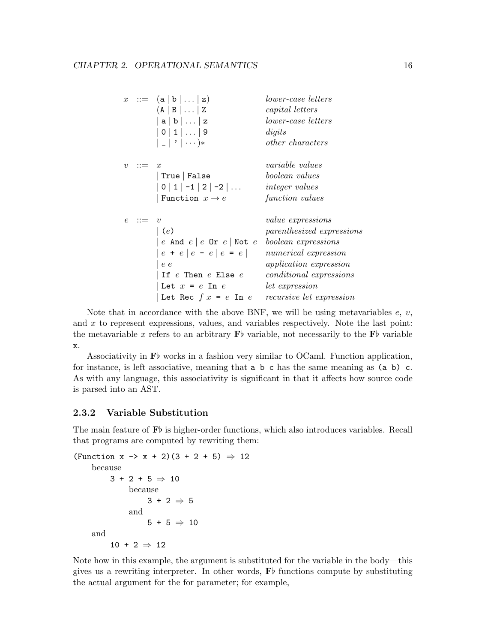```
x := (a | b | ... | z) lower-case letters
       (A | B | \dots | Z capital letters
       |a|b|...|z lower-case letters
       |0|1|...|9 digits
       |\cdot| \cdot | \cdots * \qquad \qquad otherwise other characters
v := x variable values
       | True | False boolean values
       | 0 | 1 | -1 | 2 | -2 | \dots integer values
       | Function x \to e function values
e : = v value expressions
       | (e) parenthesized expressions
       |e \text{ And } e|e \text{ Or } e| Not e \text{ boolean expressions}e + e | e - e | e = e | numerical expression
       | e e application expression
       If e Then e Else e conditional expressions
       | Let x = e In e let expression
       | Let Rec f \, x = e In e recursive let expression
```
Note that in accordance with the above BNF, we will be using metavariables  $e, v$ , and x to represent expressions, values, and variables respectively. Note the last point: the metavariable x refers to an arbitrary  $\mathbf{F}$  variable, not necessarily to the  $\mathbf{F}$  variable x.

Associativity in  $\mathbf{F}^{\flat}$  works in a fashion very similar to OCaml. Function application, for instance, is left associative, meaning that  $a \, b \, c$  has the same meaning as  $(a \, b) \, c$ . As with any language, this associativity is significant in that it affects how source code is parsed into an AST.

# <span id="page-20-0"></span>2.3.2 Variable Substitution

The main feature of  $\mathbf{F}$  is higher-order functions, which also introduces variables. Recall that programs are computed by rewriting them:

```
(Function x \to x + 2)(3 + 2 + 5) \Rightarrow 12
     because
           3 + 2 + 5 \Rightarrow 10because
                      3 + 2 \Rightarrow 5and
                      5 + 5 \Rightarrow 10and
           10 + 2 \Rightarrow 12
```
Note how in this example, the argument is substituted for the variable in the body—this gives us a rewriting interpreter. In other words,  $\mathbf{F}$  functions compute by substituting the actual argument for the for parameter; for example,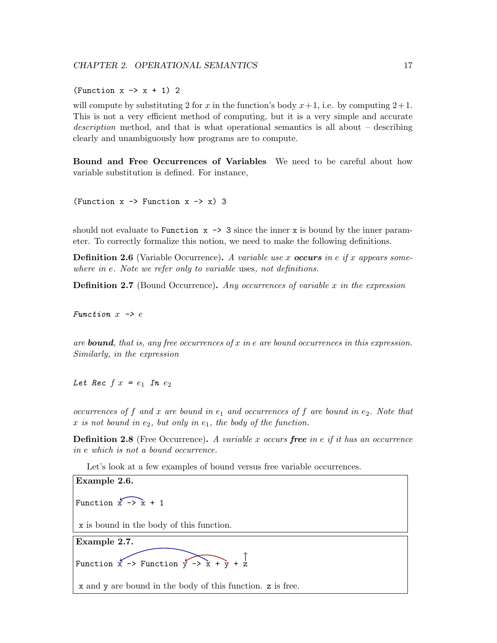(Function  $x \rightarrow x + 1$ ) 2

will compute by substituting 2 for x in the function's body  $x+1$ , i.e. by computing  $2+1$ . This is not a very efficient method of computing, but it is a very simple and accurate description method, and that is what operational semantics is all about – describing clearly and unambiguously how programs are to compute.

Bound and Free Occurrences of Variables We need to be careful about how variable substitution is defined. For instance,

(Function  $x \rightarrow$  Function  $x \rightarrow x$ ) 3

should not evaluate to Function  $x \rightarrow 3$  since the inner x is bound by the inner parameter. To correctly formalize this notion, we need to make the following definitions.

**Definition 2.6** (Variable Occurrence). A variable use x **occurs** in e if x appears somewhere in e. Note we refer only to variable uses, not definitions.

**Definition 2.7** (Bound Occurrence). Any occurrences of variable x in the expression

Function  $x \rightarrow e$ 

are **bound**, that is, any free occurrences of x in e are bound occurrences in this expression. Similarly, in the expression

Let Rec  $f(x) = e_1$  In  $e_2$ 

occurrences of f and x are bound in  $e_1$  and occurrences of f are bound in  $e_2$ . Note that x is not bound in  $e_2$ , but only in  $e_1$ , the body of the function.

**Definition 2.8** (Free Occurrence). A variable x occurs free in e if it has an occurrence in e which is not a bound occurrence.

Let's look at a few examples of bound versus free variable occurrences.

<span id="page-21-1"></span><span id="page-21-0"></span>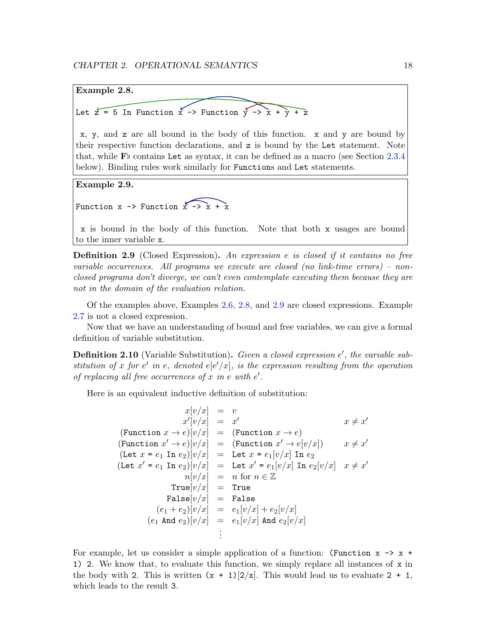<span id="page-22-0"></span>

x, y, and z are all bound in the body of this function. x and y are bound by their respective function declarations, and z is bound by the Let statement. Note that, while  $\mathbf{F}$  contains Let as syntax, it can be defined as a macro (see Section [2.3.4](#page-32-0) below). Binding rules work similarly for Functions and Let statements.

<span id="page-22-1"></span>Example 2.9.

Function  $x \rightarrow$  Function  $x \rightarrow x + x$ 

x is bound in the body of this function. Note that both x usages are bound to the inner variable x.

**Definition 2.9** (Closed Expression). An expression e is closed if it contains no free variable occurrences. All programs we execute are closed (no link-time errors) – nonclosed programs don't diverge, we can't even contemplate executing them because they are not in the domain of the evaluation relation.

Of the examples above, Examples [2.6,](#page-21-0) [2.8,](#page-22-0) and [2.9](#page-22-1) are closed expressions. Example [2.7](#page-21-1) is not a closed expression.

Now that we have an understanding of bound and free variables, we can give a formal definition of variable substitution.

**Definition 2.10** (Variable Substitution). Given a closed expression  $e'$ , the variable substitution of x for e' in e, denoted  $e[e'/x]$ , is the expression resulting from the operation of replacing all free occurrences of  $x$  in  $e$  with  $e'$ .

Here is an equivalent inductive definition of substitution:

```
x[v/x] = vx'[v/x] = xx \neq x'(Function x \to e)[v/x] = (Function x \to e)
(Function x' \to e[x]/x] = (Function x' \to e[x]/x]) x \neq xx \neq x'(Let x = e_1 In e_2)[v/x] = Let x = e_1[v/x] In e_2(Let x' = e_1 In e_2)[v/x] = Let x' = e_1[v/x] In e_2[v/x] x \neq x'n[v/x] = n for n \in \mathbb{Z}True[v/x] = TrueFalse[v/x] = False(e_1 + e_2)[v/x] = e_1[v/x] + e_2[v/x](e_1 \text{ And } e_2)[v/x] = e_1[v/x] \text{ And } e_2[v/x].
                         .
                         .
```
For example, let us consider a simple application of a function: (Function  $x \rightarrow x +$ 1) 2. We know that, to evaluate this function, we simply replace all instances of x in the body with 2. This is written  $(x + 1)[2/x]$ . This would lead us to evaluate 2 + 1, which leads to the result 3.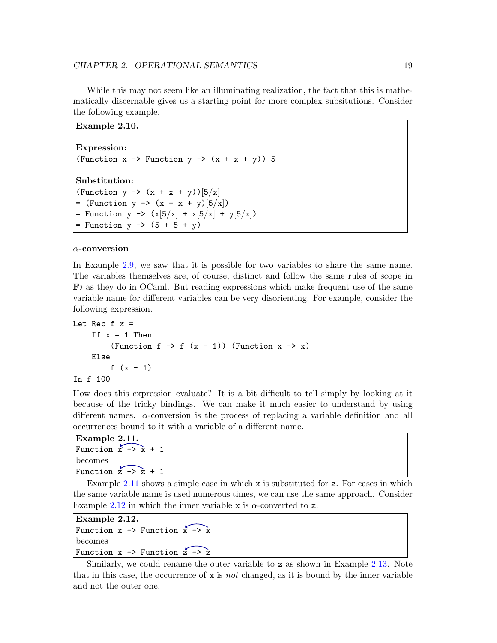While this may not seem like an illuminating realization, the fact that this is mathematically discernable gives us a starting point for more complex subsitutions. Consider the following example.

```
Example 2.10.
Expression:
(Function x \rightarrow Function y \rightarrow (x + x + y)) 5
Substitution:
(Function y \rightarrow (x + x + y))[5/x]= (Function y -> (x + x + y)[5/x])
= Function y -> (x[5/x] + x[5/x] + y[5/x])= Function y \rightarrow (5 + 5 + y)
```
#### $\alpha$ -conversion

In Example [2.9,](#page-22-1) we saw that it is possible for two variables to share the same name. The variables themselves are, of course, distinct and follow the same rules of scope in  $\mathbf{F}^{\flat}$  as they do in OCaml. But reading expressions which make frequent use of the same variable name for different variables can be very disorienting. For example, consider the following expression.

```
Let Rec f \times =If x = 1 Then
          (Function f \rightarrow f (x - 1)) (Function x \rightarrow x)
     Else
          f (x - 1)In f 100
```
How does this expression evaluate? It is a bit difficult to tell simply by looking at it because of the tricky bindings. We can make it much easier to understand by using different names.  $\alpha$ -conversion is the process of replacing a variable definition and all occurrences bound to it with a variable of a different name.

```
Example 2.11.
Function x \rightarrow x + 1becomes
Function \overline{z} \rightarrow \overline{z} + 1
```
Example [2.11](#page-23-0) shows a simple case in which  $x$  is substituted for  $z$ . For cases in which the same variable name is used numerous times, we can use the same approach. Consider Example [2.12](#page-23-1) in which the inner variable x is  $\alpha$ -converted to z.

<span id="page-23-1"></span>Example 2.12. Function  $x \rightarrow$  Function  $x \rightarrow x$ becomes Function  $x \rightarrow$  Function  $z \rightarrow z$ 

Similarly, we could rename the outer variable to z as shown in Example [2.13.](#page-24-1) Note that in this case, the occurrence of  $x$  is not changed, as it is bound by the inner variable and not the outer one.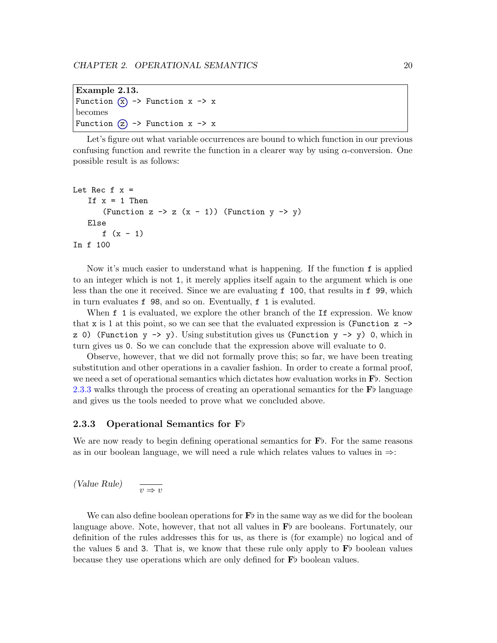```
Example 2.13.
Function (x) \rightarrow Function x \rightarrow xbecomes
Function (2) \rightarrow Function x \rightarrow x
```
Let's figure out what variable occurrences are bound to which function in our previous confusing function and rewrite the function in a clearer way by using  $\alpha$ -conversion. One possible result is as follows:

```
Let Rec f x =If x = 1 Then
        (Function z \rightarrow z (x - 1)) (Function y \rightarrow y)
    Else
       f (x - 1)In f 100
```
Now it's much easier to understand what is happening. If the function f is applied to an integer which is not 1, it merely applies itself again to the argument which is one less than the one it received. Since we are evaluating f 100, that results in f 99, which in turn evaluates f 98, and so on. Eventually, f 1 is evaluted.

When f 1 is evaluated, we explore the other branch of the If expression. We know that x is 1 at this point, so we can see that the evaluated expression is (Function  $z \rightarrow$ z 0) (Function  $y \rightarrow y$ ). Using substitution gives us (Function  $y \rightarrow y$ ) 0, which in turn gives us 0. So we can conclude that the expression above will evaluate to 0.

Observe, however, that we did not formally prove this; so far, we have been treating substitution and other operations in a cavalier fashion. In order to create a formal proof, we need a set of operational semantics which dictates how evaluation works in  $\mathbf{F}$ . Section [2.3.3](#page-24-0) walks through the process of creating an operational semantics for the  $\mathbf{F}$  language and gives us the tools needed to prove what we concluded above.

# <span id="page-24-0"></span>2.3.3 Operational Semantics for  $F\flat$

We are now ready to begin defining operational semantics for  $\mathbf{F}$ . For the same reasons as in our boolean language, we will need a rule which relates values to values in  $\Rightarrow$ :

$$
\text{(Value Rule)} \qquad \frac{ }{v \Rightarrow v}
$$

We can also define boolean operations for  $\mathbf{F}\flat$  in the same way as we did for the boolean language above. Note, however, that not all values in  $\mathbf{F}$  are booleans. Fortunately, our definition of the rules addresses this for us, as there is (for example) no logical and of the values 5 and 3. That is, we know that these rule only apply to  $\mathbf{F}$  boolean values because they use operations which are only defined for  $\mathbf{F}^{\flat}$  boolean values.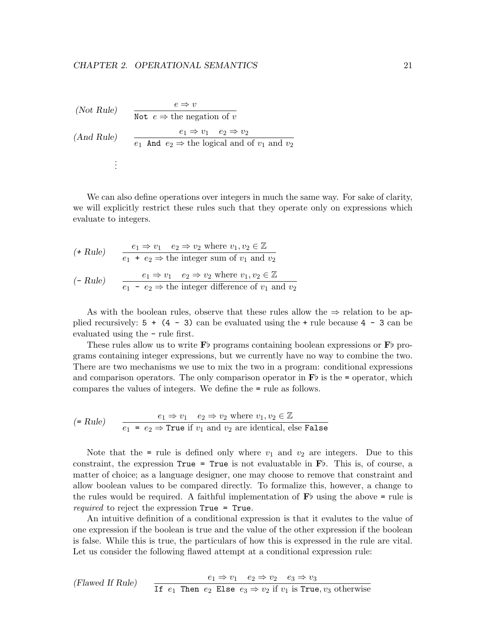(Note Rule)  
\n
$$
\frac{e \Rightarrow v}{\text{Not } e \Rightarrow \text{ the negation of } v}
$$
\n(And Rule)  
\n
$$
\frac{e_1 \Rightarrow v_1 \quad e_2 \Rightarrow v_2}{e_1 \text{ And } e_2 \Rightarrow \text{ the logical and of } v_1 \text{ and } v_2}
$$
\n:  
\n
$$
\vdots
$$

We can also define operations over integers in much the same way. For sake of clarity, we will explicitly restrict these rules such that they operate only on expressions which evaluate to integers.

\n- (
$$
\star
$$
 Rule)
\n- $\frac{e_1 \Rightarrow v_1 \quad e_2 \Rightarrow v_2 \text{ where } v_1, v_2 \in \mathbb{Z}}{e_1 + e_2 \Rightarrow \text{ the integer sum of } v_1 \text{ and } v_2}$
\n- ( $\text{Rule}$ )
\n- $\frac{e_1 \Rightarrow v_1 \quad e_2 \Rightarrow v_2 \text{ where } v_1, v_2 \in \mathbb{Z}}{e_1 - e_2 \Rightarrow \text{ the integer difference of } v_1 \text{ and } v_2}$
\n

As with the boolean rules, observe that these rules allow the  $\Rightarrow$  relation to be applied recursively:  $5 + (4 - 3)$  can be evaluated using the  $+$  rule because  $4 - 3$  can be evaluated using the - rule first.

These rules allow us to write  $\mathbf{F}$  programs containing boolean expressions or  $\mathbf{F}$  programs containing integer expressions, but we currently have no way to combine the two. There are two mechanisms we use to mix the two in a program: conditional expressions and comparison operators. The only comparison operator in  $\mathbf{F}$  is the = operator, which compares the values of integers. We define the = rule as follows.

$$
\text{(= Rule)} \qquad \frac{e_1 \Rightarrow v_1 \quad e_2 \Rightarrow v_2 \text{ where } v_1, v_2 \in \mathbb{Z}}{e_1 \ = e_2 \Rightarrow \text{True if } v_1 \text{ and } v_2 \text{ are identical, else False}}
$$

Note that the = rule is defined only where  $v_1$  and  $v_2$  are integers. Due to this constraint, the expression  $True = True$  is not evaluatable in  $\mathbf{F}b$ . This is, of course, a matter of choice; as a language designer, one may choose to remove that constraint and allow boolean values to be compared directly. To formalize this, however, a change to the rules would be required. A faithful implementation of  $\mathbf{F}$  using the above = rule is required to reject the expression True = True.

An intuitive definition of a conditional expression is that it evalutes to the value of one expression if the boolean is true and the value of the other expression if the boolean is false. While this is true, the particulars of how this is expressed in the rule are vital. Let us consider the following flawed attempt at a conditional expression rule:

(Flawed If Rule)  $e_1 \Rightarrow v_1 \quad e_2 \Rightarrow v_2 \quad e_3 \Rightarrow v_3$ If  $e_1$  Then  $e_2$  Else  $e_3 \Rightarrow v_2$  if  $v_1$  is True,  $v_3$  otherwise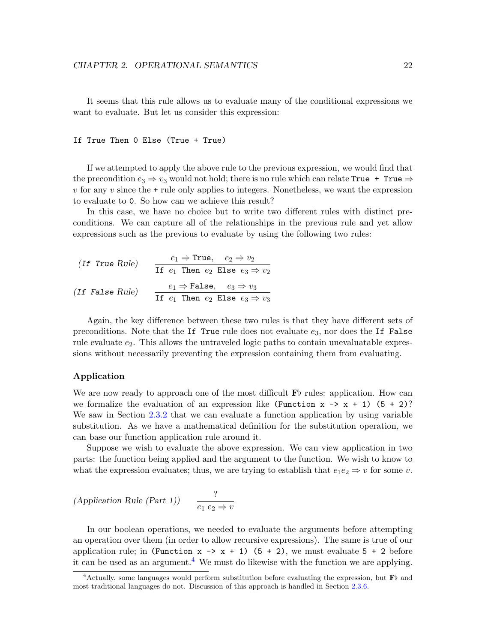It seems that this rule allows us to evaluate many of the conditional expressions we want to evaluate. But let us consider this expression:

### If True Then 0 Else (True + True)

If we attempted to apply the above rule to the previous expression, we would find that the precondition  $e_3 \Rightarrow v_3$  would not hold; there is no rule which can relate True + True  $\Rightarrow$  $v$  for any  $v$  since the  $+$  rule only applies to integers. Nonetheless, we want the expression to evaluate to 0. So how can we achieve this result?

In this case, we have no choice but to write two different rules with distinct preconditions. We can capture all of the relationships in the previous rule and yet allow expressions such as the previous to evaluate by using the following two rules:

| (If True Rule)  | $e_1 \Rightarrow$ True, $e_2 \Rightarrow v_2$  |  |  |  |
|-----------------|------------------------------------------------|--|--|--|
|                 | If $e_1$ Then $e_2$ Else $e_3 \Rightarrow v_2$ |  |  |  |
| (If False Rule) | $e_1 \Rightarrow$ False, $e_3 \Rightarrow v_3$ |  |  |  |
|                 | If $e_1$ Then $e_2$ Else $e_3 \Rightarrow v_3$ |  |  |  |

Again, the key difference between these two rules is that they have different sets of preconditions. Note that the If True rule does not evaluate  $e_3$ , nor does the If False rule evaluate  $e_2$ . This allows the untraveled logic paths to contain unevaluatable expressions without necessarily preventing the expression containing them from evaluating.

#### Application

We are now ready to approach one of the most difficult  $\mathbf{F}$  rules: application. How can we formalize the evaluation of an expression like (Function  $x \rightarrow x + 1$ ) (5 + 2)? We saw in Section [2.3.2](#page-20-0) that we can evaluate a function application by using variable substitution. As we have a mathematical definition for the substitution operation, we can base our function application rule around it.

Suppose we wish to evaluate the above expression. We can view application in two parts: the function being applied and the argument to the function. We wish to know to what the expression evaluates; thus, we are trying to establish that  $e_1e_2 \Rightarrow v$  for some v.

$$
(Application\ Rule\ (Part\ 1))\qquad \frac{?}{e_1\ e_2 \Rightarrow v}
$$

In our boolean operations, we needed to evaluate the arguments before attempting an operation over them (in order to allow recursive expressions). The same is true of our application rule; in (Function  $x \rightarrow x + 1$ ) (5 + 2), we must evaluate 5 + 2 before it can be used as an argument.<sup>[4](#page-26-0)</sup> We must do likewise with the function we are applying.

<span id="page-26-0"></span><sup>&</sup>lt;sup>4</sup> Actually, some languages would perform substitution before evaluating the expression, but  $\mathbf{F}$  and most traditional languages do not. Discussion of this approach is handled in Section [2.3.6.](#page-42-0)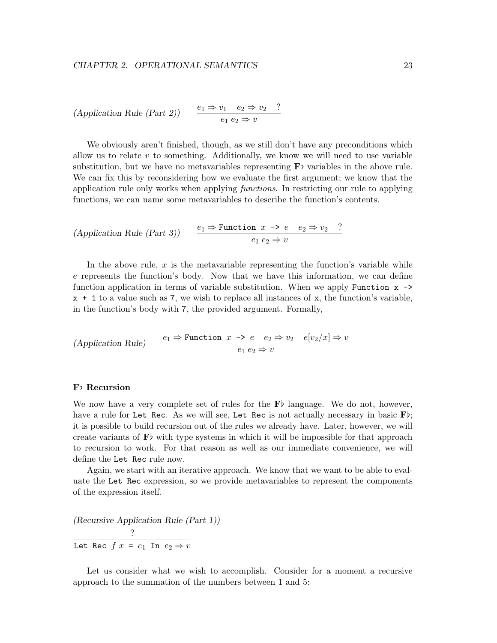$$
(Application\ Rule\ (Part\ 2)) \qquad \frac{e_1 \Rightarrow v_1 \quad e_2 \Rightarrow v_2 \quad ?}{e_1 \ e_2 \Rightarrow v}
$$

We obviously aren't finished, though, as we still don't have any preconditions which allow us to relate  $v$  to something. Additionally, we know we will need to use variable substitution, but we have no metavariables representing  $\mathbf{F}$  variables in the above rule. We can fix this by reconsidering how we evaluate the first argument; we know that the application rule only works when applying functions. In restricting our rule to applying functions, we can name some metavariables to describe the function's contents.

$$
(Application\ Rule\ (Part\ 3)) \qquad \frac{e_1 \Rightarrow \text{Function } x \to e \quad e_2 \Rightarrow v_2 \quad ?}{e_1 \ e_2 \Rightarrow v}
$$

In the above rule,  $x$  is the metavariable representing the function's variable while e represents the function's body. Now that we have this information, we can define function application in terms of variable substitution. When we apply Function  $x \rightarrow$ x + 1 to a value such as 7, we wish to replace all instances of x, the function's variable, in the function's body with 7, the provided argument. Formally,

$$
(Application\ Rule) \qquad \frac{e_1 \Rightarrow \text{Function } x \to e \quad e_2 \Rightarrow v_2 \quad e[v_2/x] \Rightarrow v}{e_1 \ e_2 \Rightarrow v}
$$

# Fb Recursion

We now have a very complete set of rules for the  $\mathbf{F}$  language. We do not, however, have a rule for Let Rec. As we will see, Let Rec is not actually necessary in basic  $\mathbf{F}\flat$ ; it is possible to build recursion out of the rules we already have. Later, however, we will create variants of  $\mathbf{F}^{\dagger}$  with type systems in which it will be impossible for that approach to recursion to work. For that reason as well as our immediate convenience, we will define the Let Rec rule now.

Again, we start with an iterative approach. We know that we want to be able to evaluate the Let Rec expression, so we provide metavariables to represent the components of the expression itself.

(Recursive Application Rule (Part 1)) ?

Let Rec  $f \ x = e_1$  In  $e_2 \Rightarrow v$ 

Let us consider what we wish to accomplish. Consider for a moment a recursive approach to the summation of the numbers between 1 and 5: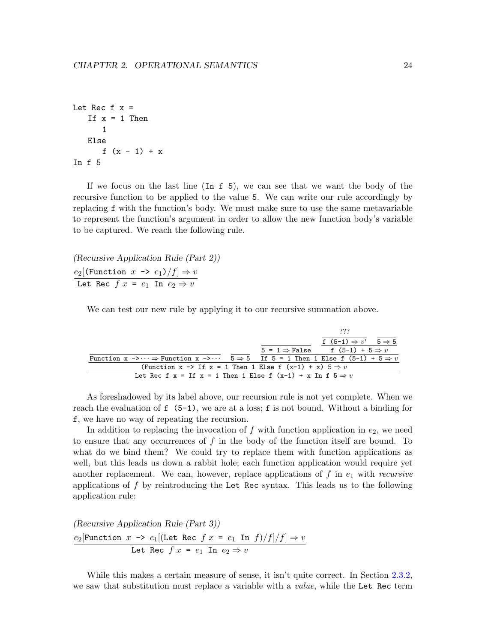```
Let Rec f x =If x = 1 Then
      1
   Else
      f(x - 1) + xIn f 5
```
If we focus on the last line (In f 5), we can see that we want the body of the recursive function to be applied to the value 5. We can write our rule accordingly by replacing f with the function's body. We must make sure to use the same metavariable to represent the function's argument in order to allow the new function body's variable to be captured. We reach the following rule.

(Recursive Application Rule (Part 2))  $e_2[$ (Function  $x$  ->  $e_1$ )/ $f$ ]  $\Rightarrow$   $v$ Let Rec  $f \ x = e_1$  In  $e_2 \Rightarrow v$ 

We can test our new rule by applying it to our recursive summation above.

|                                                                                                                                                |                                                       | ???                                        |  |
|------------------------------------------------------------------------------------------------------------------------------------------------|-------------------------------------------------------|--------------------------------------------|--|
|                                                                                                                                                |                                                       | f $(5-1) \Rightarrow v'$ $5 \Rightarrow 5$ |  |
|                                                                                                                                                | $5 = 1 \Rightarrow$ False f $(5-1) + 5 \Rightarrow v$ |                                            |  |
| Function $x \rightarrow \cdots \Rightarrow$ Function $x \rightarrow \cdots$ 5 $\Rightarrow$ 5 If 5 = 1 Then 1 Else f (5-1) + 5 $\Rightarrow$ v |                                                       |                                            |  |
| (Function x -> If x = 1 Then 1 Else f $(x-1) + x$ ) 5 $\Rightarrow v$                                                                          |                                                       |                                            |  |
| Let Rec f x = If x = 1 Then 1 Else f $(x-1) + x$ In f $5 \Rightarrow v$                                                                        |                                                       |                                            |  |

As foreshadowed by its label above, our recursion rule is not yet complete. When we reach the evaluation of  $f(5-1)$ , we are at a loss; f is not bound. Without a binding for f, we have no way of repeating the recursion.

In addition to replacing the invocation of f with function application in  $e_2$ , we need to ensure that any occurrences of  $f$  in the body of the function itself are bound. To what do we bind them? We could try to replace them with function applications as well, but this leads us down a rabbit hole; each function application would require yet another replacement. We can, however, replace applications of f in  $e_1$  with recursive applications of  $f$  by reintroducing the Let Rec syntax. This leads us to the following application rule:

(Recursive Application Rule (Part 3))

$$
\frac{e_2[\text{Function } x \to e_1[(\text{Let Rec } f x = e_1 \text{ In } f)/f]/f] \to v}{\text{Let Rec } f x = e_1 \text{ In } e_2 \Rightarrow v}
$$

While this makes a certain measure of sense, it isn't quite correct. In Section [2.3.2,](#page-20-0) we saw that substitution must replace a variable with a *value*, while the Let Rec term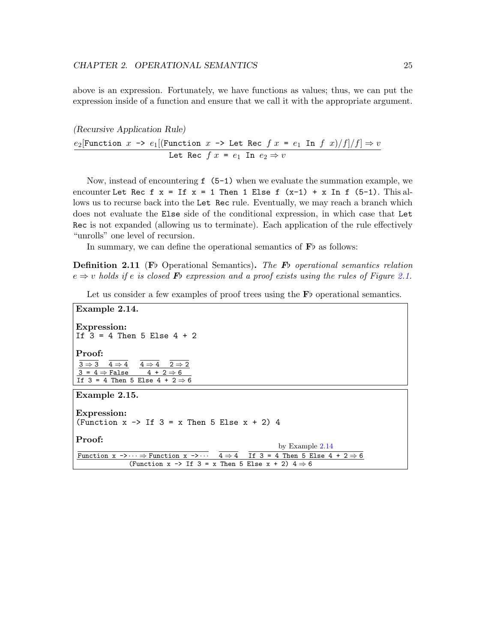above is an expression. Fortunately, we have functions as values; thus, we can put the expression inside of a function and ensure that we call it with the appropriate argument.

(Recursive Application Rule)  $e_2$ [Function  $x \rightarrow e_1$ [(Function  $x \rightarrow$  Let Rec  $f \ x = e_1$  In  $f \ x)/f$ ]/ $f$ ]  $\Rightarrow v$ Let Rec  $f \ x = e_1$  In  $e_2 \Rightarrow v$ 

Now, instead of encountering f (5-1) when we evaluate the summation example, we encounter Let Rec f  $x = If x = 1$  Then 1 Else f  $(x-1) + x$  In f  $(5-1)$ . This allows us to recurse back into the Let Rec rule. Eventually, we may reach a branch which does not evaluate the Else side of the conditional expression, in which case that Let Rec is not expanded (allowing us to terminate). Each application of the rule effectively "unrolls" one level of recursion.

In summary, we can define the operational semantics of  $\mathbf{F}$  as follows:

**Definition 2.11** (F<sub>p</sub> Operational Semantics). The F<sub>p</sub> operational semantics relation  $e \Rightarrow v$  holds if e is closed **F**b expression and a proof exists using the rules of Figure [2.1.](#page-30-0)

Let us consider a few examples of proof trees using the  $\mathbf{F}$ b operational semantics.

```
Example 2.14.
Expression:
If 3 = 4 Then 5 Else 4 + 2Proof:
 3 \Rightarrow 3 \quad 4 \Rightarrow 43 = 4 \Rightarrow False
                      4 \Rightarrow 4 2 \Rightarrow 2
                        4 + 2 \Rightarrow 6If 3 = 4 Then 5 Else 4 + 2 \Rightarrow 6Example 2.15.
Expression:
(Function x \rightarrow If 3 = x Then 5 Else x + 2) 4
Proof:
Function x \rightarrow \cdots \Rightarrow Function x \rightarrow \cdots 4 \Rightarrow 4
                                                                      by Example 2.14
                                                            If 3 = 4 Then 5 Else 4 + 2 \Rightarrow 6(Function x \rightarrow If 3 = x Then 5 Else x + 2) 4 \Rightarrow 6
```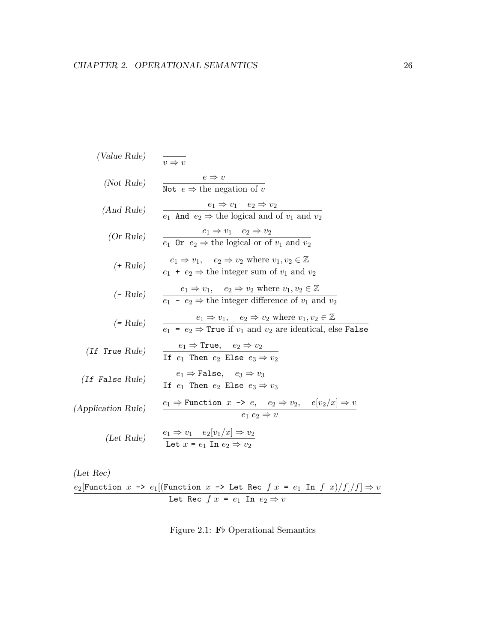(Value Rule) 
$$
\frac{e \Rightarrow v}{v \Rightarrow v}
$$
  
\n(Not Rule)  $\frac{e \Rightarrow v}{\text{Not } e \Rightarrow \text{ the negation of } v}$   
\n(And Rule)  $\frac{e_1 \Rightarrow v_1 \quad e_2 \Rightarrow v_2}{e_1 \text{ And } e_2 \Rightarrow \text{ the logical and of } v_1 \text{ and } v_2}$   
\n(Or Rule)  $\frac{e_1 \Rightarrow v_1 \quad e_2 \Rightarrow v_2}{e_1 \text{ Or } e_2 \Rightarrow \text{ the logical or of } v_1 \text{ and } v_2}$   
\n(+ Rule)  $\frac{e_1 \Rightarrow v_1, \quad e_2 \Rightarrow v_2 \text{ where } v_1, v_2 \in \mathbb{Z}}{e_1 + e_2 \Rightarrow \text{ the integer sum of } v_1 \text{ and } v_2}$   
\n(- Rule)  $\frac{e_1 \Rightarrow v_1, \quad e_2 \Rightarrow v_2 \text{ where } v_1, v_2 \in \mathbb{Z}}{e_1 - e_2 \Rightarrow \text{ the integer difference of } v_1 \text{ and } v_2}$   
\n(= Rule)  $\frac{e_1 \Rightarrow v_1, \quad e_2 \Rightarrow v_2 \text{ where } v_1, v_2 \in \mathbb{Z}}{e_1 = e_2 \Rightarrow \text{True if } v_1 \text{ and } v_2 \text{ are identical, else False}}$   
\n(If True Rule)  $\frac{e_1 \Rightarrow \text{True}}{e_1 \Rightarrow \text{True}} = \frac{e_2 \Rightarrow v_2}{e_1 \Rightarrow \text{True}} = \frac{e_2 \Rightarrow v_2}{e_1 \Rightarrow \text{True}} = \frac{e_2 \Rightarrow v_2}{e_1 \Rightarrow \text{True}} = \frac{e_2 \Rightarrow v_2}{e_1 \Rightarrow \text{True}} = \frac{e_2 \Rightarrow v_2}{e_1 \Rightarrow \text{True}} = \frac{e_2 \Rightarrow v_2}{e_1 \Rightarrow \text{True}} = \frac{e_2 \Rightarrow v_2}{e_1 \Rightarrow \text{True}} = \frac{e_2 \Rightarrow v_2}{e_1 \Rightarrow \text{True}} = \frac{e_2 \Rightarrow v_2}{e_1 \Rightarrow \text{True}} = \frac{e_2 \Rightarrow v_2}{e_1 \Rightarrow \text{True}} = \frac{e_2 \Rightarrow v_2}{e_1 \Rightarrow \text{True}} = \frac{e_2 \Rightarrow v_2}{e_1 \Rightarrow \text{True}} = \frac{e_2 \Rightarrow v_2$ 

(Let Rec)  $e_2[\text{Function}\ \ x\ \texttt{\rightarrow}\ \ e_1[(\text{Function}\ \ x\ \texttt{\rightarrow}\ \texttt{Let}\ \ \texttt{Rec}\ \ f\ \ x\ \texttt{\ =}\ \ e_1\ \ \texttt{In}\ \ f\ \ x)/f]/f] \Rightarrow v$ Let Rec  $f \ x = e_1$  In  $e_2 \Rightarrow v$ 

<span id="page-30-0"></span>Figure 2.1:  $\mathbf{F}$  Operational Semantics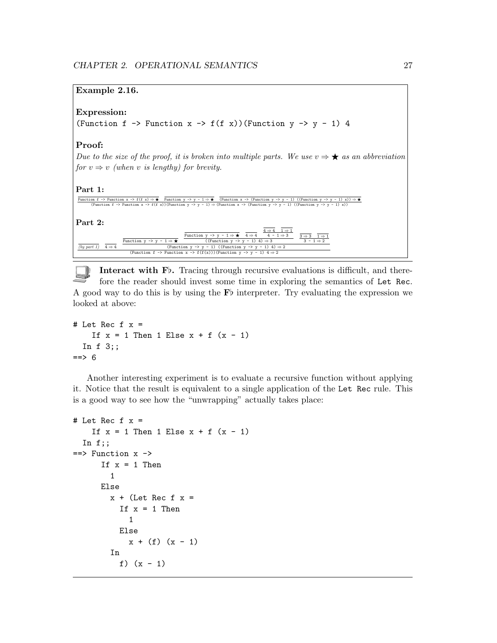# Example 2.16.

# Expression:

(Function f  $\rightarrow$  Function x  $\rightarrow$  f(f x))(Function y  $\rightarrow$  y  $\rightarrow$  1) 4

## Proof:

Due to the size of the proof, it is broken into multiple parts. We use  $v \Rightarrow \bigstar$  as an abbreviation for  $v \Rightarrow v$  (when v is lengthy) for brevity.

#### Part 1:

```
Function f -> Function x \to f(f(x)) \to \star Function y \to y - 1 \to \star (Function x \to f(f(x)) \to f(x)) \to \star(Function f -> Function x -> f(f x))(Function y -> y - 1) \Rightarrow (Function x -> (Function y -> y - 1) ((Function y -> y - 1) x))<br>(Function f -> Function x -> f(f x))(Function y -> y - 1) \Rightarrow (Function x -> (Function y -> y
```
Part 2:



Interact with  $F\flat$ . Tracing through recursive evaluations is difficult, and therefore the reader should invest some time in exploring the semantics of Let Rec. A good way to do this is by using the  $F\flat$  interpreter. Try evaluating the expression we looked at above:

```
# Let Rec f x =If x = 1 Then 1 Else x + f(x - 1)In f 3;;
==> 6
```
Another interesting experiment is to evaluate a recursive function without applying it. Notice that the result is equivalent to a single application of the Let Rec rule. This is a good way to see how the "unwrapping" actually takes place:

```
# Let Rec f x =If x = 1 Then 1 Else x + f(x - 1)In f;;
==> Function x ->
      If x = 1 Then
        1
     Else
       x + (Let Rec f x =If x = 1 Then
            1
          Else
            x + (f) (x - 1)In
          f) (x - 1)
```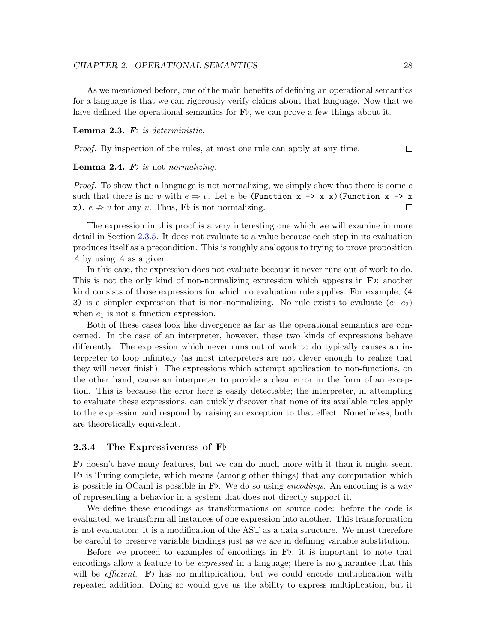#### CHAPTER 2. OPERATIONAL SEMANTICS 28

As we mentioned before, one of the main benefits of defining an operational semantics for a language is that we can rigorously verify claims about that language. Now that we have defined the operational semantics for  $\mathbf{F}$ , we can prove a few things about it.

#### **Lemma 2.3.** Fo is deterministic.

Proof. By inspection of the rules, at most one rule can apply at any time.

#### **Lemma 2.4.** Fo is not normalizing.

*Proof.* To show that a language is not normalizing, we simply show that there is some  $e$ such that there is no v with  $e \Rightarrow v$ . Let e be (Function x -> x x)(Function x -> x x).  $e \neq v$  for any v. Thus,  $\mathbf{F}$  is not normalizing.  $\Box$ 

The expression in this proof is a very interesting one which we will examine in more detail in Section [2.3.5.](#page-36-0) It does not evaluate to a value because each step in its evaluation produces itself as a precondition. This is roughly analogous to trying to prove proposition A by using A as a given.

In this case, the expression does not evaluate because it never runs out of work to do. This is not the only kind of non-normalizing expression which appears in  $\mathbf{F}$ ; another kind consists of those expressions for which no evaluation rule applies. For example, (4 3) is a simpler expression that is non-normalizing. No rule exists to evaluate  $(e_1 \ e_2)$ when  $e_1$  is not a function expression.

Both of these cases look like divergence as far as the operational semantics are concerned. In the case of an interpreter, however, these two kinds of expressions behave differently. The expression which never runs out of work to do typically causes an interpreter to loop infinitely (as most interpreters are not clever enough to realize that they will never finish). The expressions which attempt application to non-functions, on the other hand, cause an interpreter to provide a clear error in the form of an exception. This is because the error here is easily detectable; the interpreter, in attempting to evaluate these expressions, can quickly discover that none of its available rules apply to the expression and respond by raising an exception to that effect. Nonetheless, both are theoretically equivalent.

### <span id="page-32-0"></span>2.3.4 The Expressiveness of  $F\flat$

 $\mathbf{F}^{\dagger}$  doesn't have many features, but we can do much more with it than it might seem.  $\mathbf{F}^{\dagger}$  is Turing complete, which means (among other things) that any computation which is possible in OCaml is possible in  $\mathbf{F}$ . We do so using *encodings*. An encoding is a way of representing a behavior in a system that does not directly support it.

We define these encodings as transformations on source code: before the code is evaluated, we transform all instances of one expression into another. This transformation is not evaluation: it is a modification of the AST as a data structure. We must therefore be careful to preserve variable bindings just as we are in defining variable substitution.

Before we proceed to examples of encodings in  $\mathbf{F}^{\flat}$ , it is important to note that encodings allow a feature to be *expressed* in a language; there is no guarantee that this will be *efficient*. F<sub>p</sub> has no multiplication, but we could encode multiplication with repeated addition. Doing so would give us the ability to express multiplication, but it

 $\Box$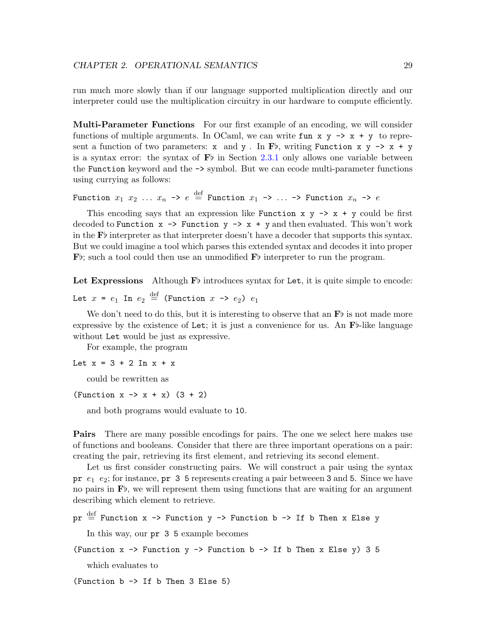run much more slowly than if our language supported multiplication directly and our interpreter could use the multiplication circuitry in our hardware to compute efficiently.

Multi-Parameter Functions For our first example of an encoding, we will consider functions of multiple arguments. In OCaml, we can write fun x  $y \rightarrow x + y$  to represent a function of two parameters:  $x$  and  $y$ . In F<sub>b</sub>, writing Function  $x$   $y \rightarrow x + y$ is a syntax error: the syntax of  $\mathbf{F}^{\flat}$  in Section [2.3.1](#page-19-0) only allows one variable between the Function keyword and the -> symbol. But we can ecode multi-parameter functions using currying as follows:

Function  $x_1$   $x_2$  ...  $x_n$  ->  $e$   $\stackrel{\text{def}}{=}$  Function  $x_1$  -> ... -> Function  $x_n$  ->  $e$ 

This encoding says that an expression like Function  $x \, y \rightarrow x + y$  could be first decoded to Function  $x \rightarrow$  Function  $y \rightarrow x + y$  and then evaluated. This won't work in the  $\mathbf{F}^{\dagger}$  interpreter as that interpreter doesn't have a decoder that supports this syntax. But we could imagine a tool which parses this extended syntax and decodes it into proper  $\mathbf{F}^{\flat}$ ; such a tool could then use an unmodified  $\mathbf{F}^{\flat}$  interpreter to run the program.

Let Expressions Although  $\mathbf{F}^{\flat}$  introduces syntax for Let, it is quite simple to encode:

Let  $x = e_1$  In  $e_2 \stackrel{\text{def}}{=}$  (Function  $x \rightarrow e_2$ )  $e_1$ 

We don't need to do this, but it is interesting to observe that an  $\mathbf{F}$  is not made more expressive by the existence of Let; it is just a convenience for us. An  $\mathbf{F}$ -like language without Let would be just as expressive.

For example, the program

Let  $x = 3 + 2$  In  $x + x$ 

could be rewritten as

(Function  $x \rightarrow x + x$ ) (3 + 2)

and both programs would evaluate to 10.

**Pairs** There are many possible encodings for pairs. The one we select here makes use of functions and booleans. Consider that there are three important operations on a pair: creating the pair, retrieving its first element, and retrieving its second element.

Let us first consider constructing pairs. We will construct a pair using the syntax pr  $e_1$   $e_2$ ; for instance, pr 3 5 represents creating a pair between 3 and 5. Since we have no pairs in  $\mathbf{F}$ , we will represent them using functions that are waiting for an argument describing which element to retrieve.

```
\mathrm{pr}\ \stackrel{\mathrm{def}}{=} Function x -> Function y -> Function b -> If b Then x Else y
```
In this way, our pr 3 5 example becomes

(Function  $x \rightarrow$  Function  $y \rightarrow$  Function  $b \rightarrow$  If b Then x Else  $y$ ) 3 5

which evaluates to

(Function b -> If b Then 3 Else 5)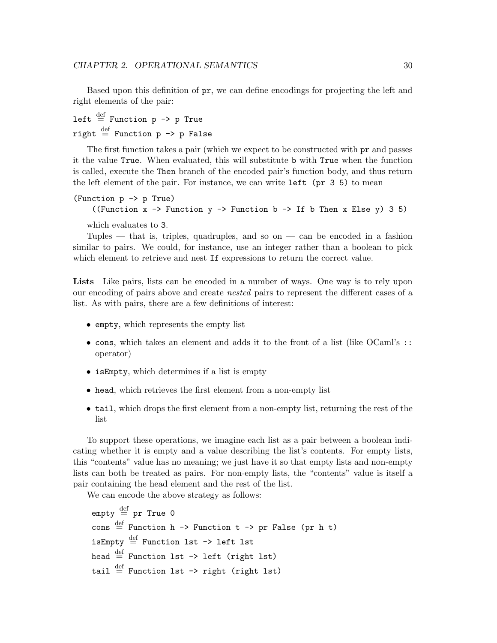Based upon this definition of pr, we can define encodings for projecting the left and right elements of the pair:

left  $\stackrel{\text{def}}{=}$  Function p -> p True right  $\stackrel{\text{def}}{=}$  Function p -> p False

The first function takes a pair (which we expect to be constructed with pr and passes it the value True. When evaluated, this will substitute b with True when the function is called, execute the Then branch of the encoded pair's function body, and thus return the left element of the pair. For instance, we can write  $left ( pr 3 5 \right )$  to mean

(Function p -> p True) ((Function  $x \rightarrow$  Function  $y \rightarrow$  Function  $b \rightarrow$  If b Then  $x$  Else  $y$ ) 3 5) which evaluates to 3.

Tuples — that is, triples, quadruples, and so on — can be encoded in a fashion similar to pairs. We could, for instance, use an integer rather than a boolean to pick which element to retrieve and nest If expressions to return the correct value.

Lists Like pairs, lists can be encoded in a number of ways. One way is to rely upon our encoding of pairs above and create nested pairs to represent the different cases of a list. As with pairs, there are a few definitions of interest:

- empty, which represents the empty list
- cons, which takes an element and adds it to the front of a list (like OCaml's :: operator)
- isEmpty, which determines if a list is empty
- head, which retrieves the first element from a non-empty list
- tail, which drops the first element from a non-empty list, returning the rest of the list

To support these operations, we imagine each list as a pair between a boolean indicating whether it is empty and a value describing the list's contents. For empty lists, this "contents" value has no meaning; we just have it so that empty lists and non-empty lists can both be treated as pairs. For non-empty lists, the "contents" value is itself a pair containing the head element and the rest of the list.

We can encode the above strategy as follows:

 $\texttt{empty} \stackrel{\text{def}}{=} \texttt{pr True}$  0  $\cos \stackrel{\text{def}}{=}$  Function h -> Function t -> pr False (pr h t) isEmpty  $\stackrel{\text{def}}{=}$  Function 1st -> left 1st head  $\stackrel{\text{def}}{=}$  Function 1st -> left (right 1st) tail  $\stackrel{\text{def}}{=}$  Function 1st -> right (right 1st)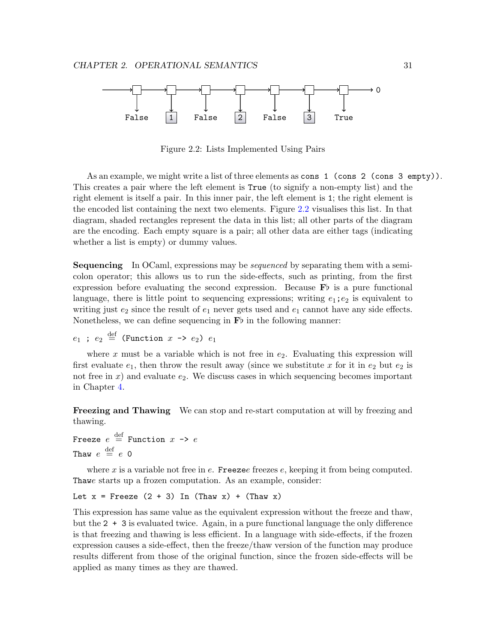

<span id="page-35-0"></span>Figure 2.2: Lists Implemented Using Pairs

As an example, we might write a list of three elements as cons 1 (cons 2 (cons 3 empty)). This creates a pair where the left element is True (to signify a non-empty list) and the right element is itself a pair. In this inner pair, the left element is 1; the right element is the encoded list containing the next two elements. Figure [2.2](#page-35-0) visualises this list. In that diagram, shaded rectangles represent the data in this list; all other parts of the diagram are the encoding. Each empty square is a pair; all other data are either tags (indicating whether a list is empty) or dummy values.

**Sequencing** In OCaml, expressions may be *sequenced* by separating them with a semicolon operator; this allows us to run the side-effects, such as printing, from the first expression before evaluating the second expression. Because  $\mathbf{F}^{\flat}$  is a pure functional language, there is little point to sequencing expressions; writing  $e_1$ ;  $e_2$  is equivalent to writing just  $e_2$  since the result of  $e_1$  never gets used and  $e_1$  cannot have any side effects. Nonetheless, we can define sequencing in  $\mathbf{F}$  in the following manner:

 $e_1$  ;  $e_2 \stackrel{\text{def}}{=}$  (Function  $x \rightarrow e_2$ )  $e_1$ 

where x must be a variable which is not free in  $e_2$ . Evaluating this expression will first evaluate  $e_1$ , then throw the result away (since we substitute x for it in  $e_2$  but  $e_2$  is not free in  $x$ ) and evaluate  $e_2$ . We discuss cases in which sequencing becomes important in Chapter [4.](#page-61-0)

Freezing and Thawing We can stop and re-start computation at will by freezing and thawing.

Freeze  $e \stackrel{\text{def}}{=}$  Function  $x \rightarrow e$ Thaw  $e \stackrel{\rm def}{=} e$  0

where x is a variable not free in  $e$ . Freezee freezes  $e$ , keeping it from being computed. Thawe starts up a frozen computation. As an example, consider:

```
Let x = Freeze (2 + 3) In (Thaw x) + (Thaw x)
```
This expression has same value as the equivalent expression without the freeze and thaw, but the 2 + 3 is evaluated twice. Again, in a pure functional language the only difference is that freezing and thawing is less efficient. In a language with side-effects, if the frozen expression causes a side-effect, then the freeze/thaw version of the function may produce results different from those of the original function, since the frozen side-effects will be applied as many times as they are thawed.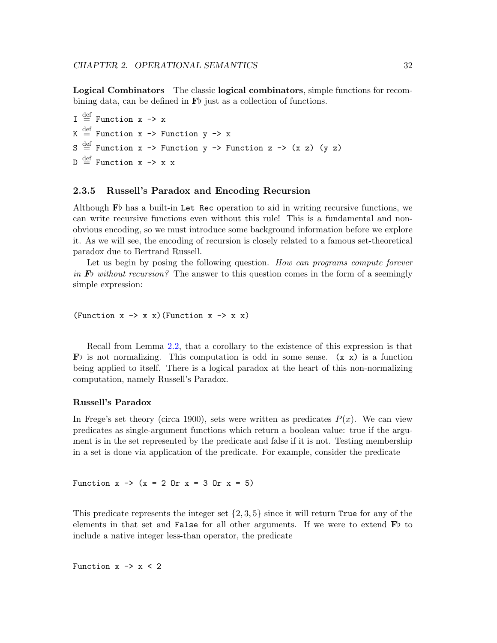Logical Combinators The classic logical combinators, simple functions for recombining data, can be defined in  $\mathbf{F}$  just as a collection of functions.

 $I \stackrel{\text{def}}{=} \text{Function } x \rightarrow x$  $K$   $\stackrel{\text{def}}{=}$  Function x -> Function y -> x  $S \stackrel{\text{def}}{=}$  Function x -> Function y -> Function z -> (x z) (y z)  $D \stackrel{\text{def}}{=}$  Function x -> x x

#### 2.3.5 Russell's Paradox and Encoding Recursion

Although  $\mathbf{F}$  has a built-in Let Rec operation to aid in writing recursive functions, we can write recursive functions even without this rule! This is a fundamental and nonobvious encoding, so we must introduce some background information before we explore it. As we will see, the encoding of recursion is closely related to a famous set-theoretical paradox due to Bertrand Russell.

Let us begin by posing the following question. How can programs compute forever in  $\mathbf{F}_{\mathcal{V}}$  without recursion? The answer to this question comes in the form of a seemingly simple expression:

(Function  $x \rightarrow x$  x) (Function  $x \rightarrow x$  x)

Recall from Lemma [2.2,](#page-13-0) that a corollary to the existence of this expression is that Fb is not normalizing. This computation is odd in some sense.  $(x x)$  is a function being applied to itself. There is a logical paradox at the heart of this non-normalizing computation, namely Russell's Paradox.

#### Russell's Paradox

In Frege's set theory (circa 1900), sets were written as predicates  $P(x)$ . We can view predicates as single-argument functions which return a boolean value: true if the argument is in the set represented by the predicate and false if it is not. Testing membership in a set is done via application of the predicate. For example, consider the predicate

Function  $x \rightarrow (x = 2 \text{ Or } x = 3 \text{ Or } x = 5)$ 

This predicate represents the integer set  $\{2, 3, 5\}$  since it will return True for any of the elements in that set and False for all other arguments. If we were to extend  $\mathbf{F}^{\dagger}$  to include a native integer less-than operator, the predicate

Function  $x \rightarrow x < 2$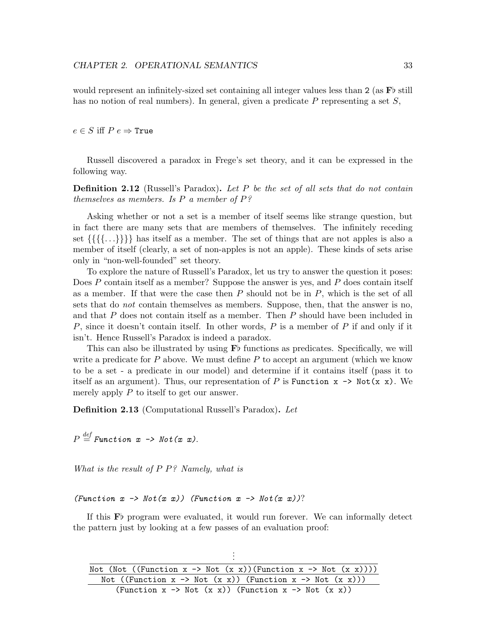would represent an infinitely-sized set containing all integer values less than  $2$  (as  $\overline{F}$  still has no notion of real numbers). In general, given a predicate  $P$  representing a set  $S$ ,

 $e \in S$  iff  $P e \Rightarrow$  True

Russell discovered a paradox in Frege's set theory, and it can be expressed in the following way.

**Definition 2.12** (Russell's Paradox). Let P be the set of all sets that do not contain themselves as members. Is  $P$  a member of  $P$ ?

Asking whether or not a set is a member of itself seems like strange question, but in fact there are many sets that are members of themselves. The infinitely receding set  $\{\{\{\{\ldots\}\}\}\}\$  has itself as a member. The set of things that are not apples is also a member of itself (clearly, a set of non-apples is not an apple). These kinds of sets arise only in "non-well-founded" set theory.

To explore the nature of Russell's Paradox, let us try to answer the question it poses: Does P contain itself as a member? Suppose the answer is yes, and P does contain itself as a member. If that were the case then  $P$  should not be in  $P$ , which is the set of all sets that do *not* contain themselves as members. Suppose, then, that the answer is no, and that P does not contain itself as a member. Then P should have been included in P, since it doesn't contain itself. In other words, P is a member of P if and only if it isn't. Hence Russell's Paradox is indeed a paradox.

This can also be illustrated by using  $\mathbf{F}$  functions as predicates. Specifically, we will write a predicate for  $P$  above. We must define  $P$  to accept an argument (which we know to be a set - a predicate in our model) and determine if it contains itself (pass it to itself as an argument). Thus, our representation of P is Function  $x \rightarrow$  Not(x x). We merely apply  $P$  to itself to get our answer.

Definition 2.13 (Computational Russell's Paradox). Let

 $P\stackrel{{\it def}}{=} \textit{Function}\;\;x\;\rightarrow \;\textit{Not(x}\;\;x).$ 

What is the result of P P? Namely, what is

(Function  $x \rightarrow$  Not(x x)) (Function  $x \rightarrow$  Not(x x))?

If this  $\mathbf{F}$  program were evaluated, it would run forever. We can informally detect the pattern just by looking at a few passes of an evaluation proof:

| Not (Not ((Function x -> Not $(x x)$ )(Function x -> Not $(x x))$ )) |
|----------------------------------------------------------------------|
| Not ((Function x -> Not $(x x)$ ) (Function x -> Not $(x x)$ ))      |
| (Function x -> Not $(x x)$ ) (Function x -> Not $(x x)$ )            |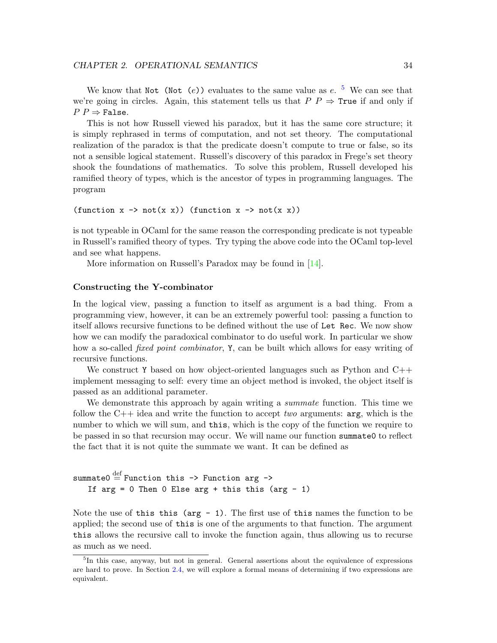We know that Not (Not (e)) evaluates to the same value as  $e$ . <sup>[5](#page-38-0)</sup> We can see that we're going in circles. Again, this statement tells us that  $P P \Rightarrow$  True if and only if  $P P \Rightarrow$  False.

This is not how Russell viewed his paradox, but it has the same core structure; it is simply rephrased in terms of computation, and not set theory. The computational realization of the paradox is that the predicate doesn't compute to true or false, so its not a sensible logical statement. Russell's discovery of this paradox in Frege's set theory shook the foundations of mathematics. To solve this problem, Russell developed his ramified theory of types, which is the ancestor of types in programming languages. The program

(function  $x \rightarrow not(x x)$ ) (function  $x \rightarrow not(x x)$ )

is not typeable in OCaml for the same reason the corresponding predicate is not typeable in Russell's ramified theory of types. Try typing the above code into the OCaml top-level and see what happens.

More information on Russell's Paradox may be found in [\[14\]](#page-159-0).

#### Constructing the Y-combinator

In the logical view, passing a function to itself as argument is a bad thing. From a programming view, however, it can be an extremely powerful tool: passing a function to itself allows recursive functions to be defined without the use of Let Rec. We now show how we can modify the paradoxical combinator to do useful work. In particular we show how a so-called *fixed point combinator*, Y, can be built which allows for easy writing of recursive functions.

We construct Y based on how object-oriented languages such as Python and  $C++$ implement messaging to self: every time an object method is invoked, the object itself is passed as an additional parameter.

We demonstrate this approach by again writing a *summate* function. This time we follow the  $C++$  idea and write the function to accept two arguments:  $arg$ , which is the number to which we will sum, and this, which is the copy of the function we require to be passed in so that recursion may occur. We will name our function summate0 to reflect the fact that it is not quite the summate we want. It can be defined as

```
summate0 \stackrel{\text{def}}{=} Function this -> Function arg ->
    If \arg = 0 Then 0 Else \arg + \text{this this} (\arg - 1)
```
Note the use of this this ( $\arg -1$ ). The first use of this names the function to be applied; the second use of this is one of the arguments to that function. The argument this allows the recursive call to invoke the function again, thus allowing us to recurse as much as we need.

<span id="page-38-0"></span><sup>&</sup>lt;sup>5</sup>In this case, anyway, but not in general. General assertions about the equivalence of expressions are hard to prove. In Section [2.4,](#page-47-0) we will explore a formal means of determining if two expressions are equivalent.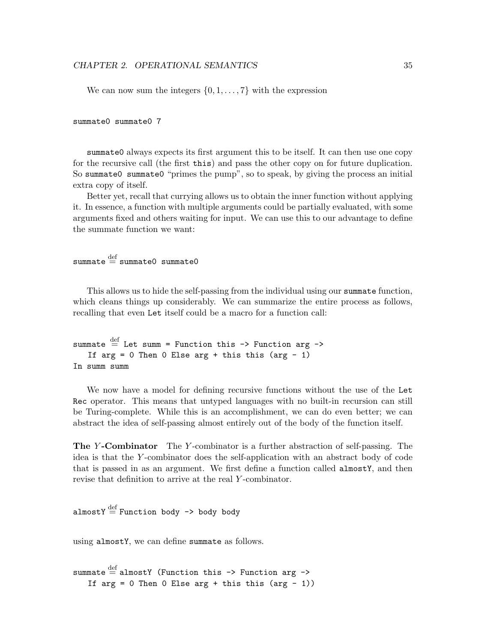We can now sum the integers  $\{0, 1, \ldots, 7\}$  with the expression

#### summate0 summate0 7

summate0 always expects its first argument this to be itself. It can then use one copy for the recursive call (the first this) and pass the other copy on for future duplication. So summate0 summate0 "primes the pump", so to speak, by giving the process an initial extra copy of itself.

Better yet, recall that currying allows us to obtain the inner function without applying it. In essence, a function with multiple arguments could be partially evaluated, with some arguments fixed and others waiting for input. We can use this to our advantage to define the summate function we want:

## $\texttt{summate} \stackrel{\text{def}}{=} \texttt{summate0}$  summate0

This allows us to hide the self-passing from the individual using our summate function, which cleans things up considerably. We can summarize the entire process as follows, recalling that even Let itself could be a macro for a function call:

```
summate \stackrel{\text{def}}{=} Let summ = Function this -> Function arg ->
    If \arg = 0 Then 0 Else \arg + \text{this this} (\arg - 1)
In summ summ
```
We now have a model for defining recursive functions without the use of the Let Rec operator. This means that untyped languages with no built-in recursion can still be Turing-complete. While this is an accomplishment, we can do even better; we can abstract the idea of self-passing almost entirely out of the body of the function itself.

**The Y-Combinator** The Y-combinator is a further abstraction of self-passing. The idea is that the Y -combinator does the self-application with an abstract body of code that is passed in as an argument. We first define a function called almostY, and then revise that definition to arrive at the real Y -combinator.

almostY  $\stackrel{\text{def}}{=}$  Function body -> body body

using almostY, we can define summate as follows.

```
\texttt{summate} \stackrel{\text{def}}{=} \texttt{almostY} (Function this -> Function arg ->
    If \arg = 0 Then 0 Else \arg + \text{this this} (\arg - 1))
```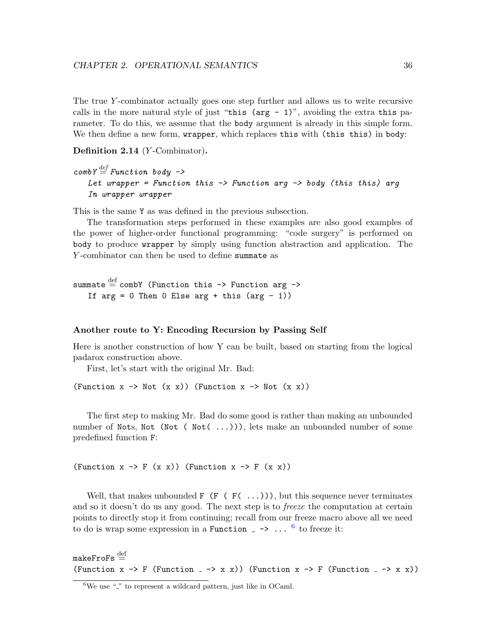The true Y-combinator actually goes one step further and allows us to write recursive calls in the more natural style of just "this ( $\arg -1$ )", avoiding the extra this parameter. To do this, we assume that the body argument is already in this simple form. We then define a new form, wrapper, which replaces this with (this this) in body:

Definition 2.14 (Y-Combinator).

```
\textit{combY} \stackrel{\textit{def}}{=} \textit{Function body} \rightarrowLet wrapper = Function this \rightarrow Function arg \rightarrow body (this this) arg
    In wrapper wrapper
```
This is the same Y as was defined in the previous subsection.

The transformation steps performed in these examples are also good examples of the power of higher-order functional programming: "code surgery" is performed on body to produce wrapper by simply using function abstraction and application. The Y -combinator can then be used to define summate as

```
\texttt{summate} \stackrel{\text{def}}{=} \texttt{combY} (Function this -> Function arg ->
    If \arg = 0 Then 0 Else \arg + \text{this} (\arg - 1))
```
#### Another route to Y: Encoding Recursion by Passing Self

Here is another construction of how Y can be built, based on starting from the logical padarox construction above.

First, let's start with the original Mr. Bad:

(Function  $x \rightarrow$  Not  $(x \times x)$ ) (Function  $x \rightarrow$  Not  $(x \times x)$ )

The first step to making Mr. Bad do some good is rather than making an unbounded number of Nots, Not (Not (Not)...)), lets make an unbounded number of some predefined function F:

(Function  $x \rightarrow F (x x)$ ) (Function  $x \rightarrow F (x x)$ )

Well, that makes unbounded  $F$  ( $F$  ( $F$ ( $\ldots$ )), but this sequence never terminates and so it doesn't do us any good. The next step is to *freeze* the computation at certain points to directly stop it from continuing; recall from our freeze macro above all we need to do is wrap some expression in a Function  $\overline{z} \rightarrow \cdots$ <sup>[6](#page-40-0)</sup> to freeze it:

 $\mathtt{makeFroFs} \stackrel{\text{def}}{=}$ (Function  $x \rightarrow F$  (Function  $- \rightarrow x \ x$ )) (Function  $x \rightarrow F$  (Function  $- \rightarrow x \ x)$ )

<span id="page-40-0"></span> $6$ We use " $\cdot$ " to represent a wildcard pattern, just like in OCaml.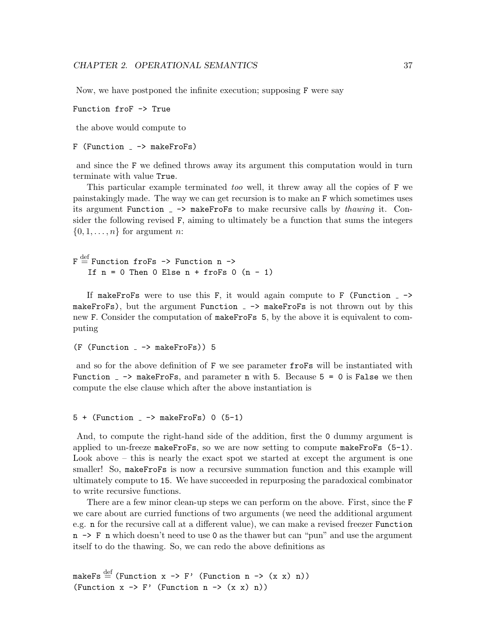Now, we have postponed the infinite execution; supposing F were say

Function froF -> True

the above would compute to

```
F (Function - \rightarrow makeFroFs)
```
and since the F we defined throws away its argument this computation would in turn terminate with value True.

This particular example terminated too well, it threw away all the copies of F we painstakingly made. The way we can get recursion is to make an F which sometimes uses its argument Function  $\overline{\ }$  -> makeFroFs to make recursive calls by *thawing* it. Consider the following revised F, aiming to ultimately be a function that sums the integers  $\{0, 1, \ldots, n\}$  for argument *n*:

 $\texttt{F}\stackrel{\text{def}}{=} \text{Function}$  fro $\texttt{Fs}$  ->  $\texttt{Function}$  n -> If  $n = 0$  Then 0 Else  $n + f$ roFs 0  $(n - 1)$ 

If makeFroFs were to use this F, it would again compute to F (Function  $\rightarrow$ makeFroFs), but the argument Function  $-$  -> makeFroFs is not thrown out by this new F. Consider the computation of makeFroFs 5, by the above it is equivalent to computing

```
(F (Function - > makeFroFs)) 5
```
and so for the above definition of F we see parameter froFs will be instantiated with Function  $z \rightarrow$  make FroFs, and parameter n with 5. Because  $5 = 0$  is False we then compute the else clause which after the above instantiation is

 $5 +$  (Function  $\rightarrow$  makeFroFs) 0 (5-1)

And, to compute the right-hand side of the addition, first the 0 dummy argument is applied to un-freeze makeFroFs, so we are now setting to compute makeFroFs  $(5-1)$ . Look above – this is nearly the exact spot we started at except the argument is one smaller! So, makeFroFs is now a recursive summation function and this example will ultimately compute to 15. We have succeeded in repurposing the paradoxical combinator to write recursive functions.

There are a few minor clean-up steps we can perform on the above. First, since the F we care about are curried functions of two arguments (we need the additional argument e.g. n for the recursive call at a different value), we can make a revised freezer Function  $n \rightarrow F$  n which doesn't need to use 0 as the thawer but can "pun" and use the argument itself to do the thawing. So, we can redo the above definitions as

```
makeFs \stackrel{\text{def}}{=} (Function x -> F' (Function n -> (x x) n))
(Function x \rightarrow F' (Function n \rightarrow (x \ x) \ n))
```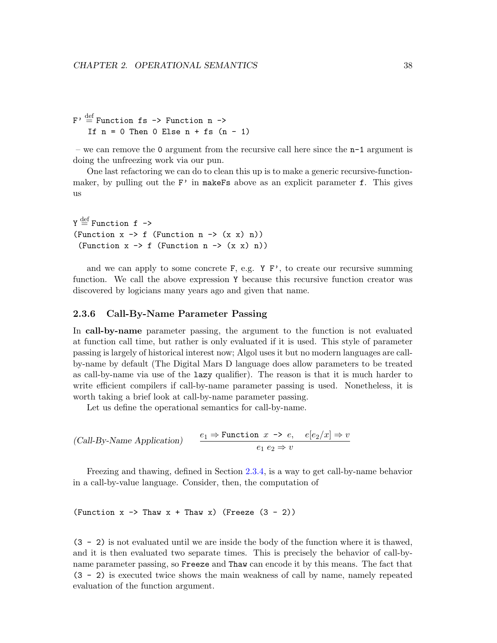```
F' \stackrel{\text{def}}{=} Function fs -> Function n ->
    If n = 0 Then 0 Else n + fs (n - 1)
```
– we can remove the 0 argument from the recursive call here since the  $n-1$  argument is doing the unfreezing work via our pun.

One last refactoring we can do to clean this up is to make a generic recursive-functionmaker, by pulling out the  $F'$  in make  $Fs$  above as an explicit parameter f. This gives us

 $\bm{\Upsilon} \stackrel{\text{def}}{=} \text{Function } \bm{\mathrm{f}} \; \text{--}\bm{\Sigma}$ (Function  $x \rightarrow f$  (Function  $n \rightarrow (x \times n)$ ) (Function  $x \rightarrow f$  (Function  $n \rightarrow (x \ x) \ n$ ))

and we can apply to some concrete  $F$ , e.g.  $Y F'$ , to create our recursive summing function. We call the above expression Y because this recursive function creator was discovered by logicians many years ago and given that name.

#### 2.3.6 Call-By-Name Parameter Passing

In call-by-name parameter passing, the argument to the function is not evaluated at function call time, but rather is only evaluated if it is used. This style of parameter passing is largely of historical interest now; Algol uses it but no modern languages are callby-name by default (The Digital Mars D language does allow parameters to be treated as call-by-name via use of the lazy qualifier). The reason is that it is much harder to write efficient compilers if call-by-name parameter passing is used. Nonetheless, it is worth taking a brief look at call-by-name parameter passing.

Let us define the operational semantics for call-by-name.

$$
(Call-By-Name Application) \qquad \frac{e_1 \Rightarrow \text{Function } x \to e, \quad e[e_2/x] \Rightarrow v}{e_1 \ e_2 \Rightarrow v}
$$

Freezing and thawing, defined in Section [2.3.4,](#page-32-0) is a way to get call-by-name behavior in a call-by-value language. Consider, then, the computation of

(Function  $x \rightarrow$  Thaw  $x +$  Thaw  $x$ ) (Freeze  $(3 - 2)$ )

(3 - 2) is not evaluated until we are inside the body of the function where it is thawed, and it is then evaluated two separate times. This is precisely the behavior of call-byname parameter passing, so Freeze and Thaw can encode it by this means. The fact that (3 - 2) is executed twice shows the main weakness of call by name, namely repeated evaluation of the function argument.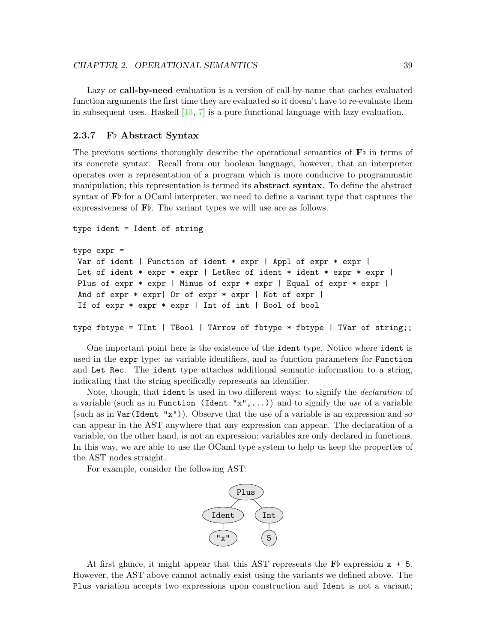Lazy or **call-by-need** evaluation is a version of call-by-name that caches evaluated function arguments the first time they are evaluated so it doesn't have to re-evaluate them in subsequent uses. Haskell [\[13,](#page-159-1) [7\]](#page-159-2) is a pure functional language with lazy evaluation.

#### 2.3.7 Fb Abstract Syntax

The previous sections thoroughly describe the operational semantics of  $\mathbf{F}$  in terms of its concrete syntax. Recall from our boolean language, however, that an interpreter operates over a representation of a program which is more conducive to programmatic manipulation; this representation is termed its **abstract syntax**. To define the abstract syntax of  $\mathbf{F}$  for a OCaml interpreter, we need to define a variant type that captures the expressiveness of  $\mathbf{F}$ . The variant types we will use are as follows.

```
type ident = Ident of string
type expr =
Var of ident | Function of ident * expr | Appl of expr * expr |
Let of ident * expr * expr | LetRec of ident * ident * expr * expr |
Plus of expr * expr | Minus of expr * expr | Equal of expr * expr |
And of expr * expr| Or of expr * expr | Not of expr |
If of expr * expr * expr | Int of int | Bool of bool
type fbtype = TInt | TBool | TArrow of fbtype * fbtype | TVar of string;;
```
One important point here is the existence of the ident type. Notice where ident is used in the expr type: as variable identifiers, and as function parameters for Function and Let Rec. The ident type attaches additional semantic information to a string, indicating that the string specifically represents an identifier.

Note, though, that ident is used in two different ways: to signify the declaration of a variable (such as in Function (Ident " $x$ ",...)) and to signify the use of a variable (such as in Var(Ident "x")). Observe that the use of a variable is an expression and so can appear in the AST anywhere that any expression can appear. The declaration of a variable, on the other hand, is not an expression; variables are only declared in functions. In this way, we are able to use the OCaml type system to help us keep the properties of the AST nodes straight.

For example, consider the following AST:



At first glance, it might appear that this AST represents the  $\mathbf{F}$  expression  $x + 5$ . However, the AST above cannot actually exist using the variants we defined above. The Plus variation accepts two expressions upon construction and Ident is not a variant;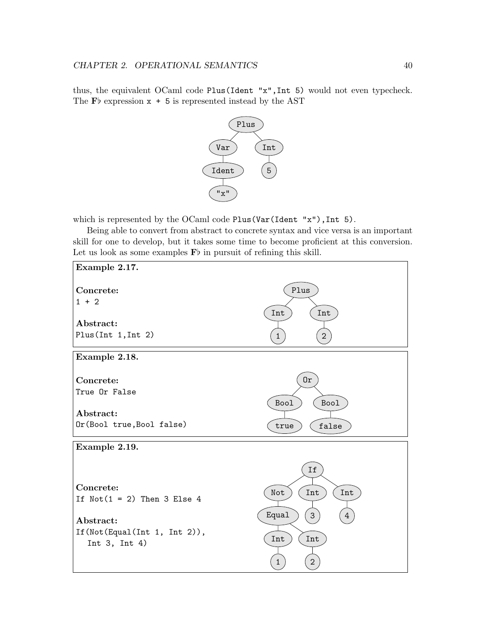thus, the equivalent OCaml code Plus(Ident "x",Int 5) would not even typecheck. The  $\mathbf{F}$  expression  $x + 5$  is represented instead by the AST



which is represented by the OCaml code Plus(Var(Ident "x"), Int 5).

Being able to convert from abstract to concrete syntax and vice versa is an important skill for one to develop, but it takes some time to become proficient at this conversion. Let us look as some examples  $\mathbf{F}$  in pursuit of refining this skill.

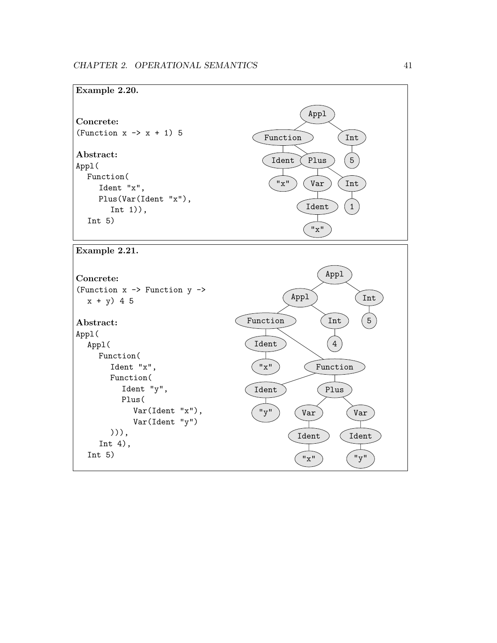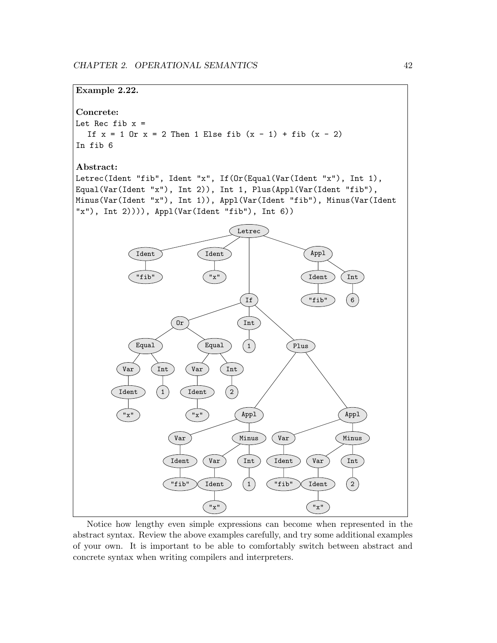

Notice how lengthy even simple expressions can become when represented in the abstract syntax. Review the above examples carefully, and try some additional examples of your own. It is important to be able to comfortably switch between abstract and concrete syntax when writing compilers and interpreters.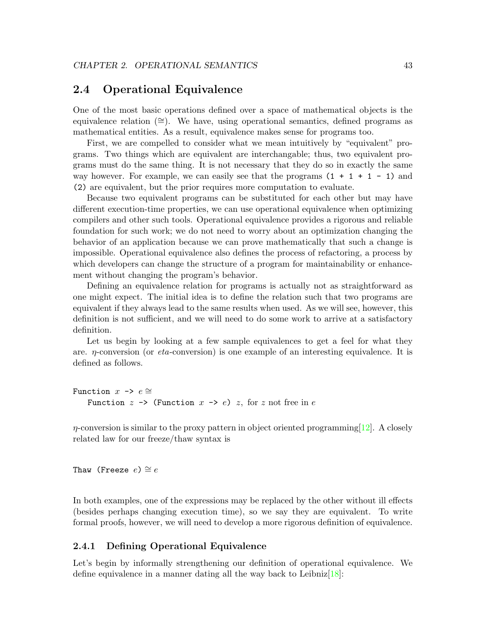## <span id="page-47-0"></span>2.4 Operational Equivalence

One of the most basic operations defined over a space of mathematical objects is the equivalence relation ( $\cong$ ). We have, using operational semantics, defined programs as mathematical entities. As a result, equivalence makes sense for programs too.

First, we are compelled to consider what we mean intuitively by "equivalent" programs. Two things which are equivalent are interchangable; thus, two equivalent programs must do the same thing. It is not necessary that they do so in exactly the same way however. For example, we can easily see that the programs  $(1 + 1 + 1 - 1)$  and (2) are equivalent, but the prior requires more computation to evaluate.

Because two equivalent programs can be substituted for each other but may have different execution-time properties, we can use operational equivalence when optimizing compilers and other such tools. Operational equivalence provides a rigorous and reliable foundation for such work; we do not need to worry about an optimization changing the behavior of an application because we can prove mathematically that such a change is impossible. Operational equivalence also defines the process of refactoring, a process by which developers can change the structure of a program for maintainability or enhancement without changing the program's behavior.

Defining an equivalence relation for programs is actually not as straightforward as one might expect. The initial idea is to define the relation such that two programs are equivalent if they always lead to the same results when used. As we will see, however, this definition is not sufficient, and we will need to do some work to arrive at a satisfactory definition.

Let us begin by looking at a few sample equivalences to get a feel for what they are.  $\eta$ -conversion (or *eta*-conversion) is one example of an interesting equivalence. It is defined as follows.

```
Function x \rightarrow e \congFunction z \rightarrow (Function x \rightarrow e) z, for z not free in e
```
 $\eta$ -conversion is similar to the proxy pattern in object oriented programming [\[12\]](#page-159-3). A closely related law for our freeze/thaw syntax is

Thaw (Freeze  $e \geq e$ 

In both examples, one of the expressions may be replaced by the other without ill effects (besides perhaps changing execution time), so we say they are equivalent. To write formal proofs, however, we will need to develop a more rigorous definition of equivalence.

#### 2.4.1 Defining Operational Equivalence

Let's begin by informally strengthening our definition of operational equivalence. We define equivalence in a manner dating all the way back to Leibniz $[18]$ :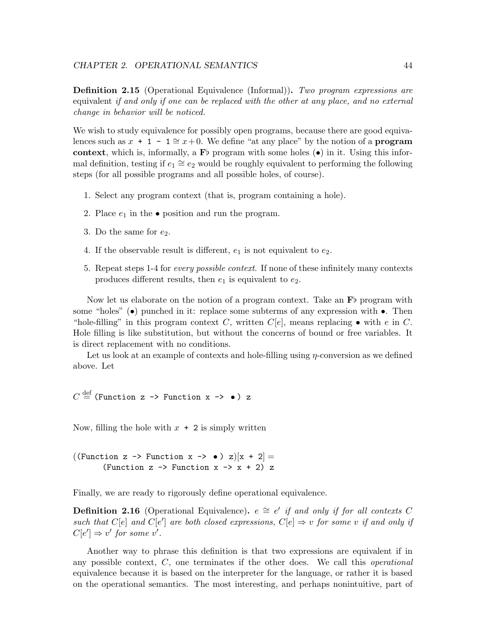**Definition 2.15** (Operational Equivalence (Informal)). Two program expressions are equivalent if and only if one can be replaced with the other at any place, and no external change in behavior will be noticed.

We wish to study equivalence for possibly open programs, because there are good equivalences such as  $x + 1 - 1 \cong x+0$ . We define "at any place" by the notion of a **program** context, which is, informally, a  $\mathbf{F}^{\dagger}$  program with some holes ( $\bullet$ ) in it. Using this informal definition, testing if  $e_1 \cong e_2$  would be roughly equivalent to performing the following steps (for all possible programs and all possible holes, of course).

- 1. Select any program context (that is, program containing a hole).
- 2. Place  $e_1$  in the  $\bullet$  position and run the program.
- 3. Do the same for  $e_2$ .
- 4. If the observable result is different,  $e_1$  is not equivalent to  $e_2$ .
- 5. Repeat steps 1-4 for every possible context. If none of these infinitely many contexts produces different results, then  $e_1$  is equivalent to  $e_2$ .

Now let us elaborate on the notion of a program context. Take an  $\mathbf{F}$  program with some "holes"  $\bullet$  punched in it: replace some subterms of any expression with  $\bullet$ . Then "hole-filling" in this program context C, written  $C[e]$ , means replacing  $\bullet$  with e in C. Hole filling is like substitution, but without the concerns of bound or free variables. It is direct replacement with no conditions.

Let us look at an example of contexts and hole-filling using  $\eta$ -conversion as we defined above. Let

 $C\stackrel{\rm def}{=}$  (Function z -> Function x ->  $\bullet$  ) z

Now, filling the hole with  $x + 2$  is simply written

((Function z -> Function x ->  $\bullet$ ) z) $[x + 2] =$ (Function  $z \rightarrow$  Function  $x \rightarrow x + 2$ ) z

Finally, we are ready to rigorously define operational equivalence.

**Definition 2.16** (Operational Equivalence).  $e \cong e'$  if and only if for all contexts C such that C[e] and C[e'] are both closed expressions, C[e]  $\Rightarrow$  v for some v if and only if  $C[e'] \Rightarrow v'$  for some v'.

Another way to phrase this definition is that two expressions are equivalent if in any possible context,  $C$ , one terminates if the other does. We call this *operational* equivalence because it is based on the interpreter for the language, or rather it is based on the operational semantics. The most interesting, and perhaps nonintuitive, part of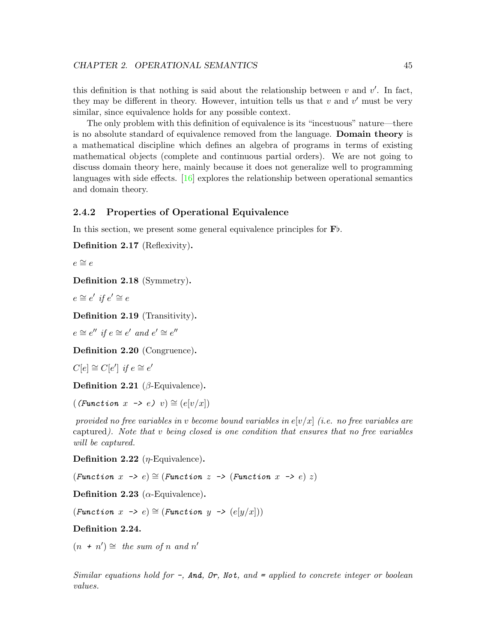this definition is that nothing is said about the relationship between  $v$  and  $v'$ . In fact, they may be different in theory. However, intuition tells us that  $v$  and  $v'$  must be very similar, since equivalence holds for any possible context.

The only problem with this definition of equivalence is its "incestuous" nature—there is no absolute standard of equivalence removed from the language. Domain theory is a mathematical discipline which defines an algebra of programs in terms of existing mathematical objects (complete and continuous partial orders). We are not going to discuss domain theory here, mainly because it does not generalize well to programming languages with side effects.  $[16]$  explores the relationship between operational semantics and domain theory.

#### 2.4.2 Properties of Operational Equivalence

In this section, we present some general equivalence principles for  $\mathbf{F}_b$ .

Definition 2.17 (Reflexivity).

 $e$  ≅  $e$ 

Definition 2.18 (Symmetry).

 $e \cong e'$  if  $e' \cong e$ 

Definition 2.19 (Transitivity).

 $e \cong e''$  if  $e \cong e'$  and  $e' \cong e''$ 

Definition 2.20 (Congruence).

 $C[e] \cong C[e']$  if  $e \cong e'$ 

Definition 2.21 ( $\beta$ -Equivalence).

 $((Function x \rightarrow e) v) \cong (e[v/x])$ 

provided no free variables in v become bound variables in  $e[\nu/x]$  (i.e. no free variables are captured). Note that v being closed is one condition that ensures that no free variables will be captured.

**Definition 2.22** (*η*-Equivalence).

(Function  $x \rightarrow e$ )  $\cong$  (Function  $z \rightarrow$  (Function  $x \rightarrow e$ )  $z$ )

Definition 2.23 ( $\alpha$ -Equivalence).

 $(Function x \rightarrow e) \cong (Function y \rightarrow (e[y/x]))$ 

Definition 2.24.

 $(n + n') \cong$  the sum of n and n'

Similar equations hold for  $-$ , And, Or, Not, and  $=$  applied to concrete integer or boolean values.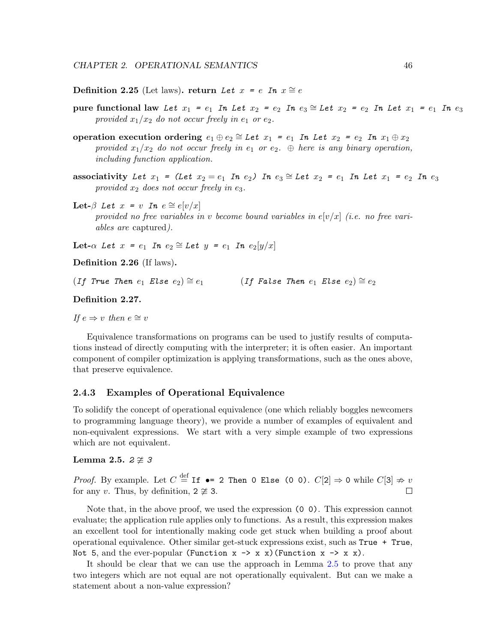Definition 2.25 (Let laws). return Let  $x = e$  In  $x \approx e$ 

- pure functional law Let  $x_1 = e_1$  In Let  $x_2 = e_2$  In  $e_3 \cong$  Let  $x_2 = e_2$  In Let  $x_1 = e_1$  In  $e_3$ provided  $x_1/x_2$  do not occur freely in  $e_1$  or  $e_2$ .
- operation execution ordering  $e_1 \oplus e_2 \cong Let$   $x_1 = e_1$  In Let  $x_2 = e_2$  In  $x_1 \oplus x_2$ provided  $x_1/x_2$  do not occur freely in  $e_1$  or  $e_2$ .  $\oplus$  here is any binary operation, including function application.
- associativity Let  $x_1$  = (Let  $x_2 = e_1$  In  $e_2$ ) In  $e_3 \cong$  Let  $x_2 = e_1$  In Let  $x_1 = e_2$  In  $e_3$ provided  $x_2$  does not occur freely in e<sub>3</sub>.
- Let- $\beta$  Let  $x = v$  In  $e \cong e[v/x]$ provided no free variables in v become bound variables in  $e[v/x]$  (i.e. no free variables are captured).

Let- $\alpha$  Let  $x = e_1$  In  $e_2 \cong$  Let  $y = e_1$  In  $e_2[y/x]$ 

Definition 2.26 (If laws).

(If True Then  $e_1$  Else  $e_2$ )  $\cong$   $e_1$  (If False Then  $e_1$  Else  $e_2$ )  $\cong$   $e_2$ 

#### Definition 2.27.

If  $e \Rightarrow v$  then  $e \cong v$ 

Equivalence transformations on programs can be used to justify results of computations instead of directly computing with the interpreter; it is often easier. An important component of compiler optimization is applying transformations, such as the ones above, that preserve equivalence.

#### 2.4.3 Examples of Operational Equivalence

To solidify the concept of operational equivalence (one which reliably boggles newcomers to programming language theory), we provide a number of examples of equivalent and non-equivalent expressions. We start with a very simple example of two expressions which are not equivalent.

#### <span id="page-50-0"></span>Lemma 2.5.  $2 \ncong 3$

*Proof.* By example. Let  $C \stackrel{\text{def}}{=} \text{If } \bullet = 2 \text{ Then } 0 \text{ Else } (0 \text{ 0}).$   $C[2] \Rightarrow 0 \text{ while } C[3] \not\Rightarrow v$ for any v. Thus, by definition,  $2 \not\cong 3$ .  $\Box$ 

Note that, in the above proof, we used the expression (0 0). This expression cannot evaluate; the application rule applies only to functions. As a result, this expression makes an excellent tool for intentionally making code get stuck when building a proof about operational equivalence. Other similar get-stuck expressions exist, such as True + True, Not 5, and the ever-popular (Function  $x \rightarrow x$  x) (Function  $x \rightarrow x$  x).

It should be clear that we can use the approach in Lemma [2.5](#page-50-0) to prove that any two integers which are not equal are not operationally equivalent. But can we make a statement about a non-value expression?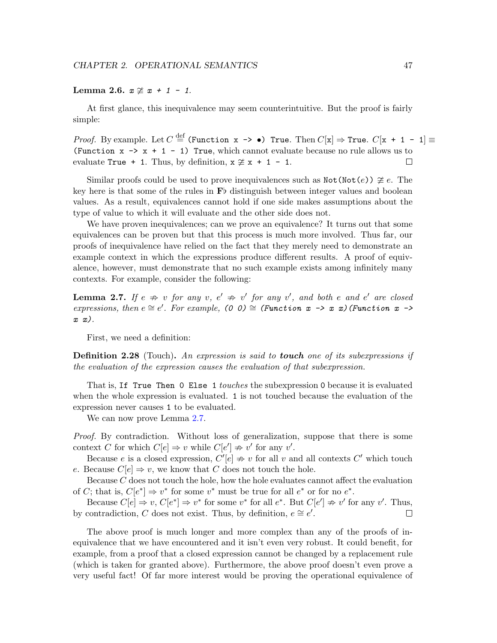Lemma 2.6.  $x \not\cong x + 1 - 1$ .

At first glance, this inequivalence may seem counterintuitive. But the proof is fairly simple:

*Proof.* By example. Let  $C \stackrel{\text{def}}{=}$  (Function x ->  $\bullet$ ) True. Then  $C[\mathbf{x}] \Rightarrow$  True.  $C[\mathbf{x} + 1 - 1] \equiv$ (Function  $x \rightarrow x + 1 - 1$ ) True, which cannot evaluate because no rule allows us to evaluate True  $+1$ . Thus, by definition,  $x \not\cong x + 1 - 1$ .  $\Box$ 

Similar proofs could be used to prove inequivalences such as  $\text{Not}(\text{Not}(e)) \ncong e$ . The key here is that some of the rules in  $\mathbf{F}$  b distinguish between integer values and boolean values. As a result, equivalences cannot hold if one side makes assumptions about the type of value to which it will evaluate and the other side does not.

We have proven inequivalences; can we prove an equivalence? It turns out that some equivalences can be proven but that this process is much more involved. Thus far, our proofs of inequivalence have relied on the fact that they merely need to demonstrate an example context in which the expressions produce different results. A proof of equivalence, however, must demonstrate that no such example exists among infinitely many contexts. For example, consider the following:

<span id="page-51-0"></span>**Lemma 2.7.** If  $e \Rightarrow v$  for any  $v, e' \Rightarrow v'$  for any  $v'$ , and both e and  $e'$  are closed expressions, then  $e \cong e'$ . For example, (0 0)  $\cong$  (Function  $x \to x$  x) (Function  $x \to$  $x(x)$ .

First, we need a definition:

**Definition 2.28** (Touch). An expression is said to **touch** one of its subexpressions if the evaluation of the expression causes the evaluation of that subexpression.

That is, If True Then 0 Else 1 *touches* the subexpression 0 because it is evaluated when the whole expression is evaluated. 1 is not touched because the evaluation of the expression never causes 1 to be evaluated.

We can now prove Lemma [2.7.](#page-51-0)

Proof. By contradiction. Without loss of generalization, suppose that there is some context C for which  $C[e] \Rightarrow v$  while  $C[e'] \Rightarrow v'$  for any v'.

Because e is a closed expression,  $C'[e] \Rightarrow v$  for all v and all contexts C' which touch e. Because  $C[e] \Rightarrow v$ , we know that C does not touch the hole.

Because C does not touch the hole, how the hole evaluates cannot affect the evaluation of C; that is,  $C[e^*] \Rightarrow v^*$  for some  $v^*$  must be true for all  $e^*$  or for no  $e^*$ .

Because  $C[e] \Rightarrow v, C[e^*] \Rightarrow v^*$  for some  $v^*$  for all  $e^*$ . But  $C[e'] \not\Rightarrow v'$  for any  $v'$ . Thus, by contradiction, C does not exist. Thus, by definition,  $e \cong e'$ .  $\Box$ 

The above proof is much longer and more complex than any of the proofs of inequivalence that we have encountered and it isn't even very robust. It could benefit, for example, from a proof that a closed expression cannot be changed by a replacement rule (which is taken for granted above). Furthermore, the above proof doesn't even prove a very useful fact! Of far more interest would be proving the operational equivalence of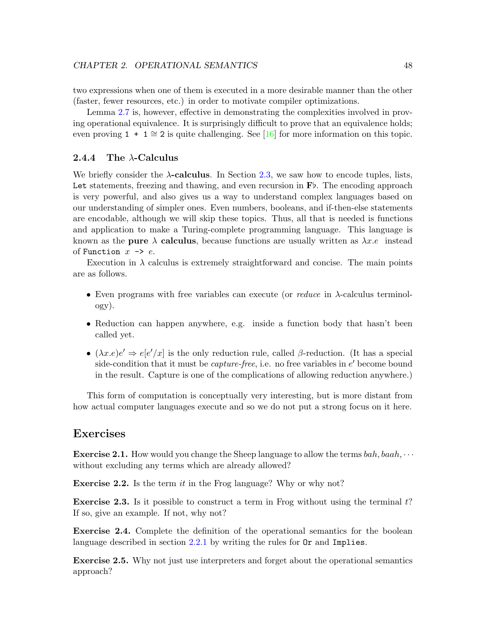two expressions when one of them is executed in a more desirable manner than the other (faster, fewer resources, etc.) in order to motivate compiler optimizations.

Lemma [2.7](#page-51-0) is, however, effective in demonstrating the complexities involved in proving operational equivalence. It is surprisingly difficult to prove that an equivalence holds; even proving 1 + 1  $\cong$  2 is quite challenging. See [\[16\]](#page-160-1) for more information on this topic.

#### 2.4.4 The  $\lambda$ -Calculus

We briefly consider the  $\lambda$ -calculus. In Section [2.3,](#page-18-0) we saw how to encode tuples, lists, Let statements, freezing and thawing, and even recursion in  $\mathbf{F}$ . The encoding approach is very powerful, and also gives us a way to understand complex languages based on our understanding of simpler ones. Even numbers, booleans, and if-then-else statements are encodable, although we will skip these topics. Thus, all that is needed is functions and application to make a Turing-complete programming language. This language is known as the pure  $\lambda$  calculus, because functions are usually written as  $\lambda x.e$  instead of Function  $x \rightarrow e$ .

Execution in  $\lambda$  calculus is extremely straightforward and concise. The main points are as follows.

- Even programs with free variables can execute (or reduce in λ-calculus terminology).
- Reduction can happen anywhere, e.g. inside a function body that hasn't been called yet.
- $(\lambda x.e)e' \Rightarrow e[e'/x]$  is the only reduction rule, called  $\beta$ -reduction. (It has a special side-condition that it must be *capture-free*, i.e. no free variables in  $e'$  become bound in the result. Capture is one of the complications of allowing reduction anywhere.)

This form of computation is conceptually very interesting, but is more distant from how actual computer languages execute and so we do not put a strong focus on it here.

## Exercises

**Exercise 2.1.** How would you change the Sheep language to allow the terms  $bah, baah, \cdots$ without excluding any terms which are already allowed?

**Exercise 2.2.** Is the term it in the Frog language? Why or why not?

**Exercise 2.3.** Is it possible to construct a term in Frog without using the terminal  $t$ ? If so, give an example. If not, why not?

Exercise 2.4. Complete the definition of the operational semantics for the boolean language described in section [2.2.1](#page-9-0) by writing the rules for  $\texttt{Or}$  and Implies.

Exercise 2.5. Why not just use interpreters and forget about the operational semantics approach?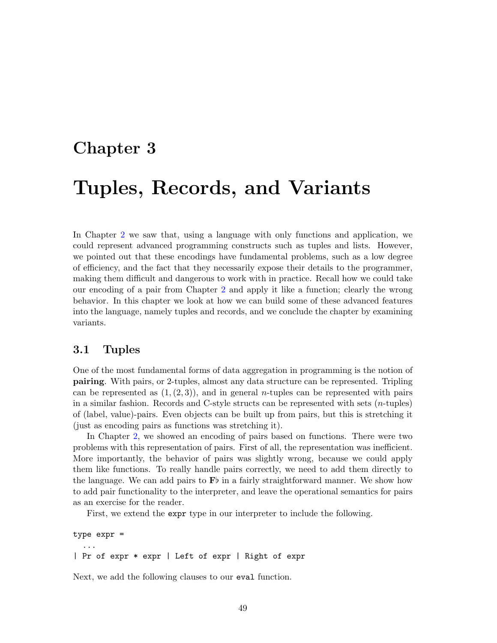## Chapter 3

# Tuples, Records, and Variants

In Chapter [2](#page-7-0) we saw that, using a language with only functions and application, we could represent advanced programming constructs such as tuples and lists. However, we pointed out that these encodings have fundamental problems, such as a low degree of efficiency, and the fact that they necessarily expose their details to the programmer, making them difficult and dangerous to work with in practice. Recall how we could take our encoding of a pair from Chapter [2](#page-7-0) and apply it like a function; clearly the wrong behavior. In this chapter we look at how we can build some of these advanced features into the language, namely tuples and records, and we conclude the chapter by examining variants.

## 3.1 Tuples

One of the most fundamental forms of data aggregation in programming is the notion of pairing. With pairs, or 2-tuples, almost any data structure can be represented. Tripling can be represented as  $(1, (2, 3))$ , and in general *n*-tuples can be represented with pairs in a similar fashion. Records and C-style structs can be represented with sets  $(n$ -tuples) of (label, value)-pairs. Even objects can be built up from pairs, but this is stretching it (just as encoding pairs as functions was stretching it).

In Chapter [2,](#page-7-0) we showed an encoding of pairs based on functions. There were two problems with this representation of pairs. First of all, the representation was inefficient. More importantly, the behavior of pairs was slightly wrong, because we could apply them like functions. To really handle pairs correctly, we need to add them directly to the language. We can add pairs to  $\mathbf{F}$  in a fairly straightforward manner. We show how to add pair functionality to the interpreter, and leave the operational semantics for pairs as an exercise for the reader.

First, we extend the expr type in our interpreter to include the following.

type expr = ... | Pr of expr \* expr | Left of expr | Right of expr

Next, we add the following clauses to our eval function.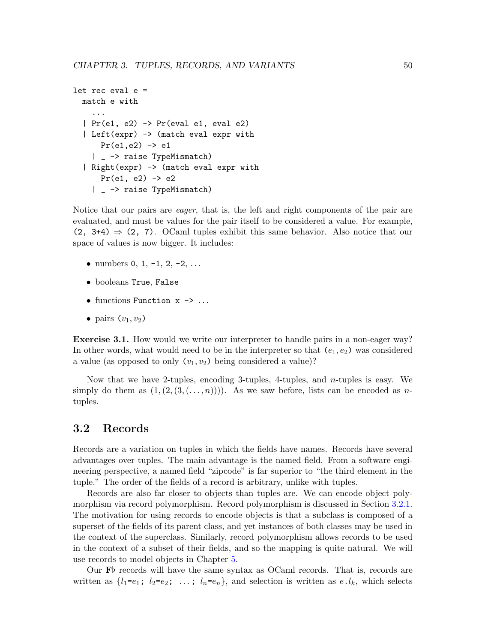```
let rec eval e =
  match e with
    ...
  | Pr(e1, e2) \rightarrow Pr(eval e1, eval e2)
  | Left(expr) -> (match eval expr with
      Pr(e1,e2) \rightarrow e1| _ -> raise TypeMismatch)
  | Right(expr) -> (match eval expr with
      Pr(e1, e2) \rightarrow e2| _ -> raise TypeMismatch)
```
Notice that our pairs are *eager*, that is, the left and right components of the pair are evaluated, and must be values for the pair itself to be considered a value. For example,  $(2, 3+4) \Rightarrow (2, 7)$ . OCaml tuples exhibit this same behavior. Also notice that our space of values is now bigger. It includes:

- numbers  $0, 1, -1, 2, -2, \ldots$
- booleans True, False
- functions Function  $x \rightarrow \ldots$
- pairs  $(v_1, v_2)$

Exercise 3.1. How would we write our interpreter to handle pairs in a non-eager way? In other words, what would need to be in the interpreter so that  $(e_1, e_2)$  was considered a value (as opposed to only  $(v_1, v_2)$  being considered a value)?

Now that we have 2-tuples, encoding 3-tuples, 4-tuples, and  $n$ -tuples is easy. We simply do them as  $(1,(2,(3,(...,n)))$ . As we saw before, lists can be encoded as ntuples.

## 3.2 Records

Records are a variation on tuples in which the fields have names. Records have several advantages over tuples. The main advantage is the named field. From a software engineering perspective, a named field "zipcode" is far superior to "the third element in the tuple." The order of the fields of a record is arbitrary, unlike with tuples.

Records are also far closer to objects than tuples are. We can encode object polymorphism via record polymorphism. Record polymorphism is discussed in Section [3.2.1.](#page-55-0) The motivation for using records to encode objects is that a subclass is composed of a superset of the fields of its parent class, and yet instances of both classes may be used in the context of the superclass. Similarly, record polymorphism allows records to be used in the context of a subset of their fields, and so the mapping is quite natural. We will use records to model objects in Chapter [5.](#page-82-0)

Our  $\mathbf{F}$  records will have the same syntax as OCaml records. That is, records are written as  $\{l_1=e_1; l_2=e_2; \ldots; l_n=e_n\}$ , and selection is written as  $e, l_k$ , which selects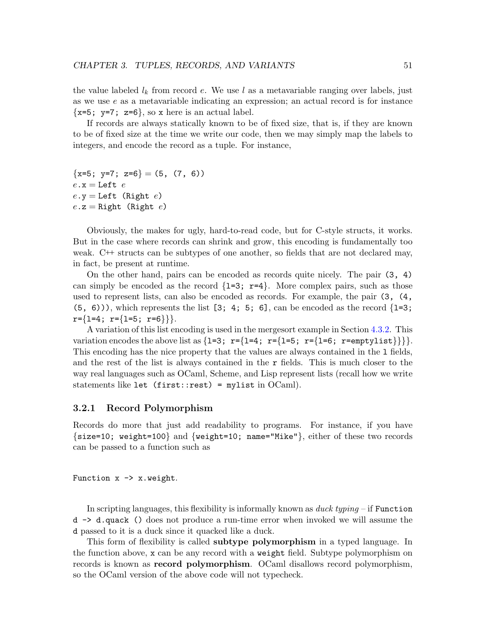the value labeled  $l_k$  from record e. We use l as a metavariable ranging over labels, just as we use e as a metavariable indicating an expression; an actual record is for instance  $\{x=5; y=7; z=6\}$ , so x here is an actual label.

If records are always statically known to be of fixed size, that is, if they are known to be of fixed size at the time we write our code, then we may simply map the labels to integers, and encode the record as a tuple. For instance,

```
{x=5; y=7; z=6} = (5, (7, 6))e \cdot x =Left ee \cdot y = Left (Right e)
e \cdot z =Right (Right e)
```
Obviously, the makes for ugly, hard-to-read code, but for C-style structs, it works. But in the case where records can shrink and grow, this encoding is fundamentally too weak. C++ structs can be subtypes of one another, so fields that are not declared may, in fact, be present at runtime.

On the other hand, pairs can be encoded as records quite nicely. The pair (3, 4) can simply be encoded as the record  $\{1=3; r=4\}$ . More complex pairs, such as those used to represent lists, can also be encoded as records. For example, the pair (3, (4,  $(5, 6)$ , which represents the list  $[3; 4; 5; 6]$ , can be encoded as the record  $\{1=3;$  $r=\{1=4; r=\{1=5; r=6\}\}.$ 

A variation of this list encoding is used in the mergesort example in Section [4.3.2.](#page-73-0) This variation encodes the above list as  $\{1=3; r=\{1=4; r=\{1=6; r=\text{emptylist}\}\}\}.$ This encoding has the nice property that the values are always contained in the l fields, and the rest of the list is always contained in the  $r$  fields. This is much closer to the way real languages such as OCaml, Scheme, and Lisp represent lists (recall how we write statements like let (first::rest) = mylist in  $OCaml$ .

#### <span id="page-55-0"></span>3.2.1 Record Polymorphism

Records do more that just add readability to programs. For instance, if you have {size=10; weight=100} and {weight=10; name="Mike"}, either of these two records can be passed to a function such as

Function  $x \rightarrow x$ . weight.

In scripting languages, this flexibility is informally known as  $\hat{a}$  duck typing – if Function d -> d.quack () does not produce a run-time error when invoked we will assume the d passed to it is a duck since it quacked like a duck.

This form of flexibility is called **subtype polymorphism** in a typed language. In the function above, x can be any record with a weight field. Subtype polymorphism on records is known as record polymorphism. OCaml disallows record polymorphism, so the OCaml version of the above code will not typecheck.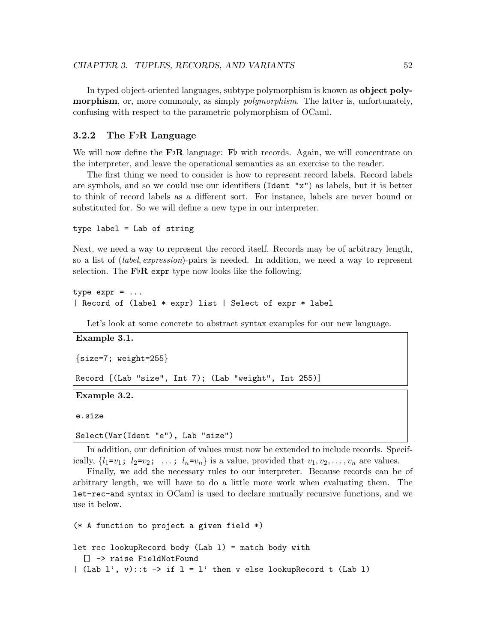In typed object-oriented languages, subtype polymorphism is known as object polymorphism, or, more commonly, as simply *polymorphism*. The latter is, unfortunately, confusing with respect to the parametric polymorphism of OCaml.

#### 3.2.2 The F $\mathbb{R}$  Language

We will now define the  $\mathbf{F} \flat \mathbf{R}$  language:  $\mathbf{F} \flat$  with records. Again, we will concentrate on the interpreter, and leave the operational semantics as an exercise to the reader.

The first thing we need to consider is how to represent record labels. Record labels are symbols, and so we could use our identifiers (Ident "x") as labels, but it is better to think of record labels as a different sort. For instance, labels are never bound or substituted for. So we will define a new type in our interpreter.

```
type label = Lab of string
```
Next, we need a way to represent the record itself. Records may be of arbitrary length, so a list of *(label, expression*)-pairs is needed. In addition, we need a way to represent selection. The  $\mathbf{F} \flat \mathbf{R}$  expr type now looks like the following.

```
type expr = ...| Record of (label * expr) list | Select of expr * label
```
Let's look at some concrete to abstract syntax examples for our new language.

```
Example 3.1.
{size=7; weight=255}Record [(Lab "size", Int 7); (Lab "weight", Int 255)]
Example 3.2.
```
e.size

```
Select(Var(Ident "e"), Lab "size")
```
In addition, our definition of values must now be extended to include records. Specifically,  $\{l_1=v_1; l_2=v_2; \ldots; l_n=v_n\}$  is a value, provided that  $v_1, v_2, \ldots, v_n$  are values.

Finally, we add the necessary rules to our interpreter. Because records can be of arbitrary length, we will have to do a little more work when evaluating them. The let-rec-and syntax in OCaml is used to declare mutually recursive functions, and we use it below.

(\* A function to project a given field \*)

```
let rec lookupRecord body (Lab 1) = match body with
  [] -> raise FieldNotFound
| (Lab l', v)::t -> if l = l' then v else lookupRecord t (Lab 1)
```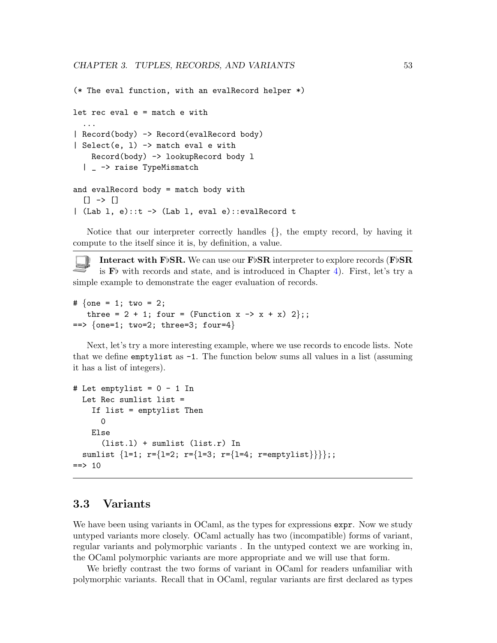```
(* The eval function, with an evalRecord helper *)
let rec eval e = match e with
  ...
| Record(body) -> Record(evalRecord body)
| Select(e, l) -> match eval e with
    Record(body) -> lookupRecord body l
  | _ -> raise TypeMismatch
and evalRecord body = match body with
  [] -> []| (Lab l, e)::t -> (Lab l, eval e)::evalRecord t
```
Notice that our interpreter correctly handles {}, the empty record, by having it compute to the itself since it is, by definition, a value.

Interact with F<sub>b</sub>SR. We can use our F<sub>b</sub>SR interpreter to explore records (F<sub>bSR</sub>) is  $\mathbf{F}^{\flat}$  with records and state, and is introduced in Chapter [4\)](#page-61-0). First, let's try a simple example to demonstrate the eager evaluation of records.

```
# \{one = 1; two = 2;three = 2 + 1; four = (Function x -> x + x) 2};;
== {one=1; two=2; three=3; four=4}
```
Next, let's try a more interesting example, where we use records to encode lists. Note that we define emptylist as  $-1$ . The function below sums all values in a list (assuming it has a list of integers).

```
# Let emptylist = 0 - 1 In
 Let Rec sumlist list =
    If list = emptylist Then
      0
    Else
      (list.l) + sumlist (list.r) In
  sumlist \{l=1; r=\{l=2; r=\{l=3; r=\{l=4; r=emptylist\}\}\};;
== 10
```
## 3.3 Variants

We have been using variants in OCaml, as the types for expressions expr. Now we study untyped variants more closely. OCaml actually has two (incompatible) forms of variant, regular variants and polymorphic variants . In the untyped context we are working in, the OCaml polymorphic variants are more appropriate and we will use that form.

We briefly contrast the two forms of variant in OCaml for readers unfamiliar with polymorphic variants. Recall that in OCaml, regular variants are first declared as types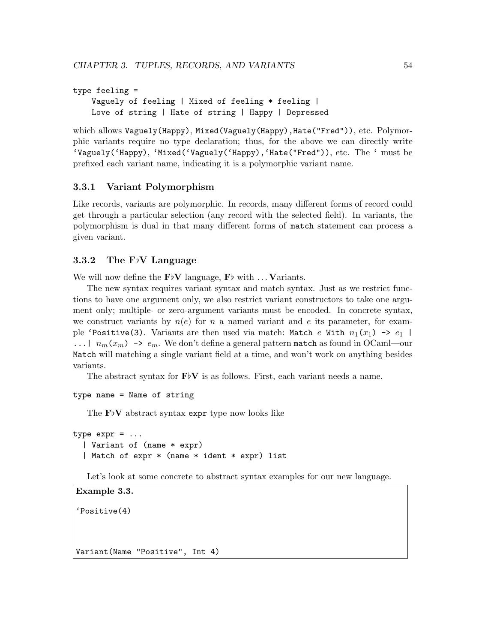```
type feeling =
   Vaguely of feeling | Mixed of feeling * feeling |
   Love of string | Hate of string | Happy | Depressed
```
which allows Vaguely(Happy), Mixed(Vaguely(Happy), Hate("Fred")), etc. Polymorphic variants require no type declaration; thus, for the above we can directly write 'Vaguely('Happy), 'Mixed('Vaguely('Happy),'Hate("Fred")), etc. The ' must be prefixed each variant name, indicating it is a polymorphic variant name.

#### 3.3.1 Variant Polymorphism

Like records, variants are polymorphic. In records, many different forms of record could get through a particular selection (any record with the selected field). In variants, the polymorphism is dual in that many different forms of match statement can process a given variant.

### 3.3.2 The  $F\flat V$  Language

We will now define the  $F\flat V$  language,  $F\flat$  with  $\ldots$  Variants.

The new syntax requires variant syntax and match syntax. Just as we restrict functions to have one argument only, we also restrict variant constructors to take one argument only; multiple- or zero-argument variants must be encoded. In concrete syntax, we construct variants by  $n(e)$  for n a named variant and e its parameter, for example 'Positive(3). Variants are then used via match: Match e With  $n_1(x_1) \rightarrow e_1$  | ...  $\mid n_m(x_m) \rightarrow e_m$ . We don't define a general pattern match as found in OCaml—our Match will matching a single variant field at a time, and won't work on anything besides variants.

The abstract syntax for  $\mathbf{F}^{\dagger}\mathbf{V}$  is as follows. First, each variant needs a name.

```
type name = Name of string
```
The  $F\flat V$  abstract syntax expr type now looks like

```
type expr = ...| Variant of (name * expr)
  | Match of expr * (name * ident * expr) list
```
Let's look at some concrete to abstract syntax examples for our new language.

```
Example 3.3.
'Positive(4)
Variant(Name "Positive", Int 4)
```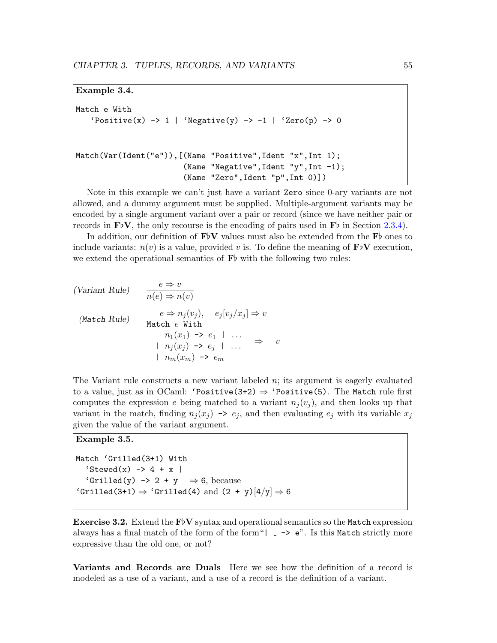```
Example 3.4.
```

```
Match e With
   'Positive(x) \rightarrow 1 | 'Negative(y) \rightarrow -1 | 'Zero(p) \rightarrow 0
Match(Var(Ident("e")),[(Name "Positive",Ident "x",Int 1);
                           (Name "Negative",Ident "y",Int -1);
                           (Name "Zero",Ident "p",Int 0)])
```
Note in this example we can't just have a variant Zero since 0-ary variants are not allowed, and a dummy argument must be supplied. Multiple-argument variants may be encoded by a single argument variant over a pair or record (since we have neither pair or records in  $\mathbf{F}^{\dagger}\mathbf{V}$ , the only recourse is the encoding of pairs used in  $\mathbf{F}^{\dagger}$  in Section [2.3.4\)](#page-32-0).

In addition, our definition of  $F\flat V$  values must also be extended from the  $F\flat$  ones to include variants:  $n(v)$  is a value, provided v is. To define the meaning of  $\mathbf{F}^{\dagger}V$  execution, we extend the operational semantics of  $\mathbf{F}$  with the following two rules:

(Variant Rule) 
$$
\frac{e \Rightarrow v}{n(e) \Rightarrow n(v)}
$$
  
(Match Rule) 
$$
\frac{e \Rightarrow n_j(v_j), e_j[v_j/x_j] \Rightarrow v}{\text{Match } e \text{ With}}
$$

$$
n_1(x_1) \Rightarrow e_1 \mid ... \Rightarrow v
$$

$$
n_j(x_j) \Rightarrow e_j \mid ... \Rightarrow v
$$

$$
n_m(x_m) \Rightarrow e_m
$$

The Variant rule constructs a new variant labeled  $n$ ; its argument is eagerly evaluated to a value, just as in OCaml: 'Positive(3+2)  $\Rightarrow$  'Positive(5). The Match rule first computes the expression e being matched to a variant  $n_i(v_i)$ , and then looks up that variant in the match, finding  $n_j(x_j) \rightarrow e_j$ , and then evaluating  $e_j$  with its variable  $x_j$ given the value of the variant argument.

#### Example 3.5.

Match 'Grilled(3+1) With  $'Stewed(x) \rightarrow 4 + x$  | 'Grilled(y)  $\rightarrow$  2 + y  $\Rightarrow$  6, because 'Grilled(3+1)  $\Rightarrow$  'Grilled(4) and (2 + y)[4/y]  $\Rightarrow$  6

**Exercise 3.2.** Extend the  $F\ntriangleright V$  syntax and operational semantics so the Match expression always has a final match of the form of the form"| -> e". Is this Match strictly more expressive than the old one, or not?

Variants and Records are Duals Here we see how the definition of a record is modeled as a use of a variant, and a use of a record is the definition of a variant.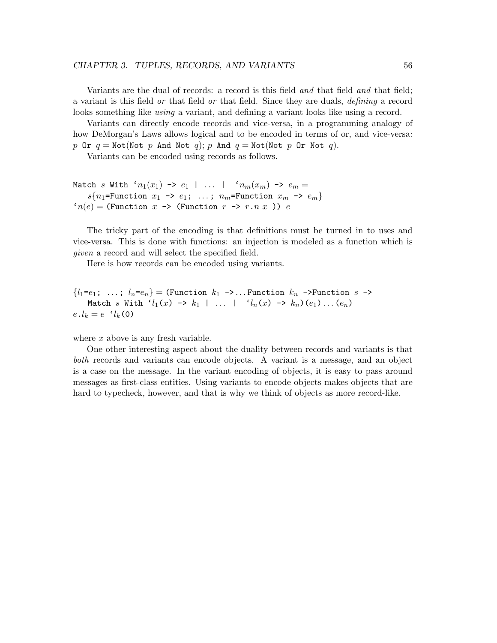Variants are the dual of records: a record is this field and that field and that field; a variant is this field or that field or that field. Since they are duals, defining a record looks something like *using* a variant, and defining a variant looks like using a record.

Variants can directly encode records and vice-versa, in a programming analogy of how DeMorgan's Laws allows logical and to be encoded in terms of or, and vice-versa: p Or  $q = \text{Not}(\text{Not } p$  And Not q); p And  $q = \text{Not}(\text{Not } p$  Or Not q).

Variants can be encoded using records as follows.

```
Match s With 'n_1(x_1) \rightarrow e_1 + \ldots + n_m(x_m) \rightarrow e_m =s\{n_1=Function x_1 \rightarrow e_1; \ldots; n_m=Function x_m \rightarrow e_m\}n(e) = (Function x \rightarrow (Function r \rightarrow r.n x)) e
```
The tricky part of the encoding is that definitions must be turned in to uses and vice-versa. This is done with functions: an injection is modeled as a function which is given a record and will select the specified field.

Here is how records can be encoded using variants.

 ${l_1=e_1; \ldots; l_n=e_n} =$  (Function  $k_1 \rightarrow \ldots$  Function  $k_n \rightarrow$ Function  $s \rightarrow$ Match s With ' $l_1(x) \rightarrow k_1$  | ... | ' $l_n(x) \rightarrow k_n$   $(e_1) \ldots (e_n)$  $e.l_k = e \t l_k(0)$ 

where  $x$  above is any fresh variable.

One other interesting aspect about the duality between records and variants is that both records and variants can encode objects. A variant is a message, and an object is a case on the message. In the variant encoding of objects, it is easy to pass around messages as first-class entities. Using variants to encode objects makes objects that are hard to typecheck, however, and that is why we think of objects as more record-like.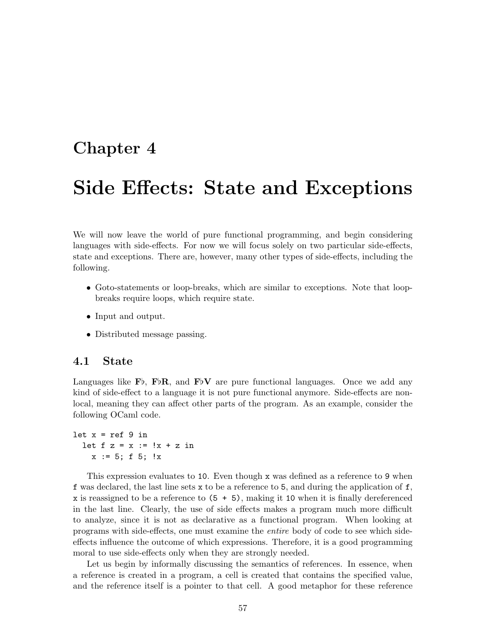## <span id="page-61-0"></span>Chapter 4

# Side Effects: State and Exceptions

We will now leave the world of pure functional programming, and begin considering languages with side-effects. For now we will focus solely on two particular side-effects, state and exceptions. There are, however, many other types of side-effects, including the following.

- Goto-statements or loop-breaks, which are similar to exceptions. Note that loopbreaks require loops, which require state.
- Input and output.
- Distributed message passing.

### 4.1 State

Languages like  $\mathbf{F}\flat$ ,  $\mathbf{F}\flat\mathbf{R}$ , and  $\mathbf{F}\flat\mathbf{V}$  are pure functional languages. Once we add any kind of side-effect to a language it is not pure functional anymore. Side-effects are nonlocal, meaning they can affect other parts of the program. As an example, consider the following OCaml code.

let  $x = ref 9 in$ let  $f z = x := |x + z|$  $x := 5; f 5; !x$ 

This expression evaluates to 10. Even though x was defined as a reference to 9 when f was declared, the last line sets  $x$  to be a reference to 5, and during the application of f, x is reassigned to be a reference to  $(5 + 5)$ , making it 10 when it is finally dereferenced in the last line. Clearly, the use of side effects makes a program much more difficult to analyze, since it is not as declarative as a functional program. When looking at programs with side-effects, one must examine the entire body of code to see which sideeffects influence the outcome of which expressions. Therefore, it is a good programming moral to use side-effects only when they are strongly needed.

Let us begin by informally discussing the semantics of references. In essence, when a reference is created in a program, a cell is created that contains the specified value, and the reference itself is a pointer to that cell. A good metaphor for these reference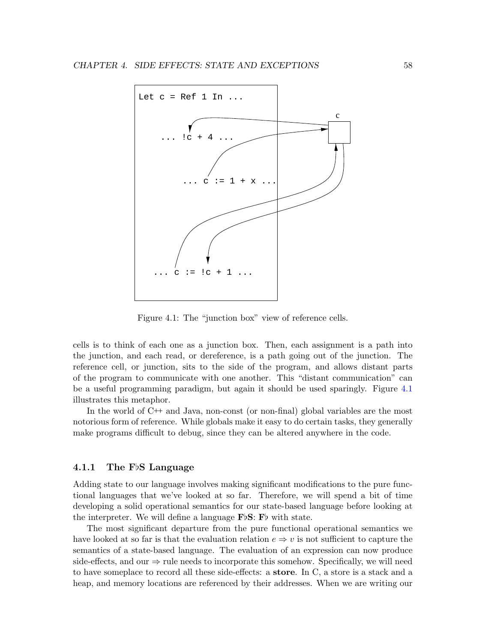

<span id="page-62-0"></span>Figure 4.1: The "junction box" view of reference cells.

cells is to think of each one as a junction box. Then, each assignment is a path into the junction, and each read, or dereference, is a path going out of the junction. The reference cell, or junction, sits to the side of the program, and allows distant parts of the program to communicate with one another. This "distant communication" can be a useful programming paradigm, but again it should be used sparingly. Figure [4.1](#page-62-0) illustrates this metaphor.

In the world of C++ and Java, non-const (or non-final) global variables are the most notorious form of reference. While globals make it easy to do certain tasks, they generally make programs difficult to debug, since they can be altered anywhere in the code.

#### 4.1.1 The F $\beta$ S Language

Adding state to our language involves making significant modifications to the pure functional languages that we've looked at so far. Therefore, we will spend a bit of time developing a solid operational semantics for our state-based language before looking at the interpreter. We will define a language  $\mathbf{F} \flat \mathbf{S}$ :  $\mathbf{F} \flat$  with state.

The most significant departure from the pure functional operational semantics we have looked at so far is that the evaluation relation  $e \Rightarrow v$  is not sufficient to capture the semantics of a state-based language. The evaluation of an expression can now produce side-effects, and our  $\Rightarrow$  rule needs to incorporate this somehow. Specifically, we will need to have someplace to record all these side-effects: a store. In C, a store is a stack and a heap, and memory locations are referenced by their addresses. When we are writing our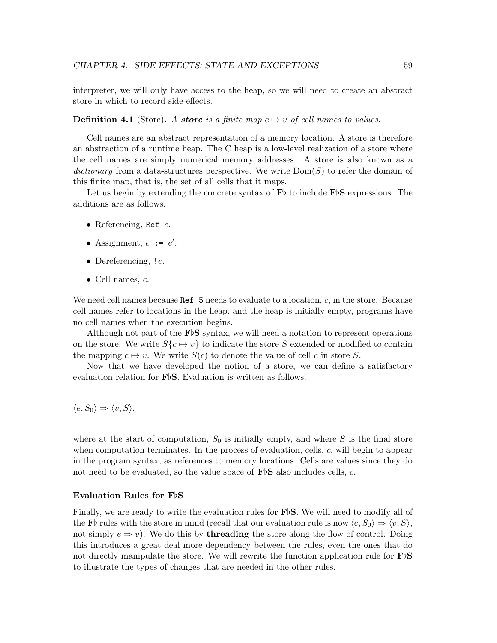interpreter, we will only have access to the heap, so we will need to create an abstract store in which to record side-effects.

#### **Definition 4.1** (Store). A store is a finite map  $c \mapsto v$  of cell names to values.

Cell names are an abstract representation of a memory location. A store is therefore an abstraction of a runtime heap. The C heap is a low-level realization of a store where the cell names are simply numerical memory addresses. A store is also known as a dictionary from a data-structures perspective. We write  $Dom(S)$  to refer the domain of this finite map, that is, the set of all cells that it maps.

Let us begin by extending the concrete syntax of  $\mathbf{F}$  to include  $\mathbf{F}$  expressions. The additions are as follows.

- Referencing, Ref  $e$ .
- Assignment,  $e := e'$ .
- Dereferencing, *!e.*
- Cell names,  $c$ .

We need cell names because Ref  $5$  needs to evaluate to a location,  $c$ , in the store. Because cell names refer to locations in the heap, and the heap is initially empty, programs have no cell names when the execution begins.

Although not part of the  $\text{F} \triangleright \text{S}$  syntax, we will need a notation to represent operations on the store. We write  $S\{c \mapsto v\}$  to indicate the store S extended or modified to contain the mapping  $c \mapsto v$ . We write  $S(c)$  to denote the value of cell c in store S.

Now that we have developed the notion of a store, we can define a satisfactory evaluation relation for  $\mathbf{F}\flat\mathbf{S}$ . Evaluation is written as follows.

$$
\langle e, S_0 \rangle \Rightarrow \langle v, S \rangle,
$$

where at the start of computation,  $S_0$  is initially empty, and where S is the final store when computation terminates. In the process of evaluation, cells,  $c$ , will begin to appear in the program syntax, as references to memory locations. Cells are values since they do not need to be evaluated, so the value space of  $\mathbf{F}\flat\mathbf{S}$  also includes cells, c.

#### Evaluation Rules for  $F\nmid S$

Finally, we are ready to write the evaluation rules for  $F\flat S$ . We will need to modify all of the F<sub>b</sub> rules with the store in mind (recall that our evaluation rule is now  $\langle e, S_0 \rangle \Rightarrow \langle v, S \rangle$ , not simply  $e \Rightarrow v$ ). We do this by **threading** the store along the flow of control. Doing this introduces a great deal more dependency between the rules, even the ones that do not directly manipulate the store. We will rewrite the function application rule for  $F\flat S$ to illustrate the types of changes that are needed in the other rules.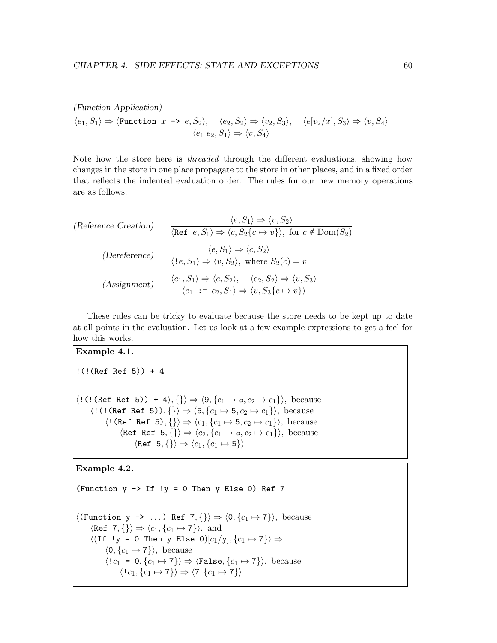(Function Application)  $\langle e_1, S_1\rangle \Rightarrow \langle \text{Function } x \Rightarrow e, S_2\rangle, \quad \langle e_2, S_2\rangle \Rightarrow \langle v_2, S_3\rangle, \quad \langle e[v_2/x], S_3\rangle \Rightarrow \langle v, S_4\rangle$  $\langle e_1 \ e_2, S_1 \rangle \Rightarrow \langle v, S_4 \rangle$ 

Note how the store here is threaded through the different evaluations, showing how changes in the store in one place propagate to the store in other places, and in a fixed order that reflects the indented evaluation order. The rules for our new memory operations are as follows.

(Reference Creation) 
$$
\langle e, S_1 \rangle \Rightarrow \langle v, S_2 \rangle
$$
  
\n $\langle \text{Ref } e, S_1 \rangle \Rightarrow \langle c, S_2 \{c \mapsto v\} \rangle$ , for  $c \notin \text{Dom}(S_2)$   
\n(Decreence)  $\langle e, S_1 \rangle \Rightarrow \langle c, S_2 \rangle$   
\n $\langle 1e, S_1 \rangle \Rightarrow \langle v, S_2 \rangle$ , where  $S_2(c) = v$   
\n(Assignment)  $\frac{\langle e_1, S_1 \rangle \Rightarrow \langle c, S_2 \rangle, \langle e_2, S_2 \rangle \Rightarrow \langle v, S_3 \rangle}{\langle e_1 := e_2, S_1 \rangle \Rightarrow \langle v, S_3 \{c \mapsto v\} \rangle}$ 

These rules can be tricky to evaluate because the store needs to be kept up to date at all points in the evaluation. Let us look at a few example expressions to get a feel for how this works.

#### Example 4.1.

```
!(!(Ref Ref 5)) + 4
\langle \texttt{!} (\texttt{Ref Ref 5)}) + 4 \rangle, \{\} \rangle \Rightarrow \langle 9, \{c_1 \mapsto 5, c_2 \mapsto c_1\} \rangle, \text{ because}\langle!(!(Ref Ref 5)), {}\rightarrow \langle 5, \{c_1 \mapsto 5, c_2 \mapsto c_1\}\rangle, because
               \langle!(Ref Ref 5), {}i \Rightarrow \langle c_1, \{c_1 \mapsto 5, c_2 \mapsto c_1\} \rangle, because
                       \langle \text{Ref } \text{Ref } 5, \{\} \rangle \Rightarrow \langle c_2, \{c_1 \mapsto 5, c_2 \mapsto c_1\} \rangle, because
                               \langle \text{Ref } 5, \{\} \rangle \Rightarrow \langle c_1, \{c_1 \mapsto 5\} \rangle
```
### Example 4.2.

```
(Function y \rightarrow If !y = 0 Then y Else 0) Ref 7
\langle(Function y -> ...) Ref 7, {}\ \Rightarrow \langle 0, \{c_1 \mapsto 7\} \rangle, because
       \langle \text{Ref } 7, {\{\}\rangle \Rightarrow \langle c_1, {\{c_1 \mapsto 7\}\rangle}, \text{ and}\langle (If \ y = 0 \ Then y Else 0)[c_1/y], \{c_1 \mapsto 7\}\rangle \Rightarrow\langle 0, \{c_1 \mapsto 7\}\rangle, because
              \langle !c_1 = 0, \{c_1 \mapsto 7\}\rangle \Rightarrow \langle \texttt{False}, \{c_1 \mapsto 7\}\rangle, because
                     \langle!c_1, \{c_1 \mapsto 7\}\rangle \Rightarrow \langle 7, \{c_1 \mapsto 7\}\rangle
```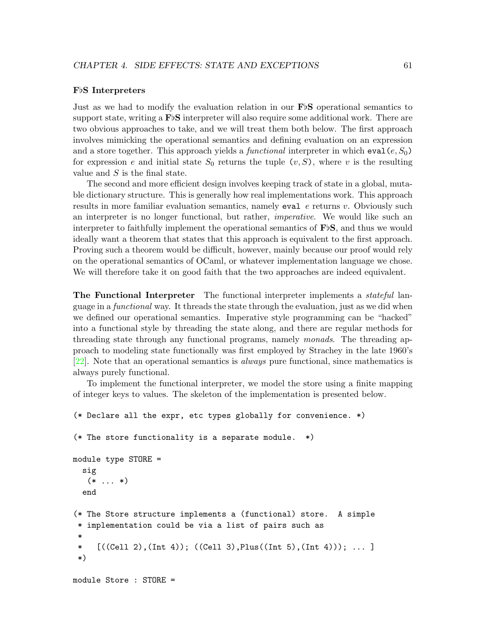#### FbS Interpreters

Just as we had to modify the evaluation relation in our  $\mathbf{F} \flat \mathbf{S}$  operational semantics to support state, writing a  $\text{F}^{\flat}S$  interpreter will also require some additional work. There are two obvious approaches to take, and we will treat them both below. The first approach involves mimicking the operational semantics and defining evaluation on an expression and a store together. This approach yields a *functional* interpreter in which  $eval(e, S_0)$ for expression e and initial state  $S_0$  returns the tuple  $(v, S)$ , where v is the resulting value and  $S$  is the final state.

The second and more efficient design involves keeping track of state in a global, mutable dictionary structure. This is generally how real implementations work. This approach results in more familiar evaluation semantics, namely eval  $e$  returns v. Obviously such an interpreter is no longer functional, but rather, imperative. We would like such an interpreter to faithfully implement the operational semantics of  $\mathbf{F}\flat\mathbf{S}$ , and thus we would ideally want a theorem that states that this approach is equivalent to the first approach. Proving such a theorem would be difficult, however, mainly because our proof would rely on the operational semantics of OCaml, or whatever implementation language we chose. We will therefore take it on good faith that the two approaches are indeed equivalent.

**The Functional Interpreter** The functional interpreter implements a *stateful* language in a functional way. It threads the state through the evaluation, just as we did when we defined our operational semantics. Imperative style programming can be "hacked" into a functional style by threading the state along, and there are regular methods for threading state through any functional programs, namely monads. The threading approach to modeling state functionally was first employed by Strachey in the late 1960's [\[22\]](#page-160-2). Note that an operational semantics is always pure functional, since mathematics is always purely functional.

To implement the functional interpreter, we model the store using a finite mapping of integer keys to values. The skeleton of the implementation is presented below.

```
(* Declare all the expr, etc types globally for convenience. *)
(* The store functionality is a separate module. *)
module type STORE =
  sig
   (* \ldots *)end
(* The Store structure implements a (functional) store. A simple
 * implementation could be via a list of pairs such as
 *
 * [((Cell 2),(Int 4)); ((Cell 3),Plus((Int 5),(Int 4))); ... ]
 *)
module Store : STORE =
```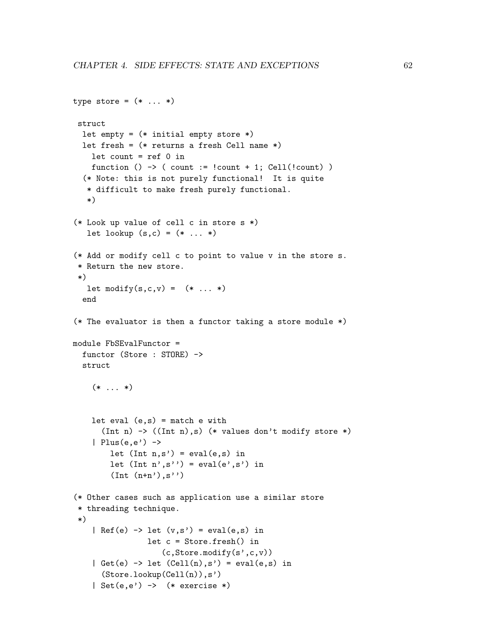```
type store = (* \dots *)struct
  let empty = (* initial empty store *)let fresh = (* returns a fresh Cell name *)let count = ref 0 infunction () \rightarrow ( count := !count + 1; Cell(!count) )
  (* Note: this is not purely functional! It is quite
   * difficult to make fresh purely functional.
   *)
(* Look up value of cell c in store s *)
   let lookup (s, c) = (* ... *)(* Add or modify cell c to point to value v in the store s.
 * Return the new store.
 *)
   let \text{modify}(s, c, v) = (* \dots *)end
(* The evaluator is then a functor taking a store module *)
module FbSEvalFunctor =
  functor (Store : STORE) ->
  struct
    (* \ldots *)let eval (e,s) = match e with
      (Int n) \rightarrow ((Int n),s) (* values don't modify store *)
    | Plus(e,e') \rightarrowlet (int n, s') = eval(e, s) in
        let (int n', s'') = eval(e', s') in
        (int (n+n'), s'')(* Other cases such as application use a similar store
 * threading technique.
 *)
    | Ref(e) \rightarrow let (v,s') = eval(e,s) in
                 let c = Store.fresh() in
                    (c,Store.modify(s',c,v))
    | Get(e) \rightarrow let (Cell(n),s') = eval(e,s) in
      (Store.lookup(Cell(n)),s')
    | Set(e,e') -> (* exercise *)
```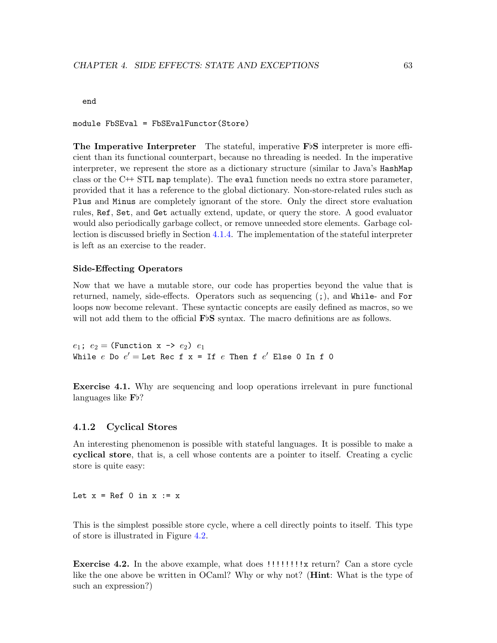#### end

module FbSEval = FbSEvalFunctor(Store)

The Imperative Interpreter The stateful, imperative  $F\flat S$  interpreter is more efficient than its functional counterpart, because no threading is needed. In the imperative interpreter, we represent the store as a dictionary structure (similar to Java's HashMap class or the  $C++$  STL map template). The eval function needs no extra store parameter, provided that it has a reference to the global dictionary. Non-store-related rules such as Plus and Minus are completely ignorant of the store. Only the direct store evaluation rules, Ref, Set, and Get actually extend, update, or query the store. A good evaluator would also periodically garbage collect, or remove unneeded store elements. Garbage collection is discussed briefly in Section [4.1.4.](#page-69-0) The implementation of the stateful interpreter is left as an exercise to the reader.

#### <span id="page-67-1"></span>Side-Effecting Operators

Now that we have a mutable store, our code has properties beyond the value that is returned, namely, side-effects. Operators such as sequencing (;), and While- and For loops now become relevant. These syntactic concepts are easily defined as macros, so we will not add them to the official  $\mathbf{F}\triangleright\mathbf{S}$  syntax. The macro definitions are as follows.

 $e_1$ ;  $e_2$  = (Function x ->  $e_2$ )  $e_1$ While  $e$  Do  $e' =$  Let Rec f  $x =$  If  $e$  Then f  $e'$  Else O In f O

Exercise 4.1. Why are sequencing and loop operations irrelevant in pure functional languages like  $\mathbf{F}$ <sup>2</sup>?

#### 4.1.2 Cyclical Stores

An interesting phenomenon is possible with stateful languages. It is possible to make a cyclical store, that is, a cell whose contents are a pointer to itself. Creating a cyclic store is quite easy:

Let  $x = \text{Ref } 0$  in  $x := x$ 

This is the simplest possible store cycle, where a cell directly points to itself. This type of store is illustrated in Figure [4.2.](#page-68-0)

<span id="page-67-0"></span>Exercise 4.2. In the above example, what does !!!!!!!! x return? Can a store cycle like the one above be written in OCaml? Why or why not? (Hint: What is the type of such an expression?)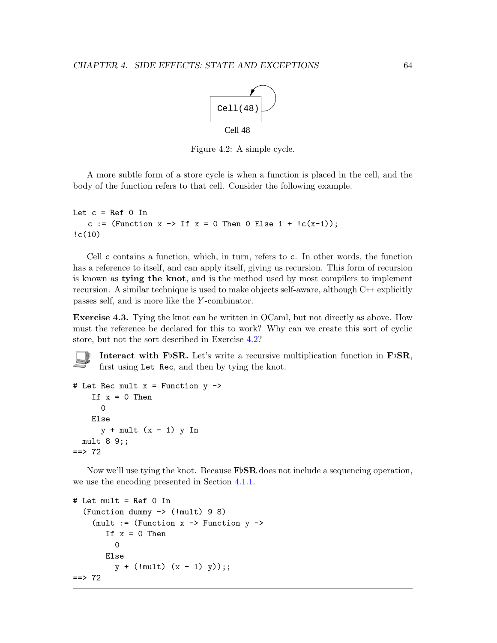

<span id="page-68-0"></span>Figure 4.2: A simple cycle.

A more subtle form of a store cycle is when a function is placed in the cell, and the body of the function refers to that cell. Consider the following example.

```
Let c = \text{Ref } 0 In
   c := (Function x \to If x = 0 Then 0 Else 1 + lc(x-1));
!c(10)
```
Cell c contains a function, which, in turn, refers to c. In other words, the function has a reference to itself, and can apply itself, giving us recursion. This form of recursion is known as tying the knot, and is the method used by most compilers to implement recursion. A similar technique is used to make objects self-aware, although  $C \rightarrow$  explicitly passes self, and is more like the Y -combinator.

Exercise 4.3. Tying the knot can be written in OCaml, but not directly as above. How must the reference be declared for this to work? Why can we create this sort of cyclic store, but not the sort described in Exercise [4.2?](#page-67-0)

**Interact with FbSR.** Let's write a recursive multiplication function in FbSR, first using Let Rec, and then by tying the knot.

```
# Let Rec mult x = Function y \rightarrowIf x = 0 Then
      0
    Else
      y + mult (x - 1) y Inmult 8 9;;
==> 72
```
Now we'll use tying the knot. Because  $\text{F} \text{S} \text{R}$  does not include a sequencing operation, we use the encoding presented in Section [4.1.1.](#page-67-1)

```
# Let mult = Ref 0 In
  (Function dummy -> (!mult) 9 8)
    (mult := (Function x \rightarrow Function y \rightarrowIf x = 0 Then
          \overline{O}Else
          y + (1mult) (x - 1) y);;
== 72
```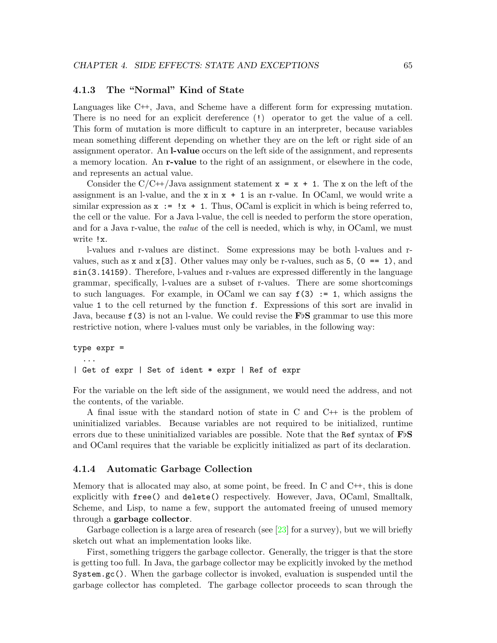#### 4.1.3 The "Normal" Kind of State

Languages like C++, Java, and Scheme have a different form for expressing mutation. There is no need for an explicit dereference (!) operator to get the value of a cell. This form of mutation is more difficult to capture in an interpreter, because variables mean something different depending on whether they are on the left or right side of an assignment operator. An l-value occurs on the left side of the assignment, and represents a memory location. An r-value to the right of an assignment, or elsewhere in the code, and represents an actual value.

Consider the  $C/C+$ /Java assignment statement  $x = x + 1$ . The x on the left of the assignment is an l-value, and the  $x$  in  $x + 1$  is an r-value. In OCaml, we would write a similar expression as  $x := x + 1$ . Thus, OCaml is explicit in which is being referred to, the cell or the value. For a Java l-value, the cell is needed to perform the store operation, and for a Java r-value, the *value* of the cell is needed, which is why, in OCaml, we must write !x.

l-values and r-values are distinct. Some expressions may be both l-values and rvalues, such as x and  $x[3]$ . Other values may only be r-values, such as 5,  $(0 == 1)$ , and sin(3.14159). Therefore, l-values and r-values are expressed differently in the language grammar, specifically, l-values are a subset of r-values. There are some shortcomings to such languages. For example, in OCaml we can say  $f(3) := 1$ , which assigns the value 1 to the cell returned by the function f. Expressions of this sort are invalid in Java, because  $f(3)$  is not an l-value. We could revise the FbS grammar to use this more restrictive notion, where l-values must only be variables, in the following way:

## type expr = ... | Get of expr | Set of ident \* expr | Ref of expr

For the variable on the left side of the assignment, we would need the address, and not the contents, of the variable.

A final issue with the standard notion of state in C and C++ is the problem of uninitialized variables. Because variables are not required to be initialized, runtime errors due to these uninitialized variables are possible. Note that the Ref syntax of  $F\flat S$ and OCaml requires that the variable be explicitly initialized as part of its declaration.

#### <span id="page-69-0"></span>4.1.4 Automatic Garbage Collection

Memory that is allocated may also, at some point, be freed. In C and C<sup>++</sup>, this is done explicitly with free() and delete() respectively. However, Java, OCaml, Smalltalk, Scheme, and Lisp, to name a few, support the automated freeing of unused memory through a garbage collector.

Garbage collection is a large area of research (see  $\left[23\right]$  for a survey), but we will briefly sketch out what an implementation looks like.

First, something triggers the garbage collector. Generally, the trigger is that the store is getting too full. In Java, the garbage collector may be explicitly invoked by the method System.gc(). When the garbage collector is invoked, evaluation is suspended until the garbage collector has completed. The garbage collector proceeds to scan through the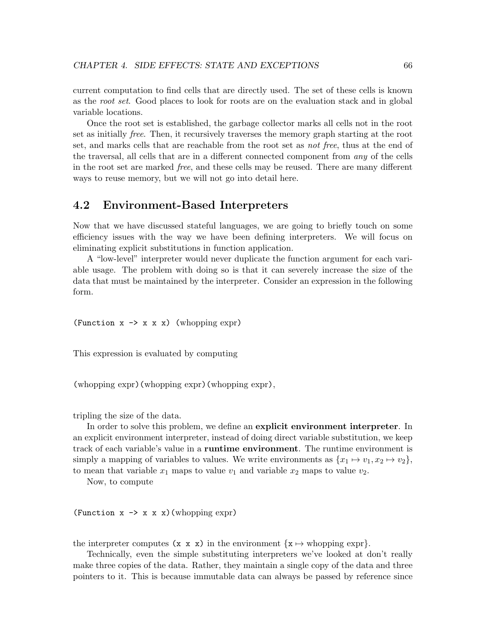current computation to find cells that are directly used. The set of these cells is known as the root set. Good places to look for roots are on the evaluation stack and in global variable locations.

Once the root set is established, the garbage collector marks all cells not in the root set as initially free. Then, it recursively traverses the memory graph starting at the root set, and marks cells that are reachable from the root set as not free, thus at the end of the traversal, all cells that are in a different connected component from any of the cells in the root set are marked free, and these cells may be reused. There are many different ways to reuse memory, but we will not go into detail here.

## 4.2 Environment-Based Interpreters

Now that we have discussed stateful languages, we are going to briefly touch on some efficiency issues with the way we have been defining interpreters. We will focus on eliminating explicit substitutions in function application.

A "low-level" interpreter would never duplicate the function argument for each variable usage. The problem with doing so is that it can severely increase the size of the data that must be maintained by the interpreter. Consider an expression in the following form.

(Function  $x \rightarrow x \times x$ ) (whopping expr)

This expression is evaluated by computing

(whopping expr)(whopping expr)(whopping expr),

tripling the size of the data.

In order to solve this problem, we define an explicit environment interpreter. In an explicit environment interpreter, instead of doing direct variable substitution, we keep track of each variable's value in a runtime environment. The runtime environment is simply a mapping of variables to values. We write environments as  $\{x_1 \mapsto v_1, x_2 \mapsto v_2\}$ , to mean that variable  $x_1$  maps to value  $v_1$  and variable  $x_2$  maps to value  $v_2$ .

Now, to compute

(Function  $x \rightarrow x \times x$ ) (whopping expr)

the interpreter computes  $(x \times x)$  in the environment  $\{x \mapsto$  whopping expr}.

Technically, even the simple substituting interpreters we've looked at don't really make three copies of the data. Rather, they maintain a single copy of the data and three pointers to it. This is because immutable data can always be passed by reference since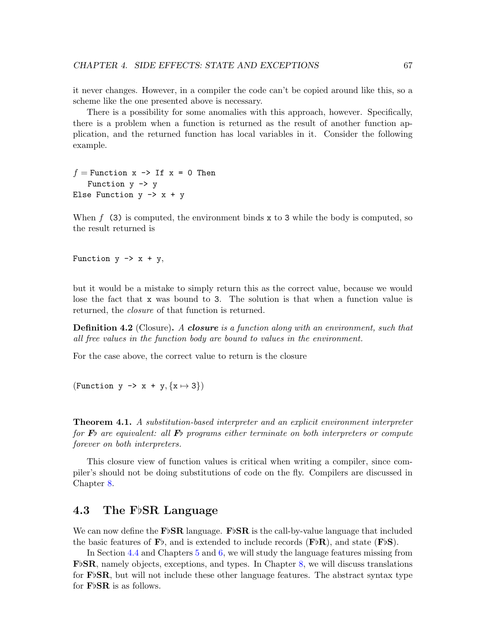it never changes. However, in a compiler the code can't be copied around like this, so a scheme like the one presented above is necessary.

There is a possibility for some anomalies with this approach, however. Specifically, there is a problem when a function is returned as the result of another function application, and the returned function has local variables in it. Consider the following example.

 $f =$  Function x  $\rightarrow$  If x = 0 Then Function  $y \rightarrow y$ Else Function  $y \rightarrow x + y$ 

When  $f(3)$  is computed, the environment binds x to 3 while the body is computed, so the result returned is

Function  $y \rightarrow x + y$ ,

but it would be a mistake to simply return this as the correct value, because we would lose the fact that x was bound to 3. The solution is that when a function value is returned, the *closure* of that function is returned.

**Definition 4.2** (Closure). A **closure** is a function along with an environment, such that all free values in the function body are bound to values in the environment.

For the case above, the correct value to return is the closure

(Function y  $\rightarrow$  x + y, {x  $\rightarrow$  3})

**Theorem 4.1.** A substitution-based interpreter and an explicit environment interpreter for  $\mathbf{F}$  are equivalent: all  $\mathbf{F}$  programs either terminate on both interpreters or compute forever on both interpreters.

This closure view of function values is critical when writing a compiler, since compiler's should not be doing substitutions of code on the fly. Compilers are discussed in Chapter [8.](#page-137-0)

## 4.3 The FbSR Language

We can now define the FbSR language. FbSR is the call-by-value language that included the basic features of  $\mathbf{F}$ , and is extended to include records ( $\mathbf{F} \flat \mathbf{R}$ ), and state ( $\mathbf{F} \flat \mathbf{S}$ ).

In Section [4.4](#page-76-0) and Chapters [5](#page-82-0) and [6,](#page-102-0) we will study the language features missing from  $\mathbf{F}\flat\mathbf{SR}$ , namely objects, exceptions, and types. In Chapter [8,](#page-137-0) we will discuss translations for  $\mathbf{F}$ <sub>b</sub> $\mathbf{S}$ R, but will not include these other language features. The abstract syntax type for  $\mathbf{F} \flat \mathbf{S} \mathbf{R}$  is as follows.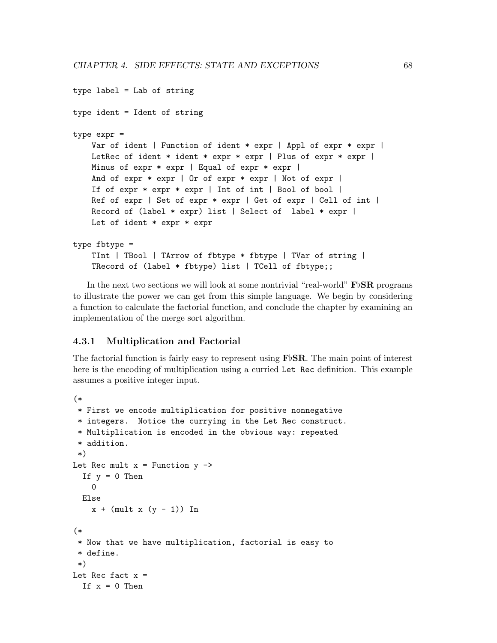```
type label = Lab of string
type ident = Ident of string
type expr =
   Var of ident | Function of ident * expr | Appl of expr * expr |
   LetRec of ident * ident * expr * expr | Plus of expr * expr |
   Minus of expr * expr | Equal of expr * expr |
   And of expr * expr | Or of expr * expr | Not of expr |
   If of expr * expr * expr | Int of int | Bool of bool |
   Ref of expr | Set of expr * expr | Get of expr | Cell of int |
   Record of (label * expr) list | Select of label * expr |
   Let of ident * expr * expr
type fbtype =
   TInt | TBool | TArrow of fbtype * fbtype | TVar of string |
   TRecord of (label * fbtype) list | TCell of fbtype;;
```
In the next two sections we will look at some nontrivial "real-world" FbSR programs to illustrate the power we can get from this simple language. We begin by considering a function to calculate the factorial function, and conclude the chapter by examining an implementation of the merge sort algorithm.

#### 4.3.1 Multiplication and Factorial

The factorial function is fairly easy to represent using  $\mathbf{F} \flat \mathbf{S} \mathbf{R}$ . The main point of interest here is the encoding of multiplication using a curried Let Rec definition. This example assumes a positive integer input.

```
(*
* First we encode multiplication for positive nonnegative
* integers. Notice the currying in the Let Rec construct.
 * Multiplication is encoded in the obvious way: repeated
 * addition.
 *)
Let Rec mult x = Function y \rightarrowIf y = 0 Then
   0
 Else
    x + (mult x (y - 1)) In(*
 * Now that we have multiplication, factorial is easy to
 * define.
*)
Let Rec fact x =If x = 0 Then
```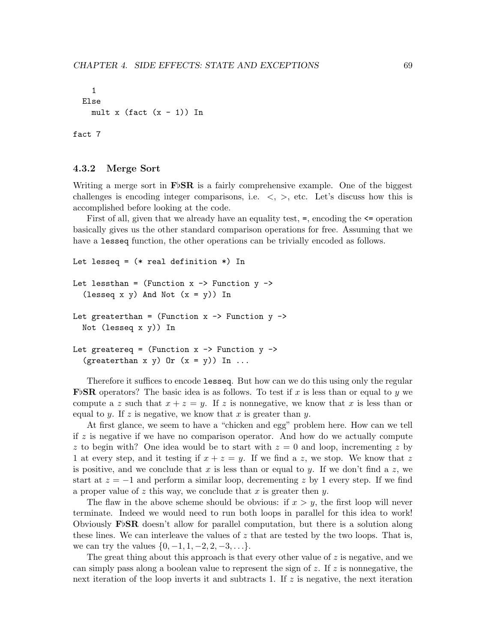```
1
Else
  mult x (fact (x - 1)) In
```
fact 7

#### 4.3.2 Merge Sort

Writing a merge sort in  $\mathbf{F} \flat \mathbf{SR}$  is a fairly comprehensive example. One of the biggest challenges is encoding integer comparisons, i.e.  $\langle , \rangle$ , etc. Let's discuss how this is accomplished before looking at the code.

First of all, given that we already have an equality test,  $=$ , encoding the  $\leq$  operation basically gives us the other standard comparison operations for free. Assuming that we have a lesseq function, the other operations can be trivially encoded as follows.

```
Let lesseq = (* real definition *) In
Let lessthan = (Function x \rightarrow Function y \rightarrow(lesseq x y) And Not (x = y)) In
Let greaterthan = (Function x \rightarrow Function y \rightarrowNot (lesseq x y)) In
Let greatereq = (Function x \rightarrow Function y \rightarrow(greaterthan x y) Or (x = y)) In ...
```
Therefore it suffices to encode lesseq. But how can we do this using only the regular **F**bSR operators? The basic idea is as follows. To test if x is less than or equal to y we compute a z such that  $x + z = y$ . If z is nonnegative, we know that x is less than or equal to y. If z is negative, we know that x is greater than y.

At first glance, we seem to have a "chicken and egg" problem here. How can we tell if  $z$  is negative if we have no comparison operator. And how do we actually compute z to begin with? One idea would be to start with  $z = 0$  and loop, incrementing z by 1 at every step, and it testing if  $x + z = y$ . If we find a z, we stop. We know that z is positive, and we conclude that x is less than or equal to y. If we don't find a z, we start at  $z = -1$  and perform a similar loop, decrementing z by 1 every step. If we find a proper value of z this way, we conclude that x is greater then y.

The flaw in the above scheme should be obvious: if  $x > y$ , the first loop will never terminate. Indeed we would need to run both loops in parallel for this idea to work! Obviously  $\mathbf{F} \flat \mathbf{SR}$  doesn't allow for parallel computation, but there is a solution along these lines. We can interleave the values of  $z$  that are tested by the two loops. That is, we can try the values  $\{0, -1, 1, -2, 2, -3, \ldots\}.$ 

The great thing about this approach is that every other value of z is negative, and we can simply pass along a boolean value to represent the sign of z. If z is nonnegative, the next iteration of the loop inverts it and subtracts 1. If  $z$  is negative, the next iteration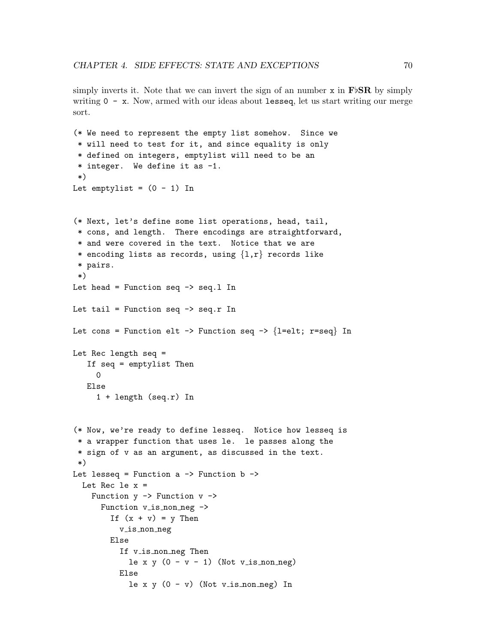simply inverts it. Note that we can invert the sign of an number  $x$  in  $\mathbf{F}\flat\mathbf{SR}$  by simply writing  $0 - x$ . Now, armed with our ideas about lesseq, let us start writing our merge sort.

```
(* We need to represent the empty list somehow. Since we
 * will need to test for it, and since equality is only
 * defined on integers, emptylist will need to be an
 * integer. We define it as -1.
 *)
Let emptylist = (0 - 1) In
(* Next, let's define some list operations, head, tail,
 * cons, and length. There encodings are straightforward,
 * and were covered in the text. Notice that we are
 * encoding lists as records, using \{1,r\} records like
 * pairs.
 *)
Let head = Function seq \rightarrow seq.1 In
Let tail = Function seq \rightarrow seq.r In
Let cons = Function elt -> Function seq -> \{l=elt; r=seq\} In
Let Rec length seq =
   If seq = emptylist Then
     0
   Else
     1 + length (seq.r) In
(* Now, we're ready to define lesseq. Notice how lesseq is
 * a wrapper function that uses le. le passes along the
 * sign of v as an argument, as discussed in the text.
 *)
Let lesseq = Function a \rightarrow Function b \rightarrowLet Rec le x =Function y \rightarrow Function v \rightarrowFunction v_is\_non-neg \rightarrowIf (x + v) = y Then
          v is non neg
        Else
           If v<sub>is</sub> non neg Then
             le x y (0 - v - 1) (Not v_is_non_neg)
          Else
             le x y (0 - v) (Not v_is_non_neg) In
```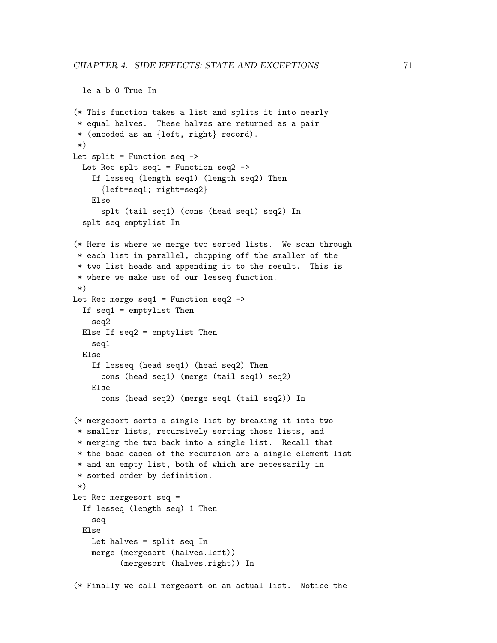le a b 0 True In

```
(* This function takes a list and splits it into nearly
 * equal halves. These halves are returned as a pair
 * (encoded as an {left, right} record).
*)
Let split = Function seq \rightarrowLet Rec splt seq1 = Function seq2 \rightarrowIf lesseq (length seq1) (length seq2) Then
      {left=seq1; right=seq2}
    Else
      splt (tail seq1) (cons (head seq1) seq2) In
  splt seq emptylist In
(* Here is where we merge two sorted lists. We scan through
* each list in parallel, chopping off the smaller of the
* two list heads and appending it to the result. This is
 * where we make use of our lesseq function.
*)
Let Rec merge seq1 = Function seq2 \rightarrowIf seq1 = emptylist Then
    seq2
 Else If seq2 = emptylist Then
    seq1
 Else
    If lesseq (head seq1) (head seq2) Then
      cons (head seq1) (merge (tail seq1) seq2)
    Else
      cons (head seq2) (merge seq1 (tail seq2)) In
(* mergesort sorts a single list by breaking it into two
* smaller lists, recursively sorting those lists, and
* merging the two back into a single list. Recall that
* the base cases of the recursion are a single element list
 * and an empty list, both of which are necessarily in
 * sorted order by definition.
*)
Let Rec mergesort seq =
 If lesseq (length seq) 1 Then
    seq
 Else
    Let halves = split seq In
    merge (mergesort (halves.left))
          (mergesort (halves.right)) In
(* Finally we call mergesort on an actual list. Notice the
```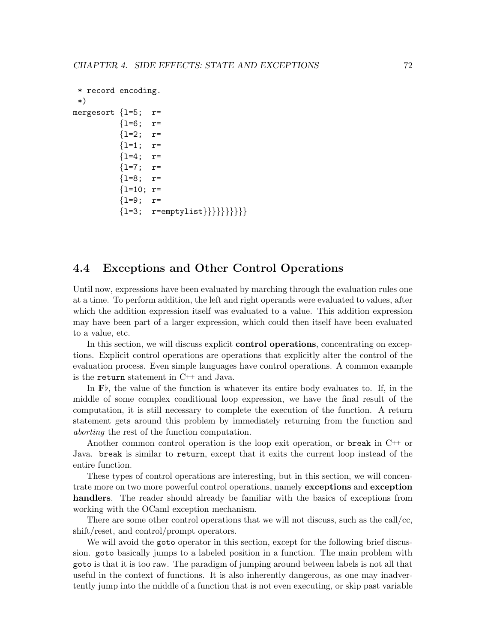```
* record encoding.
 *)
mergesort \{1=5; r={l=6; r=
          \{1=2; r={l=1; r=
          {1=4; r=}{1=7:} r=
          {1=8; r=}{l=10; r=
          {1=9; r={1=3; r=emptylist}{}}{}}}}}}}}
```
## 4.4 Exceptions and Other Control Operations

Until now, expressions have been evaluated by marching through the evaluation rules one at a time. To perform addition, the left and right operands were evaluated to values, after which the addition expression itself was evaluated to a value. This addition expression may have been part of a larger expression, which could then itself have been evaluated to a value, etc.

In this section, we will discuss explicit control operations, concentrating on exceptions. Explicit control operations are operations that explicitly alter the control of the evaluation process. Even simple languages have control operations. A common example is the return statement in C++ and Java.

In  $\mathbf{F}\flat$ , the value of the function is whatever its entire body evaluates to. If, in the middle of some complex conditional loop expression, we have the final result of the computation, it is still necessary to complete the execution of the function. A return statement gets around this problem by immediately returning from the function and aborting the rest of the function computation.

Another common control operation is the loop exit operation, or break in  $C^{++}$  or Java. break is similar to return, except that it exits the current loop instead of the entire function.

These types of control operations are interesting, but in this section, we will concentrate more on two more powerful control operations, namely exceptions and exception handlers. The reader should already be familiar with the basics of exceptions from working with the OCaml exception mechanism.

There are some other control operations that we will not discuss, such as the call/cc, shift/reset, and control/prompt operators.

We will avoid the goto operator in this section, except for the following brief discussion. goto basically jumps to a labeled position in a function. The main problem with goto is that it is too raw. The paradigm of jumping around between labels is not all that useful in the context of functions. It is also inherently dangerous, as one may inadvertently jump into the middle of a function that is not even executing, or skip past variable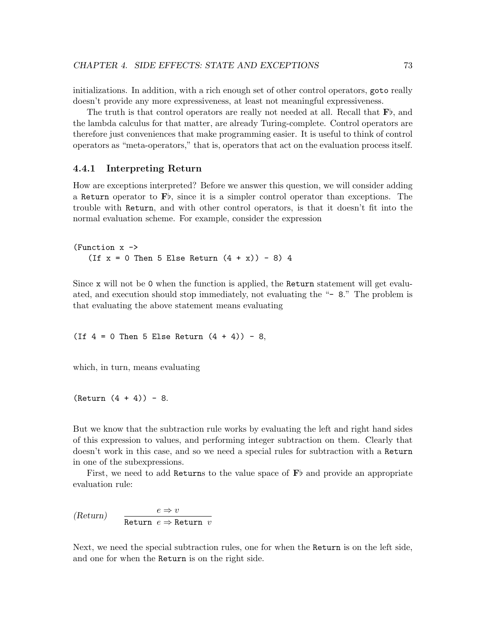initializations. In addition, with a rich enough set of other control operators, goto really doesn't provide any more expressiveness, at least not meaningful expressiveness.

The truth is that control operators are really not needed at all. Recall that  $\mathbf{F}_{\mathcal{P}}$ , and the lambda calculus for that matter, are already Turing-complete. Control operators are therefore just conveniences that make programming easier. It is useful to think of control operators as "meta-operators," that is, operators that act on the evaluation process itself.

#### 4.4.1 Interpreting Return

How are exceptions interpreted? Before we answer this question, we will consider adding a Return operator to  $\mathbf{F}$ , since it is a simpler control operator than exceptions. The trouble with Return, and with other control operators, is that it doesn't fit into the normal evaluation scheme. For example, consider the expression

(Function x -> (If  $x = 0$  Then 5 Else Return  $(4 + x)$ ) - 8) 4

Since x will not be 0 when the function is applied, the Return statement will get evaluated, and execution should stop immediately, not evaluating the "- 8." The problem is that evaluating the above statement means evaluating

(If  $4 = 0$  Then 5 Else Return  $(4 + 4)$ ) - 8,

which, in turn, means evaluating

 $(Return (4 + 4)) - 8.$ 

But we know that the subtraction rule works by evaluating the left and right hand sides of this expression to values, and performing integer subtraction on them. Clearly that doesn't work in this case, and so we need a special rules for subtraction with a Return in one of the subexpressions.

First, we need to add Returns to the value space of  $F\flat$  and provide an appropriate evaluation rule:

 $(Return) \quad \frac{e \Rightarrow v}{\longrightarrow}$ Return  $e \Rightarrow$  Return v

Next, we need the special subtraction rules, one for when the Return is on the left side, and one for when the Return is on the right side.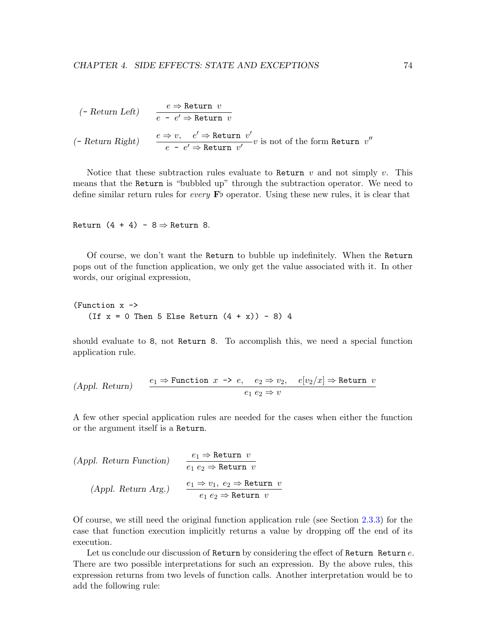$$
\begin{array}{ll}\n(- \text{ Return Left}) & \frac{e \Rightarrow \text{Return } v}{e - e' \Rightarrow \text{Return } v} \\
(\text{ - Return Right}) & \frac{e \Rightarrow v}{e - e' \Rightarrow \text{Return } v'} v \text{ is not of the form Return } v''\n\end{array}
$$

Notice that these subtraction rules evaluate to Return  $v$  and not simply  $v$ . This means that the Return is "bubbled up" through the subtraction operator. We need to define similar return rules for *every*  $\mathbf{F}$  operator. Using these new rules, it is clear that

Return  $(4 + 4) - 8 \Rightarrow$  Return 8.

Of course, we don't want the Return to bubble up indefinitely. When the Return pops out of the function application, we only get the value associated with it. In other words, our original expression,

```
(Function x ->
   (If x = 0 Then 5 Else Return (4 + x)) - 8) 4
```
should evaluate to 8, not Return 8. To accomplish this, we need a special function application rule.

$$
(Appl. Return) \qquad \frac{e_1 \Rightarrow \text{Function } x \to e, \quad e_2 \Rightarrow v_2, \quad e[v_2/x] \Rightarrow \text{Return } v}{e_1 \ e_2 \Rightarrow v}
$$

A few other special application rules are needed for the cases when either the function or the argument itself is a Return.

(Appl. Return Function)

\n
$$
\begin{aligned}\n & e_1 \Rightarrow \text{Return } v \\
 & e_1 \ e_2 \Rightarrow \text{Return } v \\
 & \text{(Appl. Return Arg.)} \\
 & e_1 \Rightarrow v_1, \ e_2 \Rightarrow \text{Return } v \\
 & e_1 \ e_2 \Rightarrow \text{Return } v\n \end{aligned}
$$

Of course, we still need the original function application rule (see Section [2.3.3\)](#page-24-0) for the case that function execution implicitly returns a value by dropping off the end of its execution.

Let us conclude our discussion of Return by considering the effect of Return Return  $e$ . There are two possible interpretations for such an expression. By the above rules, this expression returns from two levels of function calls. Another interpretation would be to add the following rule: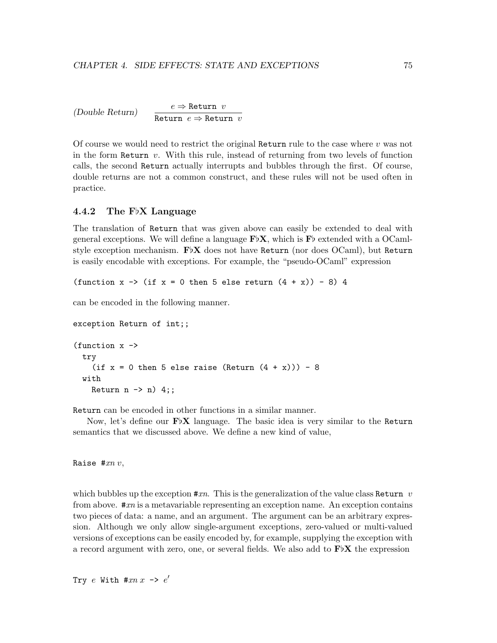```
(Double Return) e \Rightarrow Return v
                       Return e \Rightarrow Return v
```
Of course we would need to restrict the original Return rule to the case where  $v$  was not in the form Return  $v$ . With this rule, instead of returning from two levels of function calls, the second Return actually interrupts and bubbles through the first. Of course, double returns are not a common construct, and these rules will not be used often in practice.

#### 4.4.2 The F $\lambda$  Language

The translation of Return that was given above can easily be extended to deal with general exceptions. We will define a language  $\mathbf{F}\upbeta\mathbf{X}$ , which is  $\mathbf{F}\upbeta$  extended with a OCamlstyle exception mechanism.  $\mathbf{F} \flat \mathbf{X}$  does not have Return (nor does OCaml), but Return is easily encodable with exceptions. For example, the "pseudo-OCaml" expression

(function  $x \rightarrow$  (if  $x = 0$  then 5 else return  $(4 + x)$ ) - 8) 4

can be encoded in the following manner.

```
exception Return of int;;
(function x ->
  try
    (if x = 0 then 5 else raise (Return (4 + x))) - 8
  with
    Return n \rightarrow n) 4;;
```
Return can be encoded in other functions in a similar manner.

Now, let's define our  $\mathbf{F} \flat \mathbf{X}$  language. The basic idea is very similar to the Return semantics that we discussed above. We define a new kind of value,

Raise  $#xn$  v,

which bubbles up the exception  $\#xn$ . This is the generalization of the value class Return v from above.  $\#xn$  is a metavariable representing an exception name. An exception contains two pieces of data: a name, and an argument. The argument can be an arbitrary expression. Although we only allow single-argument exceptions, zero-valued or multi-valued versions of exceptions can be easily encoded by, for example, supplying the exception with a record argument with zero, one, or several fields. We also add to  $\mathbf{F} \upflat \mathbf{X}$  the expression

Try  $e$  With #xn  $x \rightarrow e'$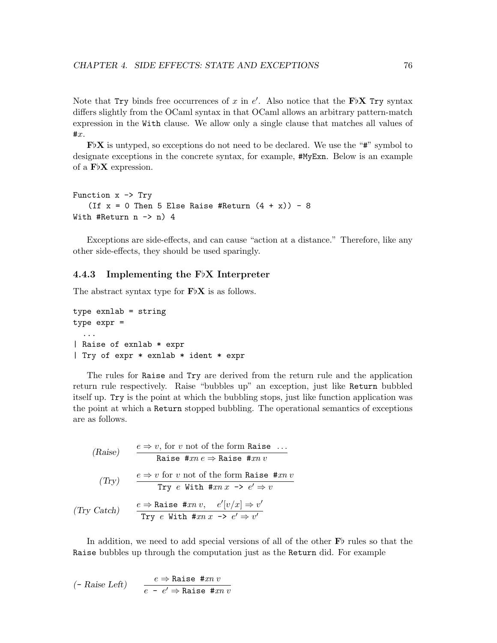Note that Try binds free occurrences of x in  $e'$ . Also notice that the FbX Try syntax differs slightly from the OCaml syntax in that OCaml allows an arbitrary pattern-match expression in the With clause. We allow only a single clause that matches all values of  $\sharp x$ .

 $\mathbf{F}\mathbf{b}\mathbf{X}$  is untyped, so exceptions do not need to be declared. We use the "#" symbol to designate exceptions in the concrete syntax, for example, #MyExn. Below is an example of a  $F\nu X$  expression.

```
Function x \rightarrow Try(If x = 0 Then 5 Else Raise #Return (4 + x)) - 8
With #Return n \rightarrow n) 4
```
Exceptions are side-effects, and can cause "action at a distance." Therefore, like any other side-effects, they should be used sparingly.

#### 4.4.3 Implementing the  $F\nu X$  Interpreter

The abstract syntax type for  $\mathbf{F} \upflat \mathbf{X}$  is as follows.

```
type exnlab = string
type expr =
  ...
| Raise of exnlab * expr
| Try of expr * exnlab * ident * expr
```
The rules for Raise and Try are derived from the return rule and the application return rule respectively. Raise "bubbles up" an exception, just like Return bubbled itself up. Try is the point at which the bubbling stops, just like function application was the point at which a Return stopped bubbling. The operational semantics of exceptions are as follows.

(Raise) 
$$
\frac{e \Rightarrow v, \text{ for } v \text{ not of the form Raise } \dots}{\text{Raise } \# xn \, e \Rightarrow \text{Raise } \# xn \, v}
$$
  
(Try) 
$$
\frac{e \Rightarrow v \text{ for } v \text{ not of the form Raise } \# xn \, v}{\text{Try } e \text{ With } \#xn \, x \to e' \Rightarrow v}
$$
  
(Try Catch) 
$$
\frac{e \Rightarrow \text{Raise } \#xn \, v, \quad e'[v/x] \Rightarrow v'}{\text{Try } e \text{ With } \#xn \, x \to e' \Rightarrow v'}
$$

In addition, we need to add special versions of all of the other  $\mathbf{F}$  rules so that the Raise bubbles up through the computation just as the Return did. For example

$$
(-\text{ Raise Left}) \qquad \frac{e \Rightarrow \text{ Raise } \# xn \ v}{e - e' \Rightarrow \text{ Raise } \# xn \ v}
$$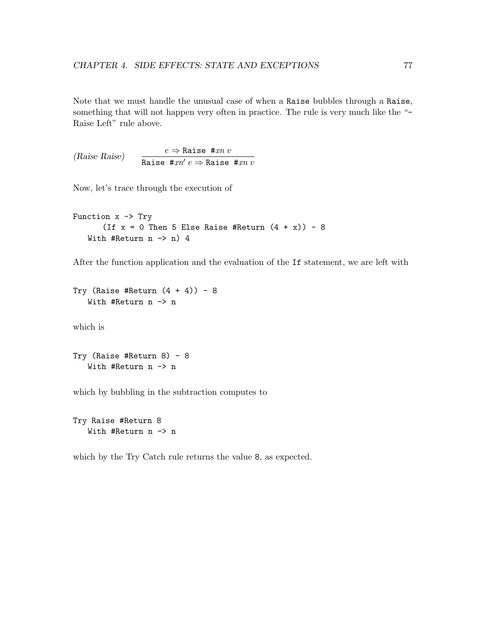Note that we must handle the unusual case of when a Raise bubbles through a Raise, something that will not happen very often in practice. The rule is very much like the "-Raise Left" rule above.

(Raise Raise)  $e \Rightarrow$  Raise #xn v Raise # $xn' e \Rightarrow$  Raise # $xn v$ 

Now, let's trace through the execution of

```
Function x \rightarrow Try(If x = 0 Then 5 Else Raise #Return (4 + x)) - 8
   With #Return n \rightarrow n) 4
```
After the function application and the evaluation of the If statement, we are left with

```
Try (Raise #Return (4 + 4)) - 8
   With #Return n -> n
```
which is

Try (Raise #Return 8) - 8 With #Return n -> n

which by bubbling in the subtraction computes to

Try Raise #Return 8 With #Return n -> n

which by the Try Catch rule returns the value 8, as expected.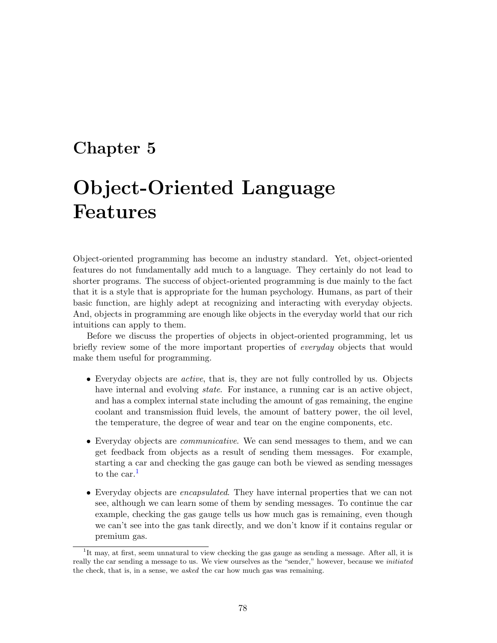# <span id="page-82-1"></span>Chapter 5

# Object-Oriented Language Features

Object-oriented programming has become an industry standard. Yet, object-oriented features do not fundamentally add much to a language. They certainly do not lead to shorter programs. The success of object-oriented programming is due mainly to the fact that it is a style that is appropriate for the human psychology. Humans, as part of their basic function, are highly adept at recognizing and interacting with everyday objects. And, objects in programming are enough like objects in the everyday world that our rich intuitions can apply to them.

Before we discuss the properties of objects in object-oriented programming, let us briefly review some of the more important properties of *everyday* objects that would make them useful for programming.

- Everyday objects are active, that is, they are not fully controlled by us. Objects have internal and evolving *state*. For instance, a running car is an active object, and has a complex internal state including the amount of gas remaining, the engine coolant and transmission fluid levels, the amount of battery power, the oil level, the temperature, the degree of wear and tear on the engine components, etc.
- Everyday objects are communicative. We can send messages to them, and we can get feedback from objects as a result of sending them messages. For example, starting a car and checking the gas gauge can both be viewed as sending messages to the car. $<sup>1</sup>$  $<sup>1</sup>$  $<sup>1</sup>$ </sup>
- Everyday objects are *encapsulated*. They have internal properties that we can not see, although we can learn some of them by sending messages. To continue the car example, checking the gas gauge tells us how much gas is remaining, even though we can't see into the gas tank directly, and we don't know if it contains regular or premium gas.

<span id="page-82-0"></span><sup>&</sup>lt;sup>1</sup>It may, at first, seem unnatural to view checking the gas gauge as sending a message. After all, it is really the car sending a message to us. We view ourselves as the "sender," however, because we *initiated* the check, that is, in a sense, we asked the car how much gas was remaining.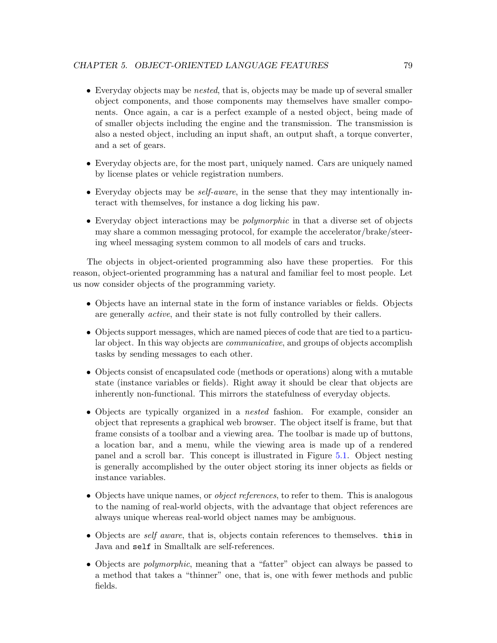- Everyday objects may be *nested*, that is, objects may be made up of several smaller object components, and those components may themselves have smaller components. Once again, a car is a perfect example of a nested object, being made of of smaller objects including the engine and the transmission. The transmission is also a nested object, including an input shaft, an output shaft, a torque converter, and a set of gears.
- Everyday objects are, for the most part, uniquely named. Cars are uniquely named by license plates or vehicle registration numbers.
- Everyday objects may be self-aware, in the sense that they may intentionally interact with themselves, for instance a dog licking his paw.
- Everyday object interactions may be *polymorphic* in that a diverse set of objects may share a common messaging protocol, for example the accelerator/brake/steering wheel messaging system common to all models of cars and trucks.

The objects in object-oriented programming also have these properties. For this reason, object-oriented programming has a natural and familiar feel to most people. Let us now consider objects of the programming variety.

- Objects have an internal state in the form of instance variables or fields. Objects are generally active, and their state is not fully controlled by their callers.
- Objects support messages, which are named pieces of code that are tied to a particular object. In this way objects are communicative, and groups of objects accomplish tasks by sending messages to each other.
- Objects consist of encapsulated code (methods or operations) along with a mutable state (instance variables or fields). Right away it should be clear that objects are inherently non-functional. This mirrors the statefulness of everyday objects.
- Objects are typically organized in a nested fashion. For example, consider an object that represents a graphical web browser. The object itself is frame, but that frame consists of a toolbar and a viewing area. The toolbar is made up of buttons, a location bar, and a menu, while the viewing area is made up of a rendered panel and a scroll bar. This concept is illustrated in Figure [5.1.](#page-84-0) Object nesting is generally accomplished by the outer object storing its inner objects as fields or instance variables.
- Objects have unique names, or *object references*, to refer to them. This is analogous to the naming of real-world objects, with the advantage that object references are always unique whereas real-world object names may be ambiguous.
- Objects are *self aware*, that is, objects contain references to themselves. this in Java and self in Smalltalk are self-references.
- Objects are *polymorphic*, meaning that a "fatter" object can always be passed to a method that takes a "thinner" one, that is, one with fewer methods and public fields.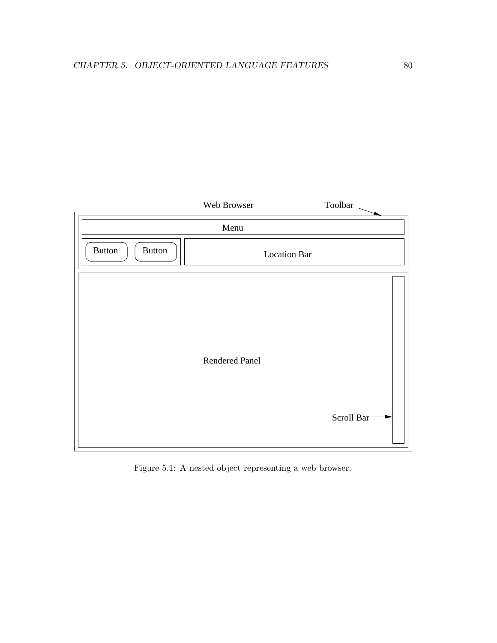

<span id="page-84-0"></span>Figure 5.1: A nested object representing a web browser.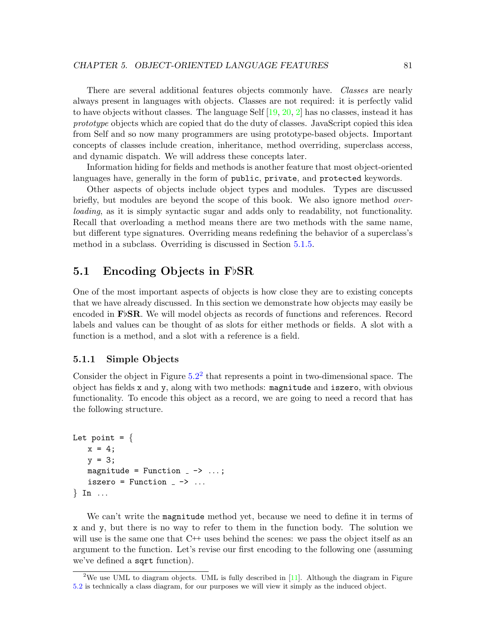There are several additional features objects commonly have. Classes are nearly always present in languages with objects. Classes are not required: it is perfectly valid to have objects without classes. The language Self  $[19, 20, 2]$  $[19, 20, 2]$  $[19, 20, 2]$  $[19, 20, 2]$  has no classes, instead it has prototype objects which are copied that do the duty of classes. JavaScript copied this idea from Self and so now many programmers are using prototype-based objects. Important concepts of classes include creation, inheritance, method overriding, superclass access, and dynamic dispatch. We will address these concepts later.

Information hiding for fields and methods is another feature that most object-oriented languages have, generally in the form of public, private, and protected keywords.

Other aspects of objects include object types and modules. Types are discussed briefly, but modules are beyond the scope of this book. We also ignore method *over*loading, as it is simply syntactic sugar and adds only to readability, not functionality. Recall that overloading a method means there are two methods with the same name, but different type signatures. Overriding means redefining the behavior of a superclass's method in a subclass. Overriding is discussed in Section [5.1.5.](#page-91-0)

## <span id="page-85-1"></span>5.1 Encoding Objects in  $F\flat$ SR

One of the most important aspects of objects is how close they are to existing concepts that we have already discussed. In this section we demonstrate how objects may easily be encoded in  $\mathbf{F}\flat$ SR. We will model objects as records of functions and references. Record labels and values can be thought of as slots for either methods or fields. A slot with a function is a method, and a slot with a reference is a field.

#### 5.1.1 Simple Objects

Consider the object in Figure  $5.2<sup>2</sup>$  $5.2<sup>2</sup>$  $5.2<sup>2</sup>$  $5.2<sup>2</sup>$  that represents a point in two-dimensional space. The object has fields x and y, along with two methods: magnitude and iszero, with obvious functionality. To encode this object as a record, we are going to need a record that has the following structure.

```
Let point = \{x = 4;y = 3;magnitude = Function - \rightarrow ...;iszero = Function - \rightarrow ...
\} In \ldots
```
We can't write the magnitude method yet, because we need to define it in terms of x and y, but there is no way to refer to them in the function body. The solution we will use is the same one that  $C^{++}$  uses behind the scenes: we pass the object itself as an argument to the function. Let's revise our first encoding to the following one (assuming we've defined a sqrt function).

<span id="page-85-0"></span><sup>&</sup>lt;sup>2</sup>We use UML to diagram objects. UML is fully described in  $[11]$ . Although the diagram in Figure [5.2](#page-86-0) is technically a class diagram, for our purposes we will view it simply as the induced object.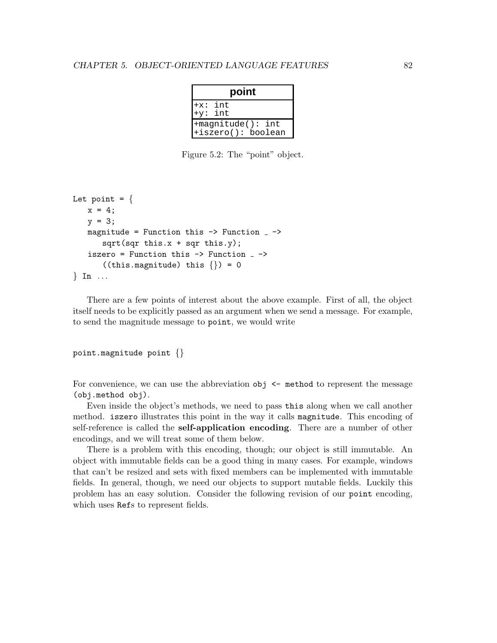| point                                   |
|-----------------------------------------|
| $+x: int$<br>$+y: int$                  |
| +magnitude(): int<br>+iszero(): boolean |

<span id="page-86-0"></span>Figure 5.2: The "point" object.

```
Let point = \{x = 4;y = 3;magnitude = Function this \rightarrow Function \overline{\phantom{a}} \rightarrowsqrt(sqr this.x + sqr this.y);iszero = Function this \rightarrow Function _{-} \rightarrow((this.magnitude) this \{\}) = 0\} In ...
```
There are a few points of interest about the above example. First of all, the object itself needs to be explicitly passed as an argument when we send a message. For example, to send the magnitude message to point, we would write

point.magnitude point {}

For convenience, we can use the abbreviation  $obj \leftarrow method$  to represent the message (obj.method obj).

Even inside the object's methods, we need to pass this along when we call another method. iszero illustrates this point in the way it calls magnitude. This encoding of self-reference is called the self-application encoding. There are a number of other encodings, and we will treat some of them below.

There is a problem with this encoding, though; our object is still immutable. An object with immutable fields can be a good thing in many cases. For example, windows that can't be resized and sets with fixed members can be implemented with immutable fields. In general, though, we need our objects to support mutable fields. Luckily this problem has an easy solution. Consider the following revision of our point encoding, which uses Refs to represent fields.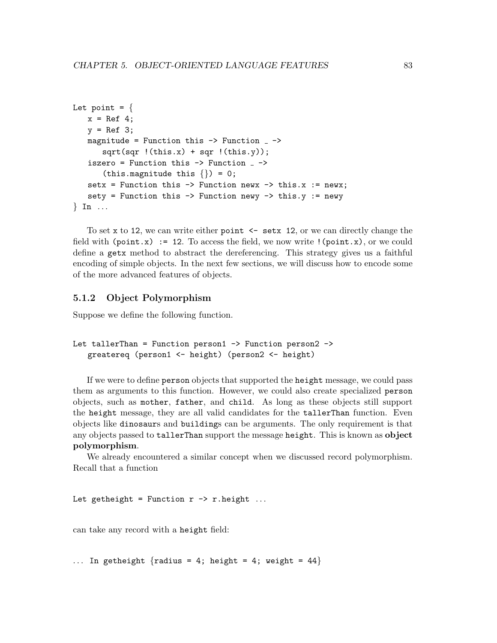```
Let point = \{x = \text{Ref } 4;y = \text{Ref } 3;magnitude = Function this \rightarrow Function \simsqrt(sqr \cdot (this.x) + sqr \cdot (this.y));iszero = Function this \rightarrow Function _{-} \rightarrow(this.magnitude this \{\}) = 0;setx = Function this \rightarrow Function newx \rightarrow this.x := newx;
    sety = Function this \rightarrow Function newy \rightarrow this.y := newy
\} In \ldots
```
To set x to 12, we can write either point  $\leq$  set x 12, or we can directly change the field with (point.x) := 12. To access the field, we now write  $!(point.x)$ , or we could define a getx method to abstract the dereferencing. This strategy gives us a faithful encoding of simple objects. In the next few sections, we will discuss how to encode some of the more advanced features of objects.

#### 5.1.2 Object Polymorphism

Suppose we define the following function.

```
Let tallerThan = Function person1 -> Function person2 ->
   greatereq (person1 <- height) (person2 <- height)
```
If we were to define person objects that supported the height message, we could pass them as arguments to this function. However, we could also create specialized person objects, such as mother, father, and child. As long as these objects still support the height message, they are all valid candidates for the tallerThan function. Even objects like dinosaurs and buildings can be arguments. The only requirement is that any objects passed to tallerThan support the message height. This is known as object polymorphism.

We already encountered a similar concept when we discussed record polymorphism. Recall that a function

Let getheight = Function  $r \rightarrow r$ .height ...

can take any record with a height field:

... In getheight  $\{radians = 4; height = 4; weight = 44\}$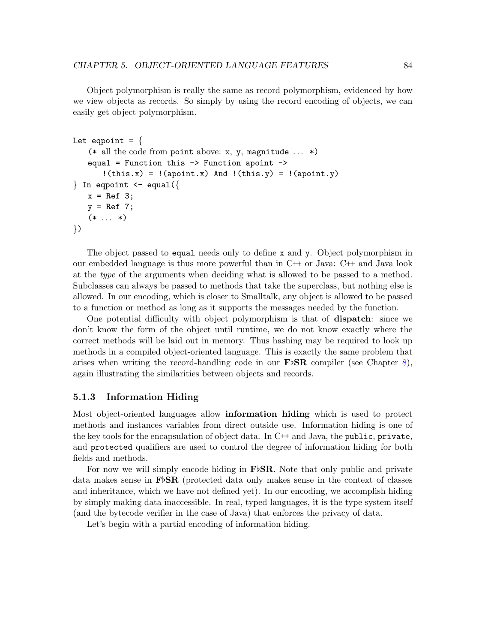Object polymorphism is really the same as record polymorphism, evidenced by how we view objects as records. So simply by using the record encoding of objects, we can easily get object polymorphism.

```
Let eqpoint = \{(* all the code from point above: x, y, magnitude \ldots *)
   equal = Function this -> Function apoint ->
       !(this.x) = !(apoint.x) And !(this.y) = !(apoint.y)\} In eqpoint \leq equal({
   x = \text{Ref } 3;y = Ref 7;(* \dots *)})
```
The object passed to equal needs only to define x and y. Object polymorphism in our embedded language is thus more powerful than in  $C^{++}$  or Java:  $C^{++}$  and Java look at the type of the arguments when deciding what is allowed to be passed to a method. Subclasses can always be passed to methods that take the superclass, but nothing else is allowed. In our encoding, which is closer to Smalltalk, any object is allowed to be passed to a function or method as long as it supports the messages needed by the function.

One potential difficulty with object polymorphism is that of dispatch: since we don't know the form of the object until runtime, we do not know exactly where the correct methods will be laid out in memory. Thus hashing may be required to look up methods in a compiled object-oriented language. This is exactly the same problem that arises when writing the record-handling code in our  $\mathbf{F} \flat \mathbf{SR}$  compiler (see Chapter [8\)](#page-137-0), again illustrating the similarities between objects and records.

#### 5.1.3 Information Hiding

Most object-oriented languages allow **information hiding** which is used to protect methods and instances variables from direct outside use. Information hiding is one of the key tools for the encapsulation of object data. In  $C++$  and Java, the public, private, and protected qualifiers are used to control the degree of information hiding for both fields and methods.

For now we will simply encode hiding in  $\mathbf{F}\triangleright$ **SR**. Note that only public and private data makes sense in  $\mathbf{F} \in \mathbf{S}$  (protected data only makes sense in the context of classes and inheritance, which we have not defined yet). In our encoding, we accomplish hiding by simply making data inaccessible. In real, typed languages, it is the type system itself (and the bytecode verifier in the case of Java) that enforces the privacy of data.

Let's begin with a partial encoding of information hiding.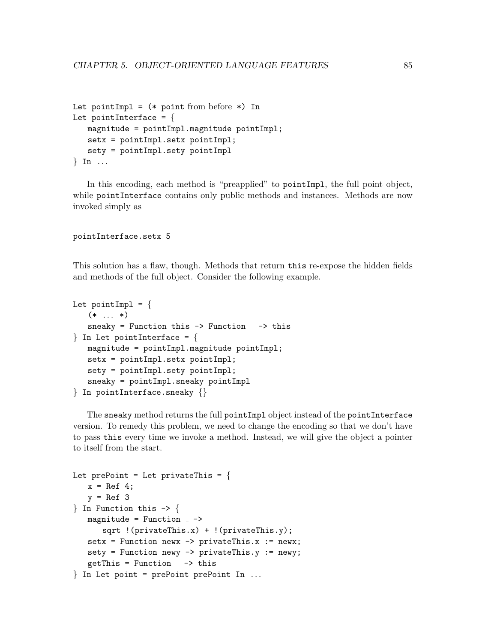```
Let pointImpl = (* point from before *) In
Let pointInterface = \{magnitude = pointImpl.magnitude pointImpl;
   setx = pointImpl.setx pointImpl;
   sety = pointImpl.sety pointImpl
\} In ...
```
In this encoding, each method is "preapplied" to pointImpl, the full point object, while pointInterface contains only public methods and instances. Methods are now invoked simply as

#### pointInterface.setx 5

This solution has a flaw, though. Methods that return this re-expose the hidden fields and methods of the full object. Consider the following example.

```
Let pointImpl = \{(* \dots *)sneaky = Function this \rightarrow Function \sim -> this
\} In Let pointInterface = {
   magnitude = pointImpl.magnitude pointImpl;
   setx = pointImpl.setx pointImpl;
   sety = pointImpl.sety pointImpl;
   sneaky = pointImpl.sneaky pointImpl
} In pointInterface.sneaky {}
```
The sneaky method returns the full pointImpl object instead of the pointInterface version. To remedy this problem, we need to change the encoding so that we don't have to pass this every time we invoke a method. Instead, we will give the object a pointer to itself from the start.

```
Let prePoint = Let privateThis = \{x = \text{Ref } 4;y = \text{Ref } 3\} In Function this \rightarrow \{magnitude = Function -sqrt !(privateThis.x) + !(privateThis.y);
   setx = Function newx \rightarrow privateThis.x := newx;
   sety = Function newy -> privateThis.y := newy;
   getThis = Function - \rightarrow this
} In Let point = prePoint prePoint In . . .
```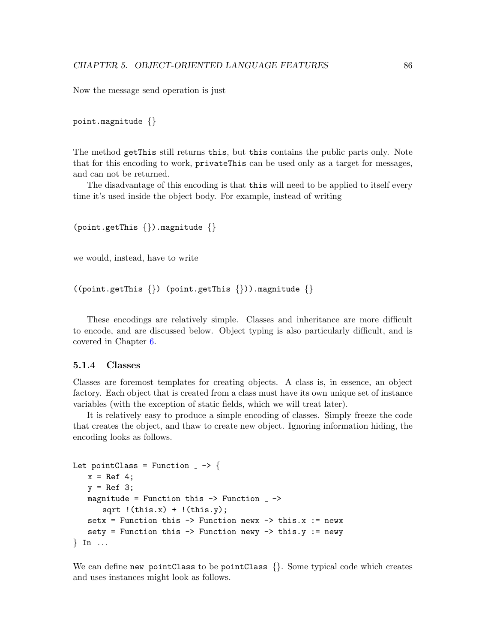Now the message send operation is just

```
point.magnitude {}
```
The method getThis still returns this, but this contains the public parts only. Note that for this encoding to work, privateThis can be used only as a target for messages, and can not be returned.

The disadvantage of this encoding is that this will need to be applied to itself every time it's used inside the object body. For example, instead of writing

```
(point.getThis {}).magnitude {}
```
we would, instead, have to write

```
((point.getThis \{\}) (point.getThis \{\})).magnitude \{\}
```
These encodings are relatively simple. Classes and inheritance are more difficult to encode, and are discussed below. Object typing is also particularly difficult, and is covered in Chapter [6.](#page-102-0)

#### 5.1.4 Classes

Classes are foremost templates for creating objects. A class is, in essence, an object factory. Each object that is created from a class must have its own unique set of instance variables (with the exception of static fields, which we will treat later).

It is relatively easy to produce a simple encoding of classes. Simply freeze the code that creates the object, and thaw to create new object. Ignoring information hiding, the encoding looks as follows.

```
Let pointClass = Function - -> {
    x = \text{Ref } 4;y = \text{Ref } 3;
   magnitude = Function this \rightarrow Function \sim ->
        sqrt !(this.x) + !(this.y);setx = Function this \rightarrow Function newx \rightarrow this.x := newx
    sety = Function this \rightarrow Function newy \rightarrow this.y := newy
\} In ...
```
We can define new pointClass to be pointClass  $\{\}$ . Some typical code which creates and uses instances might look as follows.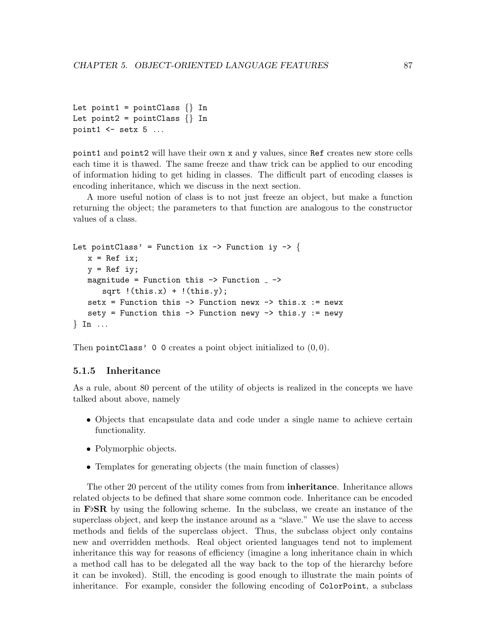```
Let point1 = pointClass \{\}\ In
Let point2 = pointClass \{\}\ In
point1 \leq setx 5 ...
```
point1 and point2 will have their own x and y values, since Ref creates new store cells each time it is thawed. The same freeze and thaw trick can be applied to our encoding of information hiding to get hiding in classes. The difficult part of encoding classes is encoding inheritance, which we discuss in the next section.

A more useful notion of class is to not just freeze an object, but make a function returning the object; the parameters to that function are analogous to the constructor values of a class.

```
Let pointClass' = Function ix \rightarrow Function iy \rightarrow {
    x = \text{Ref } ix;y = Ref iy;
    magnitude = Function this \rightarrow Function \overline{\phantom{a}} \rightarrowsqrt(this.x) + !(this.y);setx = Function this \rightarrow Function newx \rightarrow this.x := newx
    sety = Function this \rightarrow Function newy \rightarrow this.y := newy
\} In \ldots
```
Then pointClass' 0 0 creates a point object initialized to  $(0, 0)$ .

#### <span id="page-91-0"></span>5.1.5 Inheritance

As a rule, about 80 percent of the utility of objects is realized in the concepts we have talked about above, namely

- Objects that encapsulate data and code under a single name to achieve certain functionality.
- Polymorphic objects.
- Templates for generating objects (the main function of classes)

The other 20 percent of the utility comes from from inheritance. Inheritance allows related objects to be defined that share some common code. Inheritance can be encoded in  $\mathbf{F} \flat \mathbf{SR}$  by using the following scheme. In the subclass, we create an instance of the superclass object, and keep the instance around as a "slave." We use the slave to access methods and fields of the superclass object. Thus, the subclass object only contains new and overridden methods. Real object oriented languages tend not to implement inheritance this way for reasons of efficiency (imagine a long inheritance chain in which a method call has to be delegated all the way back to the top of the hierarchy before it can be invoked). Still, the encoding is good enough to illustrate the main points of inheritance. For example, consider the following encoding of ColorPoint, a subclass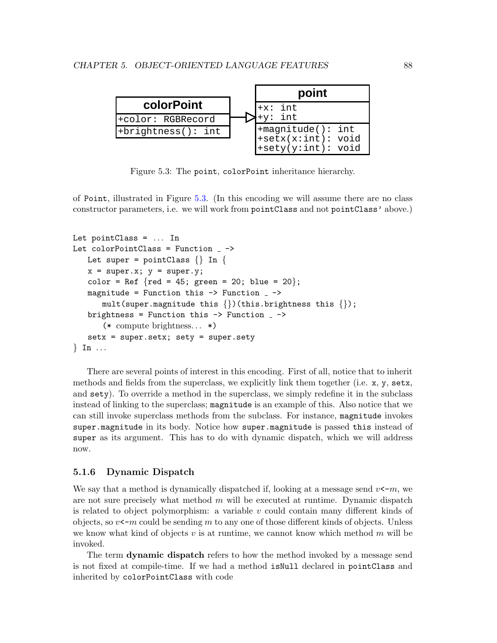

<span id="page-92-0"></span>Figure 5.3: The point, colorPoint inheritance hierarchy.

of Point, illustrated in Figure [5.3.](#page-92-0) (In this encoding we will assume there are no class constructor parameters, i.e. we will work from pointClass and not pointClass' above.)

```
Let pointClass = ... InLet colorPointClass = Function_ - \rightarrowLet super = pointClass \{\}\ In \{x = super.x; y = super.y;color = Ref \{red = 45; green = 20; blue = 20\};magnitude = Function this \rightarrow Function \overline{\phantom{a}} \rightarrowmult(super.magnitude this \{\})(this.brightness this \{\});
   brightness = Function this \rightarrow Function \rightarrow(* compute brightness. . . *)
    setx = super.setx; sety = super.sety
\} In ...
```
There are several points of interest in this encoding. First of all, notice that to inherit methods and fields from the superclass, we explicitly link them together (i.e. x, y, setx, and  $\texttt{sety}$ . To override a method in the superclass, we simply redefine it in the subclass instead of linking to the superclass; magnitude is an example of this. Also notice that we can still invoke superclass methods from the subclass. For instance, magnitude invokes super.magnitude in its body. Notice how super.magnitude is passed this instead of super as its argument. This has to do with dynamic dispatch, which we will address now.

#### <span id="page-92-1"></span>5.1.6 Dynamic Dispatch

We say that a method is dynamically dispatched if, looking at a message send  $v \leftarrow m$ , we are not sure precisely what method  $m$  will be executed at runtime. Dynamic dispatch is related to object polymorphism: a variable  $v$  could contain many different kinds of objects, so  $v<-\infty$  could be sending m to any one of those different kinds of objects. Unless we know what kind of objects  $v$  is at runtime, we cannot know which method  $m$  will be invoked.

The term **dynamic dispatch** refers to how the method invoked by a message send is not fixed at compile-time. If we had a method isNull declared in pointClass and inherited by colorPointClass with code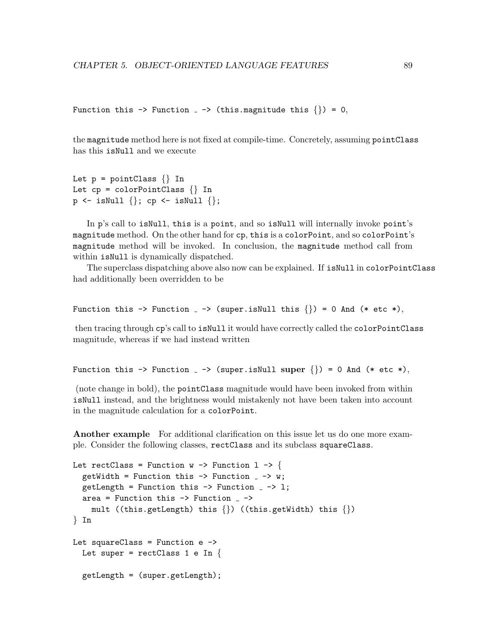```
Function this \rightarrow Function \rightarrow (this.magnitude this \{\}) = 0,
```
the magnitude method here is not fixed at compile-time. Concretely, assuming pointClass has this isNull and we execute

```
Let p = pointClass \{ \} In
Let cp = colorPointClass \{ \} In
p \leftarrow \text{isNull} \{\}; cp \leftarrow \text{isNull} \{\};
```
In p's call to isNull, this is a point, and so isNull will internally invoke point's magnitude method. On the other hand for cp, this is a colorPoint, and so colorPoint's magnitude method will be invoked. In conclusion, the magnitude method call from within  $isNull$  is dynamically dispatched.

The superclass dispatching above also now can be explained. If isNull in colorPointClass had additionally been overridden to be

```
Function this \rightarrow Function \rightarrow (super.isNull this \{\}) = 0 And (* etc *),
```
then tracing through cp's call to isNull it would have correctly called the colorPointClass magnitude, whereas if we had instead written

```
Function this \rightarrow Function \rightarrow (super.isNull super \{\}) = 0 And (* etc *),
```
(note change in bold), the pointClass magnitude would have been invoked from within isNull instead, and the brightness would mistakenly not have been taken into account in the magnitude calculation for a colorPoint.

Another example For additional clarification on this issue let us do one more example. Consider the following classes, rectClass and its subclass squareClass.

```
Let rectClass = Function w \rightarrow Function 1 -> {
  getWidth = Function this \rightarrow Function \rightarrow \rightarrow w;
  getLength = Function this \rightarrow Function \sim -> 1;
  area = Function this \rightarrow Function \sim ->
     mult ((this.getLength) this \{\}) ((this.getWidth) this \{\})
} In
Let squareClass = Function e \rightarrowLet super = rectClass 1 e In \{getLength = (super.getLength);
```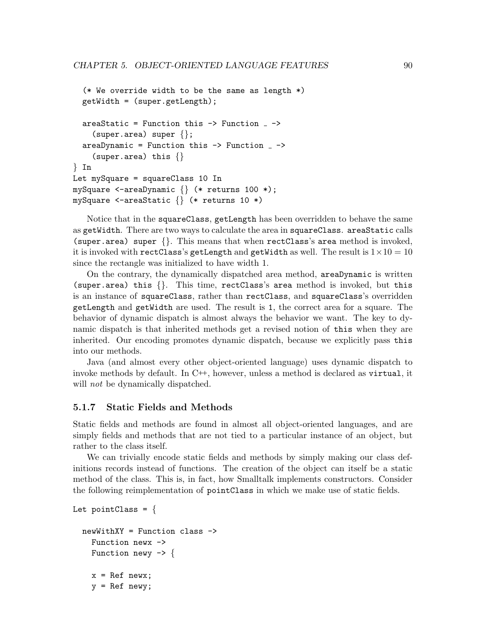```
(* We override width to be the same as length *)getWidth = (super.getLength);
  areaStatic = Function this \rightarrow Function \sim ->
    (super.area) super \{\};
  areaDynamic = Function this \rightarrow Function _{-} ->
    (super.area) this \{\}} In
Let mySquare = squareClass 10 In
mySquare <-areaDynamic {} (* returns 100 *);
mySquare <-areaStatic {} (* returns 10 *)
```
Notice that in the squareClass, getLength has been overridden to behave the same as getWidth. There are two ways to calculate the area in squareClass. areaStatic calls (super.area) super {}. This means that when rectClass's area method is invoked, it is invoked with rectClass's getLength and getWidth as well. The result is  $1 \times 10 = 10$ since the rectangle was initialized to have width 1.

On the contrary, the dynamically dispatched area method, areaDynamic is written (super.area) this {}. This time, rectClass's area method is invoked, but this is an instance of squareClass, rather than rectClass, and squareClass's overridden getLength and getWidth are used. The result is 1, the correct area for a square. The behavior of dynamic dispatch is almost always the behavior we want. The key to dynamic dispatch is that inherited methods get a revised notion of this when they are inherited. Our encoding promotes dynamic dispatch, because we explicitly pass this into our methods.

Java (and almost every other object-oriented language) uses dynamic dispatch to invoke methods by default. In C<sup>++</sup>, however, unless a method is declared as virtual, it will *not* be dynamically dispatched.

#### 5.1.7 Static Fields and Methods

Static fields and methods are found in almost all object-oriented languages, and are simply fields and methods that are not tied to a particular instance of an object, but rather to the class itself.

We can trivially encode static fields and methods by simply making our class definitions records instead of functions. The creation of the object can itself be a static method of the class. This is, in fact, how Smalltalk implements constructors. Consider the following reimplementation of pointClass in which we make use of static fields.

```
newWithXY = Function class ->
  Function newx ->
  Function newy \rightarrow {
  x = \text{Ref} \text{ new}x;y = Ref newy;
```
Let pointClass =  $\{$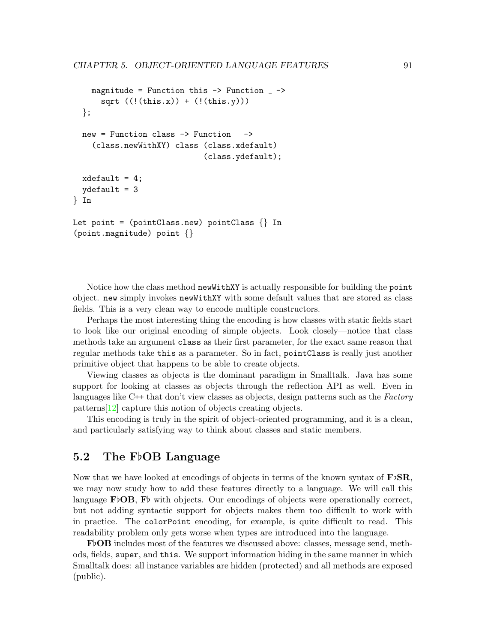```
magnitude = Function this \rightarrow Function \rightarrowsqrt (((this.x)) + ((this.y)))};
  new = Function class \rightarrow Function _{-} \rightarrow(class.newWithXY) class (class.xdefault)
                                (class.ydefault);
  xdefault = 4;
  ydefault = 3
} In
Let point = (pointClass.new) pointClass \{\}\ In
(point.magnitude) point {}
```
Notice how the class method newWithXY is actually responsible for building the point object. new simply invokes newWithXY with some default values that are stored as class fields. This is a very clean way to encode multiple constructors.

Perhaps the most interesting thing the encoding is how classes with static fields start to look like our original encoding of simple objects. Look closely—notice that class methods take an argument class as their first parameter, for the exact same reason that regular methods take this as a parameter. So in fact, pointClass is really just another primitive object that happens to be able to create objects.

Viewing classes as objects is the dominant paradigm in Smalltalk. Java has some support for looking at classes as objects through the reflection API as well. Even in languages like  $C++$  that don't view classes as objects, design patterns such as the *Factory* patterns[\[12\]](#page-159-2) capture this notion of objects creating objects.

This encoding is truly in the spirit of object-oriented programming, and it is a clean, and particularly satisfying way to think about classes and static members.

## 5.2 The FbOB Language

Now that we have looked at encodings of objects in terms of the known syntax of  $\mathbf{F}$ b**SR**, we may now study how to add these features directly to a language. We will call this language  $\mathbf{F} \uplus \mathbf{OB}$ ,  $\mathbf{F} \uplus$  with objects. Our encodings of objects were operationally correct, but not adding syntactic support for objects makes them too difficult to work with in practice. The colorPoint encoding, for example, is quite difficult to read. This readability problem only gets worse when types are introduced into the language.

 $\mathbf{F}\flat$ **OB** includes most of the features we discussed above: classes, message send, methods, fields, super, and this. We support information hiding in the same manner in which Smalltalk does: all instance variables are hidden (protected) and all methods are exposed (public).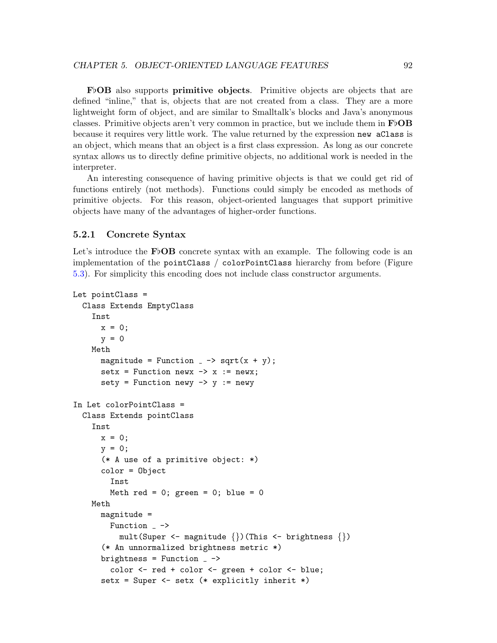$F\flat$ **OB** also supports **primitive objects**. Primitive objects are objects that are defined "inline," that is, objects that are not created from a class. They are a more lightweight form of object, and are similar to Smalltalk's blocks and Java's anonymous classes. Primitive objects aren't very common in practice, but we include them in  $\mathbf{F}\flat\mathbf{OB}$ because it requires very little work. The value returned by the expression new aClass is an object, which means that an object is a first class expression. As long as our concrete syntax allows us to directly define primitive objects, no additional work is needed in the interpreter.

An interesting consequence of having primitive objects is that we could get rid of functions entirely (not methods). Functions could simply be encoded as methods of primitive objects. For this reason, object-oriented languages that support primitive objects have many of the advantages of higher-order functions.

#### <span id="page-96-0"></span>5.2.1 Concrete Syntax

Let's introduce the  $\mathbf{F} \uplus \mathbf{OB}$  concrete syntax with an example. The following code is an implementation of the pointClass / colorPointClass hierarchy from before (Figure [5.3\)](#page-92-0). For simplicity this encoding does not include class constructor arguments.

```
Let pointClass =
 Class Extends EmptyClass
    Inst
      x = 0:
      y = 0Meth
      magnitude = Function \overline{\ } -> sqrt(x + y);
      setx = Function newx \rightarrow x := newx;
      sety = Function newy \rightarrow y := newy
In Let colorPointClass =
  Class Extends pointClass
    Inst
      x = 0;y = 0;(* A use of a primitive object: *)
      color = Object
        Inst
        Meth red = 0; green = 0; blue = 0
    Meth
      magnitude =
        Function _{-} ->
          mult(Super <- magnitude \{\})(This <- brightness \{\})
      (* An unnormalized brightness metric *)
      brightness = Function -color <- red + color <- green + color <- blue;
      setx = Super <- setx (* explicitly inherit *)
```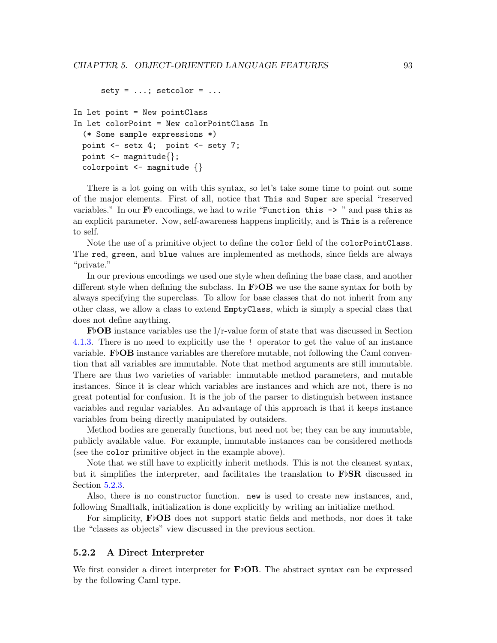```
sety = ...; setcolor = ...In Let point = New pointClass
In Let colorPoint = New colorPointClass In
  (* Some sample expressions *)
 point <- setx 4; point <- sety 7;
 point \leq magnitude\{\};
  colorpoint \leq magnitude \{\}
```
There is a lot going on with this syntax, so let's take some time to point out some of the major elements. First of all, notice that This and Super are special "reserved variables." In our  $\mathbf{F}$  b encodings, we had to write "Function this  $\rightarrow$ " and pass this as an explicit parameter. Now, self-awareness happens implicitly, and is This is a reference to self.

Note the use of a primitive object to define the color field of the colorPointClass. The red, green, and blue values are implemented as methods, since fields are always "private."

In our previous encodings we used one style when defining the base class, and another different style when defining the subclass. In  $\bf FbOB$  we use the same syntax for both by always specifying the superclass. To allow for base classes that do not inherit from any other class, we allow a class to extend EmptyClass, which is simply a special class that does not define anything.

 $\mathbf{FbOB}$  instance variables use the l/r-value form of state that was discussed in Section [4.1.3.](#page-69-0) There is no need to explicitly use the ! operator to get the value of an instance variable. F<sub>b</sub>OB instance variables are therefore mutable, not following the Caml convention that all variables are immutable. Note that method arguments are still immutable. There are thus two varieties of variable: immutable method parameters, and mutable instances. Since it is clear which variables are instances and which are not, there is no great potential for confusion. It is the job of the parser to distinguish between instance variables and regular variables. An advantage of this approach is that it keeps instance variables from being directly manipulated by outsiders.

Method bodies are generally functions, but need not be; they can be any immutable, publicly available value. For example, immutable instances can be considered methods (see the color primitive object in the example above).

Note that we still have to explicitly inherit methods. This is not the cleanest syntax, but it simplifies the interpreter, and facilitates the translation to  $\mathbf{F}\flat\mathbf{SR}$  discussed in Section [5.2.3.](#page-99-0)

Also, there is no constructor function. new is used to create new instances, and, following Smalltalk, initialization is done explicitly by writing an initialize method.

For simplicity,  $\textbf{F} \circ \textbf{OB}$  does not support static fields and methods, nor does it take the "classes as objects" view discussed in the previous section.

#### 5.2.2 A Direct Interpreter

We first consider a direct interpreter for  $\bf{FbOB}$ . The abstract syntax can be expressed by the following Caml type.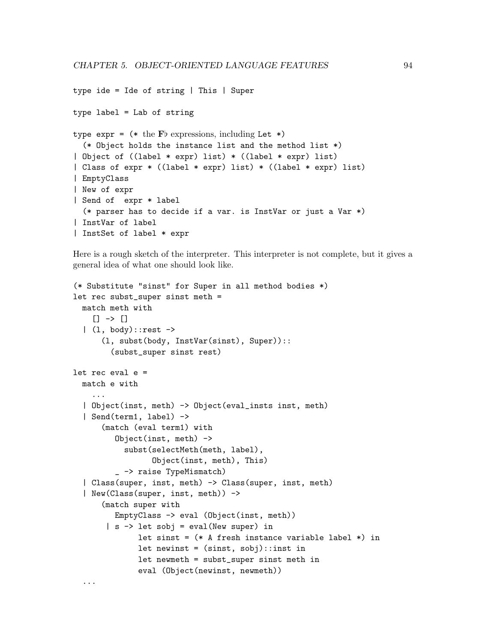```
type ide = Ide of string | This | Super
type label = Lab of string
type \exp r = (* \text{ the Fb expressions, including Let } *)(* Object holds the instance list and the method list *)
| Object of ((label * expr) list) * ((label * expr) list)
| Class of expr * ((label * expr) list) * ((label * expr) list)
| EmptyClass
| New of expr
| Send of expr * label
  (* parser has to decide if a var. is InstVar or just a Var *)
| InstVar of label
| InstSet of label * expr
```
Here is a rough sketch of the interpreter. This interpreter is not complete, but it gives a general idea of what one should look like.

```
(* Substitute "sinst" for Super in all method bodies *)
let rec subst_super sinst meth =
 match meth with
    [1 \rightarrow [1|(1, body):rest \rightarrow(l, subst(body, InstVar(sinst), Super))::
        (subst_super sinst rest)
let rec eval e =match e with
    ...
  | Object(inst, meth) -> Object(eval_insts inst, meth)
  | Send(term1, label) ->
      (match (eval term1) with
         Object(inst, meth) ->
           subst(selectMeth(meth, label),
                 Object(inst, meth), This)
         _ -> raise TypeMismatch)
  | Class(super, inst, meth) -> Class(super, inst, meth)
  | New(Class(super, inst, meth)) ->
      (match super with
         EmptyClass -> eval (Object(inst, meth))
       | s -> let sobj = eval(New super) in
              let sinst = (* A fresh instance variable label *) in
              let newinst = (sinst, sobj):: inst in
              let newmeth = subst_super sinst meth in
              eval (Object(newinst, newmeth))
```
...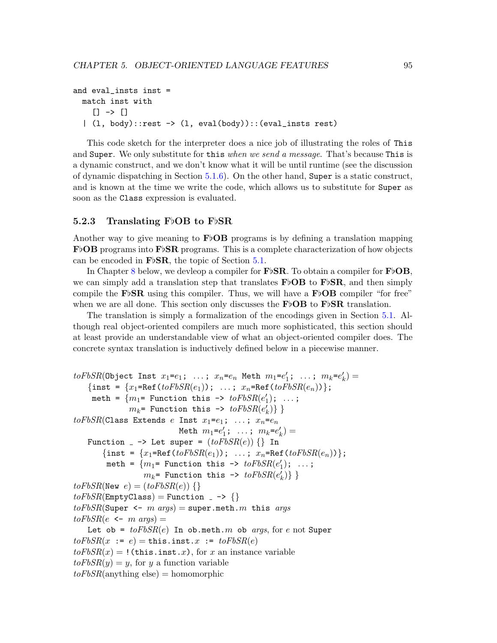```
and eval_insts inst =
  match inst with
    [] \ \rightarrow \ []| (l, body)::rest -> (l, eval(body))::(eval_insts rest)
```
This code sketch for the interpreter does a nice job of illustrating the roles of This and Super. We only substitute for this when we send a message. That's because This is a dynamic construct, and we don't know what it will be until runtime (see the discussion of dynamic dispatching in Section [5.1.6\)](#page-92-1). On the other hand, Super is a static construct, and is known at the time we write the code, which allows us to substitute for Super as soon as the Class expression is evaluated.

#### <span id="page-99-0"></span>5.2.3 Translating  $F\flat$ OB to  $F\flat$ SR

Another way to give meaning to  $\vec{F}$ OB programs is by defining a translation mapping  $\mathbf{F}\flat$ **OB** programs into  $\mathbf{F}\flat$ **SR** programs. This is a complete characterization of how objects can be encoded in  $\mathbf{F} \flat \mathbf{S} \mathbf{R}$ , the topic of Section [5.1.](#page-85-1)

In Chapter [8](#page-137-0) below, we devleop a compiler for  $\mathbf{F}\flat\mathbf{SR}$ . To obtain a compiler for  $\mathbf{F}\flat\mathbf{OB}$ , we can simply add a translation step that translates  $\mathbf{F} \uplus \mathbf{OB}$  to  $\mathbf{F} \uplus \mathbf{SR}$ , and then simply compile the F<sub>b</sub>SR using this compiler. Thus, we will have a F<sub>b</sub>OB compiler "for free" when we are all done. This section only discusses the **F**b**OB** to **F**b**SR** translation.

The translation is simply a formalization of the encodings given in Section [5.1.](#page-85-1) Although real object-oriented compilers are much more sophisticated, this section should at least provide an understandable view of what an object-oriented compiler does. The concrete syntax translation is inductively defined below in a piecewise manner.

```
to FbSR(0bject Inst x_1= e_1; ...; x_n=e_n Meth m_1=e'_1; ...; m_k=e'_k) =
    {inst = \{x_1 = \text{Ref}(toFbSR(e_1)); \ldots; x_n = \text{Ref}(toFbSR(e_n))\};meth = \{m_1= Function this -> to FbSR(e'_1); ...;
               m_k= Function this -> to FbSR(e'_k)} }
to FbSR(Class Extends e Inst x_1 = e_1; \ldots; x_n = e_nMeth m_1 = e'_1; \ldots; m_k = e'_k =
   Function \Box \rightarrow Let super = (toFbSR(e)) {} In
       {inst = \{x_1 = \text{Ref}(toFbSR(e_1))\}; \ldots; x_n = \text{Ref}(toFbSR(e_n))\};meth = \{m_1= Function this -> to FbSR(e'_1); ...;
                   m_k= Function this -> to FbSR(e'_k)} }
toFbSR(New e) = (toFbSR(e)) {}
toFbSR(EmptyClass) = Function -> {}
to FbSR(Super <- m args) = super.meth.m this args
to FbSR(e \leftarrow m \; args) =Let ob = toFbSR(e) In ob.meth. m ob args, for e not Super
to FbSR(x := e) = \text{this.insert}.x := to FbSR(e)toFbSR(x) =! (this.inst.x), for x an instance variable
toFbSR(y) = y, for y a function variable
toFbSR(anything else) = homomorphic
```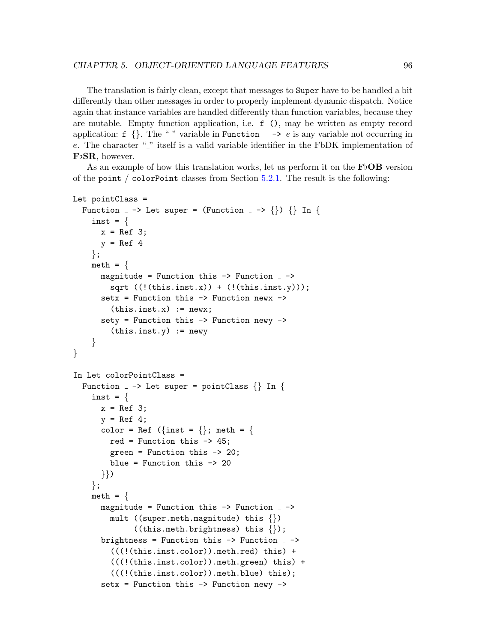The translation is fairly clean, except that messages to Super have to be handled a bit differently than other messages in order to properly implement dynamic dispatch. Notice again that instance variables are handled differently than function variables, because they are mutable. Empty function application, i.e. f (), may be written as empty record application: f {}. The "" variable in Function  $\overline{\phantom{a}}$   $\rightarrow$  e is any variable not occurring in  $e$ . The character " $\cdot$ " itself is a valid variable identifier in the FbDK implementation of FbSR, however.

As an example of how this translation works, let us perform it on the  $\bf{FbOB}$  version of the point / colorPoint classes from Section [5.2.1.](#page-96-0) The result is the following:

```
Let pointClass =
```

```
Function \Box -> Let super = (Function \Box -> {}) {} In {
    inst = \{x = \text{Ref } 3;y = Ref 4};
    meth = \{magnitude = Function this \rightarrow Function \overline{\phantom{a}} ->
         sqrt ((!(this.insert.x)) + ((this.insert.y)));setx = Function this -> Function newx ->
         (this.insert.x) := newx;sety = Function this \rightarrow Function newy \rightarrow(this.insert.y) := newy}
}
In Let colorPointClass =
  Function - > Let super = pointClass \{\}\ In \{inst = \{x = \text{Ref } 3;y = Ref 4;color = Ref (\{\text{inst} = \{\}\;;\; \text{meth} = \{\}red = Function this -> 45;
         green = Function this -> 20;
         blue = Function this -> 20
       }})
    };
    meth = \{magnitude = Function this \rightarrow Function \rightarrowmult ((super.meth.magnitude) this \{\})((this.meth.brightness) this <math>\{\});
       brightness = Function this \rightarrow Function \rightarrow(((!(this.inst.color)).meth.read) this) +(((!(this.inst.color)).meth.green) this) +
         (((!(this.inst.color)).meth.blue) this);
       setx = Function this \rightarrow Function newy \rightarrow
```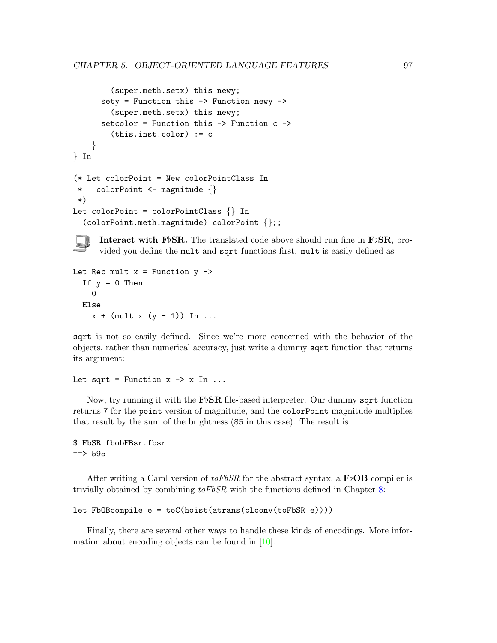```
(super.meth.setx) this newy;
      sety = Function this -> Function newy ->
        (super.meth.setx) this newy;
      setcolor = Function this -> Function c ->
        (this.inst.color) := c
    }
} In
(* Let colorPoint = New colorPointClass In
 * colorPoint <- magnitude {}
*)
Let colorPoint = colorPointClass \{\}\ In
  (colorPoint.meth.magnitude) colorPoint {};;
```
Interact with F<sub>b</sub>SR. The translated code above should run fine in F<sub>bSR</sub>, provided you define the mult and sqrt functions first. mult is easily defined as

```
Let Rec mult x = Function y \rightarrowIf y = 0 Then
    \OmegaElse
    x + (mult x (y - 1)) In ...
```
sqrt is not so easily defined. Since we're more concerned with the behavior of the objects, rather than numerical accuracy, just write a dummy sqrt function that returns its argument:

Let sqrt = Function  $x \rightarrow x$  In ...

Now, try running it with the  $\vec{F}$ SR file-based interpreter. Our dummy sqrt function returns 7 for the point version of magnitude, and the colorPoint magnitude multiplies that result by the sum of the brightness (85 in this case). The result is

```
$ FbSR fbobFBsr.fbsr
==> 595
```
After writing a Caml version of  $toFbSR$  for the abstract syntax, a FbOB compiler is trivially obtained by combining  $toFbSR$  with the functions defined in Chapter [8:](#page-137-0)

```
let FbOBcompile e = toC(hoist(atrans(clconv(toFbSR e))))
```
Finally, there are several other ways to handle these kinds of encodings. More information about encoding objects can be found in [\[10\]](#page-159-3).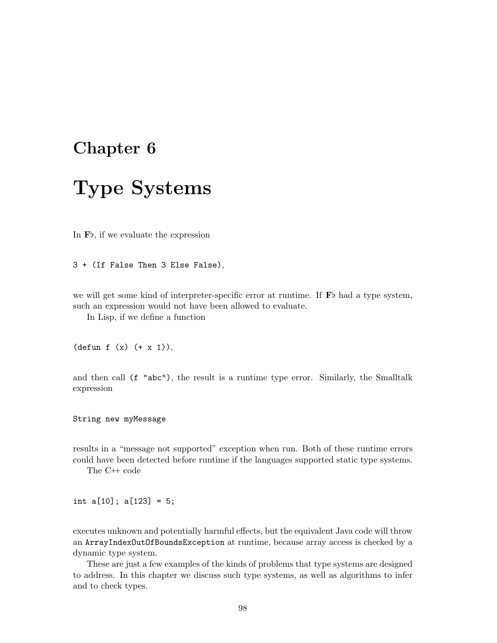# <span id="page-102-0"></span>Chapter 6

# Type Systems

In  $\mathbf{F}$ , if we evaluate the expression

3 + (If False Then 3 Else False),

we will get some kind of interpreter-specific error at runtime. If  $\mathbf{F}$  had a type system, such an expression would not have been allowed to evaluate.

In Lisp, if we define a function

 $(\text{defun } f (x) (+ x 1)),$ 

and then call (f "abc"), the result is a runtime type error. Similarly, the Smalltalk expression

String new myMessage

results in a "message not supported" exception when run. Both of these runtime errors could have been detected before runtime if the languages supported static type systems.

The C<sup>++</sup> code

int a[10]; a[123] = 5;

executes unknown and potentially harmful effects, but the equivalent Java code will throw an ArrayIndexOutOfBoundsException at runtime, because array access is checked by a dynamic type system.

These are just a few examples of the kinds of problems that type systems are designed to address. In this chapter we discuss such type systems, as well as algorithms to infer and to check types.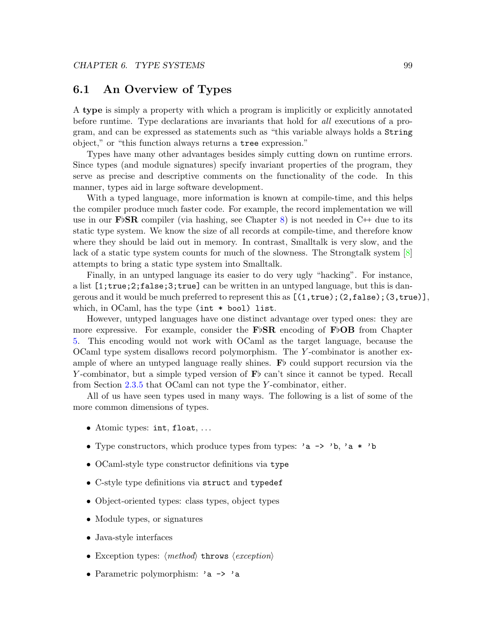### 6.1 An Overview of Types

A type is simply a property with which a program is implicitly or explicitly annotated before runtime. Type declarations are invariants that hold for all executions of a program, and can be expressed as statements such as "this variable always holds a String object," or "this function always returns a tree expression."

Types have many other advantages besides simply cutting down on runtime errors. Since types (and module signatures) specify invariant properties of the program, they serve as precise and descriptive comments on the functionality of the code. In this manner, types aid in large software development.

With a typed language, more information is known at compile-time, and this helps the compiler produce much faster code. For example, the record implementation we will use in our F<sub>b</sub>SR compiler (via hashing, see Chapter [8\)](#page-137-0) is not needed in C $+$  due to its static type system. We know the size of all records at compile-time, and therefore know where they should be laid out in memory. In contrast, Smalltalk is very slow, and the lack of a static type system counts for much of the slowness. The Strongtalk system [\[8\]](#page-159-4) attempts to bring a static type system into Smalltalk.

Finally, in an untyped language its easier to do very ugly "hacking". For instance, a list [1;true;2;false;3;true] can be written in an untyped language, but this is dangerous and it would be much preferred to represent this as  $[(1,true);(2,false);(3,true)],$ which, in OCaml, has the type (int \* bool) list.

However, untyped languages have one distinct advantage over typed ones: they are more expressive. For example, consider the  $F\flat SR$  encoding of  $F\flat OB$  from Chapter [5.](#page-82-1) This encoding would not work with OCaml as the target language, because the OCaml type system disallows record polymorphism. The Y -combinator is another example of where an untyped language really shines.  $\mathbf{F}$  could support recursion via the Y-combinator, but a simple typed version of  $\mathbf{F}$  can't since it cannot be typed. Recall from Section [2.3.5](#page-36-0) that OCaml can not type the Y -combinator, either.

All of us have seen types used in many ways. The following is a list of some of the more common dimensions of types.

- Atomic types: int, float, ...
- Type constructors, which produce types from types: 'a -> 'b, 'a \* 'b
- OCaml-style type constructor definitions via type
- C-style type definitions via struct and typedef
- Object-oriented types: class types, object types
- Module types, or signatures
- Java-style interfaces
- Exception types:  $\langle method\rangle$  throws  $\langle exception\rangle$
- Parametric polymorphism: 'a -> 'a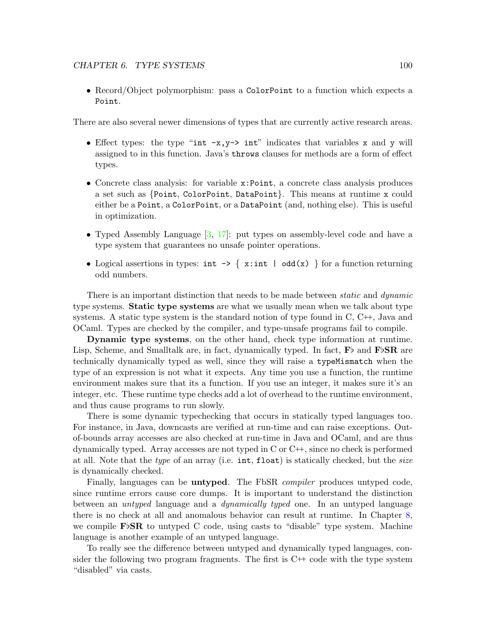• Record/Object polymorphism: pass a ColorPoint to a function which expects a Point.

There are also several newer dimensions of types that are currently active research areas.

- Effect types: the type "int  $-x, y\rightarrow int$ " indicates that variables x and y will assigned to in this function. Java's throws clauses for methods are a form of effect types.
- Concrete class analysis: for variable x:Point, a concrete class analysis produces a set such as {Point, ColorPoint, DataPoint}. This means at runtime x could either be a Point, a ColorPoint, or a DataPoint (and, nothing else). This is useful in optimization.
- Typed Assembly Language  $[3, 17]$  $[3, 17]$ : put types on assembly-level code and have a type system that guarantees no unsafe pointer operations.
- Logical assertions in types:  $int \rightarrow \{ x: int \mid odd(x) \}$  for a function returning odd numbers.

There is an important distinction that needs to be made between *static* and *dynamic* type systems. Static type systems are what we usually mean when we talk about type systems. A static type system is the standard notion of type found in  $C, C++,$  Java and OCaml. Types are checked by the compiler, and type-unsafe programs fail to compile.

Dynamic type systems, on the other hand, check type information at runtime. Lisp, Scheme, and Smalltalk are, in fact, dynamically typed. In fact,  $\mathbf{F}$  and  $\mathbf{F}$   $\beta$ SR are technically dynamically typed as well, since they will raise a typeMismatch when the type of an expression is not what it expects. Any time you use a function, the runtime environment makes sure that its a function. If you use an integer, it makes sure it's an integer, etc. These runtime type checks add a lot of overhead to the runtime environment, and thus cause programs to run slowly.

There is some dynamic typechecking that occurs in statically typed languages too. For instance, in Java, downcasts are verified at run-time and can raise exceptions. Outof-bounds array accesses are also checked at run-time in Java and OCaml, and are thus dynamically typed. Array accesses are not typed in  $C$  or  $C++$ , since no check is performed at all. Note that the *type* of an array (i.e.  $int$ , float) is statically checked, but the *size* is dynamically checked.

Finally, languages can be **untyped**. The FbSR *compiler* produces untyped code, since runtime errors cause core dumps. It is important to understand the distinction between an untyped language and a dynamically typed one. In an untyped language there is no check at all and anomalous behavior can result at runtime. In Chapter [8,](#page-137-0) we compile  $\mathbf{F} \flat \mathbf{SR}$  to untyped C code, using casts to "disable" type system. Machine language is another example of an untyped language.

To really see the difference between untyped and dynamically typed languages, consider the following two program fragments. The first is  $C^{++}$  code with the type system "disabled" via casts.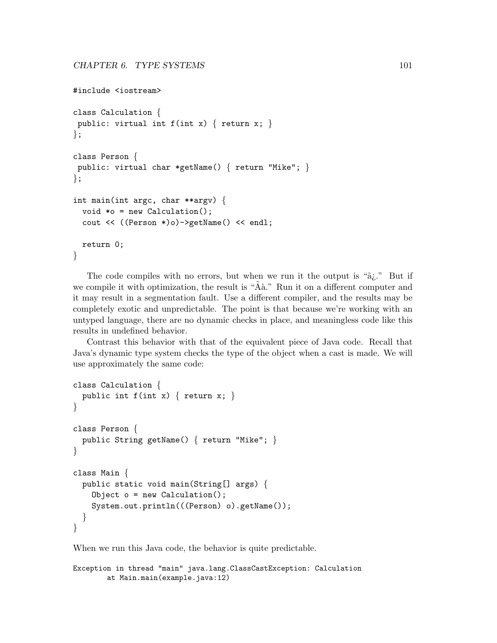```
#include <iostream>
class Calculation {
public: virtual int f(int x) \{ return x; \}};
class Person {
public: virtual char *getName() { return "Mike"; }
};
int main(int argc, char **argv) {
 void *o = new Calculation();
 cout << ((Person *)o)->getName() << endl;
 return 0;
}
```
The code compiles with no errors, but when we run it the output is " $\tilde{a}_i$ ." But if we compile it with optimization, the result is " $\tilde{A}$ à." Run it on a different computer and it may result in a segmentation fault. Use a different compiler, and the results may be completely exotic and unpredictable. The point is that because we're working with an untyped language, there are no dynamic checks in place, and meaningless code like this results in undefined behavior.

Contrast this behavior with that of the equivalent piece of Java code. Recall that Java's dynamic type system checks the type of the object when a cast is made. We will use approximately the same code:

```
class Calculation {
  public int f(int x) \{ return x; \}}
class Person {
  public String getName() { return "Mike"; }
}
class Main {
 public static void main(String[] args) {
    Object o = new Calculation();
    System.out.println(((Person) o).getName());
  }
}
```
When we run this Java code, the behavior is quite predictable.

```
Exception in thread "main" java.lang.ClassCastException: Calculation
       at Main.main(example.java:12)
```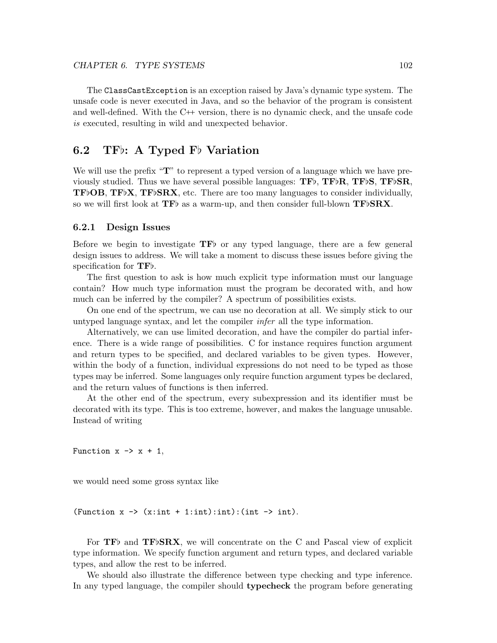The ClassCastException is an exception raised by Java's dynamic type system. The unsafe code is never executed in Java, and so the behavior of the program is consistent and well-defined. With the  $C^{++}$  version, there is no dynamic check, and the unsafe code is executed, resulting in wild and unexpected behavior.

# 6.2 TF $\flat$ : A Typed F $\flat$  Variation

We will use the prefix " $\mathbf{T}$ " to represent a typed version of a language which we have previously studied. Thus we have several possible languages:  $TF\flat$ ,  $TF\flat$ R,  $TF\flat$ S,  $TF\flat$ SR, **TF**<sub>b</sub>OB, **TF**<sub>b</sub>X, **TF**<sub>b</sub>SRX, etc. There are too many languages to consider individually, so we will first look at  $TF$  as a warm-up, and then consider full-blown  $TF$ b $SRX$ .

#### 6.2.1 Design Issues

Before we begin to investigate  $TF\bar{b}$  or any typed language, there are a few general design issues to address. We will take a moment to discuss these issues before giving the specification for  $TFb$ .

The first question to ask is how much explicit type information must our language contain? How much type information must the program be decorated with, and how much can be inferred by the compiler? A spectrum of possibilities exists.

On one end of the spectrum, we can use no decoration at all. We simply stick to our untyped language syntax, and let the compiler infer all the type information.

Alternatively, we can use limited decoration, and have the compiler do partial inference. There is a wide range of possibilities. C for instance requires function argument and return types to be specified, and declared variables to be given types. However, within the body of a function, individual expressions do not need to be typed as those types may be inferred. Some languages only require function argument types be declared, and the return values of functions is then inferred.

At the other end of the spectrum, every subexpression and its identifier must be decorated with its type. This is too extreme, however, and makes the language unusable. Instead of writing

Function  $x \rightarrow x + 1$ ,

we would need some gross syntax like

(Function  $x \rightarrow (x:int + 1:int):int)$ :(int  $\rightarrow$  int).

For  $TF\$  and  $TF\flat$   $SRX$ , we will concentrate on the C and Pascal view of explicit type information. We specify function argument and return types, and declared variable types, and allow the rest to be inferred.

We should also illustrate the difference between type checking and type inference. In any typed language, the compiler should **typecheck** the program before generating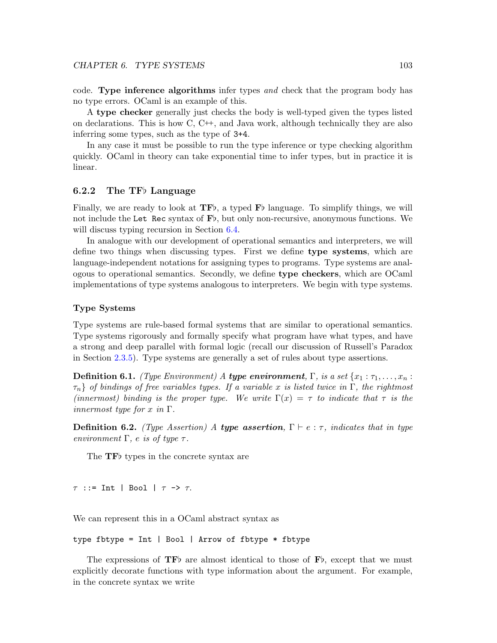code. Type inference algorithms infer types and check that the program body has no type errors. OCaml is an example of this.

A type checker generally just checks the body is well-typed given the types listed on declarations. This is how  $C, C++,$  and Java work, although technically they are also inferring some types, such as the type of 3+4.

In any case it must be possible to run the type inference or type checking algorithm quickly. OCaml in theory can take exponential time to infer types, but in practice it is linear.

#### 6.2.2 The TF $\flat$  Language

Finally, we are ready to look at  $\mathbf{TF}$ , a typed  $\mathbf{F}$  language. To simplify things, we will not include the Let Rec syntax of  $F\flat$ , but only non-recursive, anonymous functions. We will discuss typing recursion in Section [6.4.](#page-112-0)

In analogue with our development of operational semantics and interpreters, we will define two things when discussing types. First we define type systems, which are language-independent notations for assigning types to programs. Type systems are analogous to operational semantics. Secondly, we define type checkers, which are OCaml implementations of type systems analogous to interpreters. We begin with type systems.

#### Type Systems

Type systems are rule-based formal systems that are similar to operational semantics. Type systems rigorously and formally specify what program have what types, and have a strong and deep parallel with formal logic (recall our discussion of Russell's Paradox in Section [2.3.5\)](#page-36-0). Type systems are generally a set of rules about type assertions.

**Definition 6.1.** (Type Environment) A **type environment**,  $\Gamma$ , is a set  $\{x_1 : \tau_1, \ldots, x_n :$  $\tau_n$  of bindings of free variables types. If a variable x is listed twice in Γ, the rightmost (innermost) binding is the proper type. We write  $\Gamma(x) = \tau$  to indicate that  $\tau$  is the *innermost type for x in*  $\Gamma$ .

**Definition 6.2.** (Type Assertion) A type assertion,  $\Gamma \vdash e : \tau$ , indicates that in type environment  $\Gamma$ , e is of type  $\tau$ .

The  $TF\bar{b}$  types in the concrete syntax are

 $\tau$  ::= Int | Bool |  $\tau \rightarrow \tau$ .

We can represent this in a OCaml abstract syntax as

```
type fbtype = Int | Bool | Arrow of fbtype * fbtype
```
The expressions of  $TF\bar{b}$  are almost identical to those of  $\bar{F}\bar{b}$ , except that we must explicitly decorate functions with type information about the argument. For example, in the concrete syntax we write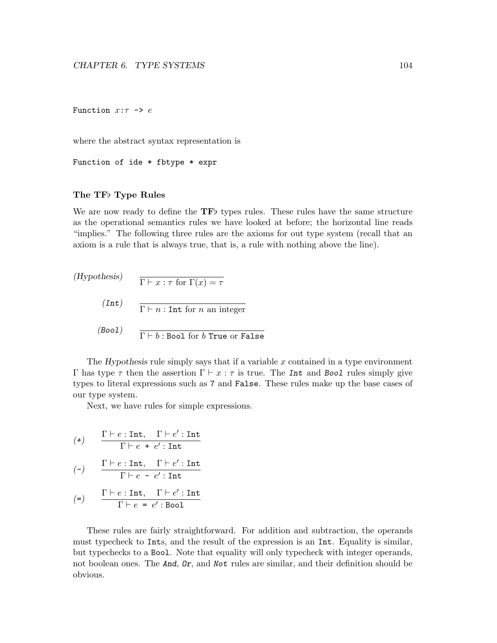Function  $x:\tau \rightarrow e$ 

where the abstract syntax representation is

Function of ide \* fbtype \* expr

### The TF<sub>b</sub> Type Rules

We are now ready to define the  $TF\$  types rules. These rules have the same structure as the operational semantics rules we have looked at before; the horizontal line reads "implies." The following three rules are the axioms for out type system (recall that an axiom is a rule that is always true, that is, a rule with nothing above the line).

(Hypothesis)  $\overline{\Gamma \vdash x : \tau \text{ for } \Gamma(x) = \tau}$  $(Int)$  $\Gamma \vdash n :$  Int for n an integer (Bool)  $\Gamma \vdash b :$  Bool for b True or False

The Hypothesis rule simply says that if a variable  $x$  contained in a type environment Γ has type τ then the assertion  $\Gamma \vdash x : \tau$  is true. The Int and Bool rules simply give types to literal expressions such as 7 and False. These rules make up the base cases of our type system.

Next, we have rules for simple expressions.

$$
(\texttt{+}) \qquad \frac{\Gamma \vdash e : \texttt{Int}, \quad \Gamma \vdash e' : \texttt{Int}}{\Gamma \vdash e + e' : \texttt{Int}}
$$

$$
(\mathsf{-}) \qquad \frac{\Gamma \vdash e : \mathtt{Int}, \quad \Gamma \vdash e' : \mathtt{Int}}{\Gamma \vdash e - e' : \mathtt{Int}}
$$

$$
(\mathsf{=}) \qquad \frac{\Gamma \vdash e : \mathtt{Int}, \quad \Gamma \vdash e' : \mathtt{Int}}{\Gamma \vdash e = e' : \mathtt{Bool}}
$$

These rules are fairly straightforward. For addition and subtraction, the operands must typecheck to Ints, and the result of the expression is an Int. Equality is similar, but typechecks to a Bool. Note that equality will only typecheck with integer operands, not boolean ones. The **And**, **Dr**, and **Not** rules are similar, and their definition should be obvious.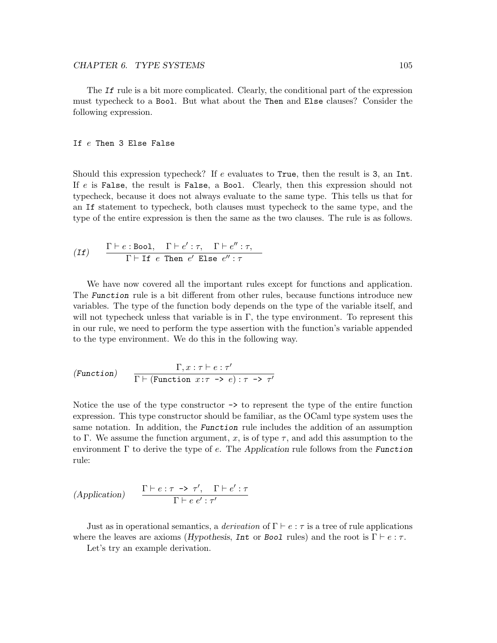The If rule is a bit more complicated. Clearly, the conditional part of the expression must typecheck to a Bool. But what about the Then and Else clauses? Consider the following expression.

### If e Then 3 Else False

Should this expression typecheck? If  $e$  evaluates to True, then the result is 3, an Int. If e is False, the result is False, a Bool. Clearly, then this expression should not typecheck, because it does not always evaluate to the same type. This tells us that for an If statement to typecheck, both clauses must typecheck to the same type, and the type of the entire expression is then the same as the two clauses. The rule is as follows.

(If) 
$$
\frac{\Gamma \vdash e : \text{Bool}, \quad \Gamma \vdash e' : \tau, \quad \Gamma \vdash e'' : \tau,}{\Gamma \vdash \text{If } e \text{ Then } e' \text{ Else } e'' : \tau}
$$

We have now covered all the important rules except for functions and application. The Function rule is a bit different from other rules, because functions introduce new variables. The type of the function body depends on the type of the variable itself, and will not typecheck unless that variable is in  $\Gamma$ , the type environment. To represent this in our rule, we need to perform the type assertion with the function's variable appended to the type environment. We do this in the following way.

(Function) 
$$
\frac{\Gamma, x : \tau \vdash e : \tau'}{\Gamma \vdash (\text{Function } x : \tau \to e) : \tau \to \tau'}
$$

Notice the use of the type constructor  $\rightarrow$  to represent the type of the entire function expression. This type constructor should be familiar, as the OCaml type system uses the same notation. In addition, the **Function** rule includes the addition of an assumption to Γ. We assume the function argument, x, is of type  $\tau$ , and add this assumption to the environment  $\Gamma$  to derive the type of e. The Application rule follows from the Function rule:

$$
(Application) \qquad \frac{\Gamma \vdash e : \tau \to \tau', \quad \Gamma \vdash e' : \tau}{\Gamma \vdash e \ e' : \tau'}
$$

Just as in operational semantics, a *derivation* of  $\Gamma \vdash e : \tau$  is a tree of rule applications where the leaves are axioms (Hypothesis, Int or Bool rules) and the root is  $\Gamma \vdash e : \tau$ .

Let's try an example derivation.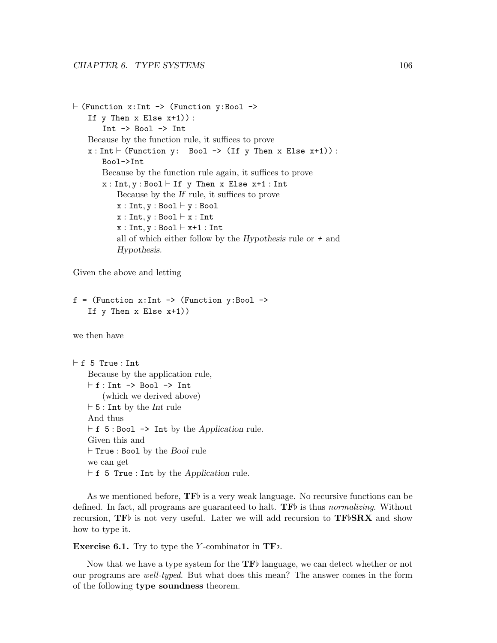```
\vdash (Function x:Int -> (Function y:Bool ->
    If y Then x Else x+1)):
       Int -> Bool -> Int
   Because by the function rule, it suffices to prove
   x : Int \vdash (Function y: Bool -> (If y Then x Else x+1)):
       Bool->Int
       Because by the function rule again, it suffices to prove
       x : Int, y : Bool \vdash If y Then x Else x+1 : IntBecause by the If rule, it suffices to prove
           x : Int, y : Bool \vdash y : Boolx : Int, y : Bool \vdash x : Intx : Int, y : Bool \vdash x+1 : Intall of which either follow by the Hypothesis rule or + and
           Hypothesis.
```
Given the above and letting

```
f = (Function x: Int \rightarrow (Function y:Bool \rightarrowIf y Then x Else x+1))
```
we then have

```
\vdash f 5 True : Int
    Because by the application rule,
    \vdash f : Int \rightarrow Bool \rightarrow Int
         (which we derived above)
    \vdash 5 : Int by the Int rule
    And thus
    \vdash f 5 : Bool \rightarrow Int by the Application rule.
    Given this and
    \vdash True : Bool by the Bool rule
    we can get
    \vdash f 5 True : Int by the Application rule.
```
As we mentioned before,  $\mathbf{TF}$  is a very weak language. No recursive functions can be defined. In fact, all programs are guaranteed to halt.  $\mathbf{TF}$  is thus normalizing. Without recursion,  $TF\$  is not very useful. Later we will add recursion to  $TF\flat SRX$  and show how to type it.

**Exercise 6.1.** Try to type the Y-combinator in  $TF\mathcal{F}$ .

Now that we have a type system for the  $\mathbf{TF}$  language, we can detect whether or not our programs are well-typed. But what does this mean? The answer comes in the form of the following type soundness theorem.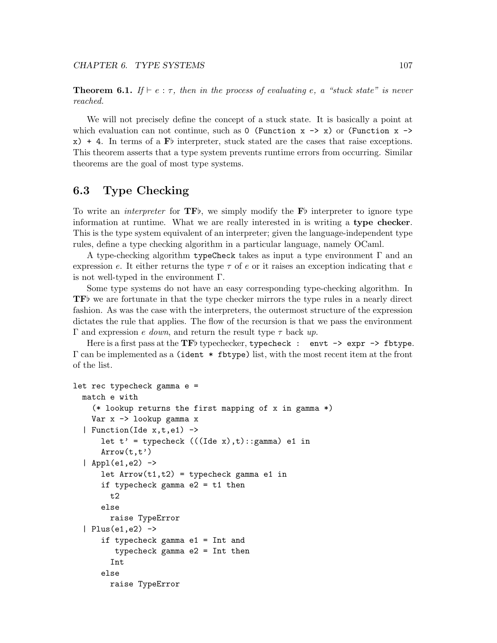**Theorem 6.1.** If  $\vdash e : \tau$ , then in the process of evaluating e, a "stuck state" is never reached.

We will not precisely define the concept of a stuck state. It is basically a point at which evaluation can not continue, such as 0 (Function  $x \rightarrow x$ ) or (Function  $x \rightarrow$  $x$ ) + 4. In terms of a F<sub>p</sub> interpreter, stuck stated are the cases that raise exceptions. This theorem asserts that a type system prevents runtime errors from occurring. Similar theorems are the goal of most type systems.

# 6.3 Type Checking

To write an *interpreter* for  $TF$ , we simply modify the F<sub>p</sub> interpreter to ignore type information at runtime. What we are really interested in is writing a type checker. This is the type system equivalent of an interpreter; given the language-independent type rules, define a type checking algorithm in a particular language, namely OCaml.

A type-checking algorithm typeCheck takes as input a type environment Γ and an expression e. It either returns the type  $\tau$  of e or it raises an exception indicating that e is not well-typed in the environment  $\Gamma$ .

Some type systems do not have an easy corresponding type-checking algorithm. In  $\mathbf{TF}$  we are fortunate in that the type checker mirrors the type rules in a nearly direct fashion. As was the case with the interpreters, the outermost structure of the expression dictates the rule that applies. The flow of the recursion is that we pass the environment Γ and expression *e down*, and return the result type  $τ$  back up.

Here is a first pass at the TFb typechecker, typecheck : envt  $\rightarrow$  expr  $\rightarrow$  fbtype.  $\Gamma$  can be implemented as a (ident  $*$  fbtype) list, with the most recent item at the front of the list.

```
let rec typecheck gamma e =
  match e with
    (* lookup returns the first mapping of x in gamma *)
    Var x -> lookup gamma x
  | Function(Ide x, t, e_1) ->
      let t' = typecheck (((\text{Ide } x), t) : \text{gamma}) e1 in
      Arrow(t, t')| Appl(e1,e2) ->
      let Arrow(t1,t2) = typecheck gamma e1 inif typecheck gamma e2 = t1 then
        t2
      else
        raise TypeError
  | Plus(e1,e2) \rightarrowif typecheck gamma e1 = Int and
         typecheck gamma e2 = Int then
        Int
      else
        raise TypeError
```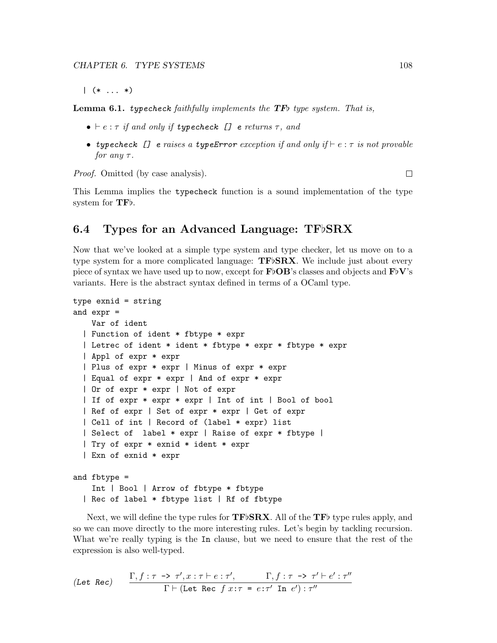$|( * \dots * )$ 

**Lemma 6.1.** typecheck faithfully implements the **TF** $\flat$  type system. That is,

- $\bullet \vdash e : \tau$  if and only if typecheck [] e returns  $\tau$ , and
- typecheck  $[]$  e raises a typeError exception if and only if  $\vdash e : \tau$  is not provable for any  $\tau$ .

Proof. Omitted (by case analysis).

 $\Box$ 

This Lemma implies the typecheck function is a sound implementation of the type system for  $TFb$ .

# 6.4 Types for an Advanced Language:  $TF\flat$ SRX

Now that we've looked at a simple type system and type checker, let us move on to a type system for a more complicated language:  $TFbSRX$ . We include just about every piece of syntax we have used up to now, except for  $\mathbf{FbOB}$ 's classes and objects and  $\mathbf{FbV}$ 's variants. Here is the abstract syntax defined in terms of a OCaml type.

```
type exnid = string
and expr =
    Var of ident
  | Function of ident * fbtype * expr
  | Letrec of ident * ident * fbtype * expr * fbtype * expr
  | Appl of expr * expr
  | Plus of expr * expr | Minus of expr * expr
  | Equal of expr * expr | And of expr * expr
  | Or of expr * expr | Not of expr
  | If of expr * expr * expr | Int of int | Bool of bool
  | Ref of expr | Set of expr * expr | Get of expr
  | Cell of int | Record of (label * expr) list
  | Select of label * expr | Raise of expr * fbtype |
  | Try of expr * exnid * ident * expr
  | Exn of exnid * expr
and fbtype =
    Int | Bool | Arrow of fbtype * fbtype
  | Rec of label * fbtype list | Rf of fbtype
```
Next, we will define the type rules for  $\mathbf{TF}\flat\mathbf{SRX}$ . All of the  $\mathbf{TF}\flat$  type rules apply, and so we can move directly to the more interesting rules. Let's begin by tackling recursion. What we're really typing is the In clause, but we need to ensure that the rest of the expression is also well-typed.

$$
\text{(Let Rec)} \qquad \frac{\Gamma, f: \tau \to \tau', x: \tau \vdash e: \tau', \qquad \Gamma, f: \tau \to \tau' \vdash e': \tau''}{\Gamma \vdash (\text{Let Rec } f x: \tau = e: \tau' \text{ In } e') : \tau''}
$$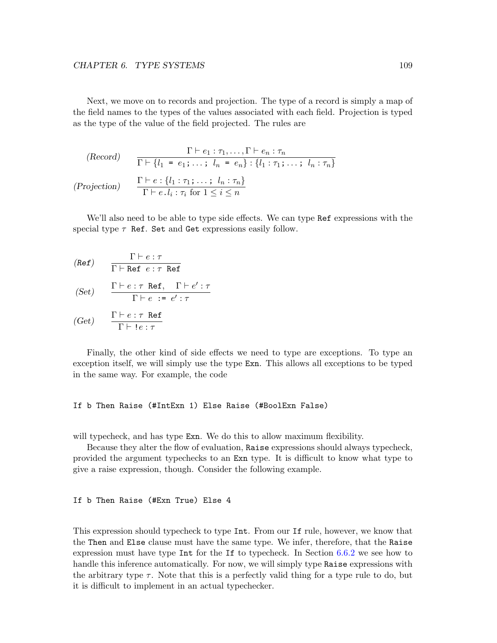Next, we move on to records and projection. The type of a record is simply a map of the field names to the types of the values associated with each field. Projection is typed as the type of the value of the field projected. The rules are

$$
\begin{array}{ll}\n\text{(Record)} & \frac{\Gamma \vdash e_1 : \tau_1, \dots, \Gamma \vdash e_n : \tau_n}{\Gamma \vdash \{l_1 = e_1; \dots; \ l_n = e_n\} : \{l_1 : \tau_1; \dots; \ l_n : \tau_n\}} \\
\text{(Projection)} & \frac{\Gamma \vdash e : \{l_1 : \tau_1; \dots; \ l_n : \tau_n\}}{\Gamma \vdash e \cdot l_i : \tau_i \text{ for } 1 \leq i \leq n}\n\end{array}
$$

We'll also need to be able to type side effects. We can type Ref expressions with the special type  $\tau$  Ref. Set and Get expressions easily follow.

$$
\text{(Ref)} \qquad \frac{\Gamma \vdash e : \tau}{\Gamma \vdash \text{Ref } e : \tau \text{ Ref}}
$$

(Set) 
$$
\frac{\Gamma \vdash e : \tau \text{ Ref, } \Gamma \vdash e' : \tau}{\Gamma \vdash e : \tau \cdot e' : \tau}
$$

$$
(Get) \qquad \frac{\Gamma \vdash e : \tau \text{ Ref}}{\Gamma \vdash !e : \tau}
$$

Finally, the other kind of side effects we need to type are exceptions. To type an exception itself, we will simply use the type Exn. This allows all exceptions to be typed in the same way. For example, the code

### If b Then Raise (#IntExn 1) Else Raise (#BoolExn False)

will typecheck, and has type **Exn**. We do this to allow maximum flexibility.

Because they alter the flow of evaluation, Raise expressions should always typecheck, provided the argument typechecks to an Exn type. It is difficult to know what type to give a raise expression, though. Consider the following example.

If b Then Raise (#Exn True) Else 4

This expression should typecheck to type Int. From our If rule, however, we know that the Then and Else clause must have the same type. We infer, therefore, that the Raise expression must have type Int for the If to typecheck. In Section [6.6.2](#page-119-0) we see how to handle this inference automatically. For now, we will simply type Raise expressions with the arbitrary type  $\tau$ . Note that this is a perfectly valid thing for a type rule to do, but it is difficult to implement in an actual typechecker.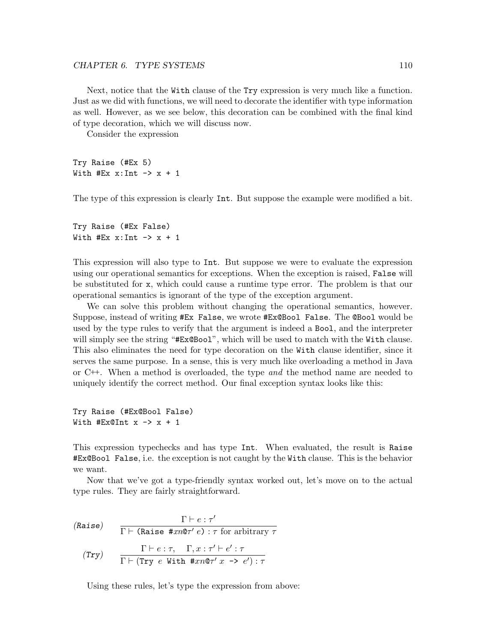Next, notice that the With clause of the Try expression is very much like a function. Just as we did with functions, we will need to decorate the identifier with type information as well. However, as we see below, this decoration can be combined with the final kind of type decoration, which we will discuss now.

Consider the expression

Try Raise (#Ex 5) With  $#Ex$  x: Int  $\rightarrow$  x + 1

The type of this expression is clearly Int. But suppose the example were modified a bit.

Try Raise (#Ex False) With  $#Ex$  x: Int  $\rightarrow$  x + 1

This expression will also type to Int. But suppose we were to evaluate the expression using our operational semantics for exceptions. When the exception is raised, False will be substituted for x, which could cause a runtime type error. The problem is that our operational semantics is ignorant of the type of the exception argument.

We can solve this problem without changing the operational semantics, however. Suppose, instead of writing #Ex False, we wrote #Ex@Bool False. The @Bool would be used by the type rules to verify that the argument is indeed a Bool, and the interpreter will simply see the string "#Ex@Boo1", which will be used to match with the With clause. This also eliminates the need for type decoration on the With clause identifier, since it serves the same purpose. In a sense, this is very much like overloading a method in Java or  $C^{++}$ . When a method is overloaded, the type and the method name are needed to uniquely identify the correct method. Our final exception syntax looks like this:

Try Raise (#Ex@Bool False) With #Ex@Int  $x \rightarrow x + 1$ 

This expression typechecks and has type Int. When evaluated, the result is Raise #Ex@Bool False, i.e. the exception is not caught by the With clause. This is the behavior we want.

Now that we've got a type-friendly syntax worked out, let's move on to the actual type rules. They are fairly straightforward.

(Raise) 
$$
\frac{\Gamma \vdash e : \tau'}{\Gamma \vdash (\text{Raise } \# \text{sn@}\tau' e) : \tau \text{ for arbitrary } \tau}
$$

$$
(Try) \qquad \frac{\Gamma \vdash e : \tau, \quad \Gamma, x : \tau' \vdash e' : \tau}{\Gamma \vdash (\text{Try } e \text{ With } \# \text{sn@}\tau' x \implies e') : \tau}
$$

Using these rules, let's type the expression from above: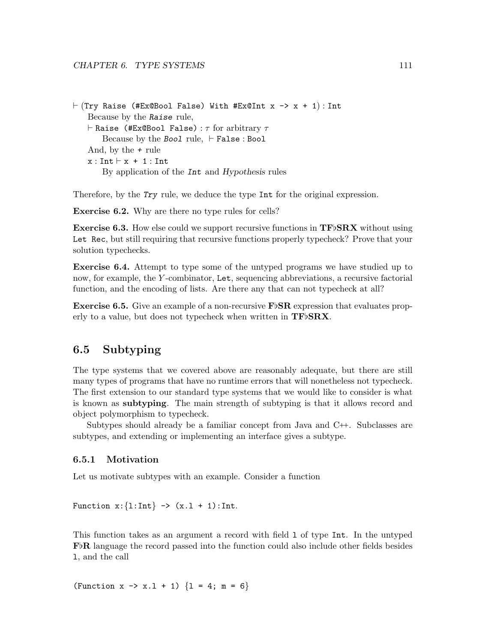```
\vdash (Try Raise (#Ex@Bool False) With #Ex@Int x -> x + 1) : Int
   Because by the Raise rule,
   \vdash Raise (#Ex@Bool False) : \tau for arbitrary \tauBecause by the Bool rule, \vdash False : Bool
    And, by the + rule
   x : Int \vdash x + 1 : IntBy application of the Int and Hypothesis rules
```
Therefore, by the Try rule, we deduce the type Int for the original expression.

Exercise 6.2. Why are there no type rules for cells?

**Exercise 6.3.** How else could we support recursive functions in  $TF\,BRX$  without using Let Rec, but still requiring that recursive functions properly typecheck? Prove that your solution typechecks.

Exercise 6.4. Attempt to type some of the untyped programs we have studied up to now, for example, the Y -combinator, Let, sequencing abbreviations, a recursive factorial function, and the encoding of lists. Are there any that can not typecheck at all?

**Exercise 6.5.** Give an example of a non-recursive  $\mathbf{F} \upbeta \mathbf{S} \mathbf{R}$  expression that evaluates properly to a value, but does not typecheck when written in  $TF/SRX$ .

# 6.5 Subtyping

The type systems that we covered above are reasonably adequate, but there are still many types of programs that have no runtime errors that will nonetheless not typecheck. The first extension to our standard type systems that we would like to consider is what is known as subtyping. The main strength of subtyping is that it allows record and object polymorphism to typecheck.

Subtypes should already be a familiar concept from Java and C++. Subclasses are subtypes, and extending or implementing an interface gives a subtype.

### 6.5.1 Motivation

Let us motivate subtypes with an example. Consider a function

Function  $x: \{1: Int\} \rightarrow (x.1 + 1): Int.$ 

This function takes as an argument a record with field l of type Int. In the untyped  $\mathbf{F}^{\dagger}\mathbf{R}$  language the record passed into the function could also include other fields besides l, and the call

(Function  $x \rightarrow x.1 + 1$ )  $\{1 = 4; m = 6\}$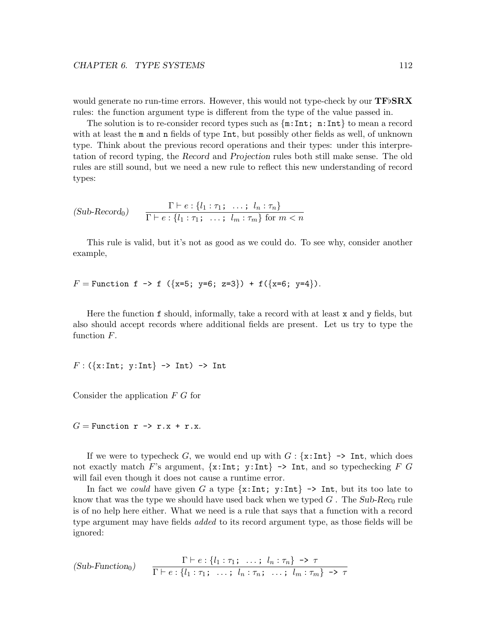would generate no run-time errors. However, this would not type-check by our  $\mathbf{TF} \delta \mathbf{R} \mathbf{X}$ rules: the function argument type is different from the type of the value passed in.

The solution is to re-consider record types such as  $\{\text{m:Int}; \text{n:Int}\}\)$  to mean a record with at least the m and n fields of type Int, but possibly other fields as well, of unknown type. Think about the previous record operations and their types: under this interpretation of record typing, the Record and Projection rules both still make sense. The old rules are still sound, but we need a new rule to reflect this new understanding of record types:

$$
(Sub\text{-}Record_0) \qquad \frac{\Gamma \vdash e : \{l_1 : \tau_1; \dots; l_n : \tau_n\}}{\Gamma \vdash e : \{l_1 : \tau_1; \dots; l_m : \tau_m\} \text{ for } m < n}
$$

This rule is valid, but it's not as good as we could do. To see why, consider another example,

 $F =$  Function f -> f ({x=5; y=6; z=3}) + f({x=6; y=4}).

Here the function f should, informally, take a record with at least x and y fields, but also should accept records where additional fields are present. Let us try to type the function F.

 $F: (\{x:Int; y:Int\} \rightarrow Int) \rightarrow Int$ 

Consider the application F G for

 $G =$  Function  $r \rightarrow r.x + r.x$ .

If we were to typecheck G, we would end up with  $G: \{x: Int\} \rightarrow Int$ , which does not exactly match F's argument,  $\{x: Int; y: Int\} \rightarrow Int$ , and so typechecking F G will fail even though it does not cause a runtime error.

In fact we could have given G a type  $\{x:\text{Int}; y:\text{Int}\} \rightarrow \text{Int}$ , but its too late to know that was the type we should have used back when we typed  $G$ . The Sub-Rec<sub>0</sub> rule is of no help here either. What we need is a rule that says that a function with a record type argument may have fields *added* to its record argument type, as those fields will be ignored:

$$
(Sub-Function0) \qquad \frac{\Gamma \vdash e : \{l_1 : \tau_1; \ldots; l_n : \tau_n\} \to \tau}{\Gamma \vdash e : \{l_1 : \tau_1; \ldots; l_n : \tau_n; \ldots; l_m : \tau_m\} \to \tau}
$$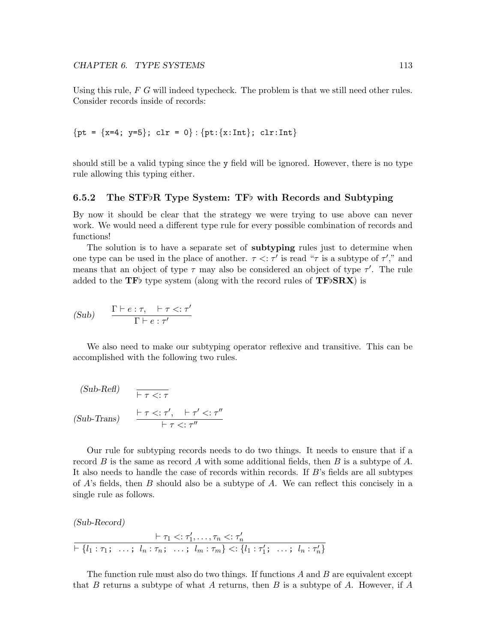Using this rule,  $F G$  will indeed typecheck. The problem is that we still need other rules. Consider records inside of records:

$$
\{pt = \{x=4; y=5\}; \text{ cl } r = 0\} : \{pt: \{x: Int\}; \text{ cl } r: Int\}
$$

should still be a valid typing since the y field will be ignored. However, there is no type rule allowing this typing either.

### 6.5.2 The STF $R$  Type System: TF $\flat$  with Records and Subtyping

By now it should be clear that the strategy we were trying to use above can never work. We would need a different type rule for every possible combination of records and functions!

The solution is to have a separate set of **subtyping** rules just to determine when one type can be used in the place of another.  $\tau \leq \tau'$  is read " $\tau$  is a subtype of  $\tau'$ ," and means that an object of type  $\tau$  may also be considered an object of type  $\tau'$ . The rule added to the TF<sub>b</sub> type system (along with the record rules of  $TFbSRX$ ) is

(Sub) 
$$
\frac{\Gamma \vdash e : \tau, \quad \vdash \tau \lt; : \tau'}{\Gamma \vdash e : \tau'}
$$

We also need to make our subtyping operator reflexive and transitive. This can be accomplished with the following two rules.

(Sub-Refl)  
\n
$$
\overline{\vdash \tau \lt; : \tau}
$$
\n(Sub-Trans)  
\n
$$
\frac{\vdash \tau \lt; : \tau', \quad \vdash \tau' \lt; : \tau''}{\vdash \tau \lt; : \tau''}
$$

Our rule for subtyping records needs to do two things. It needs to ensure that if a record B is the same as record A with some additional fields, then B is a subtype of A. It also needs to handle the case of records within records. If  $B$ 's fields are all subtypes of A's fields, then B should also be a subtype of A. We can reflect this concisely in a single rule as follows.

(Sub-Record)

$$
\vdash \tau_1 < : \tau'_1, \ldots, \tau_n < : \tau'_n \\
\vdash \{l_1 : \tau_1; \ldots; \ l_n : \tau_n; \ldots; \ l_m : \tau_m\} < : \{l_1 : \tau'_1; \ldots; \ l_n : \tau'_n\}
$$

The function rule must also do two things. If functions A and B are equivalent except that B returns a subtype of what A returns, then B is a subtype of A. However, if A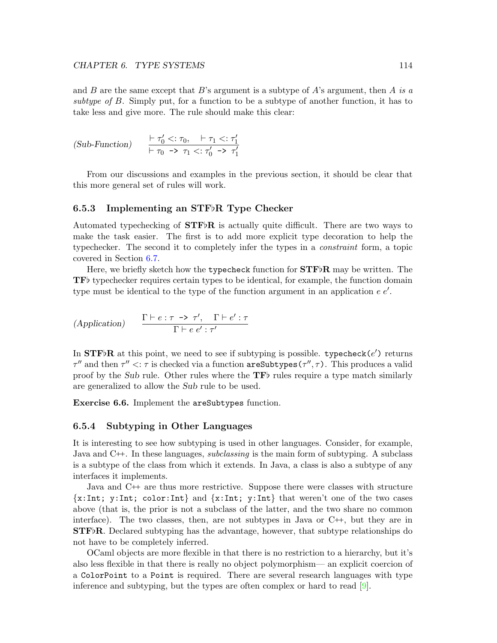and B are the same except that B's argument is a subtype of A's argument, then A is a subtype of B. Simply put, for a function to be a subtype of another function, it has to take less and give more. The rule should make this clear:

$$
(Sub-Function) \qquad \frac{\vdash \tau_0' <: \tau_0, \quad \vdash \tau_1 <: \tau_1'}{\vdash \tau_0 \ \to \ \tau_1 <: \tau_0' \ \to \ \tau_1'}
$$

From our discussions and examples in the previous section, it should be clear that this more general set of rules will work.

### 6.5.3 Implementing an STF $\flat$ R Type Checker

Automated typechecking of  $STF\flat R$  is actually quite difficult. There are two ways to make the task easier. The first is to add more explicit type decoration to help the typechecker. The second it to completely infer the types in a constraint form, a topic covered in Section [6.7.](#page-127-0)

Here, we briefly sketch how the typecheck function for  $\text{STF} \flat \text{R}$  may be written. The  $\mathbf{TF}$  typechecker requires certain types to be identical, for example, the function domain type must be identical to the type of the function argument in an application  $e e'$ .

$$
(Application) \qquad \frac{\Gamma \vdash e : \tau \to \tau', \quad \Gamma \vdash e' : \tau}{\Gamma \vdash e \ e' : \tau'}
$$

In STFbR at this point, we need to see if subtyping is possible. typecheck( $e'$ ) returns  $\tau''$  and then  $\tau'' < \tau$  is checked via a function  $\texttt{areSubtypes}(\tau'', \tau)$ . This produces a valid proof by the Sub rule. Other rules where the  $TF\bar{b}$  rules require a type match similarly are generalized to allow the Sub rule to be used.

Exercise 6.6. Implement the areSubtypes function.

### 6.5.4 Subtyping in Other Languages

It is interesting to see how subtyping is used in other languages. Consider, for example, Java and C<sup>++</sup>. In these languages, *subclassing* is the main form of subtyping. A subclass is a subtype of the class from which it extends. In Java, a class is also a subtype of any interfaces it implements.

Java and C++ are thus more restrictive. Suppose there were classes with structure  ${x:Int; y:Int; color:Int}$  and  ${x:Int; y:Int}$  that weren't one of the two cases above (that is, the prior is not a subclass of the latter, and the two share no common interface). The two classes, then, are not subtypes in Java or  $C^{++}$ , but they are in  $STF\delta R$ . Declared subtyping has the advantage, however, that subtype relationships do not have to be completely inferred.

OCaml objects are more flexible in that there is no restriction to a hierarchy, but it's also less flexible in that there is really no object polymorphism— an explicit coercion of a ColorPoint to a Point is required. There are several research languages with type inference and subtyping, but the types are often complex or hard to read [\[9\]](#page-159-0).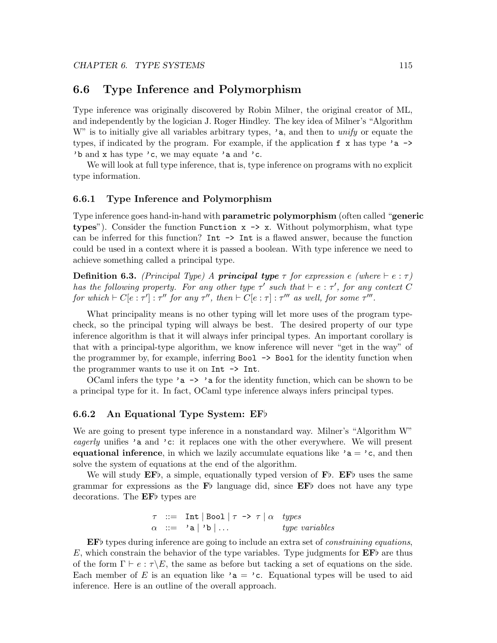## 6.6 Type Inference and Polymorphism

Type inference was originally discovered by Robin Milner, the original creator of ML, and independently by the logician J. Roger Hindley. The key idea of Milner's "Algorithm W" is to initially give all variables arbitrary types,  $\lambda$  a, and then to unify or equate the types, if indicated by the program. For example, if the application  $f \times h$  has type 'a  $\rightarrow$ 'b and x has type 'c, we may equate 'a and 'c.

We will look at full type inference, that is, type inference on programs with no explicit type information.

### 6.6.1 Type Inference and Polymorphism

Type inference goes hand-in-hand with **parametric polymorphism** (often called "**generic** types"). Consider the function Function  $x \rightarrow x$ . Without polymorphism, what type can be inferred for this function? Int  $\rightarrow$  Int is a flawed answer, because the function could be used in a context where it is passed a boolean. With type inference we need to achieve something called a principal type.

**Definition 6.3.** (Principal Type) A **principal type**  $\tau$  for expression e (where  $\vdash e : \tau$ ) has the following property. For any other type  $\tau'$  such that  $\vdash e : \tau'$ , for any context C for which  $\vdash C[e:\tau'] : \tau''$  for any  $\tau''$ , then  $\vdash C[e:\tau] : \tau'''$  as well, for some  $\tau'''$ .

What principality means is no other typing will let more uses of the program typecheck, so the principal typing will always be best. The desired property of our type inference algorithm is that it will always infer principal types. An important corollary is that with a principal-type algorithm, we know inference will never "get in the way" of the programmer by, for example, inferring Bool -> Bool for the identity function when the programmer wants to use it on Int -> Int.

OCaml infers the type 'a  $\rightarrow$  'a for the identity function, which can be shown to be a principal type for it. In fact, OCaml type inference always infers principal types.

### <span id="page-119-0"></span>6.6.2 An Equational Type System:  $EF\flat$

We are going to present type inference in a nonstandard way. Milner's "Algorithm W" eagerly unifies 'a and 'c: it replaces one with the other everywhere. We will present **equational inference**, in which we lazily accumulate equations like  $a = c$ , and then solve the system of equations at the end of the algorithm.

We will study  $E\mathbf{F}$ , a simple, equationally typed version of  $\mathbf{F}$ .  $E\mathbf{F}$  uses the same grammar for expressions as the  $\mathbf{F}^{\flat}$  language did, since  $\mathbf{EF}^{\flat}$  does not have any type decorations. The  $EF\flat$  types are

> $\tau$  ::= Int | Bool |  $\tau \rightarrow \tau$  |  $\alpha$  types  $\alpha$  ::= 'a | 'b | ... type variables

 $E\ddot{F}$  types during inference are going to include an extra set of *constraining equations*, E, which constrain the behavior of the type variables. Type judgments for  $\mathbf{EF}\flat$  are thus of the form  $\Gamma \vdash e : \tau \backslash E$ , the same as before but tacking a set of equations on the side. Each member of E is an equation like ' $a = 'c$ . Equational types will be used to aid inference. Here is an outline of the overall approach.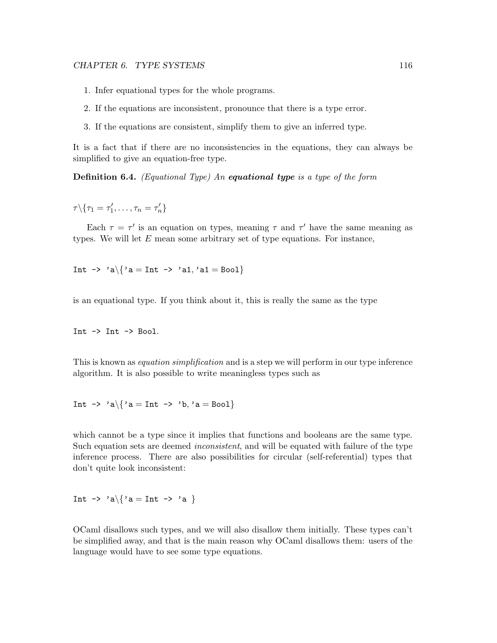- 1. Infer equational types for the whole programs.
- 2. If the equations are inconsistent, pronounce that there is a type error.
- 3. If the equations are consistent, simplify them to give an inferred type.

It is a fact that if there are no inconsistencies in the equations, they can always be simplified to give an equation-free type.

Definition 6.4. (Equational Type) An equational type is a type of the form

 $\tau \backslash \{\tau_1 = \tau_1', \ldots, \tau_n = \tau_n'\}$ 

Each  $\tau = \tau'$  is an equation on types, meaning  $\tau$  and  $\tau'$  have the same meaning as types. We will let  $E$  mean some arbitrary set of type equations. For instance,

Int  $\rightarrow$  'a $\{$ 'a = Int  $\rightarrow$  'a1, 'a1 = Bool $\}$ 

is an equational type. If you think about it, this is really the same as the type

Int  $\rightarrow$  Int  $\rightarrow$  Bool.

This is known as *equation simplification* and is a step we will perform in our type inference algorithm. It is also possible to write meaningless types such as

Int  $\rightarrow$  'a\{'a = Int  $\rightarrow$  'b,'a = Bool}

which cannot be a type since it implies that functions and booleans are the same type. Such equation sets are deemed *inconsistent*, and will be equated with failure of the type inference process. There are also possibilities for circular (self-referential) types that don't quite look inconsistent:

Int  $\rightarrow$  'a\{'a = Int -> 'a }

OCaml disallows such types, and we will also disallow them initially. These types can't be simplified away, and that is the main reason why OCaml disallows them: users of the language would have to see some type equations.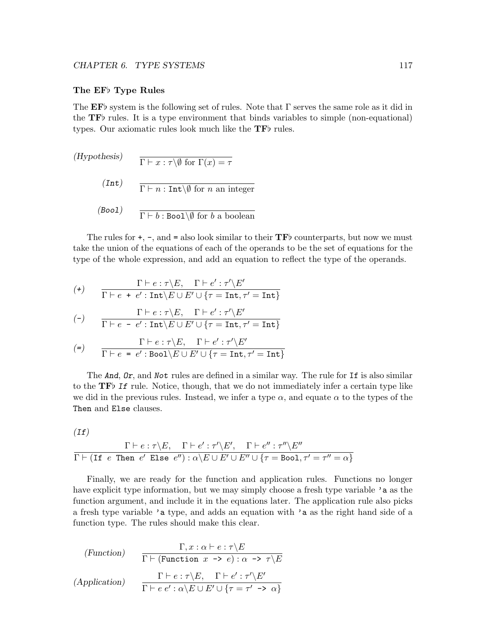### The EF<sub>b</sub> Type Rules

The EF<sub>b</sub> system is the following set of rules. Note that  $\Gamma$  serves the same role as it did in the  $TF\bar{b}$  rules. It is a type environment that binds variables to simple (non-equational) types. Our axiomatic rules look much like the  $TF\$  rules.

(Hypothesis)  $\Gamma \vdash x : \tau \backslash \emptyset$  for  $\Gamma(x) = \tau$ (Int)  $\Gamma \vdash n : \text{Int}\backslash\emptyset$  for n an integer (Bool)  $\Gamma \vdash b : \text{Bool} \setminus \emptyset$  for b a boolean

The rules for  $+$ ,  $-$ , and  $=$  also look similar to their  $\mathbf{TF}$  counterparts, but now we must take the union of the equations of each of the operands to be the set of equations for the type of the whole expression, and add an equation to reflect the type of the operands.

$$
(\texttt{+}) \qquad \frac{\Gamma \vdash e : \tau \backslash E, \quad \Gamma \vdash e' : \tau' \backslash E'}{\Gamma \vdash e + e' : \texttt{Int} \backslash E \cup E' \cup \{\tau = \texttt{Int}, \tau' = \texttt{Int}\}}
$$

$$
(\mathsf{-}) \qquad \frac{\Gamma \vdash e : \tau \backslash E, \quad \Gamma \vdash e' : \tau' \backslash E'}{\Gamma \vdash e - e' : \text{Int} \backslash E \cup E' \cup \{\tau = \text{Int}, \tau' = \text{Int}\}}
$$

$$
(\mathsf{=}) \qquad \frac{\Gamma \vdash e : \tau \backslash E, \quad \Gamma \vdash e' : \tau' \backslash E'}{\Gamma \vdash e \; = \; e' : \mathtt{Bool} \backslash E \cup E' \cup \{\tau = \mathtt{Int}, \tau' = \mathtt{Int}\}}
$$

The And, Or, and Not rules are defined in a similar way. The rule for If is also similar to the  $\mathbf{TF}$  If rule. Notice, though, that we do not immediately infer a certain type like we did in the previous rules. Instead, we infer a type  $\alpha$ , and equate  $\alpha$  to the types of the Then and Else clauses.

$$
(If)
$$

$$
\dfrac{\Gamma\vdash e:\tau\backslash E,\quad \Gamma\vdash e':\tau'\backslash E',\quad \Gamma\vdash e'':\tau''\backslash E''}{\Gamma\vdash (\texttt{If}\;\; e\;\;\texttt{Then}\;\; e'\;\;\texttt{Else}\;\; e''):\alpha\backslash E\cup E'\cup E''\cup\{\tau=\texttt{Bool},\tau'=\tau''=\alpha\}}
$$

Finally, we are ready for the function and application rules. Functions no longer have explicit type information, but we may simply choose a fresh type variable 'a as the function argument, and include it in the equations later. The application rule also picks a fresh type variable 'a type, and adds an equation with 'a as the right hand side of a function type. The rules should make this clear.

(Function)  
\n
$$
\Gamma, x : \alpha \vdash e : \tau \backslash E
$$
\n
$$
\Gamma \vdash (\text{Function } x \to e) : \alpha \to \tau \backslash E
$$
\n
$$
(Application)\n\Gamma \vdash e : \tau \backslash E, \quad \Gamma \vdash e' : \tau' \backslash E'
$$
\n
$$
\Gamma \vdash e e' : \alpha \backslash E \cup E' \cup \{\tau = \tau' \to \alpha\}
$$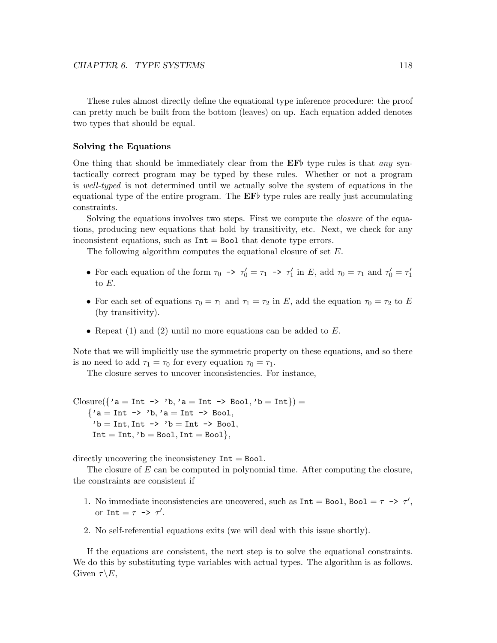These rules almost directly define the equational type inference procedure: the proof can pretty much be built from the bottom (leaves) on up. Each equation added denotes two types that should be equal.

### Solving the Equations

One thing that should be immediately clear from the  $E\mathbf{F}$  type rules is that any syntactically correct program may be typed by these rules. Whether or not a program is well-typed is not determined until we actually solve the system of equations in the equational type of the entire program. The  $E\bar{F}$  type rules are really just accumulating constraints.

Solving the equations involves two steps. First we compute the closure of the equations, producing new equations that hold by transitivity, etc. Next, we check for any inconsistent equations, such as  $Int = Bool$  that denote type errors.

The following algorithm computes the equational closure of set E.

- For each equation of the form  $\tau_0 \to \tau_0' = \tau_1 \to \tau_1'$  in E, add  $\tau_0 = \tau_1$  and  $\tau_0' = \tau_1'$ to  $E$ .
- For each set of equations  $\tau_0 = \tau_1$  and  $\tau_1 = \tau_2$  in E, add the equation  $\tau_0 = \tau_2$  to E (by transitivity).
- Repeat  $(1)$  and  $(2)$  until no more equations can be added to E.

Note that we will implicitly use the symmetric property on these equations, and so there is no need to add  $\tau_1 = \tau_0$  for every equation  $\tau_0 = \tau_1$ .

The closure serves to uncover inconsistencies. For instance,

```
Closure(\{a = Int \rightarrow b, a = Int \rightarrow Boo1, b = Int\}) =
    {a = Int \rightarrow 'b, 'a = Int \Rightarrow}b = Int, Int \rightarrow b = Int \rightarrow Bool,Int = Int, 'b = Bool, Int = Bool\},
```
directly uncovering the inconsistency  $Int = Bool$ .

The closure of E can be computed in polynomial time. After computing the closure, the constraints are consistent if

- 1. No immediate inconsistencies are uncovered, such as  $Int = Bool$ ,  $Bool = \tau \rightarrow \tau'$ , or  $\text{Int} = \tau \rightarrow \tau'.$
- 2. No self-referential equations exits (we will deal with this issue shortly).

If the equations are consistent, the next step is to solve the equational constraints. We do this by substituting type variables with actual types. The algorithm is as follows. Given  $\tau \backslash E$ ,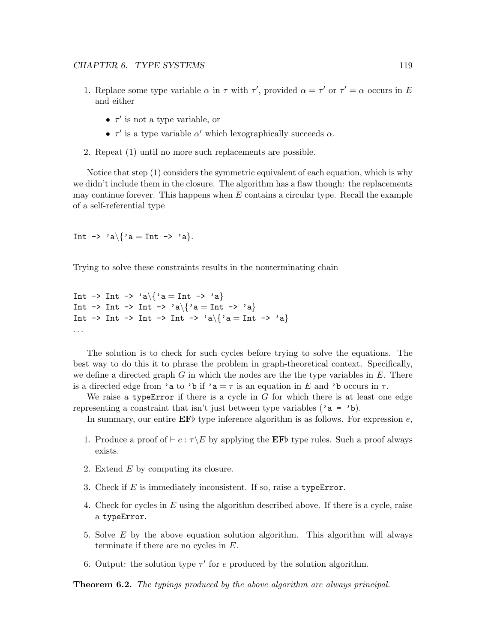- 1. Replace some type variable  $\alpha$  in  $\tau$  with  $\tau'$ , provided  $\alpha = \tau'$  or  $\tau' = \alpha$  occurs in E and either
	- $\tau'$  is not a type variable, or
	- $\tau'$  is a type variable  $\alpha'$  which lexographically succeeds  $\alpha$ .
- 2. Repeat (1) until no more such replacements are possible.

Notice that step (1) considers the symmetric equivalent of each equation, which is why we didn't include them in the closure. The algorithm has a flaw though: the replacements may continue forever. This happens when  $E$  contains a circular type. Recall the example of a self-referential type

Int  $\rightarrow$  'a\{'a = Int -> 'a}.

Trying to solve these constraints results in the nonterminating chain

Int -> Int -> 'a $\{\$ 'a = Int -> 'a $\}$ Int -> Int -> Int -> 'a\{'a = Int -> 'a} Int -> Int -> Int -> Int -> 'a\{'a = Int -> 'a} . . .

The solution is to check for such cycles before trying to solve the equations. The best way to do this it to phrase the problem in graph-theoretical context. Specifically, we define a directed graph  $G$  in which the nodes are the the type variables in  $E$ . There is a directed edge from 'a to 'b if 'a =  $\tau$  is an equation in E and 'b occurs in  $\tau$ .

We raise a type Error if there is a cycle in  $G$  for which there is at least one edge representing a constraint that isn't just between type variables ( $a = b$ ).

In summary, our entire  $\mathbf{EF}$  type inference algorithm is as follows. For expression e,

- 1. Produce a proof of  $\vdash e : \tau \backslash E$  by applying the EFb type rules. Such a proof always exists.
- 2. Extend E by computing its closure.
- 3. Check if  $E$  is immediately inconsistent. If so, raise a type Error.
- 4. Check for cycles in E using the algorithm described above. If there is a cycle, raise a typeError.
- 5. Solve E by the above equation solution algorithm. This algorithm will always terminate if there are no cycles in E.
- 6. Output: the solution type  $\tau'$  for e produced by the solution algorithm.

**Theorem 6.2.** The typings produced by the above algorithm are always principal.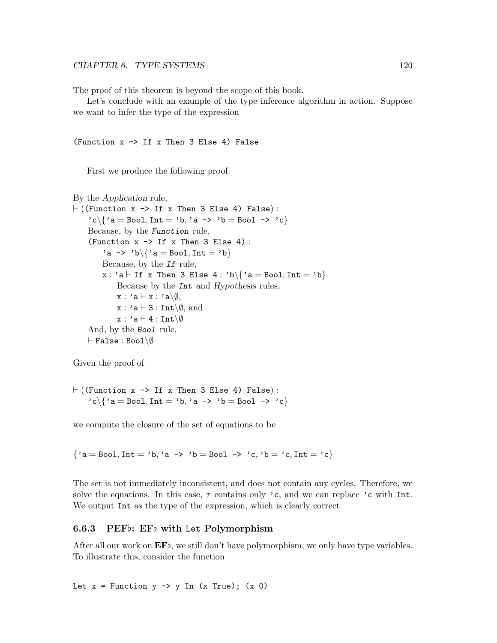The proof of this theorem is beyond the scope of this book.

Let's conclude with an example of the type inference algorithm in action. Suppose we want to infer the type of the expression

#### (Function  $x \rightarrow$  If x Then 3 Else 4) False

First we produce the following proof.

```
By the Application rule,
\vdash ((Function x -> If x Then 3 Else 4) False):
     c \setminus \{ a = \text{Bool}, \text{Int} = \{ b, \, a \rightarrow \{ b \} = \text{Bool} \rightarrow \{ c \} \}Because, by the Function rule,
     (Function x \rightarrow 1f x Then 3 Else 4):
          'a -> 'b\setminus 'a = Bool, Int = 'b}
         Because, by the If rule,
         x : 'a \vdash If x Then 3 Else 4 : 'b\{\'a = Bool, Int = 'b}
               Because by the Int and Hypothesis rules,
              x : 'a \vdash x : 'a \backslash \emptyset,
              x : 'a \vdash 3 : Int \backslash \emptyset, and
               x : 'a \vdash 4 : Int \backslash \emptysetAnd, by the Bool rule,
    \vdash False : Bool\setminus \emptyset
```
Given the proof of

 $\vdash$  ((Function x -> If x Then 3 Else 4) False):  $c \setminus \{ a = \text{Bool}, \text{Int} = \{ b, \, a \rightarrow \{ b \} = \text{Bool} \rightarrow \{ c \} \}$ 

we compute the closure of the set of equations to be

 ${a = Bool, Int = 'b, 'a -> 'b = Bool -> 'c, 'b = 'c, Int = 'c}$ 

The set is not immediately inconsistent, and does not contain any cycles. Therefore, we solve the equations. In this case,  $\tau$  contains only 'c, and we can replace 'c with Int. We output Int as the type of the expression, which is clearly correct.

### 6.6.3 PEF $\flat$ : EF $\flat$  with Let Polymorphism

After all our work on  $\mathbf{E} \mathbf{F}$ , we still don't have polymorphism, we only have type variables. To illustrate this, consider the function

Let  $x =$  Function  $y \rightarrow y$  In (x True); (x 0)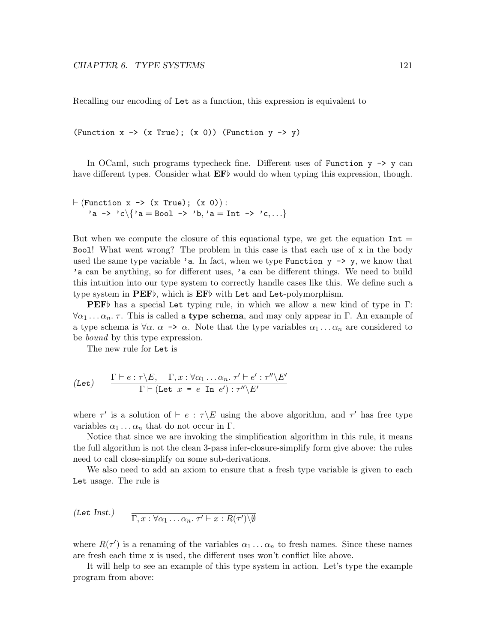Recalling our encoding of Let as a function, this expression is equivalent to

(Function  $x \rightarrow (x$  True);  $(x 0)$ ) (Function  $y \rightarrow y$ )

In OCaml, such programs typecheck fine. Different uses of Function  $y \rightarrow y$  can have different types. Consider what  $E\mathbf{F}$  would do when typing this expression, though.

```
\vdash (Function x -> (x True); (x 0)):
   'a -> 'c\{'a = Bool -> 'b,'a = Int -> 'c,...}
```
But when we compute the closure of this equational type, we get the equation  $Int =$ Bool! What went wrong? The problem in this case is that each use of x in the body used the same type variable 'a. In fact, when we type Function  $y \rightarrow y$ , we know that 'a can be anything, so for different uses, 'a can be different things. We need to build this intuition into our type system to correctly handle cases like this. We define such a type system in  $PEF\flat$ , which is  $EF\flat$  with Let and Let-polymorphism.

**PEF** $\flat$  has a special Let typing rule, in which we allow a new kind of type in Γ:  $\forall \alpha_1 \dots \alpha_n$ . This is called a **type schema**, and may only appear in Γ. An example of a type schema is  $\forall \alpha$ .  $\alpha \rightarrow \alpha$ . Note that the type variables  $\alpha_1 \dots \alpha_n$  are considered to be *bound* by this type expression.

The new rule for Let is

$$
\text{(Let)} \qquad \frac{\Gamma \vdash e : \tau \backslash E, \quad \Gamma, x : \forall \alpha_1 \dots \alpha_n. \ \tau' \vdash e' : \tau'' \backslash E'}{\Gamma \vdash (\text{Let } x = e \text{ In } e') : \tau'' \backslash E'}
$$

where  $\tau'$  is a solution of  $\vdash e : \tau \backslash E$  using the above algorithm, and  $\tau'$  has free type variables  $\alpha_1 \ldots \alpha_n$  that do not occur in Γ.

Notice that since we are invoking the simplification algorithm in this rule, it means the full algorithm is not the clean 3-pass infer-closure-simplify form give above: the rules need to call close-simplify on some sub-derivations.

We also need to add an axiom to ensure that a fresh type variable is given to each Let usage. The rule is

$$
\text{(Let Inst.)}\qquad \frac{}{\Gamma, x : \forall \alpha_1 \dots \alpha_n. \ \tau' \vdash x : R(\tau') \setminus \emptyset}
$$

where  $R(\tau')$  is a renaming of the variables  $\alpha_1 \ldots \alpha_n$  to fresh names. Since these names are fresh each time x is used, the different uses won't conflict like above.

It will help to see an example of this type system in action. Let's type the example program from above: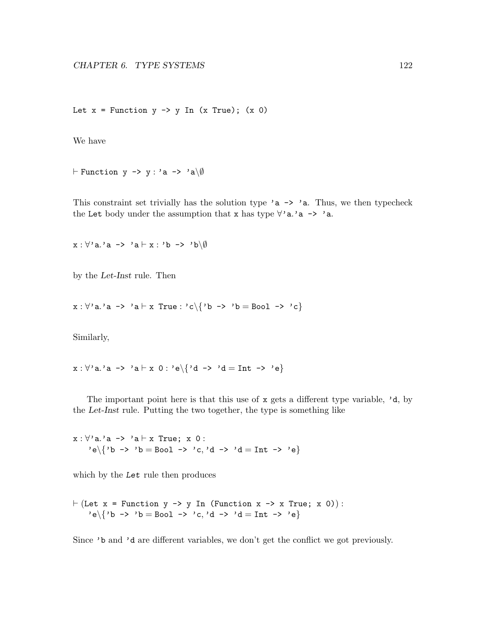Let  $x =$  Function  $y \rightarrow y$  In (x True); (x 0)

We have

 $\vdash$  Function y -> y : 'a -> 'a\Ø

This constraint set trivially has the solution type 'a  $\rightarrow$  'a. Thus, we then typecheck the Let body under the assumption that x has type  $\forall$ 'a.'a -> 'a.

 $x : \forall' a.$ 'a -> 'a  $\vdash x : 'b \rightarrow 'b\backslash \emptyset$ 

by the Let-Inst rule. Then

 $x : \forall$ 'a.'a -> 'a  $\vdash x$  True : 'c $\{\nmid b \rightharpoonup$ 'b = Bool -> 'c $\}$ 

Similarly,

 $x : \forall 'a.'a \rightarrow 'a \vdash x 0 : 'e \setminus \{ 'd \rightarrow 'd = \text{Int } \rightarrow 'e \}$ 

The important point here is that this use of  $x$  gets a different type variable,  $'d$ , by the Let-Inst rule. Putting the two together, the type is something like

 $x : \forall'$ a.'a -> 'a  $\vdash x$  True; x 0 : 'e\{'b -> 'b = Bool -> 'c,'d -> 'd = Int -> 'e}

which by the Let rule then produces

 $\vdash$  (Let x = Function y -> y In (Function x -> x True; x 0)): 'e $\{ 'b \rightarrow 'b = Bool \rightarrow 'c, 'd \rightarrow 'd = Int \rightarrow 'e \}$ 

Since 'b and 'd are different variables, we don't get the conflict we got previously.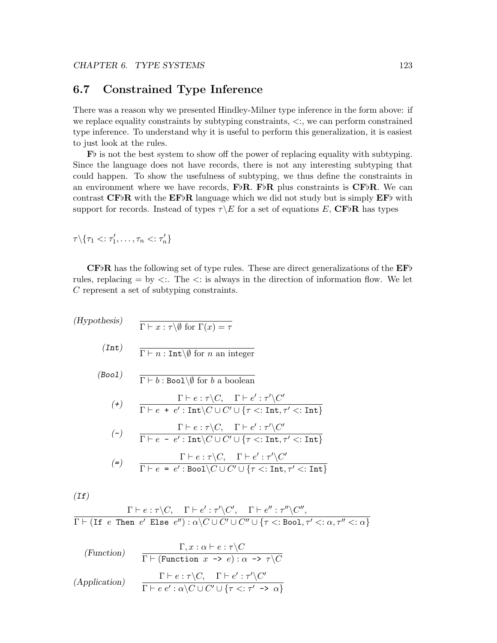# <span id="page-127-0"></span>6.7 Constrained Type Inference

There was a reason why we presented Hindley-Milner type inference in the form above: if we replace equality constraints by subtyping constraints,  $\langle \cdot \rangle$ , we can perform constrained type inference. To understand why it is useful to perform this generalization, it is easiest to just look at the rules.

 $\mathbf{F}$  is not the best system to show off the power of replacing equality with subtyping. Since the language does not have records, there is not any interesting subtyping that could happen. To show the usefulness of subtyping, we thus define the constraints in an environment where we have records,  $\mathbf{F} \flat \mathbf{R}$ . F $\flat \mathbf{R}$  plus constraints is  $\mathbf{CF} \flat \mathbf{R}$ . We can contrast  $CF\flat R$  with the  $EF\flat R$  language which we did not study but is simply  $EF\flat$  with support for records. Instead of types  $\tau \backslash E$  for a set of equations E, CFbR has types

$$
\tau \backslash \{ \tau_1 <: \tau_1', \ldots, \tau_n <: \tau_n' \}
$$

 $CFbR$  has the following set of type rules. These are direct generalizations of the  $EFb$ rules, replacing  $=$  by  $\lt$ . The  $\lt$ : is always in the direction of information flow. We let C represent a set of subtyping constraints.

(Hypothesis)  $\Gamma \vdash x : \tau \backslash \emptyset$  for  $\Gamma(x) = \tau$  $(Int)$  $\Gamma \vdash n : \text{Int} \backslash \emptyset$  for n an integer (Bool)  $\Gamma \vdash b : \text{Bool}\backslash\emptyset$  for b a boolean  $(+)$  $\Gamma \vdash e : \tau \backslash C, \quad \Gamma \vdash e' : \tau' \backslash C'$  $\Gamma \vdash e + e' : \texttt{Int} \backslash C \cup C' \cup \{\tau <: \texttt{Int}, \tau' <: \texttt{Int}\}$  $(-)$  $\Gamma \vdash e : \tau \backslash C, \quad \Gamma \vdash e' : \tau' \backslash C'$  $\Gamma \vdash e - e' : \texttt{Int} \backslash C \cup C' \cup \{\tau <: \texttt{Int}, \tau' <: \texttt{Int}\}$ (=)  $\Gamma \vdash e : \tau \backslash C, \quad \Gamma \vdash e' : \tau' \backslash C'$  $\Gamma \vdash e = e' : \texttt{Bool} \backslash C \cup C' \cup \{\tau <: \texttt{Int}, \tau' <: \texttt{Int}\}$ 

 $(If)$ 

$$
\frac{\Gamma\vdash e:\tau\backslash C,\quad \Gamma\vdash e':\tau'\backslash C',\quad \Gamma\vdash e'':\tau''\backslash C'',}{\Gamma\vdash (\texttt{If}\;\; e\;\;\texttt{Then}\;\; e'\;\;\texttt{Else}\;\; e''):\alpha\backslash C\cup C'\cup C'\cup \{\tau<:\texttt{Bool},\tau'<:\alpha,\tau''<:\alpha\}}
$$

(Function) 
$$
\frac{\Gamma, x : \alpha \vdash e : \tau \backslash C}{\Gamma \vdash (\text{Function } x \to e) : \alpha \to \tau \backslash C}
$$
  
(Application) 
$$
\frac{\Gamma \vdash e : \tau \backslash C, \quad \Gamma \vdash e' : \tau' \backslash C'}{\Gamma \vdash e e' : \alpha \backslash C \cup C' \cup \{\tau <: \tau' \to \alpha\}}
$$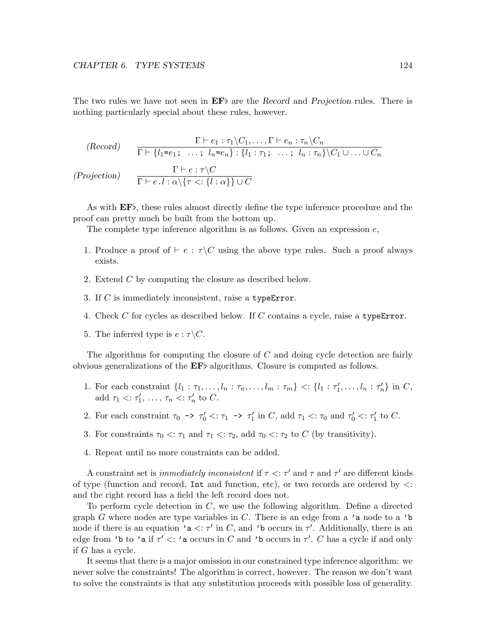The two rules we have not seen in  $\mathbf{EF}$  are the Record and Projection rules. There is nothing particularly special about these rules, however.

$$
\begin{array}{rcl}\n\text{(Record)} & \frac{\Gamma \vdash e_1 : \tau_1 \backslash C_1, \dots, \Gamma \vdash e_n : \tau_n \backslash C_n}{\Gamma \vdash \{l_1 = e_1; \dots; \ l_n = e_n\} : \{l_1 : \tau_1; \dots; \ l_n : \tau_n\} \backslash C_1 \cup \dots \cup C_n} \\
\text{(Projection)} & \frac{\Gamma \vdash e : \tau \backslash C}{\Gamma \vdash e.l : \alpha \backslash \{\tau \leq : \{l : \alpha\}\} \cup C}\n\end{array}
$$

As with  $EF_{\mathcal{P}}$ , these rules almost directly define the type inference procedure and the proof can pretty much be built from the bottom up.

The complete type inference algorithm is as follows. Given an expression  $e$ ,

- 1. Produce a proof of  $\vdash e : \tau \backslash C$  using the above type rules. Such a proof always exists.
- 2. Extend C by computing the closure as described below.
- 3. If C is immediately inconsistent, raise a typeError.
- 4. Check C for cycles as described below. If C contains a cycle, raise a typeError.
- 5. The inferred type is  $e : \tau \backslash C$ .

The algorithms for computing the closure of  $C$  and doing cycle detection are fairly obvious generalizations of the  $E\dot{F}$  algorithms. Closure is computed as follows.

- 1. For each constraint  $\{l_1 : \tau_1, \ldots, l_n : \tau_n, \ldots, l_m : \tau_m\} \leq \{l_1 : \tau'_1, \ldots, l_n : \tau'_n\}$  in C, add  $\tau_1 < \tau'_1, \ldots, \tau_n < \tau'_n$  to C.
- 2. For each constraint  $\tau_0 \to \tau_0' \lt \tau_1 \to \tau_1'$  in C, add  $\tau_1 \lt \tau_0$  and  $\tau_0' \lt \tau_1'$  to C.
- 3. For constraints  $\tau_0 \leq \tau_1$  and  $\tau_1 \leq \tau_2$ , add  $\tau_0 \leq \tau_2$  to C (by transitivity).
- 4. Repeat until no more constraints can be added.

A constraint set is *immediately inconsistent* if  $\tau < \tau'$  and  $\tau'$  and  $\tau'$  are different kinds of type (function and record,  $Int$  and function, etc), or two records are ordered by  $\lt$ : and the right record has a field the left record does not.

To perform cycle detection in C, we use the following algorithm. Define a directed graph G where nodes are type variables in C. There is an edge from a 'a node to a 'b node if there is an equation '**a**  $\lt$ :  $\tau'$  in C, and '**b** occurs in  $\tau'$ . Additionally, there is an edge from 'b to 'a if  $\tau' <$ : 'a occurs in C and 'b occurs in  $\tau'$ . C has a cycle if and only if G has a cycle.

It seems that there is a major omission in our constrained type inference algorithm: we never solve the constraints! The algorithm is correct, however. The reason we don't want to solve the constraints is that any substitution proceeds with possible loss of generality.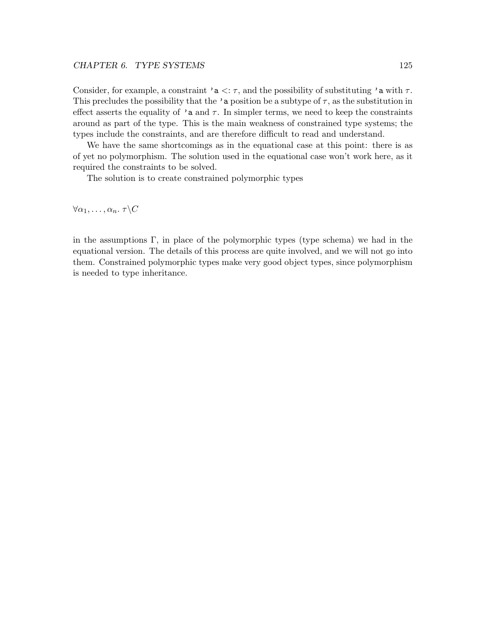Consider, for example, a constraint 'a  $\lt: \tau$ , and the possibility of substituting 'a with  $\tau$ . This precludes the possibility that the 'a position be a subtype of  $\tau$ , as the substitution in effect asserts the equality of 'a and  $\tau$ . In simpler terms, we need to keep the constraints around as part of the type. This is the main weakness of constrained type systems; the types include the constraints, and are therefore difficult to read and understand.

We have the same shortcomings as in the equational case at this point: there is as of yet no polymorphism. The solution used in the equational case won't work here, as it required the constraints to be solved.

The solution is to create constrained polymorphic types

 $\forall \alpha_1, \ldots, \alpha_n$ .  $\tau \backslash C$ 

in the assumptions  $\Gamma$ , in place of the polymorphic types (type schema) we had in the equational version. The details of this process are quite involved, and we will not go into them. Constrained polymorphic types make very good object types, since polymorphism is needed to type inheritance.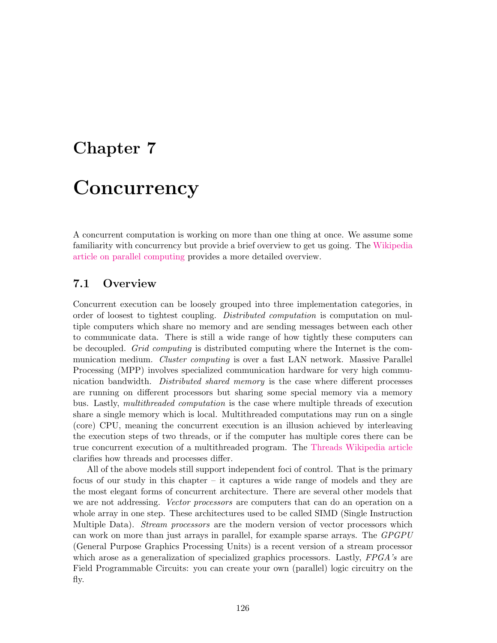# Chapter 7 **Concurrency**

A concurrent computation is working on more than one thing at once. We assume some familiarity with concurrency but provide a brief overview to get us going. The [Wikipedia](http://en.wikipedia.org/wiki/Parallel_computing) [article on parallel computing](http://en.wikipedia.org/wiki/Parallel_computing) provides a more detailed overview.

# 7.1 Overview

Concurrent execution can be loosely grouped into three implementation categories, in order of loosest to tightest coupling. *Distributed computation* is computation on multiple computers which share no memory and are sending messages between each other to communicate data. There is still a wide range of how tightly these computers can be decoupled. Grid computing is distributed computing where the Internet is the communication medium. *Cluster computing* is over a fast LAN network. Massive Parallel Processing (MPP) involves specialized communication hardware for very high communication bandwidth. *Distributed shared memory* is the case where different processes are running on different processors but sharing some special memory via a memory bus. Lastly, multithreaded computation is the case where multiple threads of execution share a single memory which is local. Multithreaded computations may run on a single (core) CPU, meaning the concurrent execution is an illusion achieved by interleaving the execution steps of two threads, or if the computer has multiple cores there can be true concurrent execution of a multithreaded program. The [Threads Wikipedia article](http://en.wikipedia.org/wiki/Thread_%28computer_science%29) clarifies how threads and processes differ.

All of the above models still support independent foci of control. That is the primary focus of our study in this chapter – it captures a wide range of models and they are the most elegant forms of concurrent architecture. There are several other models that we are not addressing. Vector processors are computers that can do an operation on a whole array in one step. These architectures used to be called SIMD (Single Instruction Multiple Data). *Stream processors* are the modern version of vector processors which can work on more than just arrays in parallel, for example sparse arrays. The GPGPU (General Purpose Graphics Processing Units) is a recent version of a stream processor which arose as a generalization of specialized graphics processors. Lastly, FPGA's are Field Programmable Circuits: you can create your own (parallel) logic circuitry on the fly.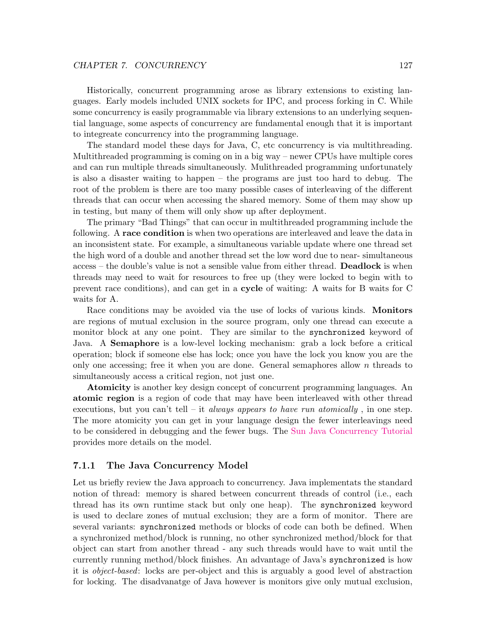Historically, concurrent programming arose as library extensions to existing languages. Early models included UNIX sockets for IPC, and process forking in C. While some concurrency is easily programmable via library extensions to an underlying sequential language, some aspects of concurrency are fundamental enough that it is important to integreate concurrency into the programming language.

The standard model these days for Java, C, etc concurrency is via multithreading. Multithreaded programming is coming on in a big way – newer CPUs have multiple cores and can run multiple threads simultaneously. Mulithreaded programming unfortunately is also a disaster waiting to happen – the programs are just too hard to debug. The root of the problem is there are too many possible cases of interleaving of the different threads that can occur when accessing the shared memory. Some of them may show up in testing, but many of them will only show up after deployment.

The primary "Bad Things" that can occur in multithreaded programming include the following. A race condition is when two operations are interleaved and leave the data in an inconsistent state. For example, a simultaneous variable update where one thread set the high word of a double and another thread set the low word due to near- simultaneous access – the double's value is not a sensible value from either thread. Deadlock is when threads may need to wait for resources to free up (they were locked to begin with to prevent race conditions), and can get in a cycle of waiting: A waits for B waits for C waits for A.

Race conditions may be avoided via the use of locks of various kinds. Monitors are regions of mutual exclusion in the source program, only one thread can execute a monitor block at any one point. They are similar to the synchronized keyword of Java. A Semaphore is a low-level locking mechanism: grab a lock before a critical operation; block if someone else has lock; once you have the lock you know you are the only one accessing; free it when you are done. General semaphores allow  $n$  threads to simultaneously access a critical region, not just one.

Atomicity is another key design concept of concurrent programming languages. An atomic region is a region of code that may have been interleaved with other thread executions, but you can't tell – it *always appears to have run atomically*, in one step. The more atomicity you can get in your language design the fewer interleavings need to be considered in debugging and the fewer bugs. The [Sun Java Concurrency Tutorial](http://java.sun.com/docs/books/tutorial/essential/concurrency/index.html) provides more details on the model.

### 7.1.1 The Java Concurrency Model

Let us briefly review the Java approach to concurrency. Java implementats the standard notion of thread: memory is shared between concurrent threads of control (i.e., each thread has its own runtime stack but only one heap). The synchronized keyword is used to declare zones of mutual exclusion; they are a form of monitor. There are several variants: synchronized methods or blocks of code can both be defined. When a synchronized method/block is running, no other synchronized method/block for that object can start from another thread - any such threads would have to wait until the currently running method/block finishes. An advantage of Java's synchronized is how it is object-based: locks are per-object and this is arguably a good level of abstraction for locking. The disadvanatge of Java however is monitors give only mutual exclusion,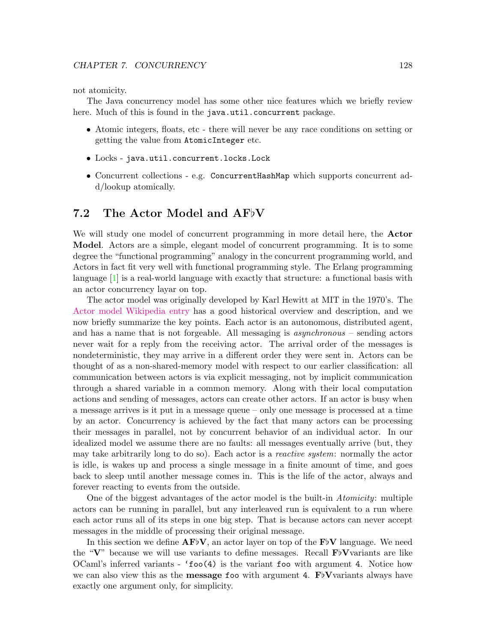not atomicity.

The Java concurrency model has some other nice features which we briefly review here. Much of this is found in the java.util.concurrent package.

- Atomic integers, floats, etc there will never be any race conditions on setting or getting the value from AtomicInteger etc.
- Locks java.util.concurrent.locks.Lock
- Concurrent collections e.g. ConcurrentHashMap which supports concurrent add/lookup atomically.

# 7.2 The Actor Model and  $AFV$

We will study one model of concurrent programming in more detail here, the **Actor** Model. Actors are a simple, elegant model of concurrent programming. It is to some degree the "functional programming" analogy in the concurrent programming world, and Actors in fact fit very well with functional programming style. The Erlang programming language [\[1\]](#page-159-1) is a real-world language with exactly that structure: a functional basis with an actor concurrency layar on top.

The actor model was originally developed by Karl Hewitt at MIT in the 1970's. The [Actor model Wikipedia entry](http://en.wikipedia.org/wiki/Actor_model) has a good historical overview and description, and we now briefly summarize the key points. Each actor is an autonomous, distributed agent, and has a name that is not forgeable. All messaging is asynchronous – sending actors never wait for a reply from the receiving actor. The arrival order of the messages is nondeterministic, they may arrive in a different order they were sent in. Actors can be thought of as a non-shared-memory model with respect to our earlier classification: all communication between actors is via explicit messaging, not by implicit communication through a shared variable in a common memory. Along with their local computation actions and sending of messages, actors can create other actors. If an actor is busy when a message arrives is it put in a message queue – only one message is processed at a time by an actor. Concurrency is achieved by the fact that many actors can be processing their messages in parallel, not by concurrent behavior of an individual actor. In our idealized model we assume there are no faults: all messages eventually arrive (but, they may take arbitrarily long to do so). Each actor is a *reactive system*: normally the actor is idle, is wakes up and process a single message in a finite amount of time, and goes back to sleep until another message comes in. This is the life of the actor, always and forever reacting to events from the outside.

One of the biggest advantages of the actor model is the built-in Atomicity: multiple actors can be running in parallel, but any interleaved run is equivalent to a run where each actor runs all of its steps in one big step. That is because actors can never accept messages in the middle of processing their original message.

In this section we define  $AF_{\nu}V$ , an actor layer on top of the F $_{\nu}V$  language. We need the "V" because we will use variants to define messages. Recall  $F\flat$ Vvariants are like OCaml's inferred variants - 'foo(4) is the variant foo with argument 4. Notice how we can also view this as the **message foo** with argument 4.  $F\flat$ Vvariants always have exactly one argument only, for simplicity.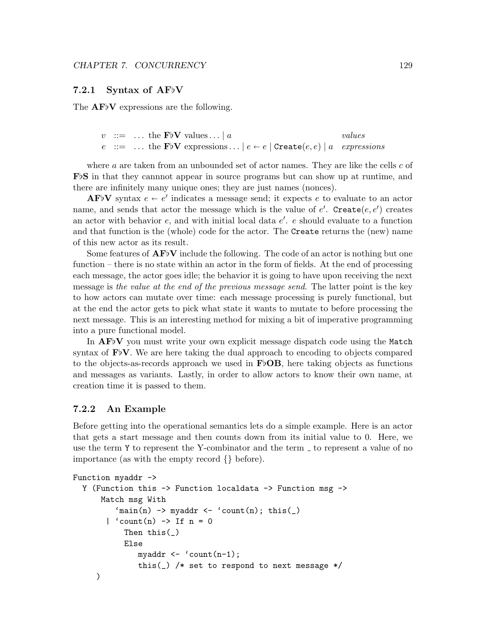### 7.2.1 Syntax of  $AF_{V}$

The  $AFV$  expressions are the following.

```
v := \dots the FbV values... | a values
e ::= ... the FbV expressions... |e \leftarrow e| Create(e, e) | a expressions
```
where  $a$  are taken from an unbounded set of actor names. They are like the cells  $c$  of  $\mathbf{F}\flat\mathbf{S}$  in that they cannnot appear in source programs but can show up at runtime, and there are infinitely many unique ones; they are just names (nonces).

 $\mathbf{AF}$ V syntax  $e \leftarrow e'$  indicates a message send; it expects e to evaluate to an actor name, and sends that actor the message which is the value of  $e'$ . Create $(e, e')$  creates an actor with behavior  $e$ , and with initial local data  $e'$ .  $e$  should evaluate to a function and that function is the (whole) code for the actor. The Create returns the (new) name of this new actor as its result.

Some features of  ${\bf AF}V$  include the following. The code of an actor is nothing but one function – there is no state within an actor in the form of fields. At the end of processing each message, the actor goes idle; the behavior it is going to have upon receiving the next message is the value at the end of the previous message send. The latter point is the key to how actors can mutate over time: each message processing is purely functional, but at the end the actor gets to pick what state it wants to mutate to before processing the next message. This is an interesting method for mixing a bit of imperative programming into a pure functional model.

In  $AFV$  you must write your own explicit message dispatch code using the Match syntax of  $F\flat V$ . We are here taking the dual approach to encoding to objects compared to the objects-as-records approach we used in  $\mathbf{F}\flat$ **OB**, here taking objects as functions and messages as variants. Lastly, in order to allow actors to know their own name, at creation time it is passed to them.

### 7.2.2 An Example

Before getting into the operational semantics lets do a simple example. Here is an actor that gets a start message and then counts down from its initial value to 0. Here, we use the term  $\gamma$  to represent the Y-combinator and the term  $\gamma$  to represent a value of no importance (as with the empty record {} before).

```
Function myaddr \rightarrowY (Function this -> Function localdata -> Function msg ->
      Match msg With
         'main(n) -> myaddr <- 'count(n); this(_)
       | 'count(n) -> If n = 0Then this(_)
           Else
               myaddr \leftarrow 'count(n-1);this(_) /* set to respond to next message */
     )
```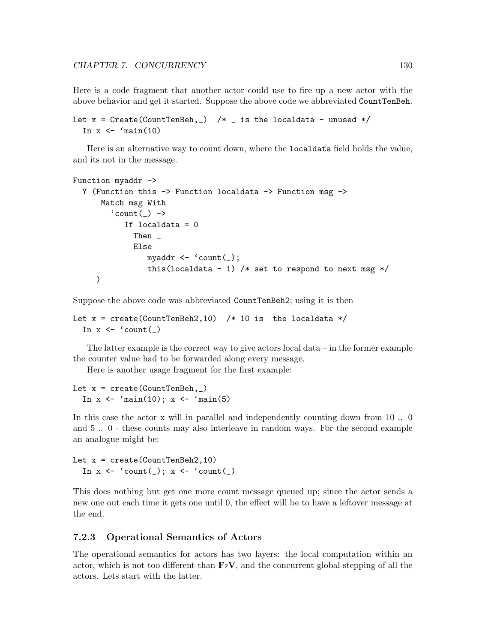Here is a code fragment that another actor could use to fire up a new actor with the above behavior and get it started. Suppose the above code we abbreviated CountTenBeh.

```
Let x = Create(CountTenBeh, _) /* _ is the localdata - unused */
  In x \leftarrow \text{main}(10)
```
Here is an alternative way to count down, where the localdata field holds the value, and its not in the message.

```
Function myaddr ->
  Y (Function this -> Function localdata -> Function msg ->
      Match msg With
         \text{^{\prime} count}(\_) \rightarrowIf localdata = 0Then _
               Else
                  myaddr \leftarrow 'count(\_);this(localdata - 1) /* set to respond to next msg */)
```
Suppose the above code was abbreviated CountTenBeh2; using it is then

```
Let x = \text{create}(\text{CountTenBeh2}, 10) /* 10 is the localdata */
  In x \leftarrow 'count()
```
The latter example is the correct way to give actors local data  $-$  in the former example the counter value had to be forwarded along every message.

Here is another usage fragment for the first example:

```
Let x = \text{create}(\text{CountTenBeh}, \_)In x \leftarrow 'main(10); x \leftarrow 'main(5)
```
In this case the actor **x** will in parallel and independently counting down from 10 ... and 5 .. 0 - these counts may also interleave in random ways. For the second example an analogue might be:

Let  $x = \text{create}(\text{CountTenBeh2}, 10)$ In  $x \leftarrow 'count(\_)$ ;  $x \leftarrow 'count(\_)$ 

This does nothing but get one more count message queued up; since the actor sends a new one out each time it gets one until 0, the effect will be to have a leftover message at the end.

### 7.2.3 Operational Semantics of Actors

The operational semantics for actors has two layers: the local computation within an actor, which is not too different than  $\mathbf{F}^{\dagger}\mathbf{V}$ , and the concurrent global stepping of all the actors. Lets start with the latter.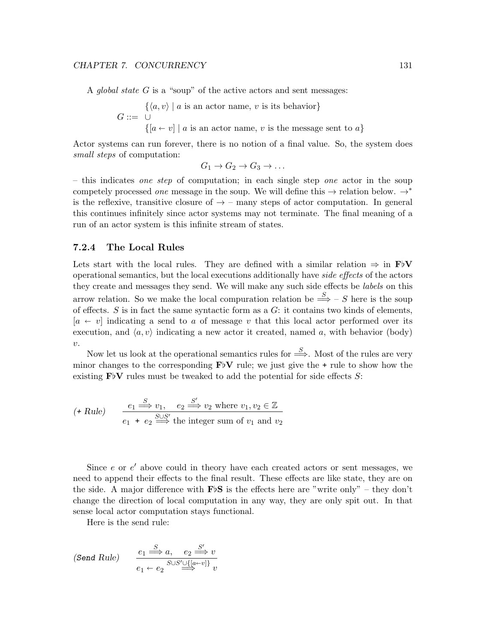A global state  $G$  is a "soup" of the active actors and sent messages:

$$
G ::= \bigcup_{\{a \in v \mid a \text{ is an actor name}, v \text{ is its behavior}\}} G ::= \bigcup_{\{a \in v \mid a \text{ is an actor name}, v \text{ is the message sent to } a\}}
$$

Actor systems can run forever, there is no notion of a final value. So, the system does small steps of computation:

$$
G_1 \to G_2 \to G_3 \to \dots
$$

– this indicates one step of computation; in each single step one actor in the soup competely processed *one* message in the soup. We will define this  $\rightarrow$  relation below.  $\rightarrow^*$ is the reflexive, transitive closure of  $\rightarrow$  – many steps of actor computation. In general this continues infinitely since actor systems may not terminate. The final meaning of a run of an actor system is this infinite stream of states.

### 7.2.4 The Local Rules

Lets start with the local rules. They are defined with a similar relation  $\Rightarrow$  in  $\mathbf{F}^{\dagger}V$ operational semantics, but the local executions additionally have side effects of the actors they create and messages they send. We will make any such side effects be labels on this arrow relation. So we make the local compuration relation be  $\stackrel{S}{\Longrightarrow}$  – S here is the soup of effects.  $S$  is in fact the same syntactic form as a  $G$ : it contains two kinds of elements,  $[a \leftarrow v]$  indicating a send to a of message v that this local actor performed over its execution, and  $\langle a, v \rangle$  indicating a new actor it created, named a, with behavior (body) v.

Now let us look at the operational semantics rules for  $\stackrel{S}{\Longrightarrow}$ . Most of the rules are very minor changes to the corresponding  $\mathbf{F}^{\dagger}V$  rule; we just give the + rule to show how the existing  $\text{FbV}$  rules must be tweaked to add the potential for side effects S:

$$
(\text{+ Rule}) \qquad \frac{e_1 \stackrel{S}{\Longrightarrow} v_1, \quad e_2 \stackrel{S'}{\Longrightarrow} v_2 \text{ where } v_1, v_2 \in \mathbb{Z}}{e_1 + e_2 \stackrel{S \cup S'}{\Longrightarrow} \text{the integer sum of } v_1 \text{ and } v_2}
$$

Since  $e$  or  $e'$  above could in theory have each created actors or sent messages, we need to append their effects to the final result. These effects are like state, they are on the side. A major difference with  $\mathbf{F}\triangleright S$  is the effects here are "write only" – they don't change the direction of local computation in any way, they are only spit out. In that sense local actor computation stays functional.

Here is the send rule:

(Send Rule) 
$$
\underbrace{e_1 \xrightarrow{S} a}_{e_1 \xrightarrow{S} \cup S' \cup \{[a \xrightarrow{v}]} v}_{e_1 \xrightarrow{S} \cup S' \cup \{\omega \xrightarrow{v} \}} v
$$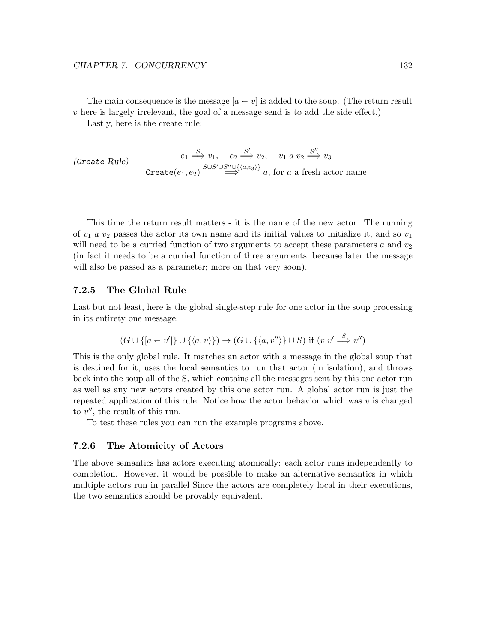The main consequence is the message  $[a \leftarrow v]$  is added to the soup. (The return result  $v$  here is largely irrelevant, the goal of a message send is to add the side effect.)

Lastly, here is the create rule:

$$
\text{(Create Rule)} \quad \xrightarrow{e_1 \xrightarrow{S} v_1, \quad e_2 \xrightarrow{S'} v_2, \quad v_1 \ a \ v_2 \xrightarrow{S''} v_3}
$$
\n
$$
\xrightarrow{\text{Create}(e_1, e_2)} \xrightarrow{S \cup S' \cup S'' \cup \{\langle a, v_3 \rangle\}} a, \text{ for } a \text{ a fresh actor name}
$$

This time the return result matters - it is the name of the new actor. The running of  $v_1$  a  $v_2$  passes the actor its own name and its initial values to initialize it, and so  $v_1$ will need to be a curried function of two arguments to accept these parameters a and  $v_2$ (in fact it needs to be a curried function of three arguments, because later the message will also be passed as a parameter; more on that very soon).

### 7.2.5 The Global Rule

Last but not least, here is the global single-step rule for one actor in the soup processing in its entirety one message:

$$
(G \cup \{ [a \leftarrow v'] \} \cup \{ \langle a, v \rangle \}) \rightarrow (G \cup \{ \langle a, v'' \rangle \} \cup S) \text{ if } (v \ v' \stackrel{S}{\Longrightarrow} v'')
$$

This is the only global rule. It matches an actor with a message in the global soup that is destined for it, uses the local semantics to run that actor (in isolation), and throws back into the soup all of the S, which contains all the messages sent by this one actor run as well as any new actors created by this one actor run. A global actor run is just the repeated application of this rule. Notice how the actor behavior which was  $v$  is changed to  $v''$ , the result of this run.

To test these rules you can run the example programs above.

### 7.2.6 The Atomicity of Actors

The above semantics has actors executing atomically: each actor runs independently to completion. However, it would be possible to make an alternative semantics in which multiple actors run in parallel Since the actors are completely local in their executions, the two semantics should be provably equivalent.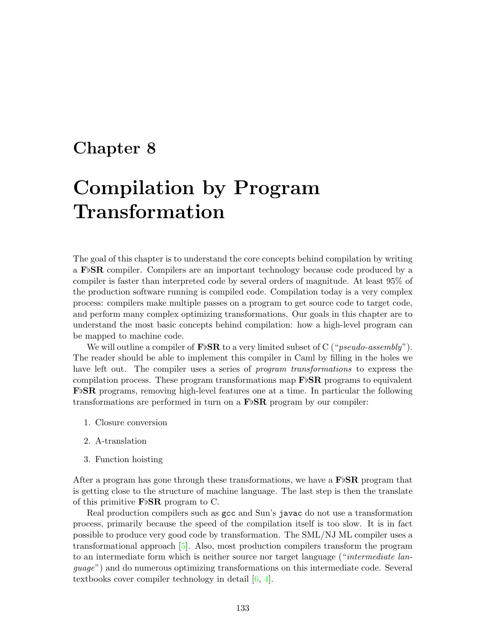# Chapter 8

# Compilation by Program Transformation

The goal of this chapter is to understand the core concepts behind compilation by writing a  $\mathbf{F}$ <sup>b</sup>SR compiler. Compilers are an important technology because code produced by a compiler is faster than interpreted code by several orders of magnitude. At least 95% of the production software running is compiled code. Compilation today is a very complex process: compilers make multiple passes on a program to get source code to target code, and perform many complex optimizing transformations. Our goals in this chapter are to understand the most basic concepts behind compilation: how a high-level program can be mapped to machine code.

We will outline a compiler of  $\mathbf{F}\flat\mathbf{SR}$  to a very limited subset of C ("pseudo-assembly"). The reader should be able to implement this compiler in Caml by filling in the holes we have left out. The compiler uses a series of *program transformations* to express the compilation process. These program transformations map  $\mathbf{F}$ <sub>b</sub> $\mathbf{S}$ **R** programs to equivalent  $\mathbf{F}$ <sub>b</sub> $\mathbf{S}$ **R** programs, removing high-level features one at a time. In particular the following transformations are performed in turn on a  $\mathbf{F} \upbeta \mathbf{S} \mathbf{R}$  program by our compiler:

- 1. Closure conversion
- 2. A-translation
- 3. Function hoisting

After a program has gone through these transformations, we have a  $\mathbf{F}$ <sub>SR</sub> program that is getting close to the structure of machine language. The last step is then the translate of this primitive  $\mathbf{F} \flat \mathbf{S} \mathbf{R}$  program to C.

Real production compilers such as gcc and Sun's javac do not use a transformation process, primarily because the speed of the compilation itself is too slow. It is in fact possible to produce very good code by transformation. The SML/NJ ML compiler uses a transformational approach [\[5\]](#page-159-2). Also, most production compilers transform the program to an intermediate form which is neither source nor target language ("intermediate language") and do numerous optimizing transformations on this intermediate code. Several textbooks cover compiler technology in detail [\[6,](#page-159-3) [4\]](#page-159-4).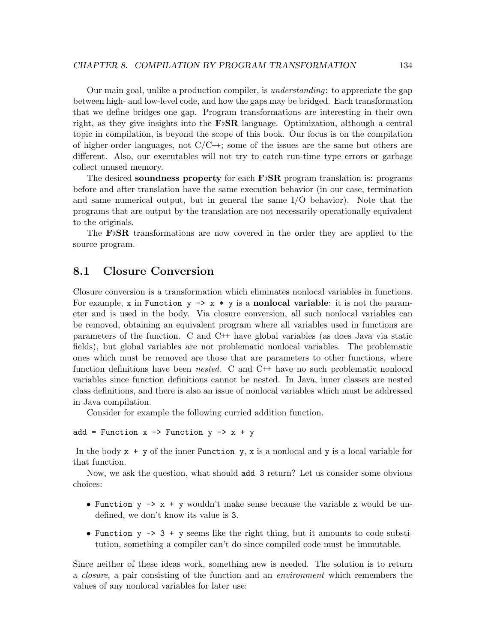Our main goal, unlike a production compiler, is understanding: to appreciate the gap between high- and low-level code, and how the gaps may be bridged. Each transformation that we define bridges one gap. Program transformations are interesting in their own right, as they give insights into the  $\mathbf{F}$ <sub>p</sub>SR language. Optimization, although a central topic in compilation, is beyond the scope of this book. Our focus is on the compilation of higher-order languages, not  $C/C\leftrightarrow$ ; some of the issues are the same but others are different. Also, our executables will not try to catch run-time type errors or garbage collect unused memory.

The desired soundness property for each  $F\flat SR$  program translation is: programs before and after translation have the same execution behavior (in our case, termination and same numerical output, but in general the same I/O behavior). Note that the programs that are output by the translation are not necessarily operationally equivalent to the originals.

The F<sub>b</sub>SR transformations are now covered in the order they are applied to the source program.

## 8.1 Closure Conversion

Closure conversion is a transformation which eliminates nonlocal variables in functions. For example, x in Function  $y \rightarrow x * y$  is a nonlocal variable: it is not the parameter and is used in the body. Via closure conversion, all such nonlocal variables can be removed, obtaining an equivalent program where all variables used in functions are parameters of the function. C and  $C^+$  have global variables (as does Java via static fields), but global variables are not problematic nonlocal variables. The problematic ones which must be removed are those that are parameters to other functions, where function definitions have been *nested.* C and  $C^+$  have no such problematic nonlocal variables since function definitions cannot be nested. In Java, inner classes are nested class definitions, and there is also an issue of nonlocal variables which must be addressed in Java compilation.

Consider for example the following curried addition function.

```
add = Function x \rightarrow Function y \rightarrow x + y
```
In the body  $x + y$  of the inner Function y, x is a nonlocal and y is a local variable for that function.

Now, we ask the question, what should add 3 return? Let us consider some obvious choices:

- Function  $y \rightarrow x + y$  wouldn't make sense because the variable x would be undefined, we don't know its value is 3.
- Function  $y \rightarrow 3 + y$  seems like the right thing, but it amounts to code substitution, something a compiler can't do since compiled code must be immutable.

Since neither of these ideas work, something new is needed. The solution is to return a closure, a pair consisting of the function and an environment which remembers the values of any nonlocal variables for later use: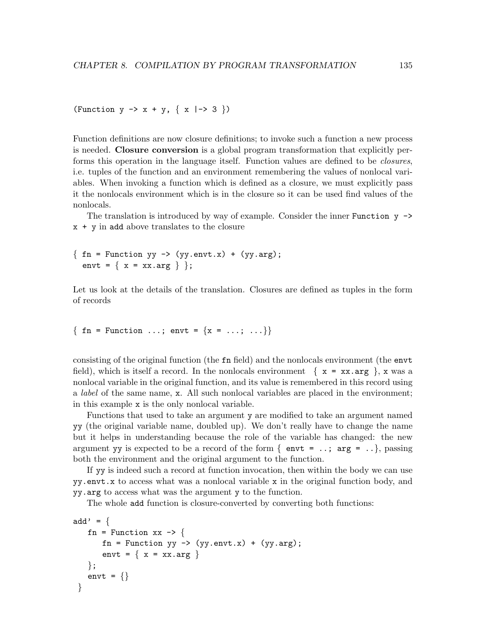(Function  $y \rightarrow x + y$ , {  $x |-> 3$  })

Function definitions are now closure definitions; to invoke such a function a new process is needed. Closure conversion is a global program transformation that explicitly performs this operation in the language itself. Function values are defined to be *closures*, i.e. tuples of the function and an environment remembering the values of nonlocal variables. When invoking a function which is defined as a closure, we must explicitly pass it the nonlocals environment which is in the closure so it can be used find values of the nonlocals.

The translation is introduced by way of example. Consider the inner Function  $y \rightarrow$  $x + y$  in add above translates to the closure

```
\{ \text{fn = Function } yy \rightarrow (yy.\text{envt.x}) + (yy.\text{arg});envt = { x = xx.argv } };
```
Let us look at the details of the translation. Closures are defined as tuples in the form of records

{  $fn = Function ...; envt = {x = ...; ...}$ }

consisting of the original function (the fn field) and the nonlocals environment (the envt field), which is itself a record. In the nonlocals environment  $\{ x = xx \text{ arg } \}$ , x was a nonlocal variable in the original function, and its value is remembered in this record using a label of the same name, x. All such nonlocal variables are placed in the environment; in this example x is the only nonlocal variable.

Functions that used to take an argument y are modified to take an argument named yy (the original variable name, doubled up). We don't really have to change the name but it helps in understanding because the role of the variable has changed: the new argument yy is expected to be a record of the form  $\{$  envt = ..; arg = ..}, passing both the environment and the original argument to the function.

If yy is indeed such a record at function invocation, then within the body we can use yy.envt.x to access what was a nonlocal variable x in the original function body, and yy.arg to access what was the argument y to the function.

The whole add function is closure-converted by converting both functions:

```
add' = \{fn = Function xx \rightarrow {
       fn = Function yy \rightarrow (yy.envt.x) + (yy.arg);
       envt = \{ x = xx.argv \}\};
   envt = \{\}}
```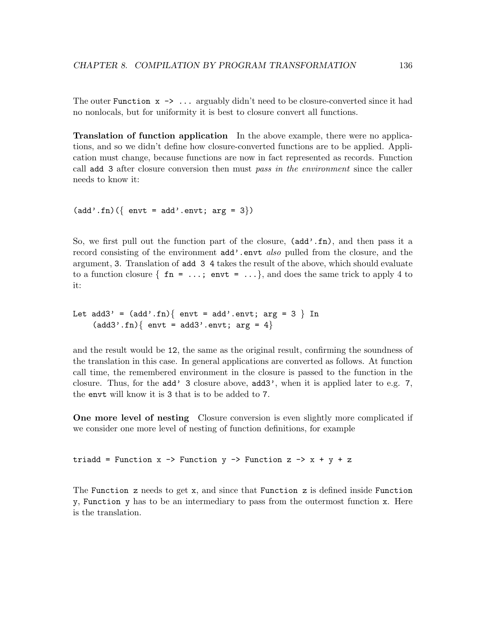The outer Function  $x \rightarrow \ldots$  arguably didn't need to be closure-converted since it had no nonlocals, but for uniformity it is best to closure convert all functions.

Translation of function application In the above example, there were no applications, and so we didn't define how closure-converted functions are to be applied. Application must change, because functions are now in fact represented as records. Function call add 3 after closure conversion then must pass in the environment since the caller needs to know it:

```
(\text{add}'.\text{fn})(\{\text{envt} = \text{add}'.\text{envt}; \text{arg} = 3\})
```
So, we first pull out the function part of the closure,  $(\text{add}'.\text{fn})$ , and then pass it a record consisting of the environment add'.envt also pulled from the closure, and the argument, 3. Translation of add 3 4 takes the result of the above, which should evaluate to a function closure  $\{ \text{fn} = \ldots \}$  envt =  $\ldots \}$ , and does the same trick to apply 4 to it:

```
Let add3' = (add'.fn) { \text{ env } t = add'.envt; arg = 3 } In(\text{add3}'.\text{fn})\{\text{envt} = \text{add3}'.\text{envt}; \text{arg} = 4\}
```
and the result would be 12, the same as the original result, confirming the soundness of the translation in this case. In general applications are converted as follows. At function call time, the remembered environment in the closure is passed to the function in the closure. Thus, for the add' 3 closure above, add3', when it is applied later to e.g. 7, the envt will know it is 3 that is to be added to 7.

One more level of nesting Closure conversion is even slightly more complicated if we consider one more level of nesting of function definitions, for example

triadd = Function  $x \rightarrow$  Function  $y \rightarrow$  Function  $z \rightarrow x + y + z$ 

The Function z needs to get x, and since that Function z is defined inside Function y, Function y has to be an intermediary to pass from the outermost function x. Here is the translation.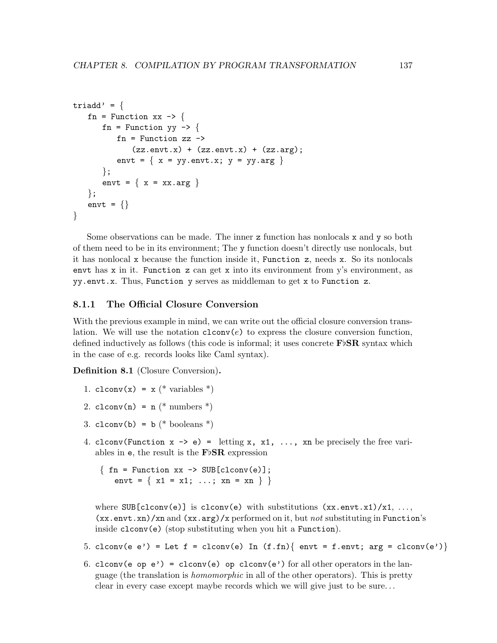```
triadd' = \{fn = Function xx \rightarrow {
        fn = Function yy \rightarrow {
            fn = Function zz ->
                 (zz.\text{envt.x}) + (zz.\text{envt.x}) + (zz.\text{arg});envt = \{ x = yy.\text{envt.x}; y = yy.\text{arg } \}\};
        envt = \{ x = xx.argv \}};
    envt = \{\}}
```
Some observations can be made. The inner z function has nonlocals x and y so both of them need to be in its environment; The y function doesn't directly use nonlocals, but it has nonlocal x because the function inside it, Function z, needs x. So its nonlocals envt has  $x$  in it. Function  $z$  can get  $x$  into its environment from  $y$ 's environment, as yy.envt.x. Thus, Function y serves as middleman to get x to Function z.

### 8.1.1 The Official Closure Conversion

With the previous example in mind, we can write out the official closure conversion translation. We will use the notation  $\text{clconv}(e)$  to express the closure conversion function, defined inductively as follows (this code is informal; it uses concrete  $\mathbf{F}$  $\beta$ **SR** syntax which in the case of e.g. records looks like Caml syntax).

Definition 8.1 (Closure Conversion).

- 1. clconv(x) =  $x$  (\* variables \*)
- 2. clconv(n) =  $n$  (\* numbers \*)
- 3. clconv(b) =  $b$  (\* booleans \*)
- 4. clconv(Function  $x \rightarrow e$ ) = letting x, x1, ..., xn be precisely the free variables in  $e$ , the result is the  $F\flat$ SR expression

 $\{ \text{fn = Function xx -> SUB[clconv(e)]};$ envt =  $\{ x1 = x1; ...; xn = xn \}$ 

where  $SUB[clconv(e)]$  is  $clconv(e)$  with substitutions  $(xxenvx1)/x1, ...,$  $(xx.\text{envt}.xn)/xn$  and  $(xx.\text{arg})/x$  performed on it, but not substituting in Function's inside clconv(e) (stop substituting when you hit a Function).

- 5. clconv(e e') = Let f = clconv(e) In  $(f.fn)$  envt = f.envt; arg = clconv(e') }
- 6. clconv(e op e') = clconv(e) op clconv(e') for all other operators in the language (the translation is homomorphic in all of the other operators). This is pretty clear in every case except maybe records which we will give just to be sure. . .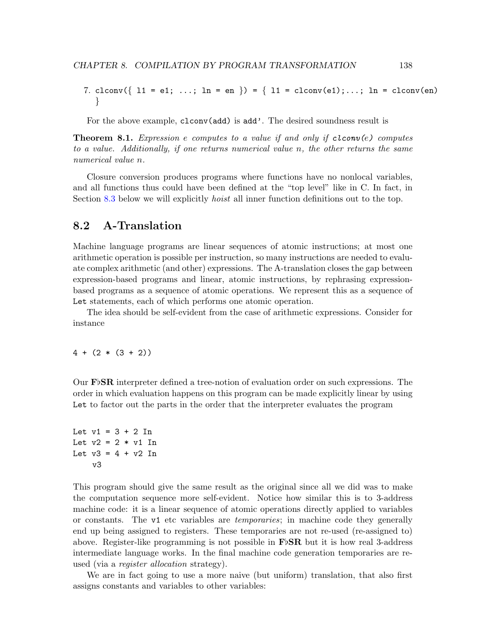7. clconv({  $11 = e1; ...; ln = en$  }) = {  $11 = clconv(e1); ...; ln = clconv(en)$ }

For the above example, clconv(add) is add'. The desired soundness result is

**Theorem 8.1.** Expression e computes to a value if and only if clconv(e) computes to a value. Additionally, if one returns numerical value n, the other returns the same numerical value n.

Closure conversion produces programs where functions have no nonlocal variables, and all functions thus could have been defined at the "top level" like in C. In fact, in Section [8.3](#page-145-0) below we will explicitly *hoist* all inner function definitions out to the top.

# 8.2 A-Translation

Machine language programs are linear sequences of atomic instructions; at most one arithmetic operation is possible per instruction, so many instructions are needed to evaluate complex arithmetic (and other) expressions. The A-translation closes the gap between expression-based programs and linear, atomic instructions, by rephrasing expressionbased programs as a sequence of atomic operations. We represent this as a sequence of Let statements, each of which performs one atomic operation.

The idea should be self-evident from the case of arithmetic expressions. Consider for instance

 $4 + (2 * (3 + 2))$ 

Our  $\textbf{F}\flat$ SR interpreter defined a tree-notion of evaluation order on such expressions. The order in which evaluation happens on this program can be made explicitly linear by using Let to factor out the parts in the order that the interpreter evaluates the program

## Let  $v1 = 3 + 2$  In Let  $v2 = 2 * v1$  In Let  $v3 = 4 + v2$  In v3

This program should give the same result as the original since all we did was to make the computation sequence more self-evident. Notice how similar this is to 3-address machine code: it is a linear sequence of atomic operations directly applied to variables or constants. The v1 etc variables are temporaries; in machine code they generally end up being assigned to registers. These temporaries are not re-used (re-assigned to) above. Register-like programming is not possible in  $\mathbf{F} \triangleright \mathbf{SR}$  but it is how real 3-address intermediate language works. In the final machine code generation temporaries are reused (via a register allocation strategy).

We are in fact going to use a more naive (but uniform) translation, that also first assigns constants and variables to other variables: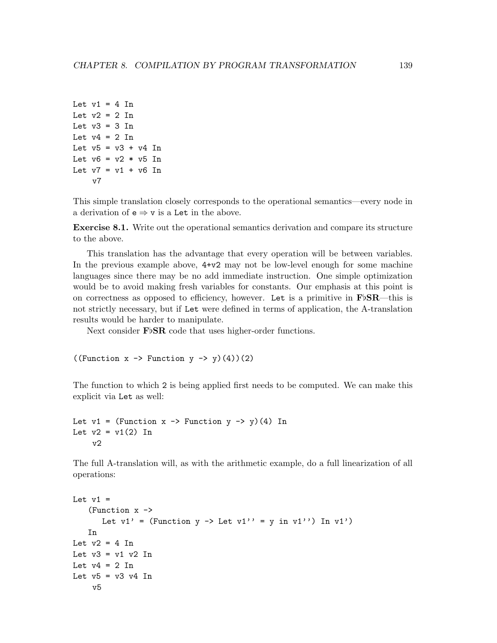```
Let v1 = 4 In
Let v2 = 2 In
Let v3 = 3 In
Let v4 = 2 In
Let v5 = v3 + v4 In
Let v6 = v2 * v5 In
Let v7 = v1 + v6 In
    v7
```
This simple translation closely corresponds to the operational semantics—every node in a derivation of  $e \Rightarrow v$  is a Let in the above.

Exercise 8.1. Write out the operational semantics derivation and compare its structure to the above.

This translation has the advantage that every operation will be between variables. In the previous example above, 4+v2 may not be low-level enough for some machine languages since there may be no add immediate instruction. One simple optimization would be to avoid making fresh variables for constants. Our emphasis at this point is on correctness as opposed to efficiency, however. Let is a primitive in  $\mathbf{F} \flat \mathbf{S} \mathbf{R}$ —this is not strictly necessary, but if Let were defined in terms of application, the A-translation results would be harder to manipulate.

Next consider  $\text{F} \flat \text{SR}$  code that uses higher-order functions.

((Function  $x \rightarrow$  Function  $y \rightarrow y$ )(4))(2)

The function to which 2 is being applied first needs to be computed. We can make this explicit via Let as well:

```
Let v1 = (Function x \rightarrow Function y \rightarrow y)(4) In
Let v2 = v1(2) In
     v2
```
The full A-translation will, as with the arithmetic example, do a full linearization of all operations:

```
Let v1 =(Function x ->
      Let v1' = (Function y -> Let v1'' = y in v1'') In v1')
   In
Let v2 = 4 In
Let v3 = v1 v2 In
Let v4 = 2 In
Let v5 = v3 v4 In
    v5
```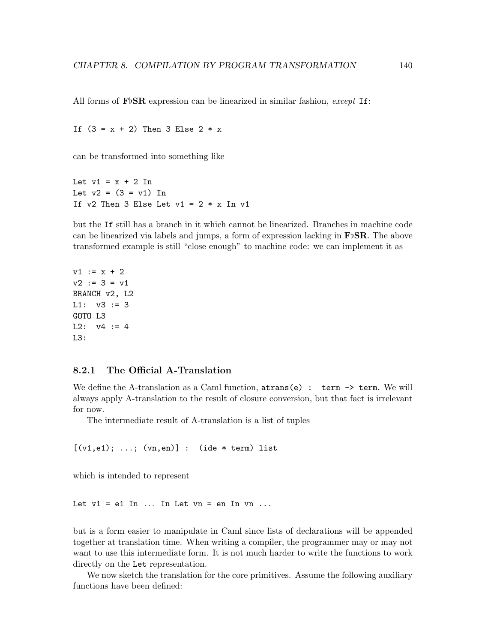All forms of FbSR expression can be linearized in similar fashion, except If:

```
If (3 = x + 2) Then 3 Else 2 * x
```
can be transformed into something like

Let  $v1 = x + 2$  In Let  $v2 = (3 = v1)$  In If v2 Then 3 Else Let  $v1 = 2 * x$  In v1

but the If still has a branch in it which cannot be linearized. Branches in machine code can be linearized via labels and jumps, a form of expression lacking in  $\mathbf{F}$ <sub>b</sub> $\mathbf{S}$ **R**. The above transformed example is still "close enough" to machine code: we can implement it as

```
v1 := x + 2v2 := 3 = v1BRANCH v2, L2
L1: v3 := 3GOTO L3
L2: v4 := 4L3:
```
## 8.2.1 The Official A-Translation

We define the A-translation as a Caml function,  $atrans(e)$ :  $term \rightarrow term$ . We will always apply A-translation to the result of closure conversion, but that fact is irrelevant for now.

The intermediate result of A-translation is a list of tuples

 $[(\text{v1},\text{e1}); \ldots; (\text{vn},\text{en})] : (\text{ide} * \text{term}) \text{list}$ 

which is intended to represent

Let  $v1 = e1$  In ... In Let  $vn = en$  In  $vn$  ...

but is a form easier to manipulate in Caml since lists of declarations will be appended together at translation time. When writing a compiler, the programmer may or may not want to use this intermediate form. It is not much harder to write the functions to work directly on the Let representation.

We now sketch the translation for the core primitives. Assume the following auxiliary functions have been defined: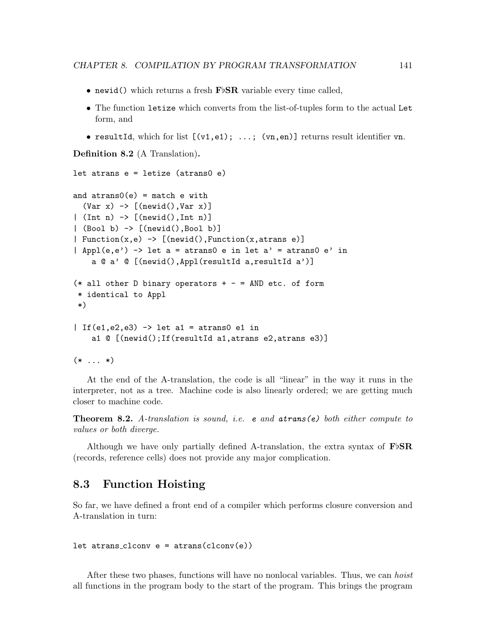- <span id="page-145-0"></span>• newid() which returns a fresh  $\text{FbSR}$  variable every time called,
- The function letize which converts from the list-of-tuples form to the actual Let form, and
- resultId, which for list  $[(\nu1, e1); \ldots; (\nu n, en)]$  returns result identifier vn.

Definition 8.2 (A Translation).

```
let atrans e = letize (atrans0 e)
and atrans0(e) = match e with(Var x) \rightarrow [(newid(), Var x)]| (Int n) -> [(newid(),Int n)]
| (Bool b) -> [(newid(),Bool b)]
| Function(x,e) \rightarrow [(newid(), Function(x, atrans e)]
| Appl(e,e') -> let a = atrans0 e in let a' = atrans0 e' in
    a @ a' @ [(newid(),Appl(resultId a,resultId a')]
(* all other D binary operators + - = AND etc. of form
 * identical to Appl
*)
| If(e1,e2,e3) \rightarrow let a1 = atrans0 e1 in
    a1 @ [(newid();If(resultId a1,atrans e2,atrans e3)]
```
 $(* \dots *)$ 

At the end of the A-translation, the code is all "linear" in the way it runs in the interpreter, not as a tree. Machine code is also linearly ordered; we are getting much closer to machine code.

**Theorem 8.2.** A-translation is sound, i.e. **e** and  $atrans(e)$  both either compute to values or both diverge.

Although we have only partially defined A-translation, the extra syntax of  $\mathbf{F}$ bSR (records, reference cells) does not provide any major complication.

## 8.3 Function Hoisting

So far, we have defined a front end of a compiler which performs closure conversion and A-translation in turn:

```
let atrans_clconv e = \arctan(c \cdot c)
```
After these two phases, functions will have no nonlocal variables. Thus, we can hoist all functions in the program body to the start of the program. This brings the program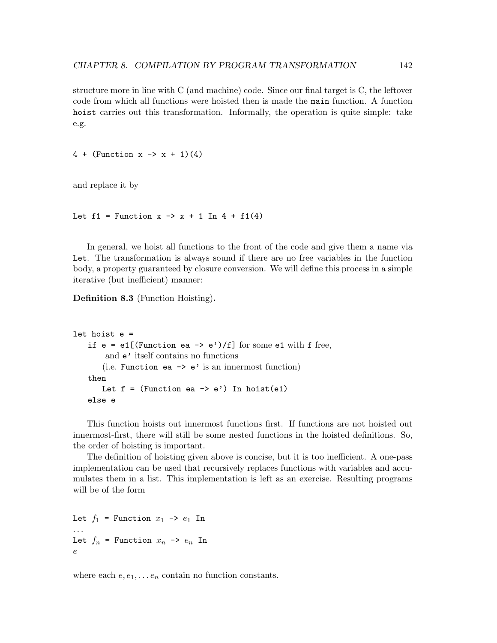structure more in line with C (and machine) code. Since our final target is C, the leftover code from which all functions were hoisted then is made the main function. A function hoist carries out this transformation. Informally, the operation is quite simple: take e.g.

4 + (Function  $x \to x + 1$ )(4)

and replace it by

Let  $f1 =$  Function  $x \rightarrow x + 1$  In  $4 + f1(4)$ 

In general, we hoist all functions to the front of the code and give them a name via Let. The transformation is always sound if there are no free variables in the function body, a property guaranteed by closure conversion. We will define this process in a simple iterative (but inefficient) manner:

Definition 8.3 (Function Hoisting).

```
let hoist e =
   if e = e1[(Function ea -> e')/f] for some e1 with f free,
       and e' itself contains no functions
       (i.e. Function ea \rightarrow e' is an innermost function)
   then
       Let f = (Function ea -> e') In hoist(e1)
   else e
```
This function hoists out innermost functions first. If functions are not hoisted out innermost-first, there will still be some nested functions in the hoisted definitions. So, the order of hoisting is important.

The definition of hoisting given above is concise, but it is too inefficient. A one-pass implementation can be used that recursively replaces functions with variables and accumulates them in a list. This implementation is left as an exercise. Resulting programs will be of the form

```
Let f_1 = Function x_1 \rightarrow e_1 In
. . .
Let f_n = Function x_n \rightarrow e_n In
e
```
where each  $e, e_1, \ldots e_n$  contain no function constants.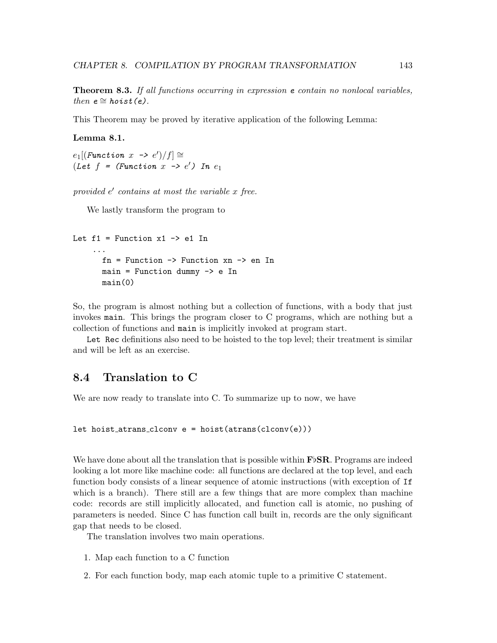<span id="page-147-0"></span>Theorem 8.3. If all functions occurring in expression e contain no nonlocal variables, then  $e \cong \textit{hoist}(e)$ .

This Theorem may be proved by iterative application of the following Lemma:

### Lemma 8.1.

 $e_1[(Function \ x \ \rightarrow e')/f] \cong$ (Let  $f = (Function \ x \ \rightarrow \ e')$  In  $e_1$ 

provided  $e'$  contains at most the variable  $x$  free.

We lastly transform the program to

```
Let f1 = Function x1 \rightarrow e1 In
     ...
       fn = Function -> Function xn -> en In
       main = Function dummy \rightarrow e In
       main(0)
```
So, the program is almost nothing but a collection of functions, with a body that just invokes main. This brings the program closer to C programs, which are nothing but a collection of functions and main is implicitly invoked at program start.

Let Rec definitions also need to be hoisted to the top level; their treatment is similar and will be left as an exercise.

## 8.4 Translation to C

We are now ready to translate into C. To summarize up to now, we have

let hoist atrans clconv e = hoist(atrans(clconv(e)))

We have done about all the translation that is possible within  $\mathbf{F} \flat \mathbf{SR}$ . Programs are indeed looking a lot more like machine code: all functions are declared at the top level, and each function body consists of a linear sequence of atomic instructions (with exception of If which is a branch). There still are a few things that are more complex than machine code: records are still implicitly allocated, and function call is atomic, no pushing of parameters is needed. Since C has function call built in, records are the only significant gap that needs to be closed.

The translation involves two main operations.

- 1. Map each function to a C function
- 2. For each function body, map each atomic tuple to a primitive C statement.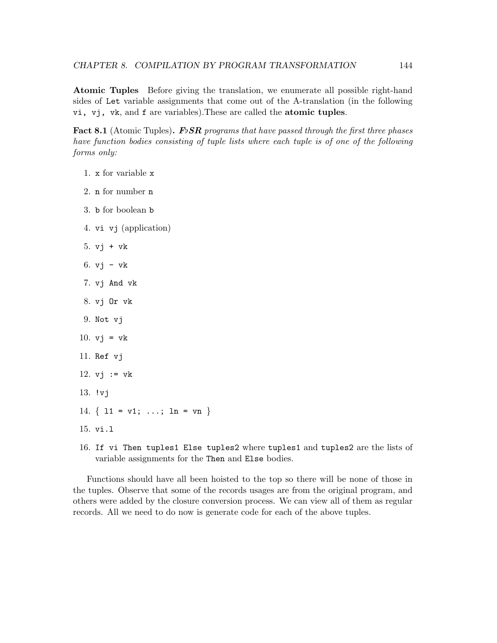<span id="page-148-0"></span>Atomic Tuples Before giving the translation, we enumerate all possible right-hand sides of Let variable assignments that come out of the A-translation (in the following vi, vj, vk, and f are variables).These are called the atomic tuples.

**Fact 8.1** (Atomic Tuples). F<sub>D</sub>SR programs that have passed through the first three phases have function bodies consisting of tuple lists where each tuple is of one of the following forms only:

- 1. x for variable x
- 2. n for number n
- 3. b for boolean b
- 4. vi vj (application)
- 5. vj + vk
- 6. vj vk
- 7. vj And vk
- 8. vj Or vk
- 9. Not vj
- 10.  $vj = vk$
- 11. Ref vj
- 12.  $vi := vk$
- 13. !vj
- 14.  $\{ 11 = v1; \ldots; 1n = vn \}$
- 15. vi.l
- 16. If vi Then tuples1 Else tuples2 where tuples1 and tuples2 are the lists of variable assignments for the Then and Else bodies.

Functions should have all been hoisted to the top so there will be none of those in the tuples. Observe that some of the records usages are from the original program, and others were added by the closure conversion process. We can view all of them as regular records. All we need to do now is generate code for each of the above tuples.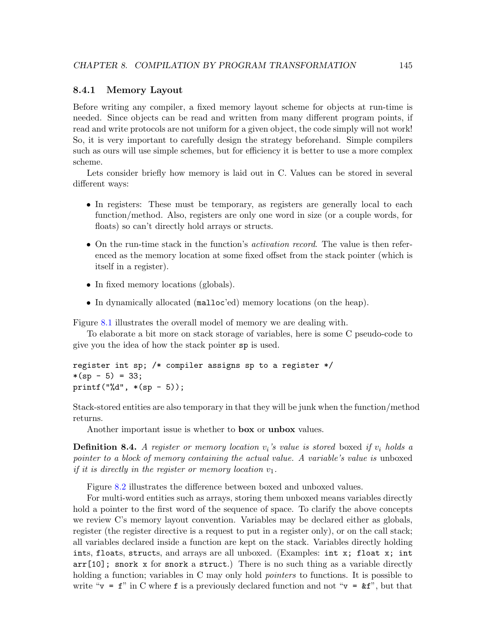#### <span id="page-149-0"></span>8.4.1 Memory Layout

Before writing any compiler, a fixed memory layout scheme for objects at run-time is needed. Since objects can be read and written from many different program points, if read and write protocols are not uniform for a given object, the code simply will not work! So, it is very important to carefully design the strategy beforehand. Simple compilers such as ours will use simple schemes, but for efficiency it is better to use a more complex scheme.

Lets consider briefly how memory is laid out in C. Values can be stored in several different ways:

- In registers: These must be temporary, as registers are generally local to each function/method. Also, registers are only one word in size (or a couple words, for floats) so can't directly hold arrays or structs.
- On the run-time stack in the function's *activation record*. The value is then referenced as the memory location at some fixed offset from the stack pointer (which is itself in a register).
- In fixed memory locations (globals).
- In dynamically allocated (malloc'ed) memory locations (on the heap).

Figure [8.1](#page-150-0) illustrates the overall model of memory we are dealing with.

To elaborate a bit more on stack storage of variables, here is some C pseudo-code to give you the idea of how the stack pointer sp is used.

```
register int sp; /* compiler assigns sp to a register */
*(sp - 5) = 33;print('"\%d", * (sp - 5));
```
Stack-stored entities are also temporary in that they will be junk when the function/method returns.

Another important issue is whether to box or unbox values.

**Definition 8.4.** A register or memory location  $v_i$ 's value is stored boxed if  $v_i$  holds a pointer to a block of memory containing the actual value. A variable's value is unboxed if it is directly in the register or memory location  $v_1$ .

Figure [8.2](#page-151-0) illustrates the difference between boxed and unboxed values.

For multi-word entities such as arrays, storing them unboxed means variables directly hold a pointer to the first word of the sequence of space. To clarify the above concepts we review C's memory layout convention. Variables may be declared either as globals, register (the register directive is a request to put in a register only), or on the call stack; all variables declared inside a function are kept on the stack. Variables directly holding ints, floats, structs, and arrays are all unboxed. (Examples: int x; float x; int arr[10]; snork x for snork a struct.) There is no such thing as a variable directly holding a function; variables in C may only hold *pointers* to functions. It is possible to write " $v = f$ " in C where f is a previously declared function and not " $v = \mathbf{\&} f$ ", but that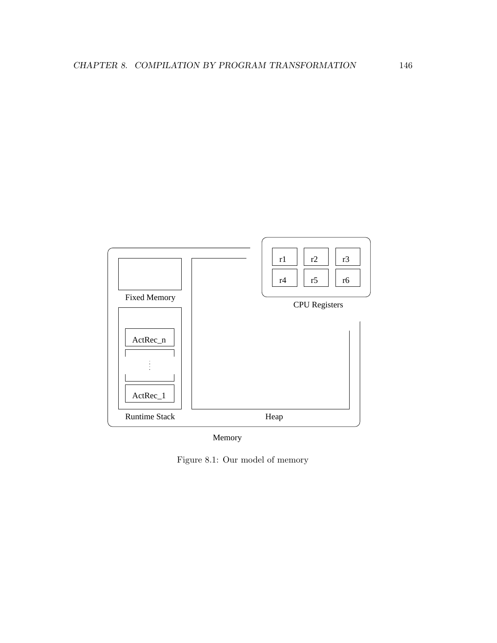

<span id="page-150-0"></span>Memory

Figure 8.1: Our model of memory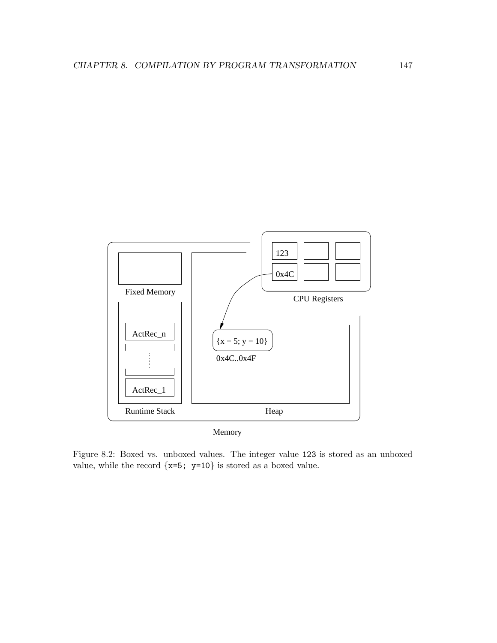

Memory

<span id="page-151-0"></span>Figure 8.2: Boxed vs. unboxed values. The integer value 123 is stored as an unboxed value, while the record  $\{x=5; y=10\}$  is stored as a boxed value.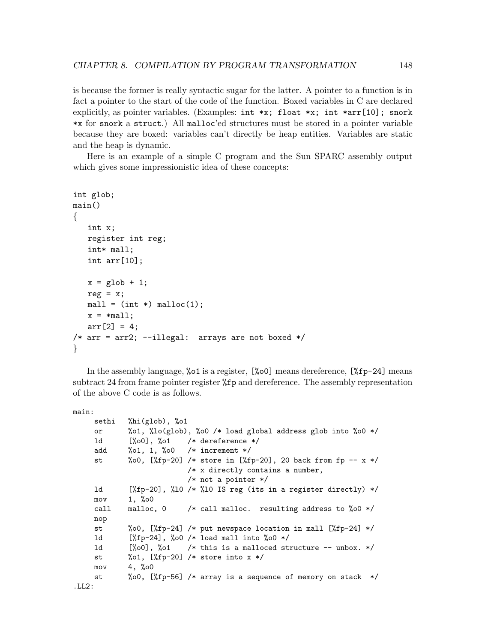is because the former is really syntactic sugar for the latter. A pointer to a function is in fact a pointer to the start of the code of the function. Boxed variables in C are declared explicitly, as pointer variables. (Examples:  $int \cdot x$ ; float  $\cdot x$ ; int  $\cdot \arctan[10]$ ; snork \*x for snork a struct.) All malloc'ed structures must be stored in a pointer variable because they are boxed: variables can't directly be heap entities. Variables are static and the heap is dynamic.

Here is an example of a simple C program and the Sun SPARC assembly output which gives some impressionistic idea of these concepts:

```
int glob;
main()
\{int x;
   register int reg;
   int* mall;
   int arr[10];
   x = glob + 1;reg = x;mall = (int *) malloc(1);x = *mail;arr[2] = 4;/* arr = arr2; --illegal: arrays are not boxed */}
```
In the assembly language, %o1 is a register, [%o0] means dereference, [%fp-24] means subtract 24 from frame pointer register %fp and dereference. The assembly representation of the above C code is as follows.

main:

```
sethi %hi(glob), %o1
    or %o1, %lo(glob), %o0 /* load global address glob into %o0 */
    ld [%o0], %o1 /* dereference */
    add %o1, 1, %o0 /* increment */
    st \frac{60}{15} (%fp-20] /* store in [%fp-20], 20 back from fp -- x */
                         /* x directly contains a number,
                         /* not a pointer */
    ld [%fp-20], %l0 /* %l0 IS reg (its in a register directly) */
    mov 1, %o0
    call malloc, 0 /* call malloc. resulting address to %o0 */
    nop
    st %o0, [%fp-24] /* put newspace location in mall [%fp-24] */
    ld [%fp-24], %o0 /* load mall into %o0 */
    1d [\% \circ 0], \% \circ 1 /* this is a malloced structure -- unbox. */
    st %01, [\frac{6}{10} - 20] /* store into x */
    mov 4, %o0
    st %o0, [%fp-56] /* array is a sequence of memory on stack */
.LL2:
```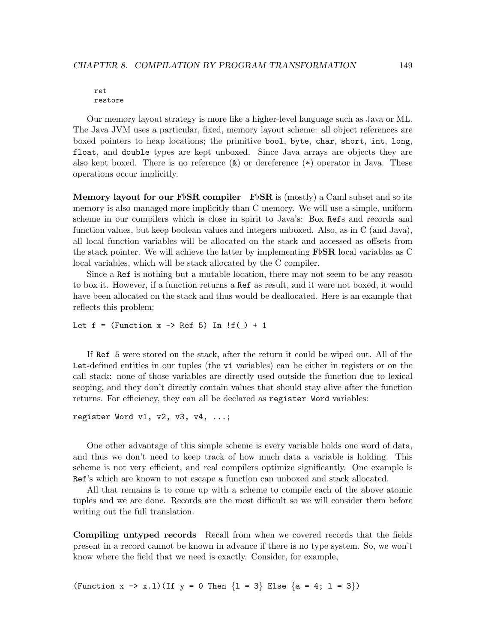#### ret restore

Our memory layout strategy is more like a higher-level language such as Java or ML. The Java JVM uses a particular, fixed, memory layout scheme: all object references are boxed pointers to heap locations; the primitive bool, byte, char, short, int, long, float, and double types are kept unboxed. Since Java arrays are objects they are also kept boxed. There is no reference  $(\&)$  or dereference  $(*)$  operator in Java. These operations occur implicitly.

Memory layout for our FbSR compiler FbSR is (mostly) a Caml subset and so its memory is also managed more implicitly than C memory. We will use a simple, uniform scheme in our compilers which is close in spirit to Java's: Box Refs and records and function values, but keep boolean values and integers unboxed. Also, as in C (and Java), all local function variables will be allocated on the stack and accessed as offsets from the stack pointer. We will achieve the latter by implementing  $\mathbf{F} \flat \mathbf{SR}$  local variables as C local variables, which will be stack allocated by the C compiler.

Since a Ref is nothing but a mutable location, there may not seem to be any reason to box it. However, if a function returns a Ref as result, and it were not boxed, it would have been allocated on the stack and thus would be deallocated. Here is an example that reflects this problem:

```
Let f = (Function x \rightarrow Ref 5) In ff(\_) + 1
```
If Ref 5 were stored on the stack, after the return it could be wiped out. All of the Let-defined entities in our tuples (the vi variables) can be either in registers or on the call stack: none of those variables are directly used outside the function due to lexical scoping, and they don't directly contain values that should stay alive after the function returns. For efficiency, they can all be declared as register Word variables:

```
register Word v1, v2, v3, v4, \ldots;
```
One other advantage of this simple scheme is every variable holds one word of data, and thus we don't need to keep track of how much data a variable is holding. This scheme is not very efficient, and real compilers optimize significantly. One example is Ref's which are known to not escape a function can unboxed and stack allocated.

All that remains is to come up with a scheme to compile each of the above atomic tuples and we are done. Records are the most difficult so we will consider them before writing out the full translation.

Compiling untyped records Recall from when we covered records that the fields present in a record cannot be known in advance if there is no type system. So, we won't know where the field that we need is exactly. Consider, for example,

(Function x -> x.1)(If  $y = 0$  Then  $\{1 = 3\}$  Else  $\{a = 4; 1 = 3\}$ )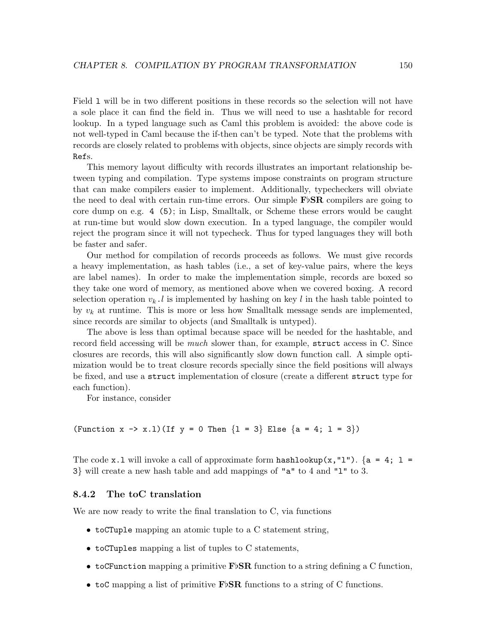Field l will be in two different positions in these records so the selection will not have a sole place it can find the field in. Thus we will need to use a hashtable for record lookup. In a typed language such as Caml this problem is avoided: the above code is not well-typed in Caml because the if-then can't be typed. Note that the problems with records are closely related to problems with objects, since objects are simply records with Refs.

This memory layout difficulty with records illustrates an important relationship between typing and compilation. Type systems impose constraints on program structure that can make compilers easier to implement. Additionally, typecheckers will obviate the need to deal with certain run-time errors. Our simple  $\mathbf{F} \flat \mathbf{SR}$  compilers are going to core dump on e.g. 4 (5); in Lisp, Smalltalk, or Scheme these errors would be caught at run-time but would slow down execution. In a typed language, the compiler would reject the program since it will not typecheck. Thus for typed languages they will both be faster and safer.

Our method for compilation of records proceeds as follows. We must give records a heavy implementation, as hash tables (i.e., a set of key-value pairs, where the keys are label names). In order to make the implementation simple, records are boxed so they take one word of memory, as mentioned above when we covered boxing. A record selection operation  $v_k$ . I is implemented by hashing on key l in the hash table pointed to by  $v_k$  at runtime. This is more or less how Smalltalk message sends are implemented, since records are similar to objects (and Smalltalk is untyped).

The above is less than optimal because space will be needed for the hashtable, and record field accessing will be *much* slower than, for example, struct access in C. Since closures are records, this will also significantly slow down function call. A simple optimization would be to treat closure records specially since the field positions will always be fixed, and use a struct implementation of closure (create a different struct type for each function).

For instance, consider

(Function  $x \to x.1$ )(If  $y = 0$  Then  $\{1 = 3\}$  Else  $\{a = 4; 1 = 3\}$ )

The code x.1 will invoke a call of approximate form hashlookup $(x, "1")$ . {a = 4; 1 = 3} will create a new hash table and add mappings of "a" to 4 and "l" to 3.

## 8.4.2 The toC translation

We are now ready to write the final translation to C, via functions

- toCTuple mapping an atomic tuple to a C statement string,
- toCTuples mapping a list of tuples to C statements,
- to CFunction mapping a primitive  $\mathbf{F}\flat\mathbf{SR}$  function to a string defining a C function,
- toC mapping a list of primitive  $\mathbf{F} \flat \mathbf{SR}$  functions to a string of C functions.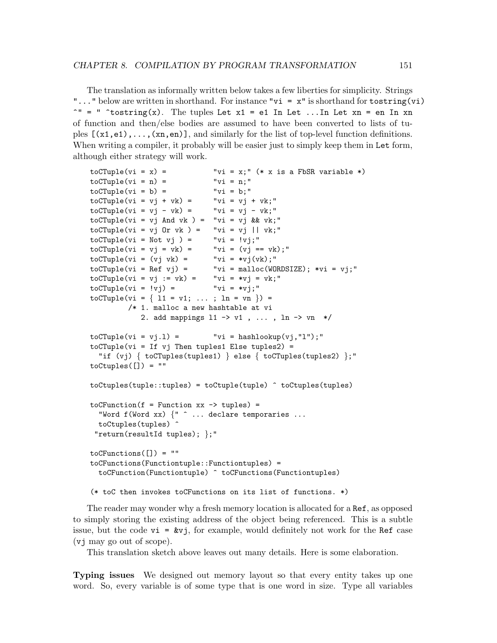The translation as informally written below takes a few liberties for simplicity. Strings "..." below are written in shorthand. For instance " $vi = x$ " is shorthand for tostring(vi)  $\gamma$ " = "  $\tau$ tostring(x). The tuples Let x1 = e1 In Let ...In Let xn = en In xn of function and then/else bodies are assumed to have been converted to lists of tuples  $[(x1,e1),\ldots,(xn,en)]$ , and similarly for the list of top-level function definitions. When writing a compiler, it probably will be easier just to simply keep them in Let form, although either strategy will work.

```
toCTuple(vi = x) = "vi = x;" (* x is a FbSR variable *)
toCTuple(vi = n) = "vi = n;"
toCTuple(vi = b) = "vi = b;"
to CTuple(vi = vj + vk) = "vi = vj + vk;"
\text{toCTuple}(vi = vj - vk) =<br>\text{``vi = vj - vk;}toCTuple(vi = vj And vk) = "vi = vj & wky'to CTuple(vi = vj \text{ Or } vk) = "vi = vj || vk;"to CTuple(vi = Not vj) = "vi = ivj;"toCTuple(vi = vj = vk) = ' "vi = (vj == vk);"
toCTuple(vi = (vj vk) = \qquad "vi = *vj(vk);"<br>toCTuple(vi = Ref vj) = \qquad "vi = malloc(WO)
                             "vi = mailloc(WORDSIZE); *vi = vj;"to CTuple(vi = vj := vk) = "vi = *vj = vk;"toCTuple(vi = 'vj) = "vi = *vj;"to CTuple(vi = \{ 11 = v1; ...; ln = vn \}) =/* 1. malloc a new hashtable at vi
            2. add mappings l1 -> v1 , ... , ln -> vn */
to CTuple(vi = vj.1) = "vi = hashlookup(vj, "l");"
toCTuple(vi = If vj Then tuples1 Else tuples2) =
  "if (vj) { toCTuples(tuples1) } else { toCTuples(tuples2) };"
toCtuples([]) = ""
toCtuples(tuple::tuples) = toCtuple(tuple) ^ toCtuples(tuples)
toCFunction(f = Function xx \rightarrow tuples) ="Word f(Word xx) \{" \hat{ } \dots declare temporaries \dotstoCtuples(tuples) ^
 "return(resultId tuples); };"
toCFunctions([]) = ""toCFunctions(Functiontuple::Functiontuples) =
  toCFunction(Functiontuple) ^ toCFunctions(Functiontuples)
(* toC then invokes toCFunctions on its list of functions. *)
```
The reader may wonder why a fresh memory location is allocated for a Ref, as opposed to simply storing the existing address of the object being referenced. This is a subtle issue, but the code  $vi = kvj$ , for example, would definitely not work for the Ref case (vj may go out of scope).

This translation sketch above leaves out many details. Here is some elaboration.

Typing issues We designed out memory layout so that every entity takes up one word. So, every variable is of some type that is one word in size. Type all variables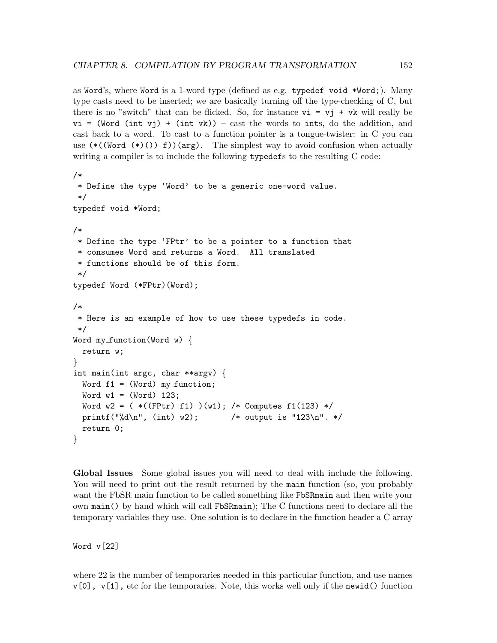as Word's, where Word is a 1-word type (defined as e.g. typedef void \*Word;). Many type casts need to be inserted; we are basically turning off the type-checking of C, but there is no "switch" that can be flicked. So, for instance  $vi = vi + vk$  will really be  $vi = (Word (int vj) + (int vk)) - cast the words to ints, do the addition, and$ cast back to a word. To cast to a function pointer is a tongue-twister: in C you can use  $(*((Word (*)()) f))(\arg)$ . The simplest way to avoid confusion when actually writing a compiler is to include the following typedefs to the resulting C code:

```
/*
 * Define the type 'Word' to be a generic one-word value.
*/
typedef void *Word;
/*
 * Define the type 'FPtr' to be a pointer to a function that
 * consumes Word and returns a Word. All translated
 * functions should be of this form.
 */
typedef Word (*FPtr)(Word);
/*
* Here is an example of how to use these typedefs in code.
*/
Word my_function(Word w) \{return w;
}
int main(int argc, char **argy) \{Word f1 = (Word) my_function;Word w1 = (Word) 123;
 Word w2 = (*(FPtr) f1) )(w1); /* Computes f1(123) */
 printf("%d\n", (int) w2); /* output is "123\n". */
 return 0;
}
```
Global Issues Some global issues you will need to deal with include the following. You will need to print out the result returned by the main function (so, you probably want the FbSR main function to be called something like FbSRmain and then write your own main() by hand which will call FbSRmain); The C functions need to declare all the temporary variables they use. One solution is to declare in the function header a C array

Word v[22]

where 22 is the number of temporaries needed in this particular function, and use names  $v[0]$ ,  $v[1]$ , etc for the temporaries. Note, this works well only if the newid() function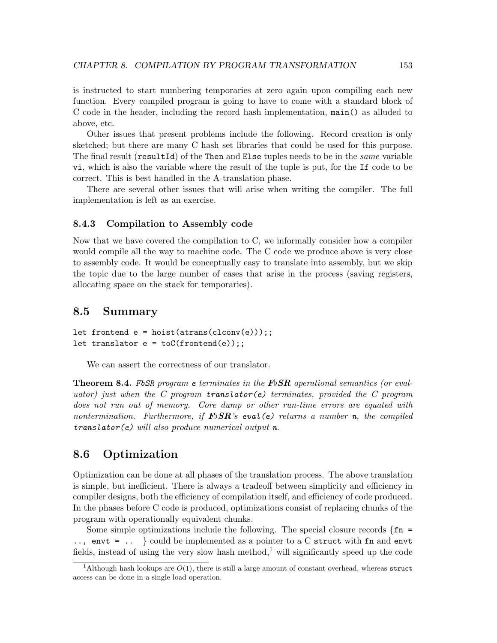is instructed to start numbering temporaries at zero again upon compiling each new function. Every compiled program is going to have to come with a standard block of C code in the header, including the record hash implementation, main() as alluded to above, etc.

Other issues that present problems include the following. Record creation is only sketched; but there are many C hash set libraries that could be used for this purpose. The final result (resultId) of the Then and Else tuples needs to be in the *same* variable vi, which is also the variable where the result of the tuple is put, for the If code to be correct. This is best handled in the A-translation phase.

There are several other issues that will arise when writing the compiler. The full implementation is left as an exercise.

### 8.4.3 Compilation to Assembly code

Now that we have covered the compilation to C, we informally consider how a compiler would compile all the way to machine code. The C code we produce above is very close to assembly code. It would be conceptually easy to translate into assembly, but we skip the topic due to the large number of cases that arise in the process (saving registers, allocating space on the stack for temporaries).

## 8.5 Summary

```
let frontend e = \text{hoist}(\text{atrans}(\text{clconv}(e)));
let translator e = \text{toC}(\text{frontend}(e));
```
We can assert the correctness of our translator.

**Theorem 8.4.** FbSR program e terminates in the  $\mathbf{F} \circ \mathbf{S} \mathbf{R}$  operational semantics (or evaluator) just when the C program translator(e) terminates, provided the C program does not run out of memory. Core dump or other run-time errors are equated with nontermination. Furthermore, if  $F\flat SR$ 's eval(e) returns a number n, the compiled  $translator(e)$  will also produce numerical output n.

## 8.6 Optimization

Optimization can be done at all phases of the translation process. The above translation is simple, but inefficient. There is always a tradeoff between simplicity and efficiency in compiler designs, both the efficiency of compilation itself, and efficiency of code produced. In the phases before C code is produced, optimizations consist of replacing chunks of the program with operationally equivalent chunks.

Some simple optimizations include the following. The special closure records  $\{fn =$  $\ldots$ , envt =  $\ldots$  } could be implemented as a pointer to a C struct with fn and envt fields, instead of using the very slow hash method,<sup>[1](#page-157-0)</sup> will significantly speed up the code

<span id="page-157-0"></span><sup>&</sup>lt;sup>1</sup>Although hash lookups are  $O(1)$ , there is still a large amount of constant overhead, whereas struct access can be done in a single load operation.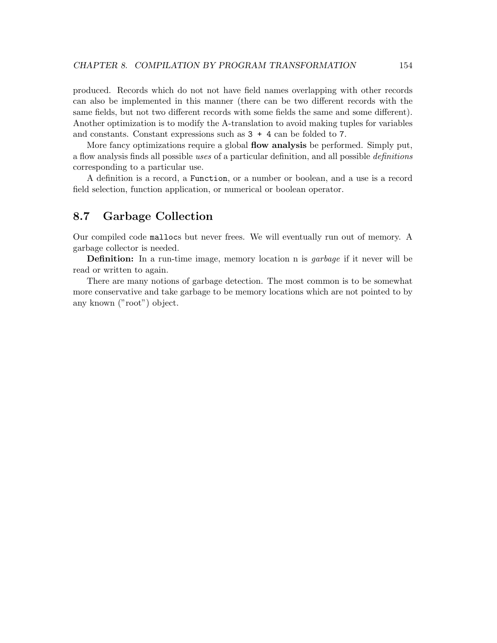<span id="page-158-0"></span>produced. Records which do not not have field names overlapping with other records can also be implemented in this manner (there can be two different records with the same fields, but not two different records with some fields the same and some different). Another optimization is to modify the A-translation to avoid making tuples for variables and constants. Constant expressions such as  $3 + 4$  can be folded to 7.

More fancy optimizations require a global **flow analysis** be performed. Simply put, a flow analysis finds all possible uses of a particular definition, and all possible definitions corresponding to a particular use.

A definition is a record, a Function, or a number or boolean, and a use is a record field selection, function application, or numerical or boolean operator.

## 8.7 Garbage Collection

Our compiled code mallocs but never frees. We will eventually run out of memory. A garbage collector is needed.

Definition: In a run-time image, memory location n is garbage if it never will be read or written to again.

There are many notions of garbage detection. The most common is to be somewhat more conservative and take garbage to be memory locations which are not pointed to by any known ("root") object.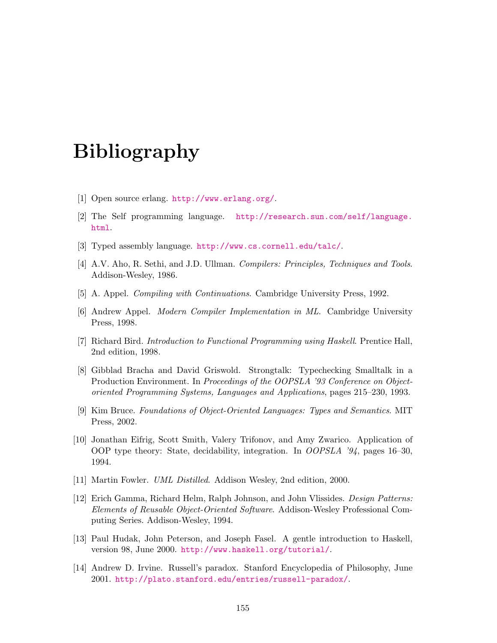# Bibliography

- [1] Open source erlang. <http://www.erlang.org/>.
- [2] The Self programming language. [http://research.sun.com/self/language.](http://research.sun.com/self/language.html) [html](http://research.sun.com/self/language.html).
- [3] Typed assembly language. <http://www.cs.cornell.edu/talc/>.
- [4] A.V. Aho, R. Sethi, and J.D. Ullman. Compilers: Principles, Techniques and Tools. Addison-Wesley, 1986.
- [5] A. Appel. Compiling with Continuations. Cambridge University Press, 1992.
- [6] Andrew Appel. Modern Compiler Implementation in ML. Cambridge University Press, 1998.
- [7] Richard Bird. Introduction to Functional Programming using Haskell. Prentice Hall, 2nd edition, 1998.
- [8] Gibblad Bracha and David Griswold. Strongtalk: Typechecking Smalltalk in a Production Environment. In Proceedings of the OOPSLA '93 Conference on Objectoriented Programming Systems, Languages and Applications, pages 215–230, 1993.
- [9] Kim Bruce. Foundations of Object-Oriented Languages: Types and Semantics. MIT Press, 2002.
- [10] Jonathan Eifrig, Scott Smith, Valery Trifonov, and Amy Zwarico. Application of OOP type theory: State, decidability, integration. In OOPSLA '94, pages 16–30, 1994.
- [11] Martin Fowler. UML Distilled. Addison Wesley, 2nd edition, 2000.
- [12] Erich Gamma, Richard Helm, Ralph Johnson, and John Vlissides. Design Patterns: Elements of Reusable Object-Oriented Software. Addison-Wesley Professional Computing Series. Addison-Wesley, 1994.
- [13] Paul Hudak, John Peterson, and Joseph Fasel. A gentle introduction to Haskell, version 98, June 2000. <http://www.haskell.org/tutorial/>.
- [14] Andrew D. Irvine. Russell's paradox. Stanford Encyclopedia of Philosophy, June 2001. <http://plato.stanford.edu/entries/russell-paradox/>.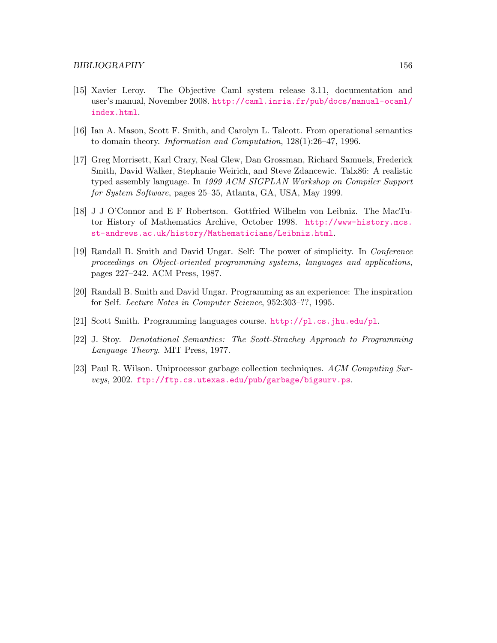- [15] Xavier Leroy. The Objective Caml system release 3.11, documentation and user's manual, November 2008. [http://caml.inria.fr/pub/docs/manual-ocaml/](http://caml.inria.fr/pub/docs/manual-ocaml/index.html) [index.html](http://caml.inria.fr/pub/docs/manual-ocaml/index.html).
- [16] Ian A. Mason, Scott F. Smith, and Carolyn L. Talcott. From operational semantics to domain theory. Information and Computation, 128(1):26–47, 1996.
- [17] Greg Morrisett, Karl Crary, Neal Glew, Dan Grossman, Richard Samuels, Frederick Smith, David Walker, Stephanie Weirich, and Steve Zdancewic. Talx86: A realistic typed assembly language. In 1999 ACM SIGPLAN Workshop on Compiler Support for System Software, pages 25–35, Atlanta, GA, USA, May 1999.
- [18] J J O'Connor and E F Robertson. Gottfried Wilhelm von Leibniz. The MacTutor History of Mathematics Archive, October 1998. [http://www-history.mcs.](http://www-history.mcs.st-andrews.ac.uk/history/Mathematicians/Leibniz.html) [st-andrews.ac.uk/history/Mathematicians/Leibniz.html](http://www-history.mcs.st-andrews.ac.uk/history/Mathematicians/Leibniz.html).
- [19] Randall B. Smith and David Ungar. Self: The power of simplicity. In Conference proceedings on Object-oriented programming systems, languages and applications, pages 227–242. ACM Press, 1987.
- [20] Randall B. Smith and David Ungar. Programming as an experience: The inspiration for Self. Lecture Notes in Computer Science, 952:303–??, 1995.
- [21] Scott Smith. Programming languages course. <http://pl.cs.jhu.edu/pl>.
- [22] J. Stoy. Denotational Semantics: The Scott-Strachey Approach to Programming Language Theory. MIT Press, 1977.
- [23] Paul R. Wilson. Uniprocessor garbage collection techniques. ACM Computing Surveys, 2002. <ftp://ftp.cs.utexas.edu/pub/garbage/bigsurv.ps>.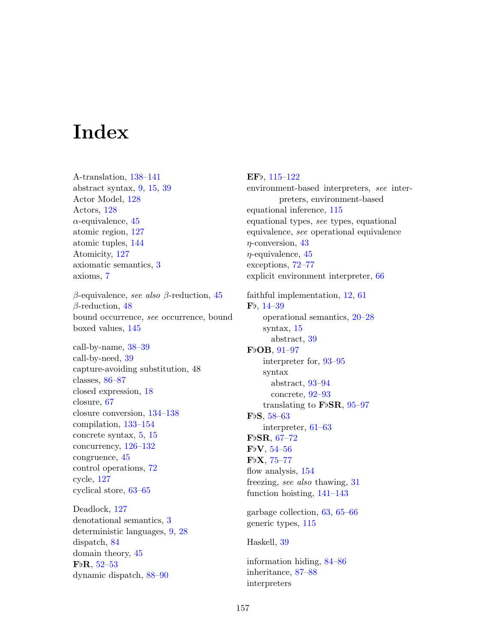# Index

A-translation, [138](#page-142-0)[–141](#page-145-0) abstract syntax, [9,](#page-13-0) [15,](#page-19-0) [39](#page-43-0) Actor Model, [128](#page-132-0) Actors, [128](#page-132-0)  $\alpha$ -equivalence, [45](#page-49-0) atomic region, [127](#page-131-0) atomic tuples, [144](#page-148-0) Atomicity, [127](#page-131-0) axiomatic semantics, [3](#page-7-0) axioms, [7](#page-11-0)

β-equivalence, see also β-reduction, [45](#page-49-0) β-reduction, [48](#page-52-0) bound occurrence, see occurrence, bound boxed values, [145](#page-149-0)

call-by-name, [38–](#page-42-0)[39](#page-43-0) call-by-need, [39](#page-43-0) capture-avoiding substitution, 48 classes, [86–](#page-90-0)[87](#page-91-0) closed expression, [18](#page-22-0) closure, [67](#page-71-0) closure conversion, [134](#page-138-0)[–138](#page-142-0) compilation, [133–](#page-137-0)[154](#page-158-0) concrete syntax, [5,](#page-9-0) [15](#page-19-0) concurrency, [126](#page-130-0)[–132](#page-136-0) congruence, [45](#page-49-0) control operations, [72](#page-76-0) cycle, [127](#page-131-0) cyclical store, [63–](#page-67-0)[65](#page-69-0)

Deadlock, [127](#page-131-0) denotational semantics, [3](#page-7-0) deterministic languages, [9,](#page-13-0) [28](#page-32-0) dispatch, [84](#page-88-0) domain theory, [45](#page-49-0)  $FbR, 52–53$  $FbR, 52–53$  $FbR, 52–53$ dynamic dispatch, [88–](#page-92-0)[90](#page-94-0)

## $EFb, 115-122$  $EFb, 115-122$

environment-based interpreters, see interpreters, environment-based equational inference, [115](#page-119-0) equational types, see types, equational equivalence, see operational equivalence  $\eta$ -conversion, [43](#page-47-0)  $\eta$ -equivalence, [45](#page-49-0) exceptions, [72–](#page-76-0)[77](#page-81-0) explicit environment interpreter, [66](#page-70-0) faithful implementation, [12,](#page-16-0) [61](#page-65-0)  $Fb, 14–39$  $Fb, 14–39$  $Fb, 14–39$ operational semantics, [20](#page-24-0)[–28](#page-32-0) syntax, [15](#page-19-0) abstract, [39](#page-43-0)  $FbOB$ ,  $91-97$  $91-97$ interpreter for, [93–](#page-97-0)[95](#page-99-0) syntax abstract, [93–](#page-97-0)[94](#page-98-0) concrete, [92–](#page-96-0)[93](#page-97-0) translating to  $FbSR$ , [95](#page-99-0)[–97](#page-101-0)  $FbS, 58–63$  $FbS, 58–63$  $FbS, 58–63$ interpreter, [61](#page-65-0)[–63](#page-67-0)  $Fb$ SR, [67](#page-71-0)[–72](#page-76-0)  $FbV, 54–56$  $FbV, 54–56$  $FbV, 54–56$  $FbX, 75–77$  $FbX, 75–77$  $FbX, 75–77$ 

flow analysis,  $154$ freezing, see also thawing, [31](#page-35-0) function hoisting, [141–](#page-145-0)[143](#page-147-0)

garbage collection, [63,](#page-67-0) [65–](#page-69-0)[66](#page-70-0) generic types, [115](#page-119-0)

Haskell, [39](#page-43-0)

information hiding, [84–](#page-88-0)[86](#page-90-0) inheritance, [87–](#page-91-0)[88](#page-92-0) interpreters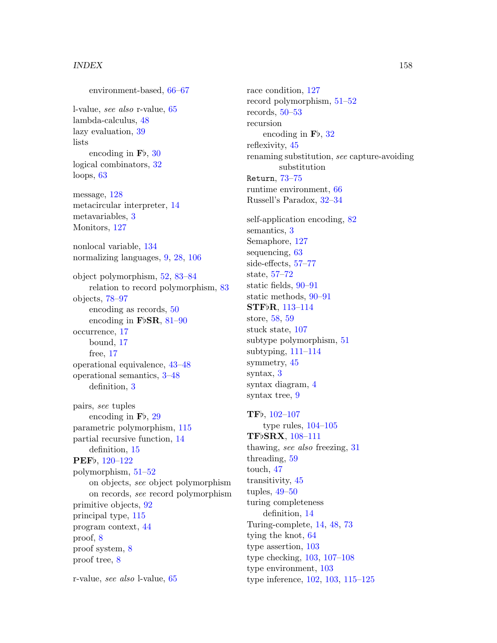environment-based, [66](#page-70-0)[–67](#page-71-0) l-value, see also r-value, [65](#page-69-0) lambda-calculus, [48](#page-52-0) lazy evaluation, [39](#page-43-0) lists encoding in  $\mathbf{F}\mathbf{b}$ , [30](#page-34-0) logical combinators, [32](#page-36-0) loops, [63](#page-67-0) message, [128](#page-132-0) metacircular interpreter, [14](#page-18-0) metavariables, [3](#page-7-0) Monitors, [127](#page-131-0) nonlocal variable, [134](#page-138-0) normalizing languages, [9,](#page-13-0) [28,](#page-32-0) [106](#page-110-0) object polymorphism, [52,](#page-56-0) [83–](#page-87-0)[84](#page-88-0) relation to record polymorphism, [83](#page-87-0) objects, [78–](#page-82-0)[97](#page-101-0) encoding as records, [50](#page-54-0) encoding in FbSR,  $81-90$  $81-90$ occurrence, [17](#page-21-0) bound, [17](#page-21-0) free, [17](#page-21-0) operational equivalence, [43–](#page-47-0)[48](#page-52-0) operational semantics, [3–](#page-7-0)[48](#page-52-0) definition, [3](#page-7-0) pairs, see tuples encoding in  $\mathbf{F}\mathbf{b}$ , [29](#page-33-0) parametric polymorphism, [115](#page-119-0) partial recursive function, [14](#page-18-0) definition, [15](#page-19-0) PEF<sub>b</sub>, [120](#page-124-0)-122

polymorphism, [51–](#page-55-0)[52](#page-56-0) on objects, see object polymorphism on records, see record polymorphism primitive objects, [92](#page-96-0) principal type, [115](#page-119-0) program context, [44](#page-48-0) proof, [8](#page-12-0) proof system, [8](#page-12-0) proof tree, [8](#page-12-0)

r-value, see also l-value, [65](#page-69-0)

race condition, [127](#page-131-0) record polymorphism, [51–](#page-55-0)[52](#page-56-0) records, [50](#page-54-0)[–53](#page-57-0) recursion encoding in  $\mathbf{F}\mathbf{b}$ , [32](#page-36-0) reflexivity, [45](#page-49-0) renaming substitution, see capture-avoiding substitution Return, [73–](#page-77-0)[75](#page-79-0) runtime environment, [66](#page-70-0) Russell's Paradox, [32–](#page-36-0)[34](#page-38-0)

self-application encoding, [82](#page-86-0) semantics, [3](#page-7-0) Semaphore, [127](#page-131-0) sequencing, [63](#page-67-0) side-effects, [57–](#page-61-0)[77](#page-81-0) state, [57](#page-61-0)[–72](#page-76-0) static fields, [90–](#page-94-0)[91](#page-95-0) static methods, [90](#page-94-0)[–91](#page-95-0) STFbR, [113](#page-117-0)-114 store, [58,](#page-62-0) [59](#page-63-0) stuck state, [107](#page-111-0) subtype polymorphism, [51](#page-55-0) subtyping, [111](#page-115-0)[–114](#page-118-0) symmetry, [45](#page-49-0) syntax, [3](#page-7-0) syntax diagram, [4](#page-8-0) syntax tree, [9](#page-13-0)

TFb, 102-[107](#page-111-0) type rules,  $104-105$  $104-105$ TFbSRX, [108](#page-112-0)-111 thawing, see also freezing, [31](#page-35-0) threading, [59](#page-63-0) touch, [47](#page-51-0) transitivity, [45](#page-49-0) tuples, [49–](#page-53-0)[50](#page-54-0) turing completeness definition, [14](#page-18-0) Turing-complete, [14,](#page-18-0) [48,](#page-52-0) [73](#page-77-0) tying the knot, [64](#page-68-0) type assertion, [103](#page-107-0) type checking, [103,](#page-107-0) [107–](#page-111-0)[108](#page-112-0) type environment, [103](#page-107-0) type inference, [102,](#page-106-0) [103,](#page-107-0) [115](#page-119-0)[–125](#page-129-0)